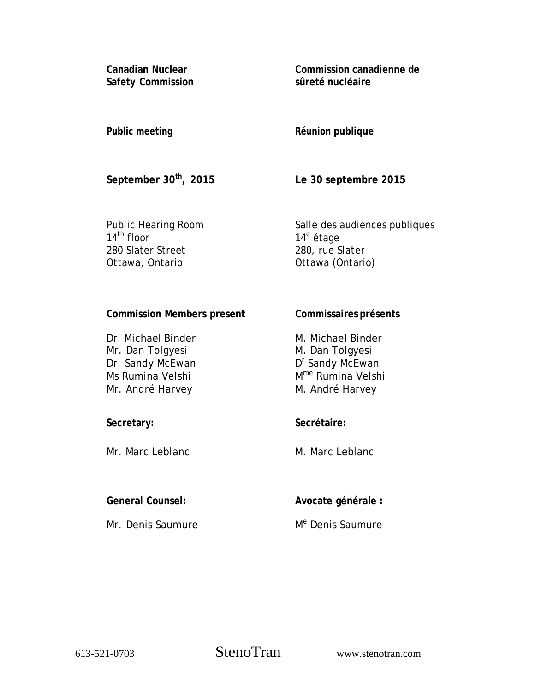**Canadian Nuclear Safety Commission**  **Commission canadienne de sûreté nucléaire** 

# **Public meeting**

# **Réunion publique**

**September 30th, 2015** 

**Le 30 septembre 2015** 

**Commissaires présents** 

Public Hearing Room 14<sup>th</sup> floor 280 Slater Street Ottawa, Ontario

Salle des audiences publiques 14<sup>e</sup> étage 280, rue Slater Ottawa (Ontario)

## **Commission Members present**

| Dr. Michael Binder | M. Michael Binder             |
|--------------------|-------------------------------|
| Mr. Dan Tolgyesi   | M. Dan Tolgyesi               |
| Dr. Sandy McEwan   | D <sup>r</sup> Sandy McEwan   |
| Ms Rumina Velshi   | M <sup>me</sup> Rumina Velshi |
| Mr. André Harvey   | M. André Harvey               |

## **Secretary:**

Mr. Marc Leblanc

### **General Counsel:**

Mr. Denis Saumure

**Secrétaire:** 

M. Marc Leblanc

**Avocate générale :** 

M<sup>e</sup> Denis Saumure

613-521-0703 StenoTran www.stenotran.com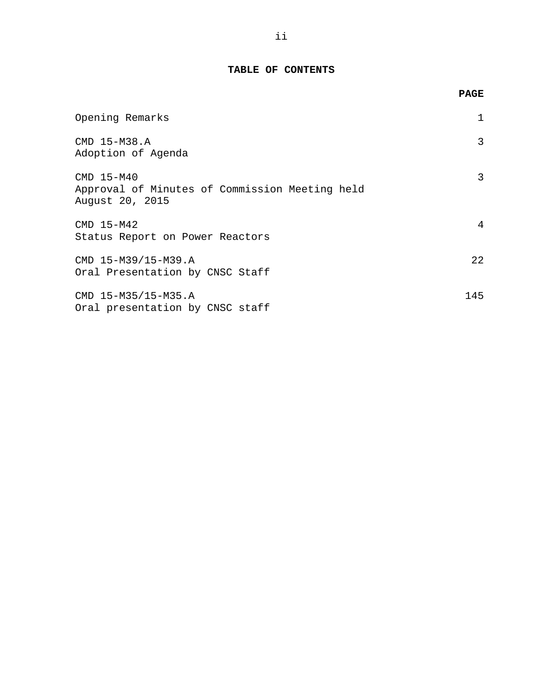### **TABLE OF CONTENTS**

|                                                                                 | <b>PAGE</b> |
|---------------------------------------------------------------------------------|-------------|
| Opening Remarks                                                                 | 1           |
| CMD 15-M38.A<br>Adoption of Agenda                                              | 3           |
| CMD 15-M40<br>Approval of Minutes of Commission Meeting held<br>August 20, 2015 | 3           |
| CMD 15-M42<br>Status Report on Power Reactors                                   | 4           |
| CMD 15-M39/15-M39.A<br>Oral Presentation by CNSC Staff                          | 22          |
| CMD 15-M35/15-M35.A<br>Oral presentation by CNSC staff                          | 145         |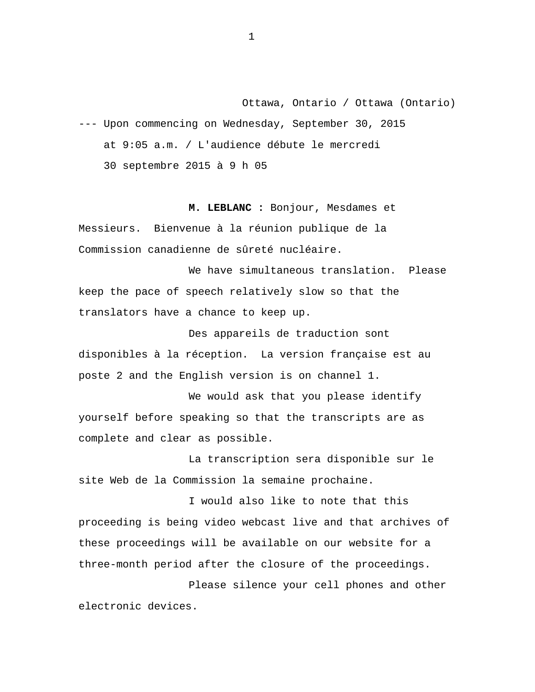Ottawa, Ontario / Ottawa (Ontario)

<span id="page-2-0"></span>--- Upon commencing on Wednesday, September 30, 2015 at 9:05 a.m. / L'audience débute le mercredi 30 septembre 2015 à 9 h 05

**M. LEBLANC :** Bonjour, Mesdames et Messieurs. Bienvenue à la réunion publique de la

Commission canadienne de sûreté nucléaire. We have simultaneous translation. Please

keep the pace of speech relatively slow so that the translators have a chance to keep up.

Des appareils de traduction sont disponibles à la réception. La version française est au poste 2 and the English version is on channel 1.

We would ask that you please identify yourself before speaking so that the transcripts are as complete and clear as possible.

La transcription sera disponible sur le site Web de la Commission la semaine prochaine.

I would also like to note that this proceeding is being video webcast live and that archives of these proceedings will be available on our website for a three-month period after the closure of the proceedings.

Please silence your cell phones and other electronic devices.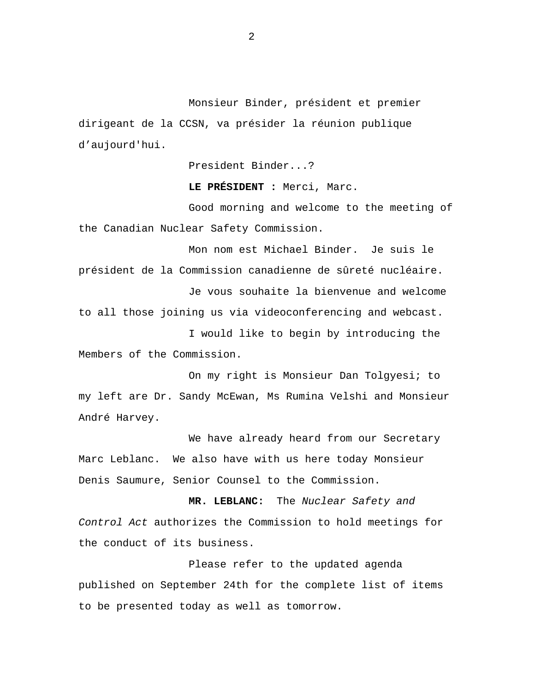Monsieur Binder, président et premier dirigeant de la CCSN, va présider la réunion publique d'aujourd'hui.

President Binder...?

**LE PRÉSIDENT :** Merci, Marc.

Good morning and welcome to the meeting of the Canadian Nuclear Safety Commission.

Mon nom est Michael Binder. Je suis le président de la Commission canadienne de sûreté nucléaire.

Je vous souhaite la bienvenue and welcome to all those joining us via videoconferencing and webcast.

I would like to begin by introducing the Members of the Commission.

On my right is Monsieur Dan Tolgyesi; to my left are Dr. Sandy McEwan, Ms Rumina Velshi and Monsieur André Harvey.

We have already heard from our Secretary Marc Leblanc. We also have with us here today Monsieur Denis Saumure, Senior Counsel to the Commission.

**MR. LEBLANC:** The *Nuclear Safety and Control Act* authorizes the Commission to hold meetings for the conduct of its business.

Please refer to the updated agenda published on September 24th for the complete list of items to be presented today as well as tomorrow.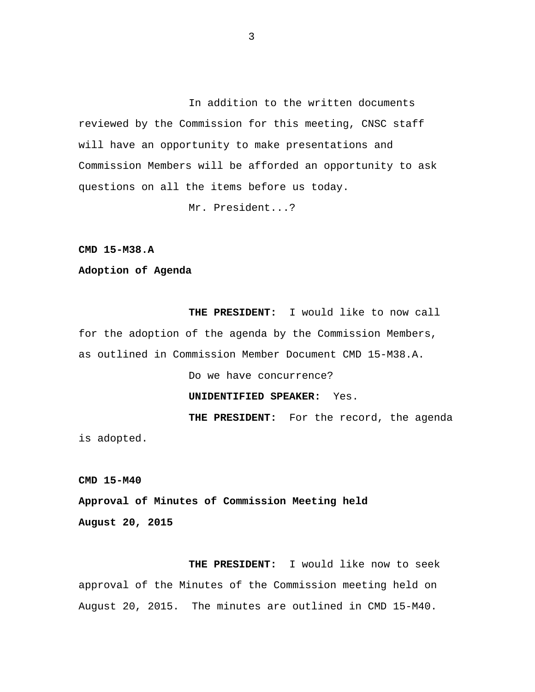<span id="page-4-0"></span>In addition to the written documents reviewed by the Commission for this meeting, CNSC staff will have an opportunity to make presentations and Commission Members will be afforded an opportunity to ask questions on all the items before us today.

Mr. President...?

**CMD 15-M38.A** 

**Adoption of Agenda** 

**THE PRESIDENT:** I would like to now call for the adoption of the agenda by the Commission Members, as outlined in Commission Member Document CMD 15-M38.A.

Do we have concurrence?

### **UNIDENTIFIED SPEAKER:** Yes.

**THE PRESIDENT:** For the record, the agenda is adopted.

**CMD 15-M40** 

**Approval of Minutes of Commission Meeting held August 20, 2015** 

**THE PRESIDENT:** I would like now to seek approval of the Minutes of the Commission meeting held on August 20, 2015. The minutes are outlined in CMD 15-M40.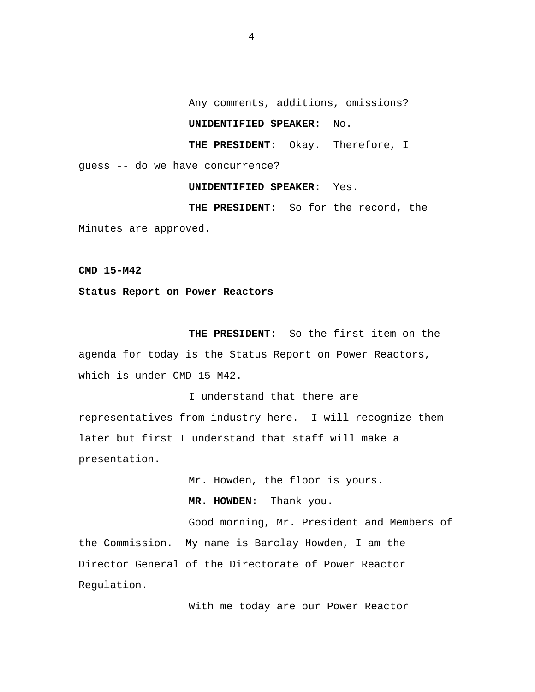Any comments, additions, omissions?

## **UNIDENTIFIED SPEAKER:** No.

**THE PRESIDENT:** Okay. Therefore, I

<span id="page-5-0"></span>guess -- do we have concurrence?

**UNIDENTIFIED SPEAKER:** Yes.

**THE PRESIDENT:** So for the record, the Minutes are approved.

**CMD 15-M42** 

**Status Report on Power Reactors** 

**THE PRESIDENT:** So the first item on the agenda for today is the Status Report on Power Reactors, which is under CMD 15-M42.

I understand that there are representatives from industry here. I will recognize them later but first I understand that staff will make a presentation.

Mr. Howden, the floor is yours.

**MR. HOWDEN:** Thank you.

Good morning, Mr. President and Members of the Commission. My name is Barclay Howden, I am the Director General of the Directorate of Power Reactor Regulation.

With me today are our Power Reactor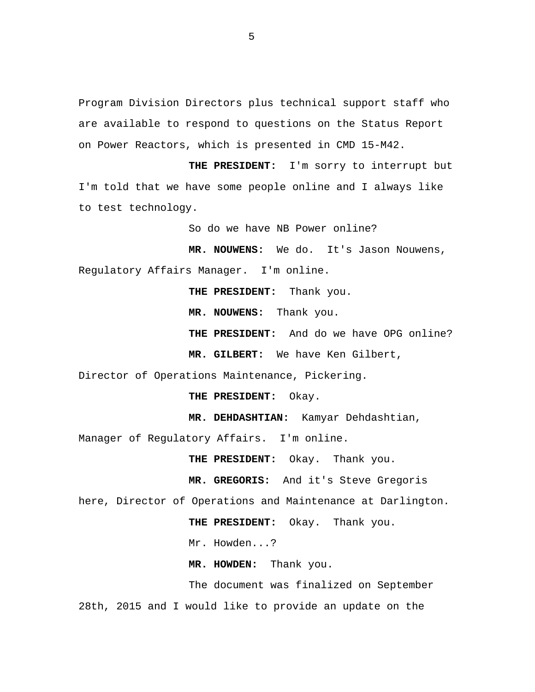Program Division Directors plus technical support staff who are available to respond to questions on the Status Report on Power Reactors, which is presented in CMD 15-M42.

**THE PRESIDENT:** I'm sorry to interrupt but I'm told that we have some people online and I always like to test technology.

So do we have NB Power online?

**MR. NOUWENS:** We do. It's Jason Nouwens, Regulatory Affairs Manager. I'm online.

**THE PRESIDENT:** Thank you.

**MR. NOUWENS:** Thank you.

**THE PRESIDENT:** And do we have OPG online?

**MR. GILBERT:** We have Ken Gilbert,

Director of Operations Maintenance, Pickering.

**THE PRESIDENT:** Okay.

**MR. DEHDASHTIAN:** Kamyar Dehdashtian,

Manager of Regulatory Affairs. I'm online.

**THE PRESIDENT:** Okay. Thank you.

**MR. GREGORIS:** And it's Steve Gregoris

here, Director of Operations and Maintenance at Darlington.

**THE PRESIDENT:** Okay. Thank you.

Mr. Howden...?

**MR. HOWDEN:** Thank you.

The document was finalized on September 28th, 2015 and I would like to provide an update on the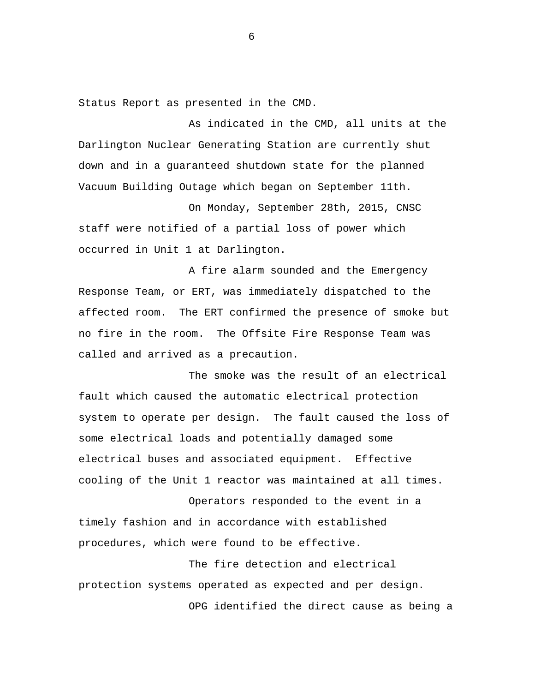Status Report as presented in the CMD.

As indicated in the CMD, all units at the Darlington Nuclear Generating Station are currently shut down and in a guaranteed shutdown state for the planned Vacuum Building Outage which began on September 11th.

On Monday, September 28th, 2015, CNSC staff were notified of a partial loss of power which occurred in Unit 1 at Darlington.

A fire alarm sounded and the Emergency Response Team, or ERT, was immediately dispatched to the affected room. The ERT confirmed the presence of smoke but no fire in the room. The Offsite Fire Response Team was called and arrived as a precaution.

The smoke was the result of an electrical fault which caused the automatic electrical protection system to operate per design. The fault caused the loss of some electrical loads and potentially damaged some electrical buses and associated equipment. Effective cooling of the Unit 1 reactor was maintained at all times.

Operators responded to the event in a timely fashion and in accordance with established procedures, which were found to be effective.

The fire detection and electrical protection systems operated as expected and per design. OPG identified the direct cause as being a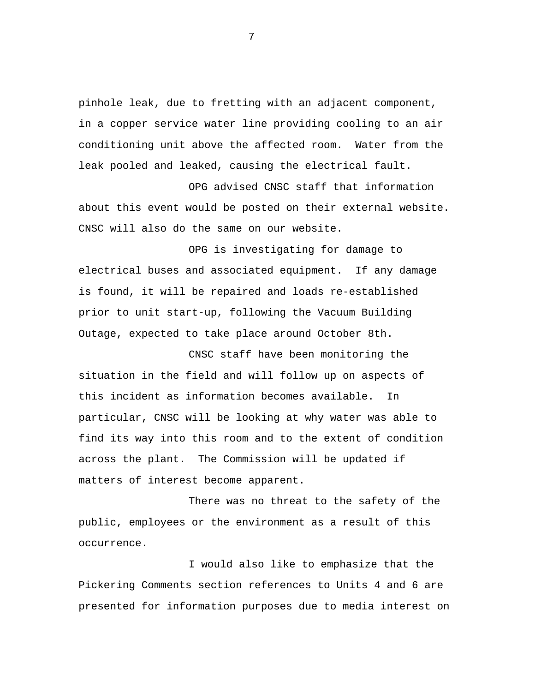pinhole leak, due to fretting with an adjacent component, in a copper service water line providing cooling to an air conditioning unit above the affected room. Water from the leak pooled and leaked, causing the electrical fault.

OPG advised CNSC staff that information about this event would be posted on their external website. CNSC will also do the same on our website.

OPG is investigating for damage to electrical buses and associated equipment. If any damage is found, it will be repaired and loads re-established prior to unit start-up, following the Vacuum Building Outage, expected to take place around October 8th.

CNSC staff have been monitoring the situation in the field and will follow up on aspects of this incident as information becomes available. In particular, CNSC will be looking at why water was able to find its way into this room and to the extent of condition across the plant. The Commission will be updated if matters of interest become apparent.

There was no threat to the safety of the public, employees or the environment as a result of this occurrence.

I would also like to emphasize that the Pickering Comments section references to Units 4 and 6 are presented for information purposes due to media interest on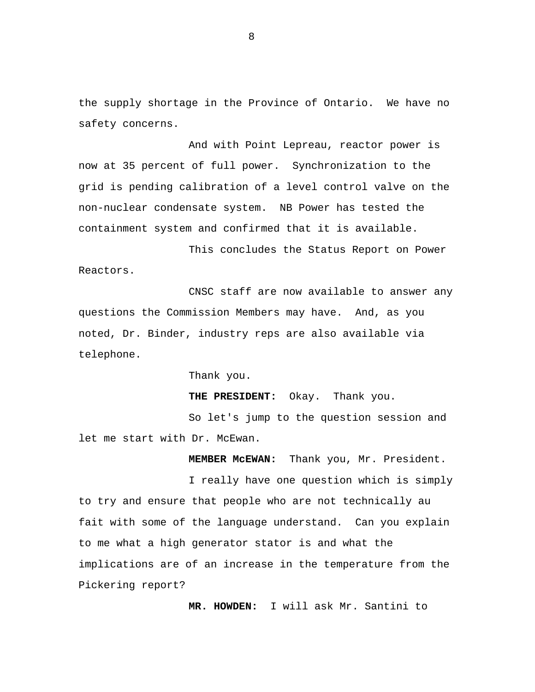the supply shortage in the Province of Ontario. We have no safety concerns.

And with Point Lepreau, reactor power is now at 35 percent of full power. Synchronization to the grid is pending calibration of a level control valve on the non-nuclear condensate system. NB Power has tested the containment system and confirmed that it is available.

This concludes the Status Report on Power Reactors.

CNSC staff are now available to answer any questions the Commission Members may have. And, as you noted, Dr. Binder, industry reps are also available via telephone.

Thank you.

**THE PRESIDENT:** Okay. Thank you.

So let's jump to the question session and let me start with Dr. McEwan.

**MEMBER McEWAN:** Thank you, Mr. President.

I really have one question which is simply to try and ensure that people who are not technically au fait with some of the language understand. Can you explain to me what a high generator stator is and what the implications are of an increase in the temperature from the Pickering report?

 **MR. HOWDEN:** I will ask Mr. Santini to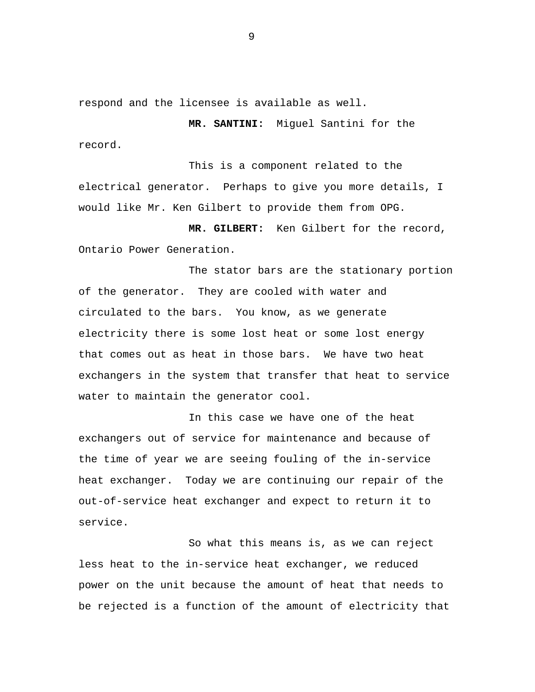respond and the licensee is available as well.

 **MR. SANTINI:** Miguel Santini for the record.

This is a component related to the electrical generator. Perhaps to give you more details, I would like Mr. Ken Gilbert to provide them from OPG.

 **MR. GILBERT:** Ken Gilbert for the record, Ontario Power Generation.

The stator bars are the stationary portion of the generator. They are cooled with water and circulated to the bars. You know, as we generate electricity there is some lost heat or some lost energy that comes out as heat in those bars. We have two heat exchangers in the system that transfer that heat to service water to maintain the generator cool.

In this case we have one of the heat exchangers out of service for maintenance and because of the time of year we are seeing fouling of the in-service heat exchanger. Today we are continuing our repair of the out-of-service heat exchanger and expect to return it to service.

So what this means is, as we can reject less heat to the in-service heat exchanger, we reduced power on the unit because the amount of heat that needs to be rejected is a function of the amount of electricity that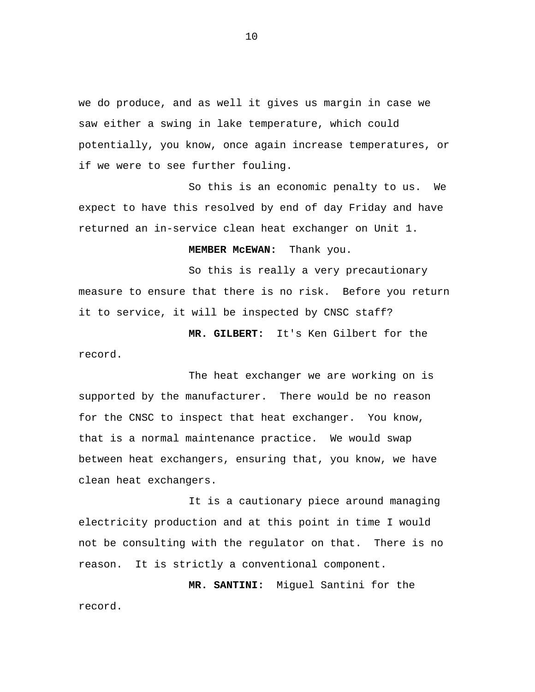we do produce, and as well it gives us margin in case we saw either a swing in lake temperature, which could potentially, you know, once again increase temperatures, or if we were to see further fouling.

So this is an economic penalty to us. We expect to have this resolved by end of day Friday and have returned an in-service clean heat exchanger on Unit 1.

 **MEMBER McEWAN:** Thank you.

So this is really a very precautionary measure to ensure that there is no risk. Before you return it to service, it will be inspected by CNSC staff?

 **MR. GILBERT:** It's Ken Gilbert for the record.

The heat exchanger we are working on is supported by the manufacturer. There would be no reason for the CNSC to inspect that heat exchanger. You know, that is a normal maintenance practice. We would swap between heat exchangers, ensuring that, you know, we have clean heat exchangers.

It is a cautionary piece around managing electricity production and at this point in time I would not be consulting with the regulator on that. There is no reason. It is strictly a conventional component.

 **MR. SANTINI:** Miguel Santini for the record.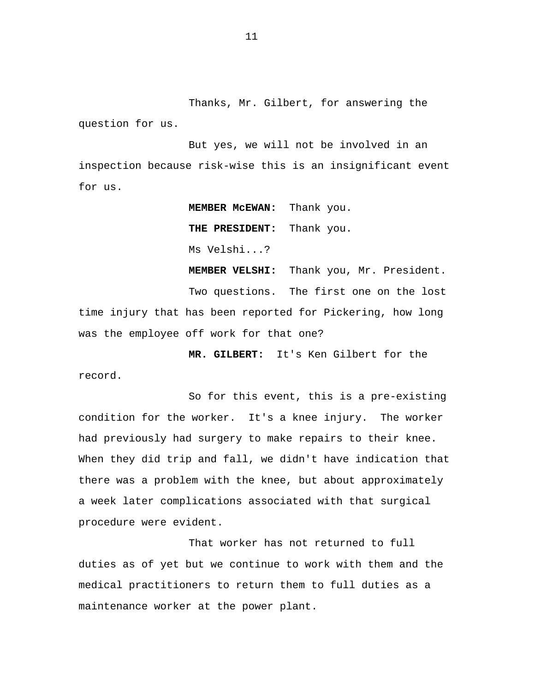Thanks, Mr. Gilbert, for answering the question for us.

But yes, we will not be involved in an inspection because risk-wise this is an insignificant event for us.

 **MEMBER McEWAN:** Thank you.

 **THE PRESIDENT:** Thank you.

Ms Velshi...?

 **MEMBER VELSHI:** Thank you, Mr. President. Two questions. The first one on the lost time injury that has been reported for Pickering, how long was the employee off work for that one?

 **MR. GILBERT:** It's Ken Gilbert for the record.

So for this event, this is a pre-existing condition for the worker. It's a knee injury. The worker had previously had surgery to make repairs to their knee. When they did trip and fall, we didn't have indication that there was a problem with the knee, but about approximately a week later complications associated with that surgical procedure were evident.

That worker has not returned to full duties as of yet but we continue to work with them and the medical practitioners to return them to full duties as a maintenance worker at the power plant.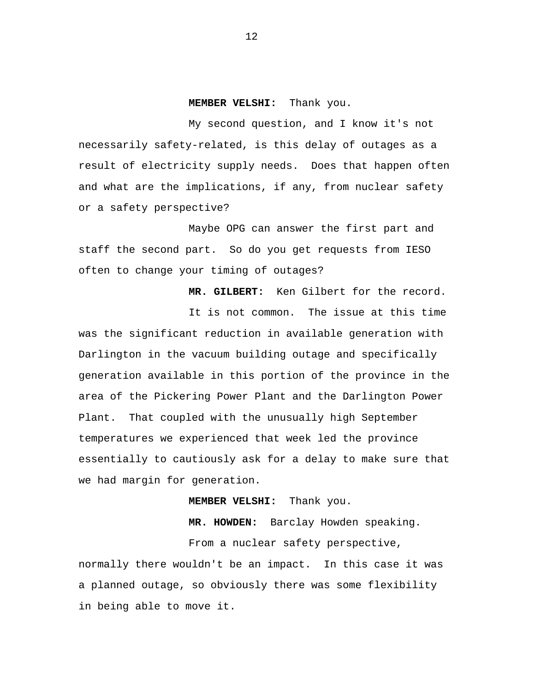#### **MEMBER VELSHI:** Thank you.

My second question, and I know it's not necessarily safety-related, is this delay of outages as a result of electricity supply needs. Does that happen often and what are the implications, if any, from nuclear safety or a safety perspective?

Maybe OPG can answer the first part and staff the second part. So do you get requests from IESO often to change your timing of outages?

 **MR. GILBERT:** Ken Gilbert for the record. It is not common. The issue at this time was the significant reduction in available generation with Darlington in the vacuum building outage and specifically generation available in this portion of the province in the area of the Pickering Power Plant and the Darlington Power Plant. That coupled with the unusually high September temperatures we experienced that week led the province essentially to cautiously ask for a delay to make sure that we had margin for generation.

#### **MEMBER VELSHI:** Thank you.

 **MR. HOWDEN:** Barclay Howden speaking. From a nuclear safety perspective,

normally there wouldn't be an impact. In this case it was a planned outage, so obviously there was some flexibility in being able to move it.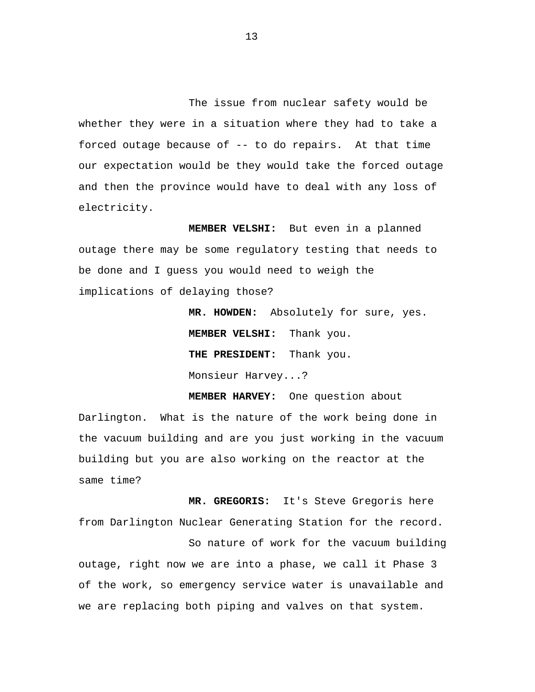The issue from nuclear safety would be whether they were in a situation where they had to take a forced outage because of -- to do repairs. At that time our expectation would be they would take the forced outage and then the province would have to deal with any loss of electricity.

 **MEMBER VELSHI:** But even in a planned outage there may be some regulatory testing that needs to be done and I guess you would need to weigh the implications of delaying those?

> **MR. HOWDEN:** Absolutely for sure, yes. **MEMBER VELSHI:** Thank you.  **THE PRESIDENT:** Thank you. Monsieur Harvey...?

**MEMBER HARVEY:** One question about Darlington. What is the nature of the work being done in the vacuum building and are you just working in the vacuum building but you are also working on the reactor at the same time?

**MR. GREGORIS:** It's Steve Gregoris here from Darlington Nuclear Generating Station for the record.

So nature of work for the vacuum building outage, right now we are into a phase, we call it Phase 3 of the work, so emergency service water is unavailable and we are replacing both piping and valves on that system.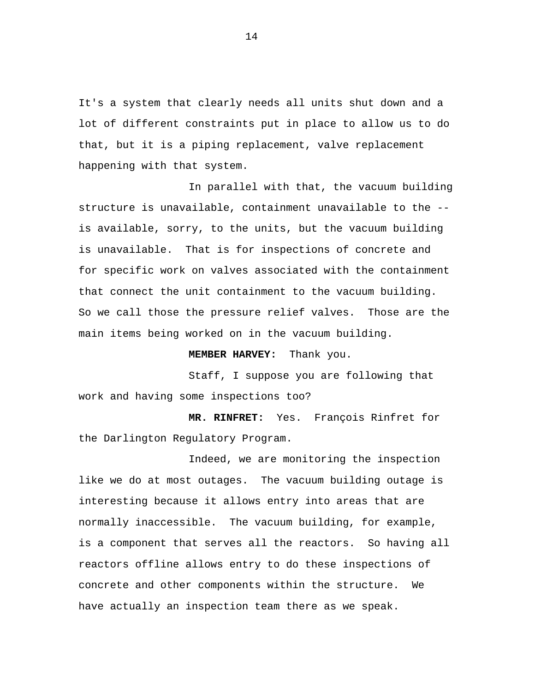It's a system that clearly needs all units shut down and a lot of different constraints put in place to allow us to do that, but it is a piping replacement, valve replacement happening with that system.

In parallel with that, the vacuum building structure is unavailable, containment unavailable to the - is available, sorry, to the units, but the vacuum building is unavailable. That is for inspections of concrete and for specific work on valves associated with the containment that connect the unit containment to the vacuum building. So we call those the pressure relief valves. Those are the main items being worked on in the vacuum building.

#### **MEMBER HARVEY:** Thank you.

Staff, I suppose you are following that work and having some inspections too?

 **MR. RINFRET:** Yes. François Rinfret for the Darlington Regulatory Program.

Indeed, we are monitoring the inspection like we do at most outages. The vacuum building outage is interesting because it allows entry into areas that are normally inaccessible. The vacuum building, for example, is a component that serves all the reactors. So having all reactors offline allows entry to do these inspections of concrete and other components within the structure. We have actually an inspection team there as we speak.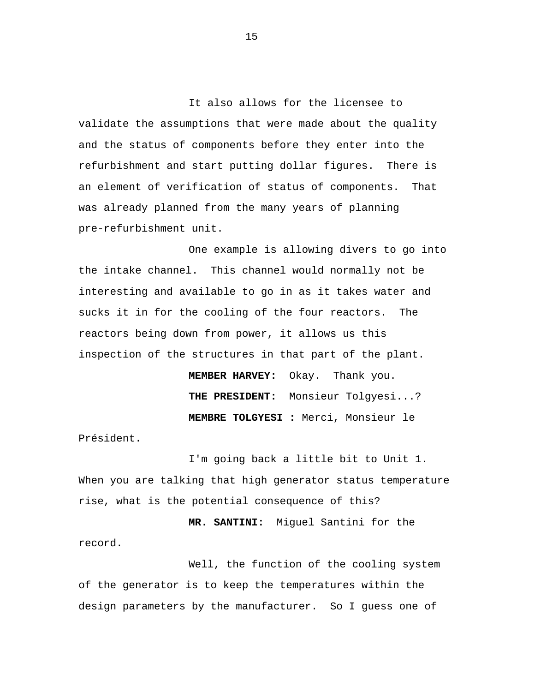It also allows for the licensee to validate the assumptions that were made about the quality and the status of components before they enter into the refurbishment and start putting dollar figures. There is an element of verification of status of components. That was already planned from the many years of planning pre-refurbishment unit.

One example is allowing divers to go into the intake channel. This channel would normally not be interesting and available to go in as it takes water and sucks it in for the cooling of the four reactors. The reactors being down from power, it allows us this inspection of the structures in that part of the plant.

> **MEMBER HARVEY:** Okay. Thank you.  **THE PRESIDENT:** Monsieur Tolgyesi...? **MEMBRE TOLGYESI :** Merci, Monsieur le

Président.

I'm going back a little bit to Unit 1. When you are talking that high generator status temperature rise, what is the potential consequence of this?

 **MR. SANTINI:** Miguel Santini for the record.

Well, the function of the cooling system of the generator is to keep the temperatures within the design parameters by the manufacturer. So I guess one of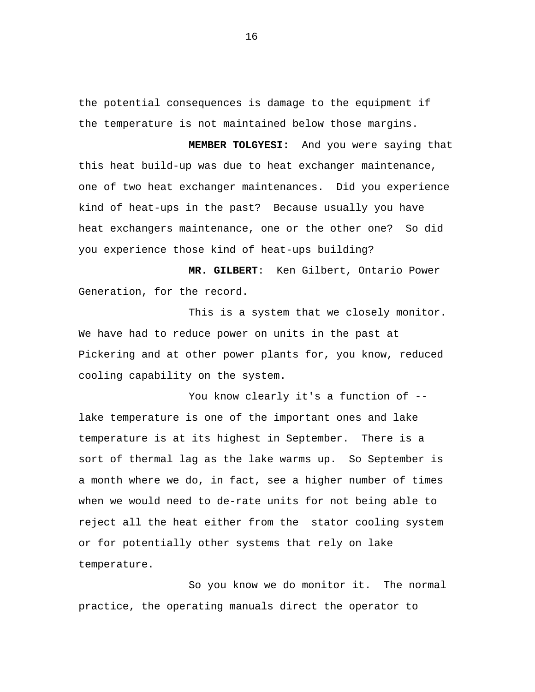the potential consequences is damage to the equipment if the temperature is not maintained below those margins.

 **MEMBER TOLGYESI:** And you were saying that this heat build-up was due to heat exchanger maintenance, one of two heat exchanger maintenances. Did you experience kind of heat-ups in the past? Because usually you have heat exchangers maintenance, one or the other one? So did you experience those kind of heat-ups building?

 **MR. GILBERT**: Ken Gilbert, Ontario Power Generation, for the record.

This is a system that we closely monitor. We have had to reduce power on units in the past at Pickering and at other power plants for, you know, reduced cooling capability on the system.

You know clearly it's a function of -lake temperature is one of the important ones and lake temperature is at its highest in September. There is a sort of thermal lag as the lake warms up. So September is a month where we do, in fact, see a higher number of times when we would need to de-rate units for not being able to reject all the heat either from the stator cooling system or for potentially other systems that rely on lake temperature.

So you know we do monitor it. The normal practice, the operating manuals direct the operator to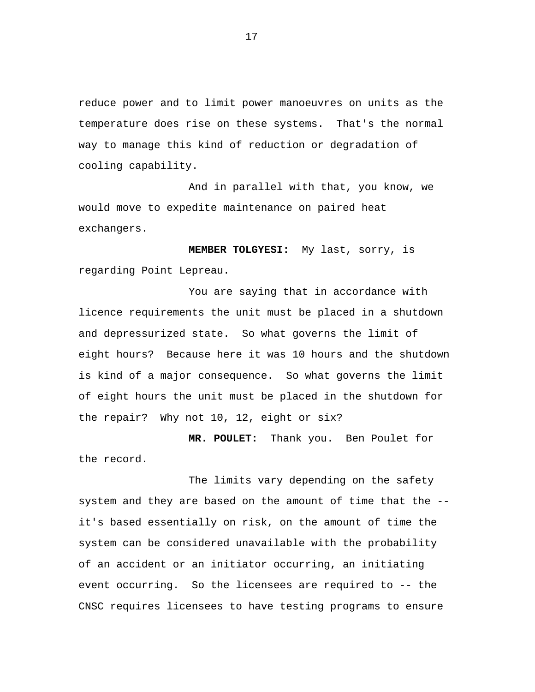reduce power and to limit power manoeuvres on units as the temperature does rise on these systems. That's the normal way to manage this kind of reduction or degradation of cooling capability.

And in parallel with that, you know, we would move to expedite maintenance on paired heat exchangers.

**MEMBER TOLGYESI:** My last, sorry, is regarding Point Lepreau.

You are saying that in accordance with licence requirements the unit must be placed in a shutdown and depressurized state. So what governs the limit of eight hours? Because here it was 10 hours and the shutdown is kind of a major consequence. So what governs the limit of eight hours the unit must be placed in the shutdown for the repair? Why not 10, 12, eight or six?

**MR. POULET:** Thank you. Ben Poulet for the record.

The limits vary depending on the safety system and they are based on the amount of time that the - it's based essentially on risk, on the amount of time the system can be considered unavailable with the probability of an accident or an initiator occurring, an initiating event occurring. So the licensees are required to -- the CNSC requires licensees to have testing programs to ensure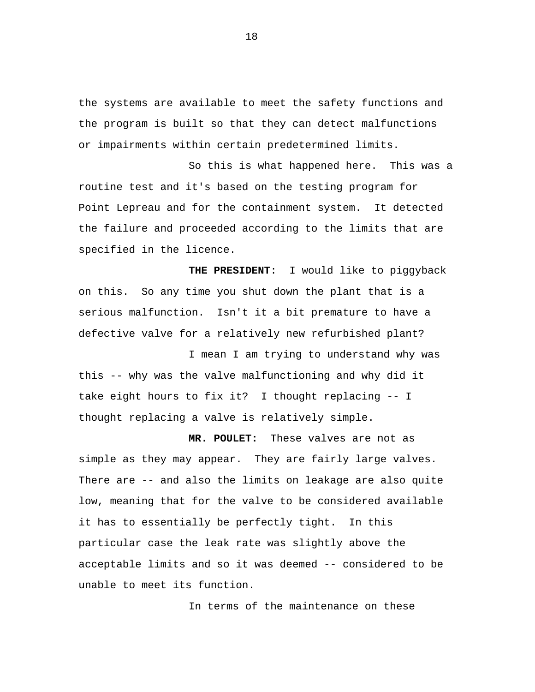the systems are available to meet the safety functions and the program is built so that they can detect malfunctions or impairments within certain predetermined limits.

So this is what happened here. This was a routine test and it's based on the testing program for Point Lepreau and for the containment system. It detected the failure and proceeded according to the limits that are specified in the licence.

**THE PRESIDENT**: I would like to piggyback on this. So any time you shut down the plant that is a serious malfunction. Isn't it a bit premature to have a defective valve for a relatively new refurbished plant?

I mean I am trying to understand why was this -- why was the valve malfunctioning and why did it take eight hours to fix it? I thought replacing -- I thought replacing a valve is relatively simple.

**MR. POULET:** These valves are not as simple as they may appear. They are fairly large valves. There are -- and also the limits on leakage are also quite low, meaning that for the valve to be considered available it has to essentially be perfectly tight. In this particular case the leak rate was slightly above the acceptable limits and so it was deemed -- considered to be unable to meet its function.

In terms of the maintenance on these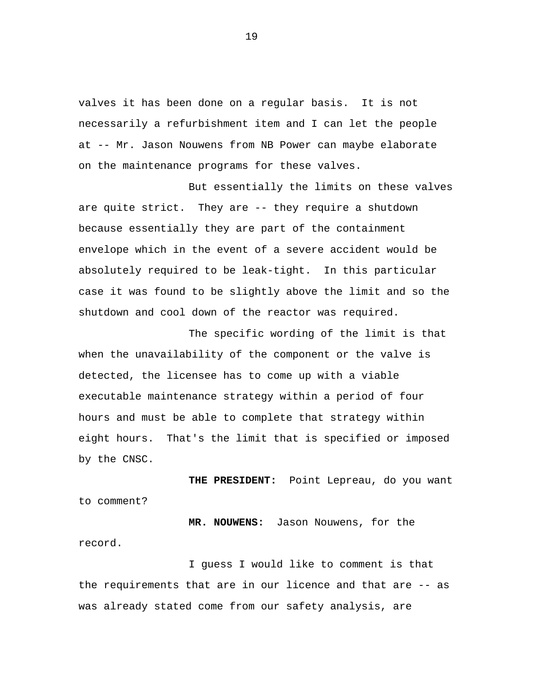valves it has been done on a regular basis. It is not necessarily a refurbishment item and I can let the people at -- Mr. Jason Nouwens from NB Power can maybe elaborate on the maintenance programs for these valves.

But essentially the limits on these valves are quite strict. They are -- they require a shutdown because essentially they are part of the containment envelope which in the event of a severe accident would be absolutely required to be leak-tight. In this particular case it was found to be slightly above the limit and so the shutdown and cool down of the reactor was required.

The specific wording of the limit is that when the unavailability of the component or the valve is detected, the licensee has to come up with a viable executable maintenance strategy within a period of four hours and must be able to complete that strategy within eight hours. That's the limit that is specified or imposed by the CNSC.

**THE PRESIDENT:** Point Lepreau, do you want to comment?

**MR. NOUWENS:** Jason Nouwens, for the record.

I guess I would like to comment is that the requirements that are in our licence and that are -- as was already stated come from our safety analysis, are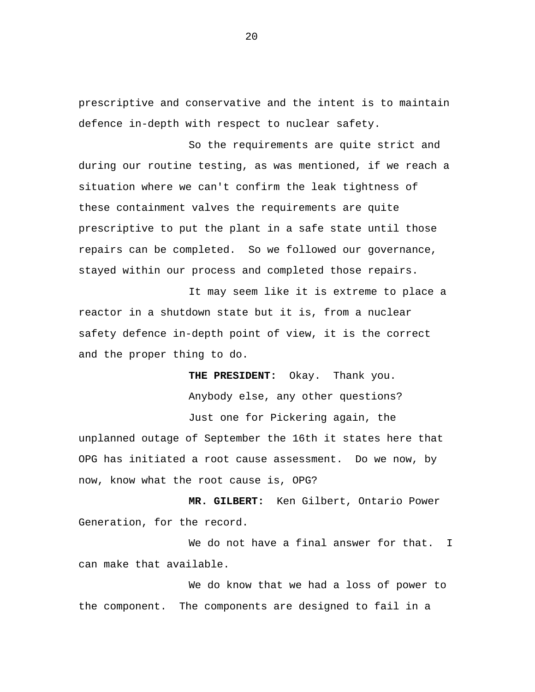prescriptive and conservative and the intent is to maintain defence in-depth with respect to nuclear safety.

So the requirements are quite strict and during our routine testing, as was mentioned, if we reach a situation where we can't confirm the leak tightness of these containment valves the requirements are quite prescriptive to put the plant in a safe state until those repairs can be completed. So we followed our governance, stayed within our process and completed those repairs.

It may seem like it is extreme to place a reactor in a shutdown state but it is, from a nuclear safety defence in-depth point of view, it is the correct and the proper thing to do.

> **THE PRESIDENT:** Okay. Thank you. Anybody else, any other questions?

Just one for Pickering again, the

unplanned outage of September the 16th it states here that OPG has initiated a root cause assessment. Do we now, by now, know what the root cause is, OPG?

**MR. GILBERT:** Ken Gilbert, Ontario Power Generation, for the record.

We do not have a final answer for that. I can make that available.

We do know that we had a loss of power to the component. The components are designed to fail in a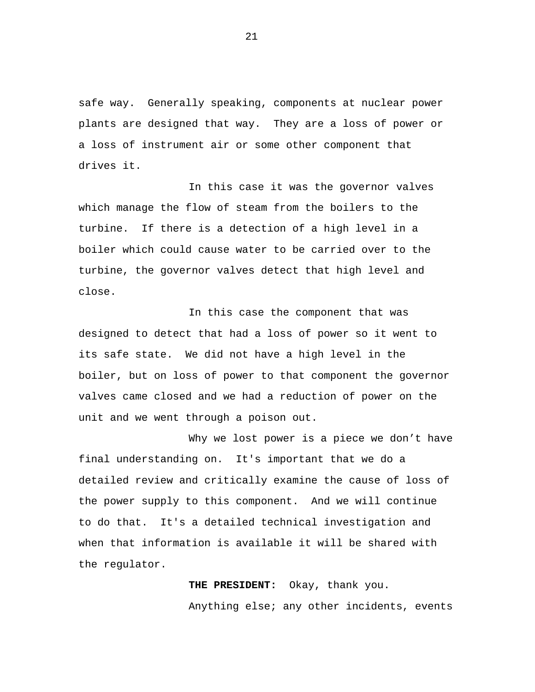safe way. Generally speaking, components at nuclear power plants are designed that way. They are a loss of power or a loss of instrument air or some other component that drives it.

In this case it was the governor valves which manage the flow of steam from the boilers to the turbine. If there is a detection of a high level in a boiler which could cause water to be carried over to the turbine, the governor valves detect that high level and close.

In this case the component that was designed to detect that had a loss of power so it went to its safe state. We did not have a high level in the boiler, but on loss of power to that component the governor valves came closed and we had a reduction of power on the unit and we went through a poison out.

Why we lost power is a piece we don't have final understanding on. It's important that we do a detailed review and critically examine the cause of loss of the power supply to this component. And we will continue to do that. It's a detailed technical investigation and when that information is available it will be shared with the regulator.

> **THE PRESIDENT:** Okay, thank you. Anything else; any other incidents, events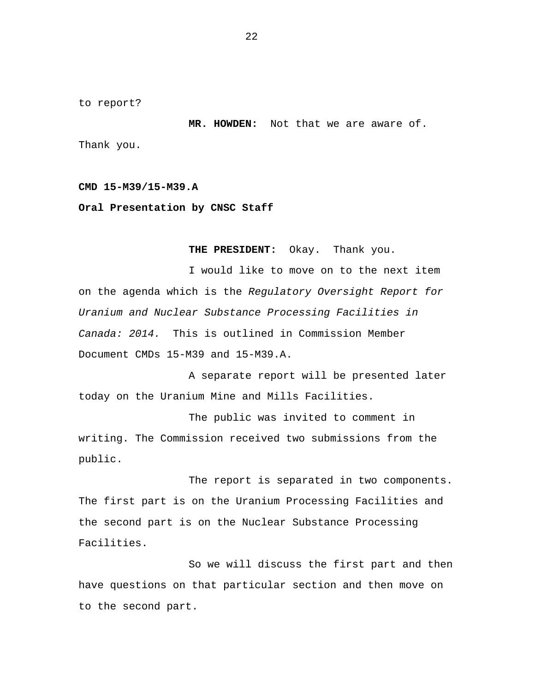<span id="page-23-0"></span>to report?

**MR. HOWDEN:** Not that we are aware of. Thank you.

### **CMD 15-M39/15-M39.A**

**Oral Presentation by CNSC Staff** 

**THE PRESIDENT:** Okay. Thank you.

I would like to move on to the next item on the agenda which is the *Regulatory Oversight Report for Uranium and Nuclear Substance Processing Facilities in Canada: 2014.* This is outlined in Commission Member Document CMDs 15-M39 and 15-M39.A.

A separate report will be presented later today on the Uranium Mine and Mills Facilities.

The public was invited to comment in writing. The Commission received two submissions from the public.

The report is separated in two components. The first part is on the Uranium Processing Facilities and the second part is on the Nuclear Substance Processing Facilities.

So we will discuss the first part and then have questions on that particular section and then move on to the second part.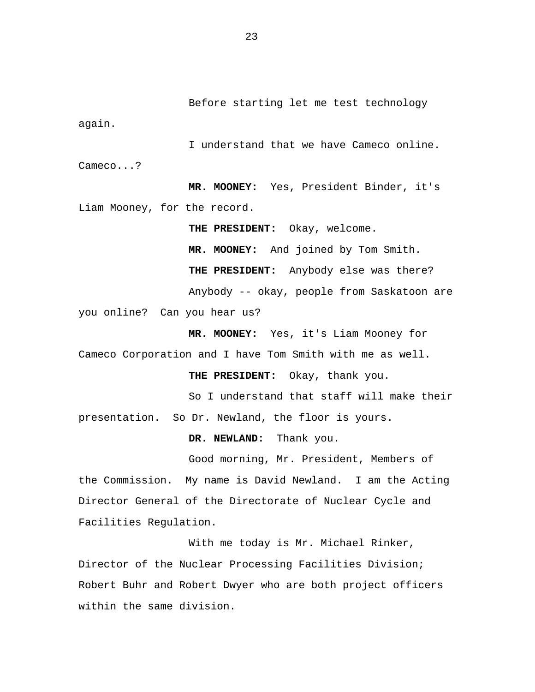I understand that we have Cameco online. Cameco...?

**MR. MOONEY:** Yes, President Binder, it's Liam Mooney, for the record.

**THE PRESIDENT:** Okay, welcome. **MR. MOONEY:** And joined by Tom Smith. **THE PRESIDENT:** Anybody else was there? Anybody -- okay, people from Saskatoon are you online? Can you hear us?

**MR. MOONEY:** Yes, it's Liam Mooney for Cameco Corporation and I have Tom Smith with me as well.

**THE PRESIDENT:** Okay, thank you.

So I understand that staff will make their presentation. So Dr. Newland, the floor is yours.

**DR. NEWLAND:** Thank you.

Good morning, Mr. President, Members of the Commission. My name is David Newland. I am the Acting Director General of the Directorate of Nuclear Cycle and Facilities Regulation.

With me today is Mr. Michael Rinker, Director of the Nuclear Processing Facilities Division; Robert Buhr and Robert Dwyer who are both project officers within the same division.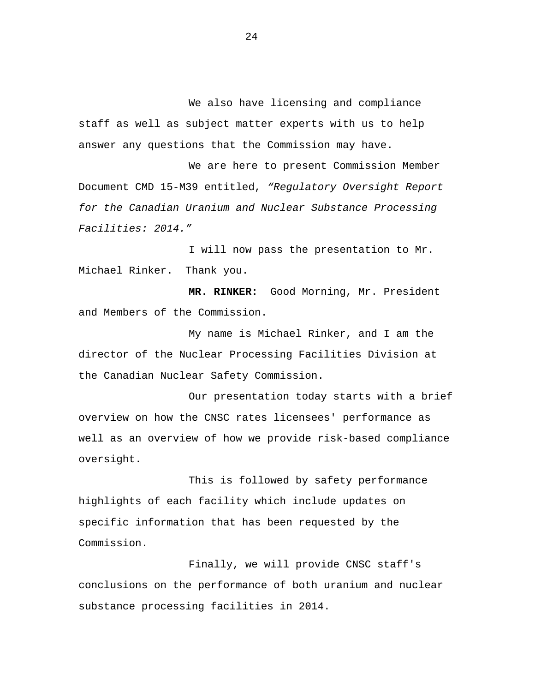We also have licensing and compliance staff as well as subject matter experts with us to help answer any questions that the Commission may have.

We are here to present Commission Member Document CMD 15-M39 entitled, *"Regulatory Oversight Report for the Canadian Uranium and Nuclear Substance Processing Facilities: 2014."* 

I will now pass the presentation to Mr. Michael Rinker. Thank you.

**MR. RINKER:** Good Morning, Mr. President and Members of the Commission.

My name is Michael Rinker, and I am the director of the Nuclear Processing Facilities Division at the Canadian Nuclear Safety Commission.

Our presentation today starts with a brief overview on how the CNSC rates licensees' performance as well as an overview of how we provide risk-based compliance oversight.

This is followed by safety performance highlights of each facility which include updates on specific information that has been requested by the Commission.

Finally, we will provide CNSC staff's conclusions on the performance of both uranium and nuclear substance processing facilities in 2014.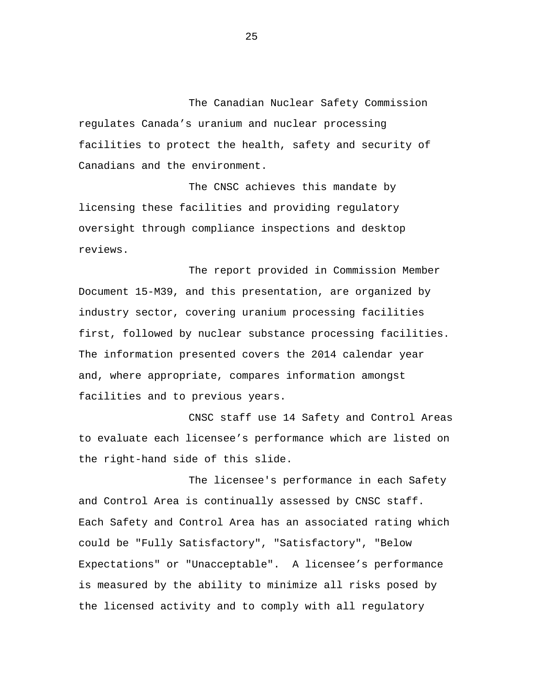The Canadian Nuclear Safety Commission regulates Canada's uranium and nuclear processing facilities to protect the health, safety and security of Canadians and the environment.

The CNSC achieves this mandate by licensing these facilities and providing regulatory oversight through compliance inspections and desktop reviews.

The report provided in Commission Member Document 15-M39, and this presentation, are organized by industry sector, covering uranium processing facilities first, followed by nuclear substance processing facilities. The information presented covers the 2014 calendar year and, where appropriate, compares information amongst facilities and to previous years.

CNSC staff use 14 Safety and Control Areas to evaluate each licensee's performance which are listed on the right-hand side of this slide.

The licensee's performance in each Safety and Control Area is continually assessed by CNSC staff. Each Safety and Control Area has an associated rating which could be "Fully Satisfactory", "Satisfactory", "Below Expectations" or "Unacceptable". A licensee's performance is measured by the ability to minimize all risks posed by the licensed activity and to comply with all regulatory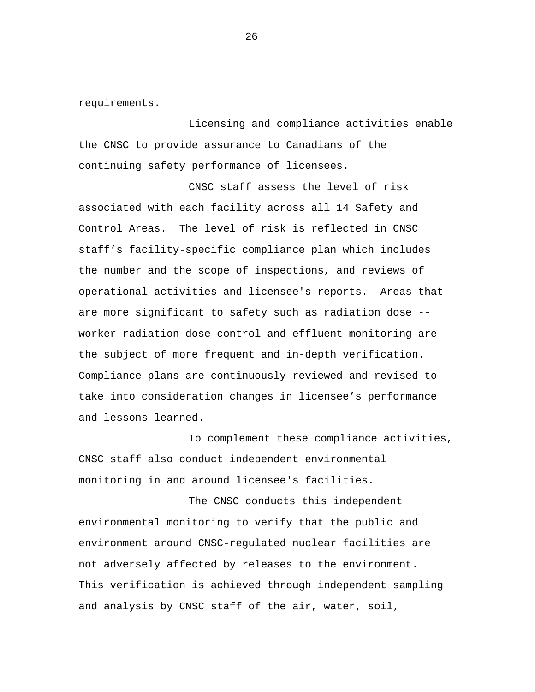requirements.

Licensing and compliance activities enable the CNSC to provide assurance to Canadians of the continuing safety performance of licensees.

CNSC staff assess the level of risk associated with each facility across all 14 Safety and Control Areas. The level of risk is reflected in CNSC staff's facility-specific compliance plan which includes the number and the scope of inspections, and reviews of operational activities and licensee's reports. Areas that are more significant to safety such as radiation dose - worker radiation dose control and effluent monitoring are the subject of more frequent and in-depth verification. Compliance plans are continuously reviewed and revised to take into consideration changes in licensee's performance and lessons learned.

To complement these compliance activities, CNSC staff also conduct independent environmental monitoring in and around licensee's facilities.

The CNSC conducts this independent environmental monitoring to verify that the public and environment around CNSC-regulated nuclear facilities are not adversely affected by releases to the environment. This verification is achieved through independent sampling and analysis by CNSC staff of the air, water, soil,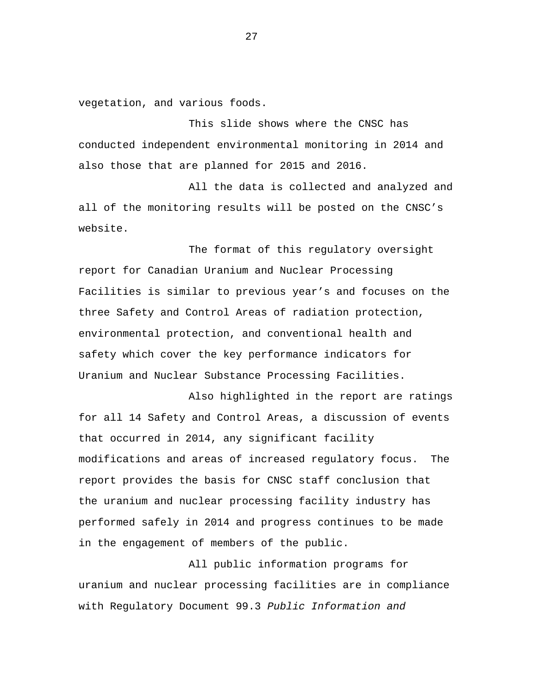vegetation, and various foods.

This slide shows where the CNSC has conducted independent environmental monitoring in 2014 and also those that are planned for 2015 and 2016.

All the data is collected and analyzed and all of the monitoring results will be posted on the CNSC's website.

The format of this regulatory oversight report for Canadian Uranium and Nuclear Processing Facilities is similar to previous year's and focuses on the three Safety and Control Areas of radiation protection, environmental protection, and conventional health and safety which cover the key performance indicators for Uranium and Nuclear Substance Processing Facilities.

Also highlighted in the report are ratings for all 14 Safety and Control Areas, a discussion of events that occurred in 2014, any significant facility modifications and areas of increased regulatory focus. The report provides the basis for CNSC staff conclusion that the uranium and nuclear processing facility industry has performed safely in 2014 and progress continues to be made in the engagement of members of the public.

All public information programs for uranium and nuclear processing facilities are in compliance with Regulatory Document 99.3 *Public Information and*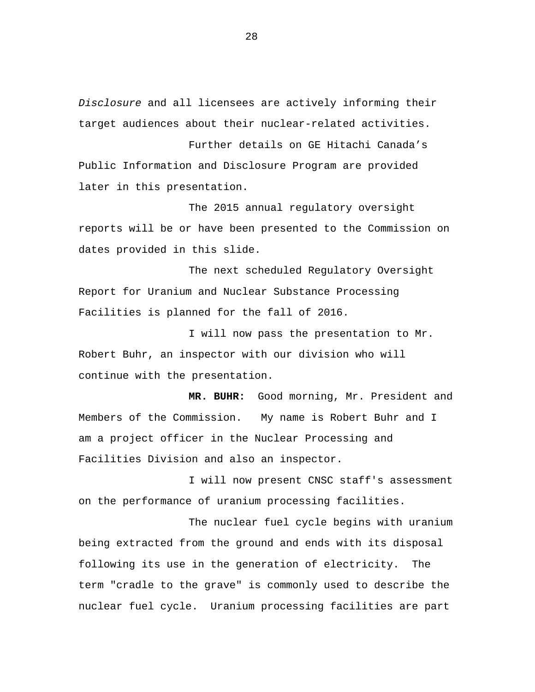*Disclosure* and all licensees are actively informing their target audiences about their nuclear-related activities.

Further details on GE Hitachi Canada's Public Information and Disclosure Program are provided later in this presentation.

The 2015 annual regulatory oversight reports will be or have been presented to the Commission on dates provided in this slide.

The next scheduled Regulatory Oversight Report for Uranium and Nuclear Substance Processing Facilities is planned for the fall of 2016.

I will now pass the presentation to Mr. Robert Buhr, an inspector with our division who will continue with the presentation.

 **MR. BUHR:** Good morning, Mr. President and Members of the Commission. My name is Robert Buhr and I am a project officer in the Nuclear Processing and Facilities Division and also an inspector.

I will now present CNSC staff's assessment on the performance of uranium processing facilities.

The nuclear fuel cycle begins with uranium being extracted from the ground and ends with its disposal following its use in the generation of electricity. The term "cradle to the grave" is commonly used to describe the nuclear fuel cycle. Uranium processing facilities are part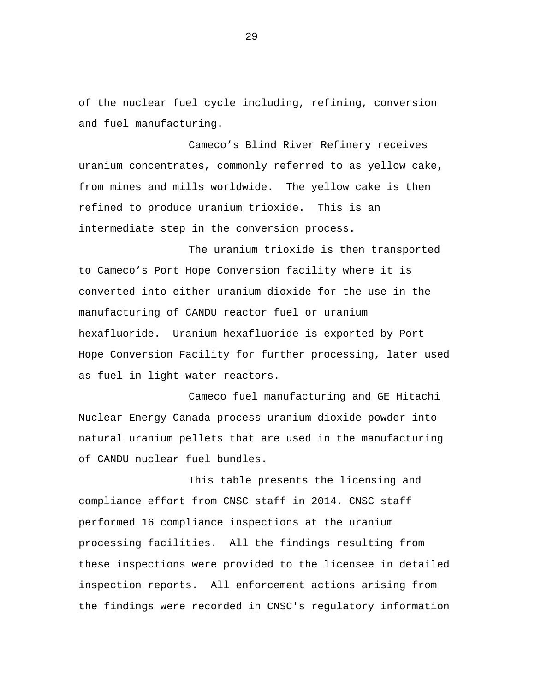of the nuclear fuel cycle including, refining, conversion and fuel manufacturing.

Cameco's Blind River Refinery receives uranium concentrates, commonly referred to as yellow cake, from mines and mills worldwide. The yellow cake is then refined to produce uranium trioxide. This is an intermediate step in the conversion process.

The uranium trioxide is then transported to Cameco's Port Hope Conversion facility where it is converted into either uranium dioxide for the use in the manufacturing of CANDU reactor fuel or uranium hexafluoride. Uranium hexafluoride is exported by Port Hope Conversion Facility for further processing, later used as fuel in light-water reactors.

Cameco fuel manufacturing and GE Hitachi Nuclear Energy Canada process uranium dioxide powder into natural uranium pellets that are used in the manufacturing of CANDU nuclear fuel bundles.

This table presents the licensing and compliance effort from CNSC staff in 2014. CNSC staff performed 16 compliance inspections at the uranium processing facilities. All the findings resulting from these inspections were provided to the licensee in detailed inspection reports. All enforcement actions arising from the findings were recorded in CNSC's regulatory information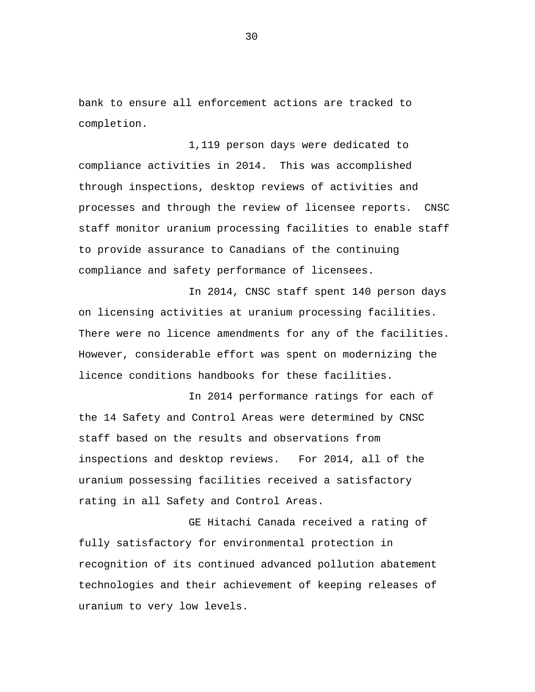bank to ensure all enforcement actions are tracked to completion.

1,119 person days were dedicated to compliance activities in 2014. This was accomplished through inspections, desktop reviews of activities and processes and through the review of licensee reports. CNSC staff monitor uranium processing facilities to enable staff to provide assurance to Canadians of the continuing compliance and safety performance of licensees.

In 2014, CNSC staff spent 140 person days on licensing activities at uranium processing facilities. There were no licence amendments for any of the facilities. However, considerable effort was spent on modernizing the licence conditions handbooks for these facilities.

In 2014 performance ratings for each of the 14 Safety and Control Areas were determined by CNSC staff based on the results and observations from inspections and desktop reviews. For 2014, all of the uranium possessing facilities received a satisfactory rating in all Safety and Control Areas.

GE Hitachi Canada received a rating of fully satisfactory for environmental protection in recognition of its continued advanced pollution abatement technologies and their achievement of keeping releases of uranium to very low levels.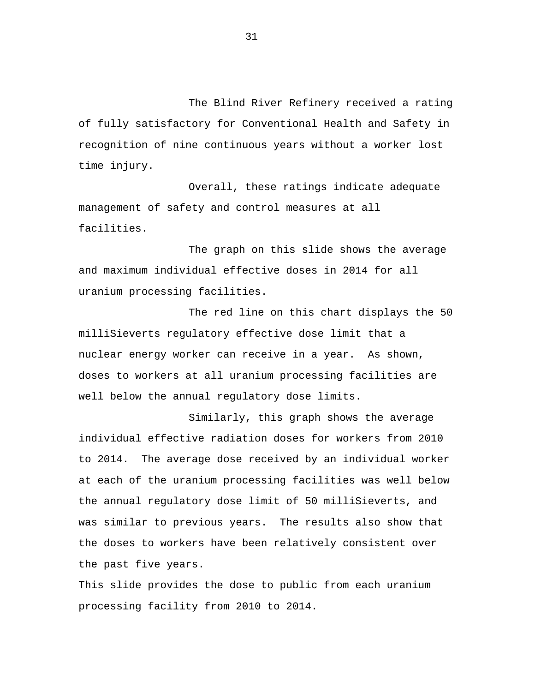The Blind River Refinery received a rating of fully satisfactory for Conventional Health and Safety in recognition of nine continuous years without a worker lost time injury.

Overall, these ratings indicate adequate management of safety and control measures at all facilities.

The graph on this slide shows the average and maximum individual effective doses in 2014 for all uranium processing facilities.

The red line on this chart displays the 50 milliSieverts regulatory effective dose limit that a nuclear energy worker can receive in a year. As shown, doses to workers at all uranium processing facilities are well below the annual regulatory dose limits.

Similarly, this graph shows the average individual effective radiation doses for workers from 2010 to 2014. The average dose received by an individual worker at each of the uranium processing facilities was well below the annual regulatory dose limit of 50 milliSieverts, and was similar to previous years. The results also show that the doses to workers have been relatively consistent over the past five years.

This slide provides the dose to public from each uranium processing facility from 2010 to 2014.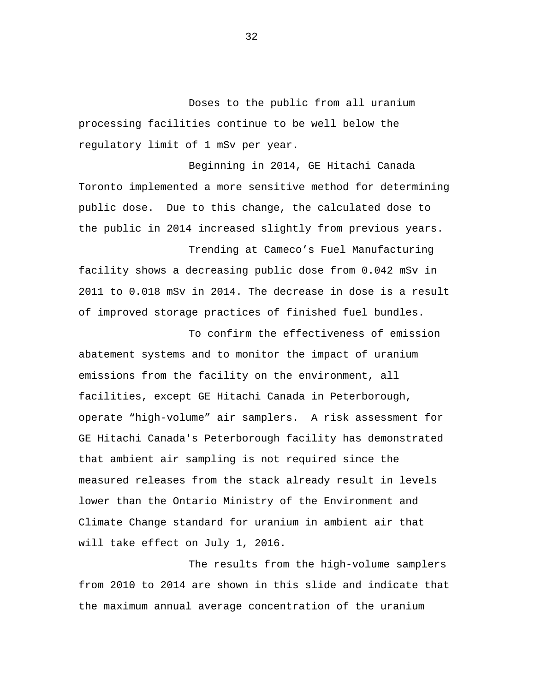Doses to the public from all uranium processing facilities continue to be well below the regulatory limit of 1 mSv per year.

Beginning in 2014, GE Hitachi Canada Toronto implemented a more sensitive method for determining public dose. Due to this change, the calculated dose to the public in 2014 increased slightly from previous years.

Trending at Cameco's Fuel Manufacturing facility shows a decreasing public dose from 0.042 mSv in 2011 to 0.018 mSv in 2014. The decrease in dose is a result of improved storage practices of finished fuel bundles.

To confirm the effectiveness of emission abatement systems and to monitor the impact of uranium emissions from the facility on the environment, all facilities, except GE Hitachi Canada in Peterborough, operate "high-volume" air samplers. A risk assessment for GE Hitachi Canada's Peterborough facility has demonstrated that ambient air sampling is not required since the measured releases from the stack already result in levels lower than the Ontario Ministry of the Environment and Climate Change standard for uranium in ambient air that will take effect on July 1, 2016.

The results from the high-volume samplers from 2010 to 2014 are shown in this slide and indicate that the maximum annual average concentration of the uranium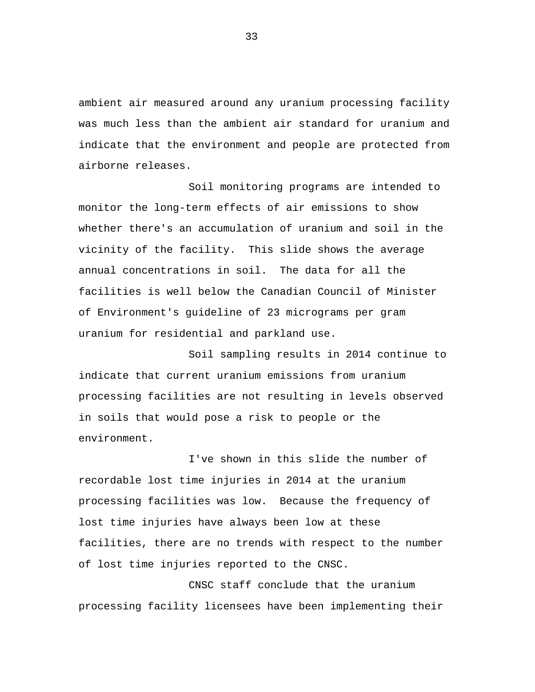ambient air measured around any uranium processing facility was much less than the ambient air standard for uranium and indicate that the environment and people are protected from airborne releases.

Soil monitoring programs are intended to monitor the long-term effects of air emissions to show whether there's an accumulation of uranium and soil in the vicinity of the facility. This slide shows the average annual concentrations in soil. The data for all the facilities is well below the Canadian Council of Minister of Environment's guideline of 23 micrograms per gram uranium for residential and parkland use.

Soil sampling results in 2014 continue to indicate that current uranium emissions from uranium processing facilities are not resulting in levels observed in soils that would pose a risk to people or the environment.

I've shown in this slide the number of recordable lost time injuries in 2014 at the uranium processing facilities was low. Because the frequency of lost time injuries have always been low at these facilities, there are no trends with respect to the number of lost time injuries reported to the CNSC.

CNSC staff conclude that the uranium processing facility licensees have been implementing their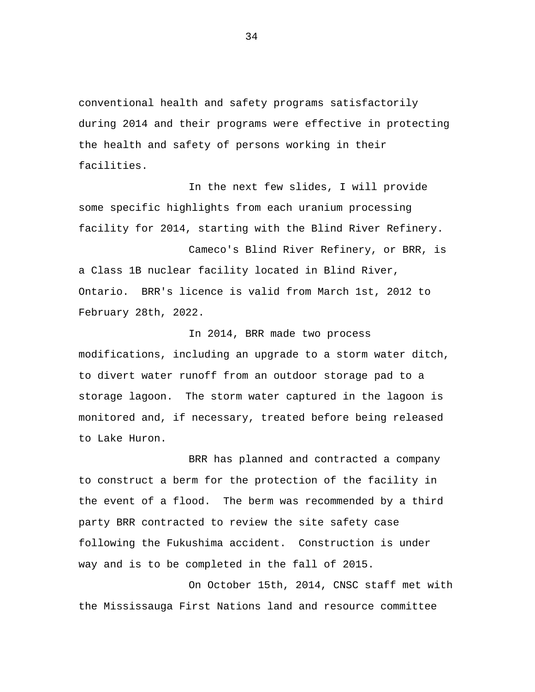conventional health and safety programs satisfactorily during 2014 and their programs were effective in protecting the health and safety of persons working in their facilities.

In the next few slides, I will provide some specific highlights from each uranium processing facility for 2014, starting with the Blind River Refinery.

Cameco's Blind River Refinery, or BRR, is a Class 1B nuclear facility located in Blind River, Ontario. BRR's licence is valid from March 1st, 2012 to February 28th, 2022.

In 2014, BRR made two process modifications, including an upgrade to a storm water ditch, to divert water runoff from an outdoor storage pad to a storage lagoon. The storm water captured in the lagoon is monitored and, if necessary, treated before being released to Lake Huron.

BRR has planned and contracted a company to construct a berm for the protection of the facility in the event of a flood. The berm was recommended by a third party BRR contracted to review the site safety case following the Fukushima accident. Construction is under way and is to be completed in the fall of 2015.

On October 15th, 2014, CNSC staff met with the Mississauga First Nations land and resource committee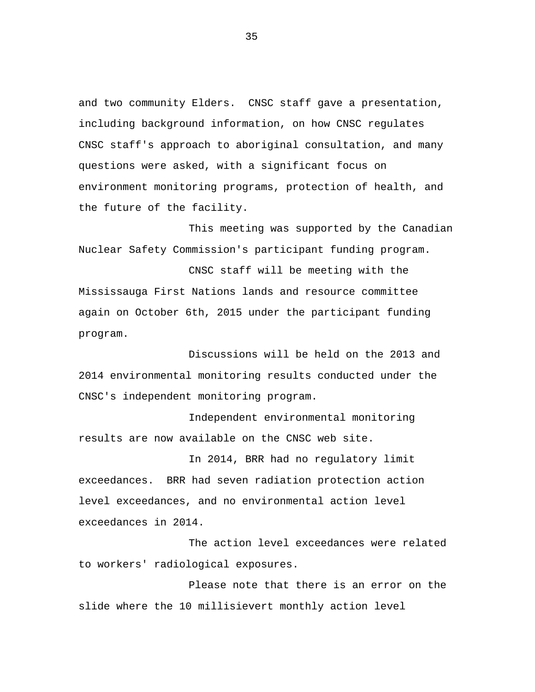and two community Elders. CNSC staff gave a presentation, including background information, on how CNSC regulates CNSC staff's approach to aboriginal consultation, and many questions were asked, with a significant focus on environment monitoring programs, protection of health, and the future of the facility.

This meeting was supported by the Canadian Nuclear Safety Commission's participant funding program.

CNSC staff will be meeting with the Mississauga First Nations lands and resource committee again on October 6th, 2015 under the participant funding program.

Discussions will be held on the 2013 and 2014 environmental monitoring results conducted under the CNSC's independent monitoring program.

Independent environmental monitoring results are now available on the CNSC web site.

In 2014, BRR had no regulatory limit exceedances. BRR had seven radiation protection action level exceedances, and no environmental action level exceedances in 2014.

The action level exceedances were related to workers' radiological exposures.

Please note that there is an error on the slide where the 10 millisievert monthly action level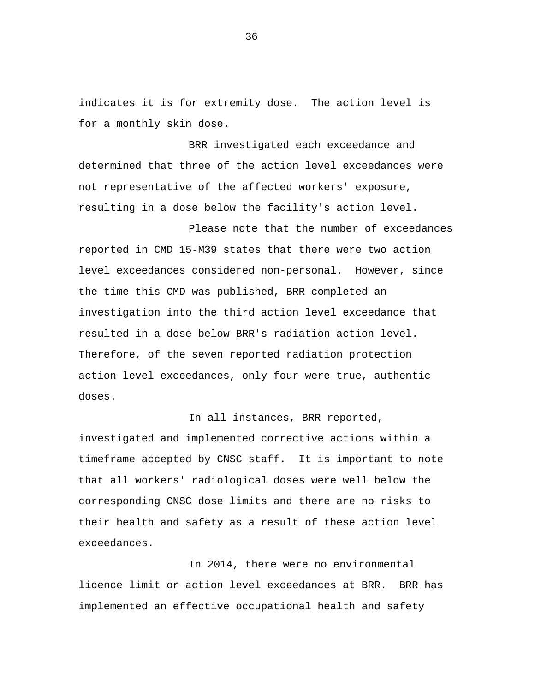indicates it is for extremity dose. The action level is for a monthly skin dose.

BRR investigated each exceedance and determined that three of the action level exceedances were not representative of the affected workers' exposure, resulting in a dose below the facility's action level.

Please note that the number of exceedances reported in CMD 15-M39 states that there were two action level exceedances considered non-personal. However, since the time this CMD was published, BRR completed an investigation into the third action level exceedance that resulted in a dose below BRR's radiation action level. Therefore, of the seven reported radiation protection action level exceedances, only four were true, authentic doses.

In all instances, BRR reported, investigated and implemented corrective actions within a timeframe accepted by CNSC staff. It is important to note that all workers' radiological doses were well below the corresponding CNSC dose limits and there are no risks to their health and safety as a result of these action level exceedances.

In 2014, there were no environmental licence limit or action level exceedances at BRR. BRR has implemented an effective occupational health and safety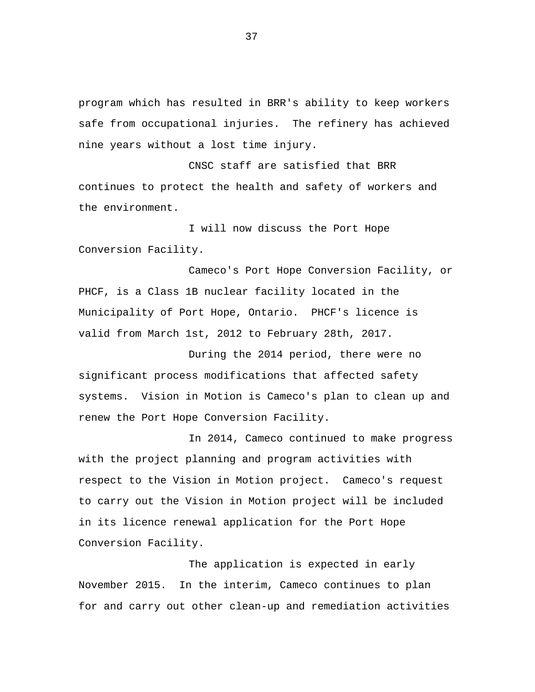program which has resulted in BRR's ability to keep workers safe from occupational injuries. The refinery has achieved nine years without a lost time injury.

CNSC staff are satisfied that BRR continues to protect the health and safety of workers and the environment.

I will now discuss the Port Hope Conversion Facility.

Cameco's Port Hope Conversion Facility, or PHCF, is a Class 1B nuclear facility located in the Municipality of Port Hope, Ontario. PHCF's licence is valid from March 1st, 2012 to February 28th, 2017.

During the 2014 period, there were no significant process modifications that affected safety systems. Vision in Motion is Cameco's plan to clean up and renew the Port Hope Conversion Facility.

In 2014, Cameco continued to make progress with the project planning and program activities with respect to the Vision in Motion project. Cameco's request to carry out the Vision in Motion project will be included in its licence renewal application for the Port Hope Conversion Facility.

The application is expected in early November 2015. In the interim, Cameco continues to plan for and carry out other clean-up and remediation activities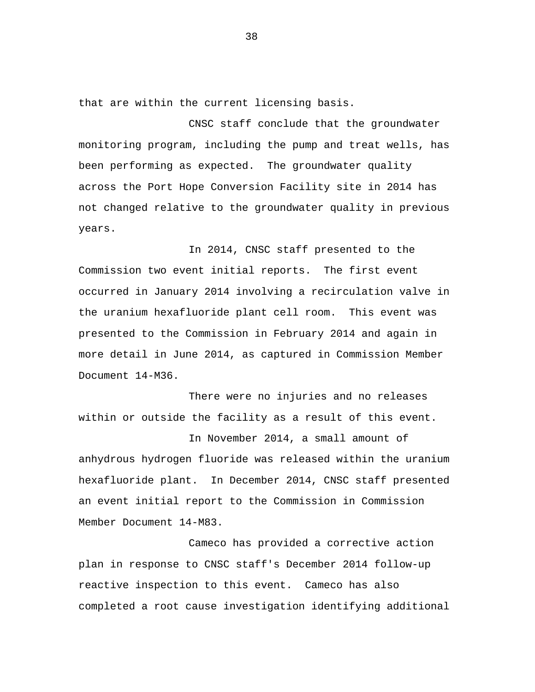that are within the current licensing basis.

CNSC staff conclude that the groundwater monitoring program, including the pump and treat wells, has been performing as expected. The groundwater quality across the Port Hope Conversion Facility site in 2014 has not changed relative to the groundwater quality in previous years.

In 2014, CNSC staff presented to the Commission two event initial reports. The first event occurred in January 2014 involving a recirculation valve in the uranium hexafluoride plant cell room. This event was presented to the Commission in February 2014 and again in more detail in June 2014, as captured in Commission Member Document 14-M36.

There were no injuries and no releases within or outside the facility as a result of this event.

In November 2014, a small amount of anhydrous hydrogen fluoride was released within the uranium hexafluoride plant. In December 2014, CNSC staff presented an event initial report to the Commission in Commission Member Document 14-M83.

Cameco has provided a corrective action plan in response to CNSC staff's December 2014 follow-up reactive inspection to this event. Cameco has also completed a root cause investigation identifying additional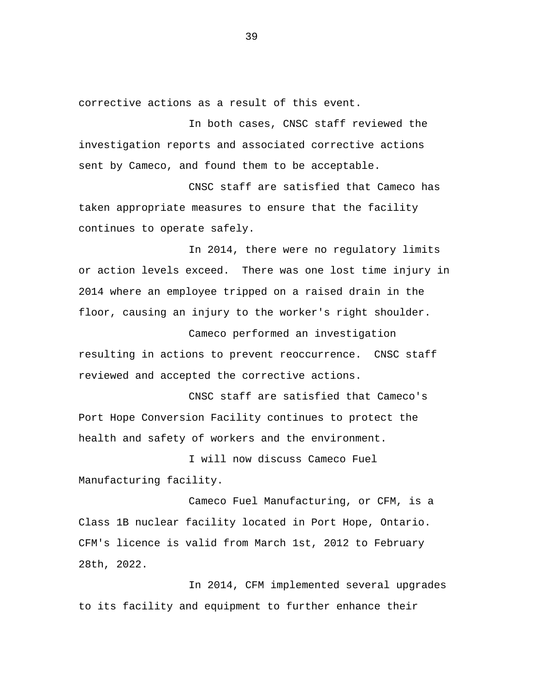corrective actions as a result of this event.

In both cases, CNSC staff reviewed the investigation reports and associated corrective actions sent by Cameco, and found them to be acceptable.

CNSC staff are satisfied that Cameco has taken appropriate measures to ensure that the facility continues to operate safely.

In 2014, there were no regulatory limits or action levels exceed. There was one lost time injury in 2014 where an employee tripped on a raised drain in the floor, causing an injury to the worker's right shoulder.

Cameco performed an investigation resulting in actions to prevent reoccurrence. CNSC staff reviewed and accepted the corrective actions.

CNSC staff are satisfied that Cameco's Port Hope Conversion Facility continues to protect the health and safety of workers and the environment.

I will now discuss Cameco Fuel Manufacturing facility.

Cameco Fuel Manufacturing, or CFM, is a Class 1B nuclear facility located in Port Hope, Ontario. CFM's licence is valid from March 1st, 2012 to February 28th, 2022.

In 2014, CFM implemented several upgrades to its facility and equipment to further enhance their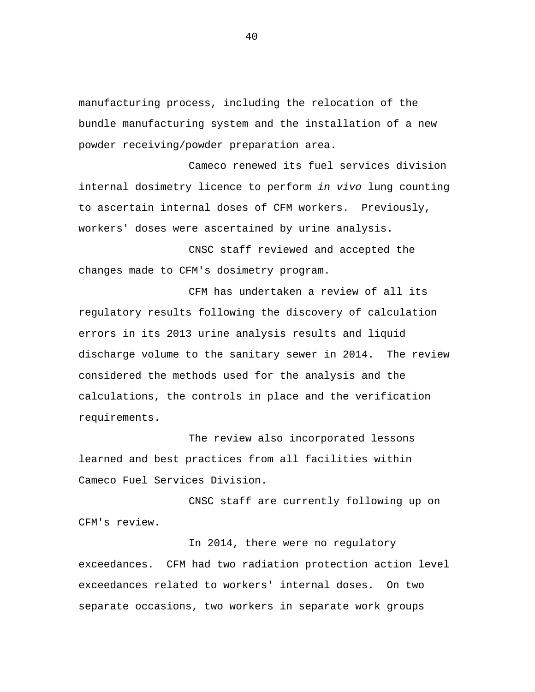manufacturing process, including the relocation of the bundle manufacturing system and the installation of a new powder receiving/powder preparation area.

Cameco renewed its fuel services division internal dosimetry licence to perform *in vivo* lung counting to ascertain internal doses of CFM workers. Previously, workers' doses were ascertained by urine analysis.

CNSC staff reviewed and accepted the changes made to CFM's dosimetry program.

CFM has undertaken a review of all its regulatory results following the discovery of calculation errors in its 2013 urine analysis results and liquid discharge volume to the sanitary sewer in 2014. The review considered the methods used for the analysis and the calculations, the controls in place and the verification requirements.

The review also incorporated lessons learned and best practices from all facilities within Cameco Fuel Services Division.

CNSC staff are currently following up on CFM's review.

In 2014, there were no regulatory exceedances. CFM had two radiation protection action level exceedances related to workers' internal doses. On two separate occasions, two workers in separate work groups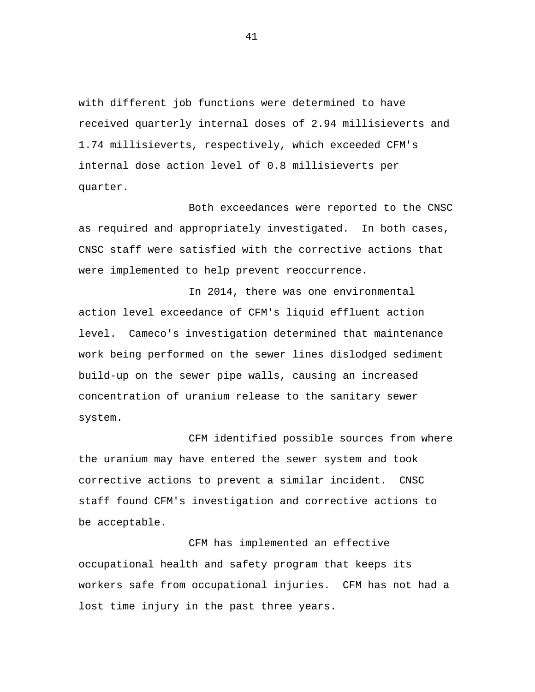with different job functions were determined to have received quarterly internal doses of 2.94 millisieverts and 1.74 millisieverts, respectively, which exceeded CFM's internal dose action level of 0.8 millisieverts per quarter.

Both exceedances were reported to the CNSC as required and appropriately investigated. In both cases, CNSC staff were satisfied with the corrective actions that were implemented to help prevent reoccurrence.

In 2014, there was one environmental action level exceedance of CFM's liquid effluent action level. Cameco's investigation determined that maintenance work being performed on the sewer lines dislodged sediment build-up on the sewer pipe walls, causing an increased concentration of uranium release to the sanitary sewer system.

CFM identified possible sources from where the uranium may have entered the sewer system and took corrective actions to prevent a similar incident. CNSC staff found CFM's investigation and corrective actions to be acceptable.

CFM has implemented an effective occupational health and safety program that keeps its workers safe from occupational injuries. CFM has not had a lost time injury in the past three years.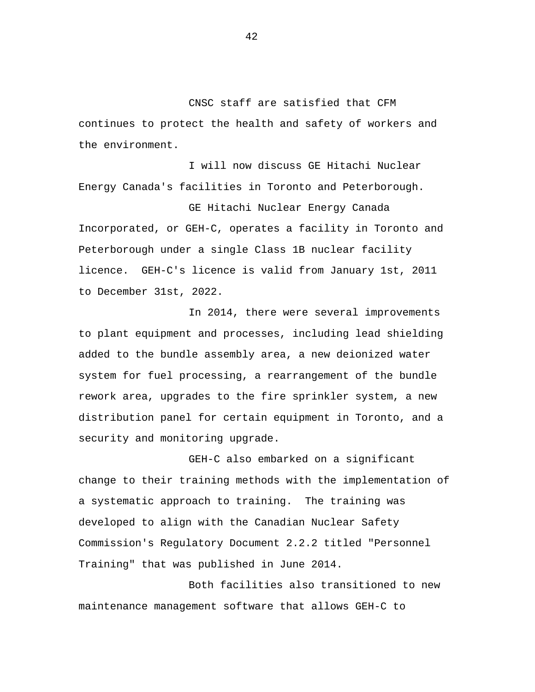CNSC staff are satisfied that CFM continues to protect the health and safety of workers and the environment.

I will now discuss GE Hitachi Nuclear Energy Canada's facilities in Toronto and Peterborough.

GE Hitachi Nuclear Energy Canada Incorporated, or GEH-C, operates a facility in Toronto and Peterborough under a single Class 1B nuclear facility licence. GEH-C's licence is valid from January 1st, 2011 to December 31st, 2022.

In 2014, there were several improvements to plant equipment and processes, including lead shielding added to the bundle assembly area, a new deionized water system for fuel processing, a rearrangement of the bundle rework area, upgrades to the fire sprinkler system, a new distribution panel for certain equipment in Toronto, and a security and monitoring upgrade.

GEH-C also embarked on a significant change to their training methods with the implementation of a systematic approach to training. The training was developed to align with the Canadian Nuclear Safety Commission's Regulatory Document 2.2.2 titled "Personnel Training" that was published in June 2014.

Both facilities also transitioned to new maintenance management software that allows GEH-C to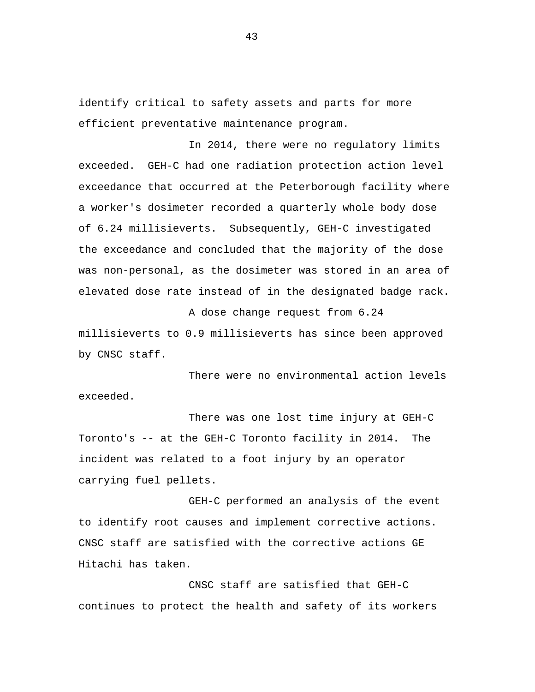identify critical to safety assets and parts for more efficient preventative maintenance program.

In 2014, there were no regulatory limits exceeded. GEH-C had one radiation protection action level exceedance that occurred at the Peterborough facility where a worker's dosimeter recorded a quarterly whole body dose of 6.24 millisieverts. Subsequently, GEH-C investigated the exceedance and concluded that the majority of the dose was non-personal, as the dosimeter was stored in an area of elevated dose rate instead of in the designated badge rack.

A dose change request from 6.24 millisieverts to 0.9 millisieverts has since been approved by CNSC staff.

There were no environmental action levels exceeded.

There was one lost time injury at GEH-C Toronto's -- at the GEH-C Toronto facility in 2014. The incident was related to a foot injury by an operator carrying fuel pellets.

GEH-C performed an analysis of the event to identify root causes and implement corrective actions. CNSC staff are satisfied with the corrective actions GE Hitachi has taken.

CNSC staff are satisfied that GEH-C continues to protect the health and safety of its workers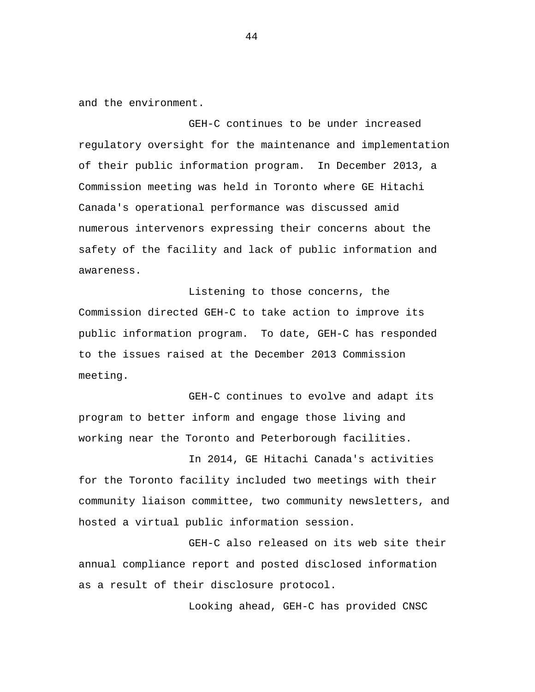and the environment.

GEH-C continues to be under increased regulatory oversight for the maintenance and implementation of their public information program. In December 2013, a Commission meeting was held in Toronto where GE Hitachi Canada's operational performance was discussed amid numerous intervenors expressing their concerns about the safety of the facility and lack of public information and awareness.

Listening to those concerns, the Commission directed GEH-C to take action to improve its public information program. To date, GEH-C has responded to the issues raised at the December 2013 Commission meeting.

GEH-C continues to evolve and adapt its program to better inform and engage those living and working near the Toronto and Peterborough facilities.

In 2014, GE Hitachi Canada's activities for the Toronto facility included two meetings with their community liaison committee, two community newsletters, and hosted a virtual public information session.

GEH-C also released on its web site their annual compliance report and posted disclosed information as a result of their disclosure protocol.

Looking ahead, GEH-C has provided CNSC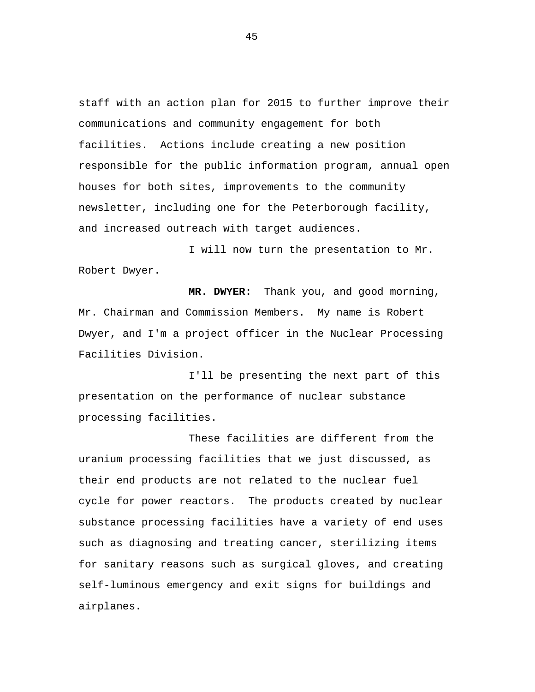staff with an action plan for 2015 to further improve their communications and community engagement for both facilities. Actions include creating a new position responsible for the public information program, annual open houses for both sites, improvements to the community newsletter, including one for the Peterborough facility, and increased outreach with target audiences.

I will now turn the presentation to Mr. Robert Dwyer.

**MR. DWYER:** Thank you, and good morning, Mr. Chairman and Commission Members. My name is Robert Dwyer, and I'm a project officer in the Nuclear Processing Facilities Division.

I'll be presenting the next part of this presentation on the performance of nuclear substance processing facilities.

These facilities are different from the uranium processing facilities that we just discussed, as their end products are not related to the nuclear fuel cycle for power reactors. The products created by nuclear substance processing facilities have a variety of end uses such as diagnosing and treating cancer, sterilizing items for sanitary reasons such as surgical gloves, and creating self-luminous emergency and exit signs for buildings and airplanes.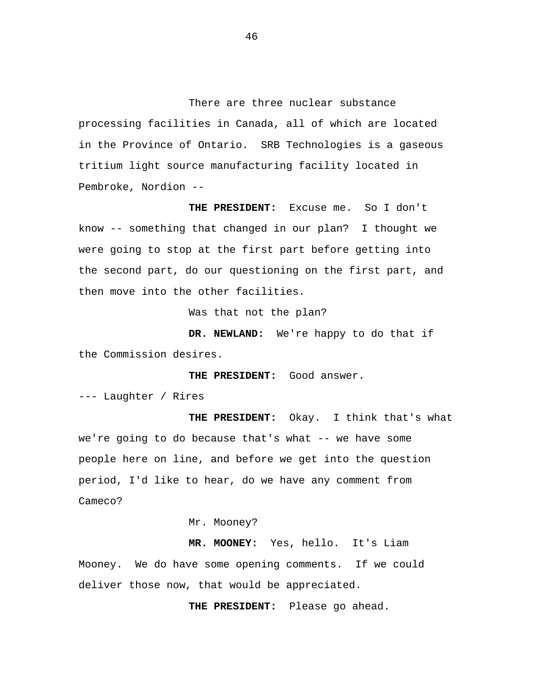There are three nuclear substance processing facilities in Canada, all of which are located in the Province of Ontario. SRB Technologies is a gaseous tritium light source manufacturing facility located in Pembroke, Nordion --

**THE PRESIDENT:** Excuse me. So I don't know -- something that changed in our plan? I thought we were going to stop at the first part before getting into the second part, do our questioning on the first part, and then move into the other facilities.

Was that not the plan?

**DR. NEWLAND:** We're happy to do that if the Commission desires.

**THE PRESIDENT:** Good answer.

--- Laughter / Rires

**THE PRESIDENT:** Okay. I think that's what we're going to do because that's what -- we have some people here on line, and before we get into the question period, I'd like to hear, do we have any comment from Cameco?

Mr. Mooney?

**MR. MOONEY:** Yes, hello. It's Liam Mooney. We do have some opening comments. If we could deliver those now, that would be appreciated.

**THE PRESIDENT:** Please go ahead.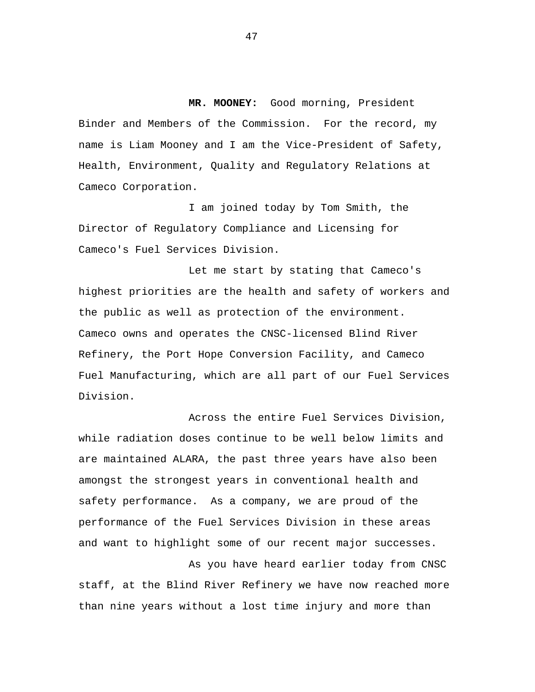**MR. MOONEY:** Good morning, President Binder and Members of the Commission. For the record, my name is Liam Mooney and I am the Vice-President of Safety, Health, Environment, Quality and Regulatory Relations at Cameco Corporation.

I am joined today by Tom Smith, the Director of Regulatory Compliance and Licensing for Cameco's Fuel Services Division.

Let me start by stating that Cameco's highest priorities are the health and safety of workers and the public as well as protection of the environment. Cameco owns and operates the CNSC-licensed Blind River Refinery, the Port Hope Conversion Facility, and Cameco Fuel Manufacturing, which are all part of our Fuel Services Division.

Across the entire Fuel Services Division, while radiation doses continue to be well below limits and are maintained ALARA, the past three years have also been amongst the strongest years in conventional health and safety performance. As a company, we are proud of the performance of the Fuel Services Division in these areas and want to highlight some of our recent major successes.

As you have heard earlier today from CNSC staff, at the Blind River Refinery we have now reached more than nine years without a lost time injury and more than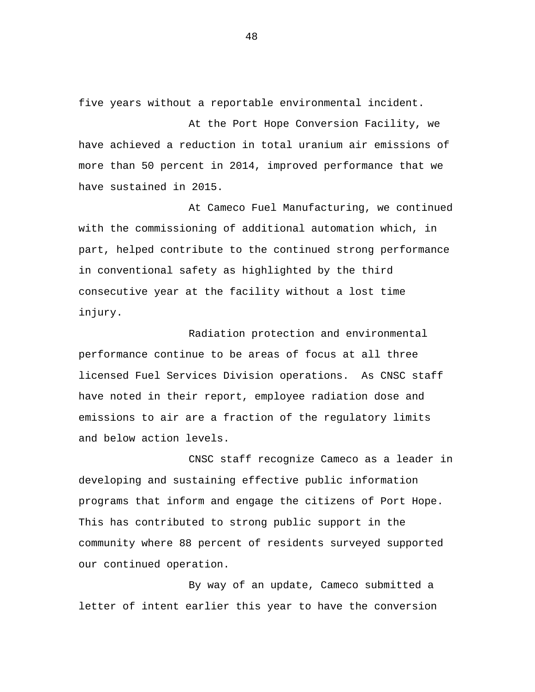five years without a reportable environmental incident.

At the Port Hope Conversion Facility, we have achieved a reduction in total uranium air emissions of more than 50 percent in 2014, improved performance that we have sustained in 2015.

At Cameco Fuel Manufacturing, we continued with the commissioning of additional automation which, in part, helped contribute to the continued strong performance in conventional safety as highlighted by the third consecutive year at the facility without a lost time injury.

Radiation protection and environmental performance continue to be areas of focus at all three licensed Fuel Services Division operations. As CNSC staff have noted in their report, employee radiation dose and emissions to air are a fraction of the regulatory limits and below action levels.

CNSC staff recognize Cameco as a leader in developing and sustaining effective public information programs that inform and engage the citizens of Port Hope. This has contributed to strong public support in the community where 88 percent of residents surveyed supported our continued operation.

By way of an update, Cameco submitted a letter of intent earlier this year to have the conversion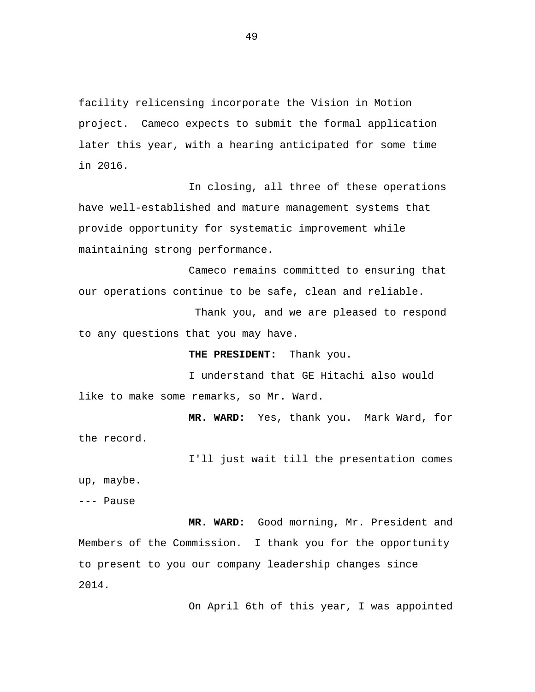facility relicensing incorporate the Vision in Motion project. Cameco expects to submit the formal application later this year, with a hearing anticipated for some time in 2016.

In closing, all three of these operations have well-established and mature management systems that provide opportunity for systematic improvement while maintaining strong performance.

Cameco remains committed to ensuring that our operations continue to be safe, clean and reliable.

Thank you, and we are pleased to respond to any questions that you may have.

**THE PRESIDENT:** Thank you.

I understand that GE Hitachi also would like to make some remarks, so Mr. Ward.

**MR. WARD:** Yes, thank you. Mark Ward, for the record.

I'll just wait till the presentation comes up, maybe.

--- Pause

**MR. WARD:** Good morning, Mr. President and Members of the Commission. I thank you for the opportunity to present to you our company leadership changes since 2014.

On April 6th of this year, I was appointed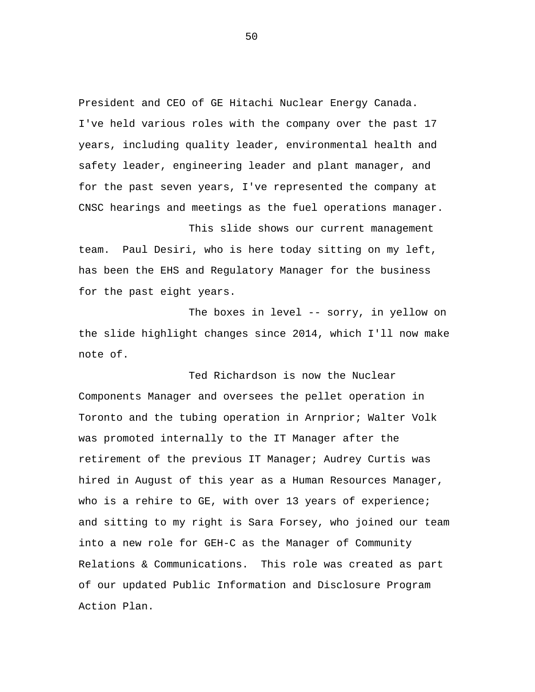President and CEO of GE Hitachi Nuclear Energy Canada. I've held various roles with the company over the past 17 years, including quality leader, environmental health and safety leader, engineering leader and plant manager, and for the past seven years, I've represented the company at CNSC hearings and meetings as the fuel operations manager.

This slide shows our current management team. Paul Desiri, who is here today sitting on my left, has been the EHS and Regulatory Manager for the business for the past eight years.

The boxes in level -- sorry, in yellow on the slide highlight changes since 2014, which I'll now make note of.

Ted Richardson is now the Nuclear Components Manager and oversees the pellet operation in Toronto and the tubing operation in Arnprior; Walter Volk was promoted internally to the IT Manager after the retirement of the previous IT Manager; Audrey Curtis was hired in August of this year as a Human Resources Manager, who is a rehire to GE, with over 13 years of experience; and sitting to my right is Sara Forsey, who joined our team into a new role for GEH-C as the Manager of Community Relations & Communications. This role was created as part of our updated Public Information and Disclosure Program Action Plan.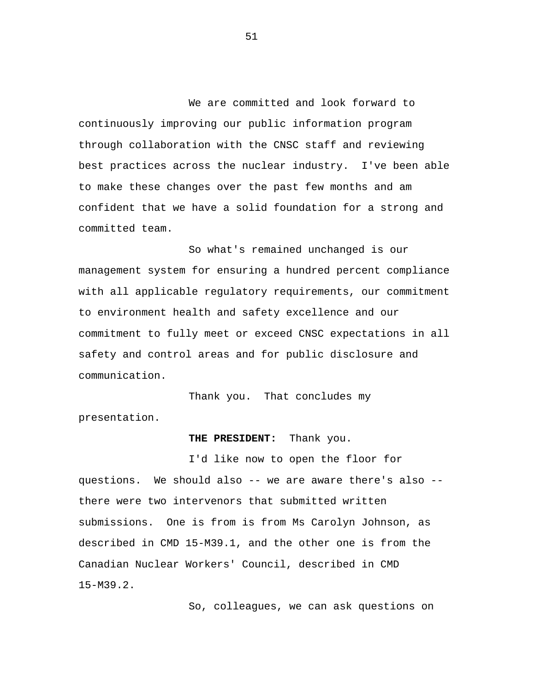We are committed and look forward to continuously improving our public information program through collaboration with the CNSC staff and reviewing best practices across the nuclear industry. I've been able to make these changes over the past few months and am confident that we have a solid foundation for a strong and committed team.

So what's remained unchanged is our management system for ensuring a hundred percent compliance with all applicable regulatory requirements, our commitment to environment health and safety excellence and our commitment to fully meet or exceed CNSC expectations in all safety and control areas and for public disclosure and communication.

Thank you. That concludes my presentation.

## **THE PRESIDENT:** Thank you.

I'd like now to open the floor for questions. We should also -- we are aware there's also - there were two intervenors that submitted written submissions. One is from is from Ms Carolyn Johnson, as described in CMD 15-M39.1, and the other one is from the Canadian Nuclear Workers' Council, described in CMD 15-M39.2.

So, colleagues, we can ask questions on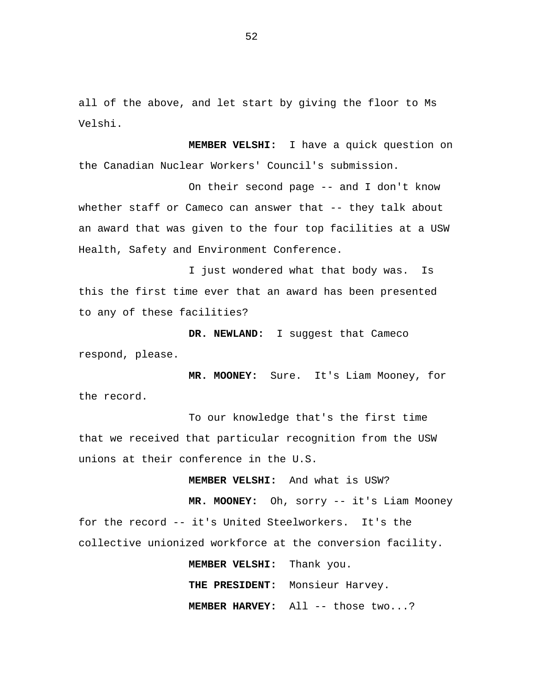all of the above, and let start by giving the floor to Ms Velshi.

**MEMBER VELSHI:** I have a quick question on the Canadian Nuclear Workers' Council's submission.

On their second page -- and I don't know whether staff or Cameco can answer that -- they talk about an award that was given to the four top facilities at a USW Health, Safety and Environment Conference.

I just wondered what that body was. Is this the first time ever that an award has been presented to any of these facilities?

**DR. NEWLAND:** I suggest that Cameco respond, please.

**MR. MOONEY:** Sure. It's Liam Mooney, for the record.

To our knowledge that's the first time that we received that particular recognition from the USW unions at their conference in the U.S.

**MEMBER VELSHI:** And what is USW?

**MR. MOONEY:** Oh, sorry -- it's Liam Mooney for the record -- it's United Steelworkers. It's the collective unionized workforce at the conversion facility.

> **MEMBER VELSHI:** Thank you. **THE PRESIDENT:** Monsieur Harvey. **MEMBER HARVEY:** All -- those two...?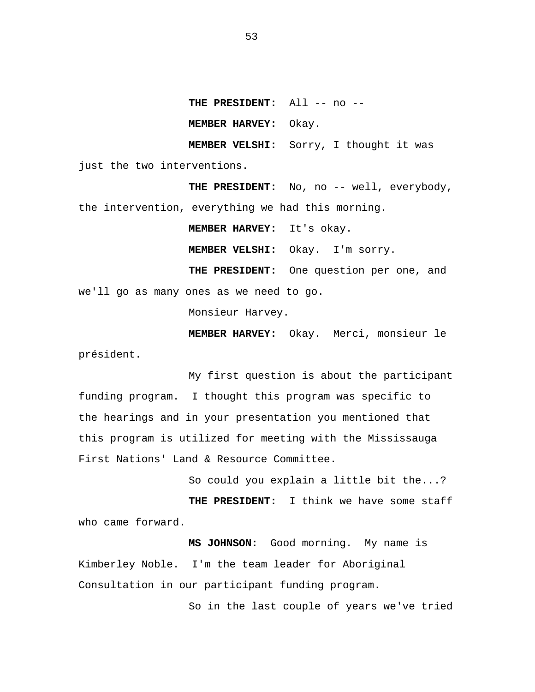**THE PRESIDENT:** All -- no --

**MEMBER HARVEY:** Okay.

**MEMBER VELSHI:** Sorry, I thought it was

just the two interventions.

THE PRESIDENT: No, no -- well, everybody, the intervention, everything we had this morning.

**MEMBER HARVEY:** It's okay. **MEMBER VELSHI:** Okay. I'm sorry. **THE PRESIDENT:** One question per one, and we'll go as many ones as we need to go.

Monsieur Harvey.

**MEMBER HARVEY:** Okay. Merci, monsieur le président.

My first question is about the participant funding program. I thought this program was specific to the hearings and in your presentation you mentioned that this program is utilized for meeting with the Mississauga First Nations' Land & Resource Committee.

So could you explain a little bit the...?

**THE PRESIDENT:** I think we have some staff who came forward.

**MS JOHNSON:** Good morning. My name is Kimberley Noble. I'm the team leader for Aboriginal Consultation in our participant funding program.

So in the last couple of years we've tried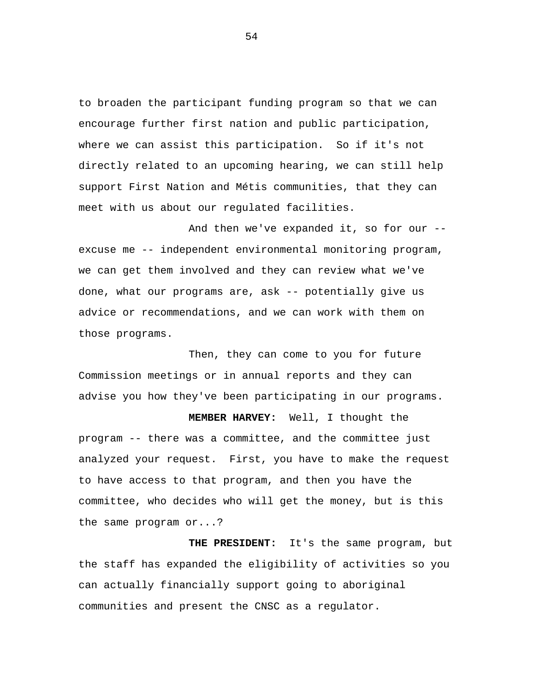to broaden the participant funding program so that we can encourage further first nation and public participation, where we can assist this participation. So if it's not directly related to an upcoming hearing, we can still help support First Nation and Métis communities, that they can meet with us about our regulated facilities.

And then we've expanded it, so for our - excuse me -- independent environmental monitoring program, we can get them involved and they can review what we've done, what our programs are, ask -- potentially give us advice or recommendations, and we can work with them on those programs.

Then, they can come to you for future Commission meetings or in annual reports and they can advise you how they've been participating in our programs.

**MEMBER HARVEY:** Well, I thought the program -- there was a committee, and the committee just analyzed your request. First, you have to make the request to have access to that program, and then you have the committee, who decides who will get the money, but is this the same program or...?

**THE PRESIDENT:** It's the same program, but the staff has expanded the eligibility of activities so you can actually financially support going to aboriginal communities and present the CNSC as a regulator.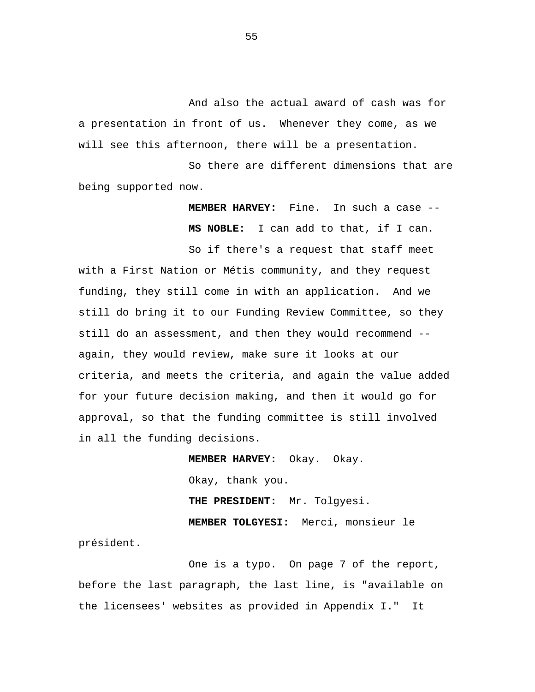And also the actual award of cash was for a presentation in front of us. Whenever they come, as we will see this afternoon, there will be a presentation.

So there are different dimensions that are being supported now.

> **MEMBER HARVEY:** Fine. In such a case -- **MS NOBLE:** I can add to that, if I can.

So if there's a request that staff meet with a First Nation or Métis community, and they request funding, they still come in with an application. And we still do bring it to our Funding Review Committee, so they still do an assessment, and then they would recommend - again, they would review, make sure it looks at our criteria, and meets the criteria, and again the value added for your future decision making, and then it would go for approval, so that the funding committee is still involved in all the funding decisions.

> **MEMBER HARVEY:** Okay. Okay. Okay, thank you. **THE PRESIDENT:** Mr. Tolgyesi. **MEMBER TOLGYESI:** Merci, monsieur le

président.

One is a typo. On page 7 of the report, before the last paragraph, the last line, is "available on the licensees' websites as provided in Appendix I." It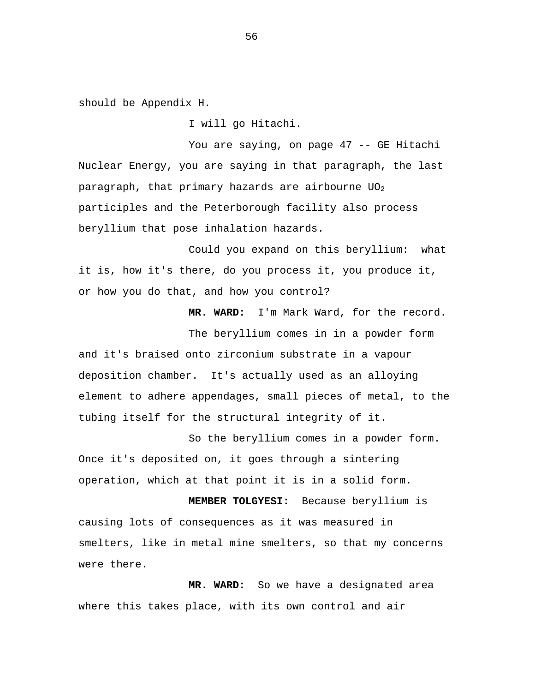should be Appendix H.

I will go Hitachi.

You are saying, on page 47 -- GE Hitachi Nuclear Energy, you are saying in that paragraph, the last paragraph, that primary hazards are airbourne  $UO<sub>2</sub>$ participles and the Peterborough facility also process beryllium that pose inhalation hazards.

Could you expand on this beryllium: what it is, how it's there, do you process it, you produce it, or how you do that, and how you control?

**MR. WARD:** I'm Mark Ward, for the record.

The beryllium comes in in a powder form and it's braised onto zirconium substrate in a vapour deposition chamber. It's actually used as an alloying element to adhere appendages, small pieces of metal, to the tubing itself for the structural integrity of it.

So the beryllium comes in a powder form. Once it's deposited on, it goes through a sintering operation, which at that point it is in a solid form.

**MEMBER TOLGYESI:** Because beryllium is causing lots of consequences as it was measured in smelters, like in metal mine smelters, so that my concerns were there.

**MR. WARD:** So we have a designated area where this takes place, with its own control and air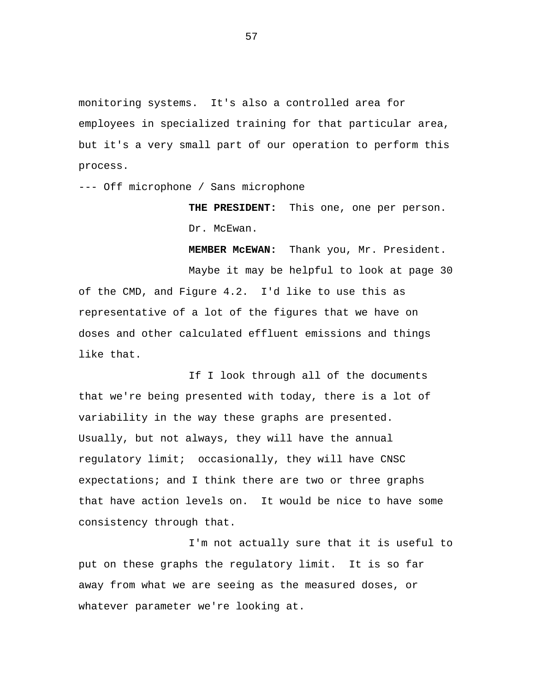monitoring systems. It's also a controlled area for employees in specialized training for that particular area, but it's a very small part of our operation to perform this process.

--- Off microphone / Sans microphone

**THE PRESIDENT:** This one, one per person. Dr. McEwan.

**MEMBER McEWAN:** Thank you, Mr. President.

Maybe it may be helpful to look at page 30 of the CMD, and Figure 4.2. I'd like to use this as representative of a lot of the figures that we have on doses and other calculated effluent emissions and things like that.

If I look through all of the documents that we're being presented with today, there is a lot of variability in the way these graphs are presented. Usually, but not always, they will have the annual regulatory limit; occasionally, they will have CNSC expectations; and I think there are two or three graphs that have action levels on. It would be nice to have some consistency through that.

I'm not actually sure that it is useful to put on these graphs the regulatory limit. It is so far away from what we are seeing as the measured doses, or whatever parameter we're looking at.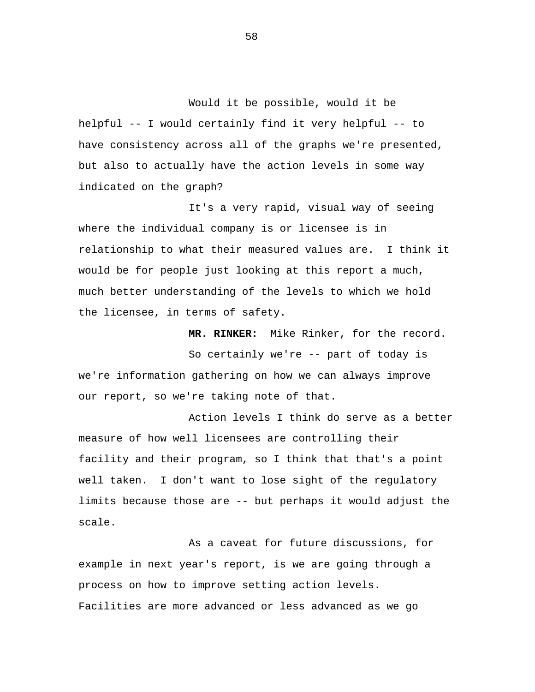Would it be possible, would it be helpful -- I would certainly find it very helpful -- to have consistency across all of the graphs we're presented, but also to actually have the action levels in some way indicated on the graph?

It's a very rapid, visual way of seeing where the individual company is or licensee is in relationship to what their measured values are. I think it would be for people just looking at this report a much, much better understanding of the levels to which we hold the licensee, in terms of safety.

**MR. RINKER:** Mike Rinker, for the record.

So certainly we're -- part of today is we're information gathering on how we can always improve our report, so we're taking note of that.

Action levels I think do serve as a better measure of how well licensees are controlling their facility and their program, so I think that that's a point well taken. I don't want to lose sight of the regulatory limits because those are -- but perhaps it would adjust the scale.

As a caveat for future discussions, for example in next year's report, is we are going through a process on how to improve setting action levels. Facilities are more advanced or less advanced as we go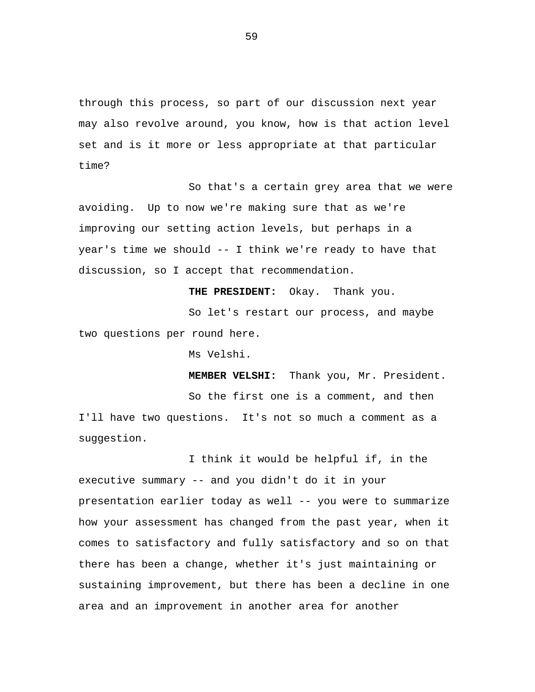through this process, so part of our discussion next year may also revolve around, you know, how is that action level set and is it more or less appropriate at that particular time?

So that's a certain grey area that we were avoiding. Up to now we're making sure that as we're improving our setting action levels, but perhaps in a year's time we should -- I think we're ready to have that discussion, so I accept that recommendation.

**THE PRESIDENT:** Okay. Thank you. So let's restart our process, and maybe two questions per round here.

Ms Velshi.

suggestion.

**MEMBER VELSHI:** Thank you, Mr. President. So the first one is a comment, and then I'll have two questions. It's not so much a comment as a

I think it would be helpful if, in the executive summary -- and you didn't do it in your presentation earlier today as well -- you were to summarize how your assessment has changed from the past year, when it comes to satisfactory and fully satisfactory and so on that there has been a change, whether it's just maintaining or sustaining improvement, but there has been a decline in one area and an improvement in another area for another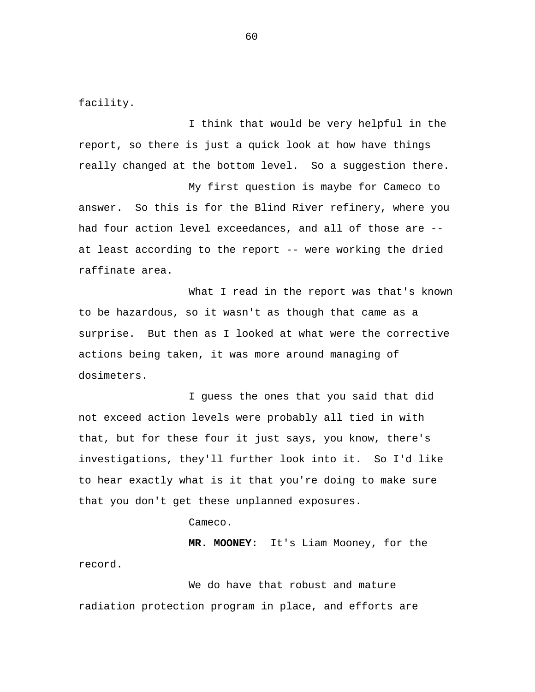facility.

I think that would be very helpful in the report, so there is just a quick look at how have things really changed at the bottom level. So a suggestion there.

My first question is maybe for Cameco to answer. So this is for the Blind River refinery, where you had four action level exceedances, and all of those are - at least according to the report -- were working the dried raffinate area.

What I read in the report was that's known to be hazardous, so it wasn't as though that came as a surprise. But then as I looked at what were the corrective actions being taken, it was more around managing of dosimeters.

I guess the ones that you said that did not exceed action levels were probably all tied in with that, but for these four it just says, you know, there's investigations, they'll further look into it. So I'd like to hear exactly what is it that you're doing to make sure that you don't get these unplanned exposures.

Cameco.

**MR. MOONEY:** It's Liam Mooney, for the record.

We do have that robust and mature radiation protection program in place, and efforts are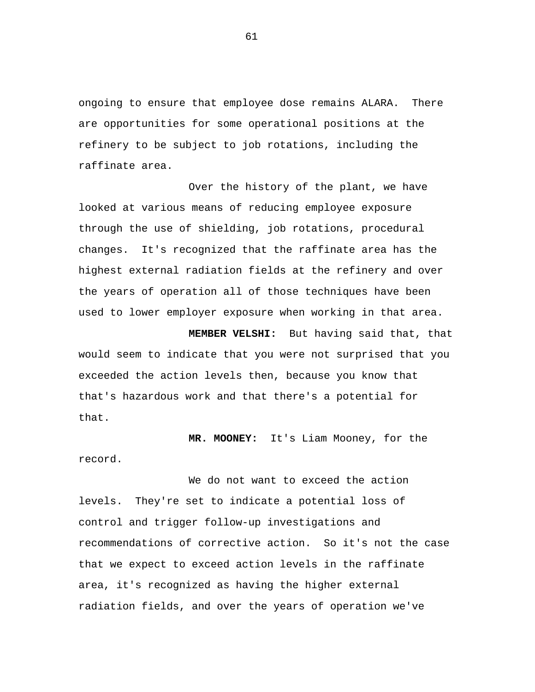ongoing to ensure that employee dose remains ALARA. There are opportunities for some operational positions at the refinery to be subject to job rotations, including the raffinate area.

Over the history of the plant, we have looked at various means of reducing employee exposure through the use of shielding, job rotations, procedural changes. It's recognized that the raffinate area has the highest external radiation fields at the refinery and over the years of operation all of those techniques have been used to lower employer exposure when working in that area.

**MEMBER VELSHI:** But having said that, that would seem to indicate that you were not surprised that you exceeded the action levels then, because you know that that's hazardous work and that there's a potential for that.

**MR. MOONEY:** It's Liam Mooney, for the

record.

We do not want to exceed the action levels. They're set to indicate a potential loss of control and trigger follow-up investigations and recommendations of corrective action. So it's not the case that we expect to exceed action levels in the raffinate area, it's recognized as having the higher external radiation fields, and over the years of operation we've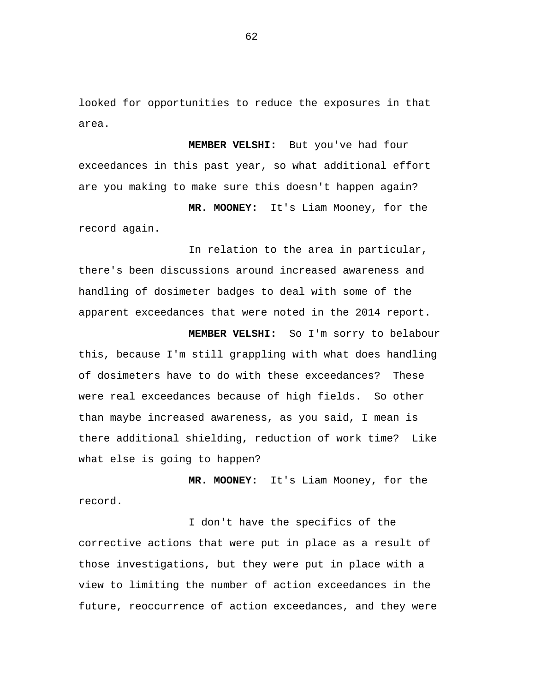looked for opportunities to reduce the exposures in that area.

**MEMBER VELSHI:** But you've had four exceedances in this past year, so what additional effort are you making to make sure this doesn't happen again?

**MR. MOONEY:** It's Liam Mooney, for the record again.

In relation to the area in particular, there's been discussions around increased awareness and handling of dosimeter badges to deal with some of the apparent exceedances that were noted in the 2014 report.

**MEMBER VELSHI:** So I'm sorry to belabour this, because I'm still grappling with what does handling of dosimeters have to do with these exceedances? These were real exceedances because of high fields. So other than maybe increased awareness, as you said, I mean is there additional shielding, reduction of work time? Like what else is going to happen?

**MR. MOONEY:** It's Liam Mooney, for the record.

I don't have the specifics of the corrective actions that were put in place as a result of those investigations, but they were put in place with a view to limiting the number of action exceedances in the future, reoccurrence of action exceedances, and they were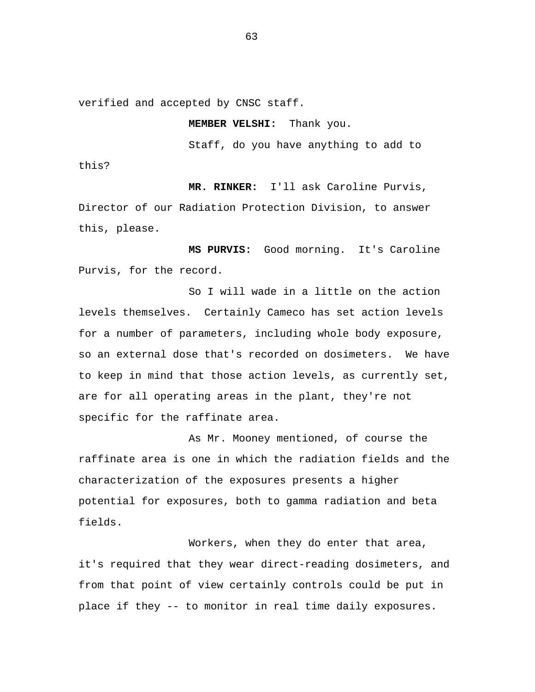verified and accepted by CNSC staff.

**MEMBER VELSHI:** Thank you.

Staff, do you have anything to add to

this?

**MR. RINKER:** I'll ask Caroline Purvis,

Director of our Radiation Protection Division, to answer this, please.

**MS PURVIS:** Good morning. It's Caroline Purvis, for the record.

So I will wade in a little on the action levels themselves. Certainly Cameco has set action levels for a number of parameters, including whole body exposure, so an external dose that's recorded on dosimeters. We have to keep in mind that those action levels, as currently set, are for all operating areas in the plant, they're not specific for the raffinate area.

As Mr. Mooney mentioned, of course the raffinate area is one in which the radiation fields and the characterization of the exposures presents a higher potential for exposures, both to gamma radiation and beta fields.

Workers, when they do enter that area, it's required that they wear direct-reading dosimeters, and from that point of view certainly controls could be put in place if they -- to monitor in real time daily exposures.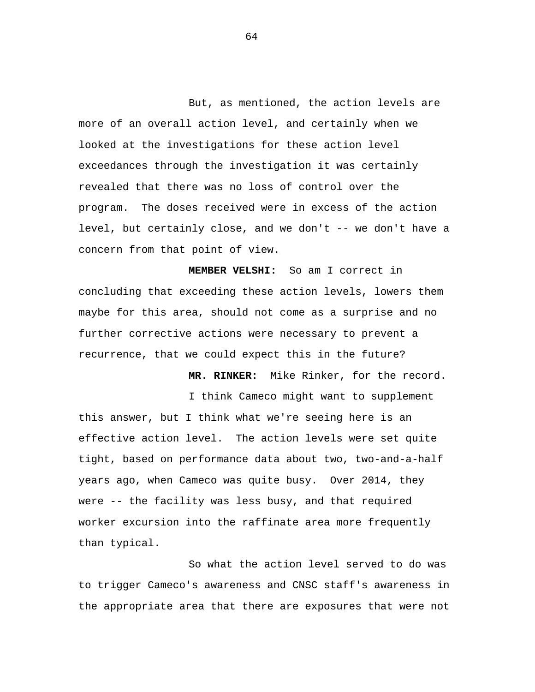But, as mentioned, the action levels are more of an overall action level, and certainly when we looked at the investigations for these action level exceedances through the investigation it was certainly revealed that there was no loss of control over the program. The doses received were in excess of the action level, but certainly close, and we don't -- we don't have a concern from that point of view.

**MEMBER VELSHI:** So am I correct in concluding that exceeding these action levels, lowers them maybe for this area, should not come as a surprise and no further corrective actions were necessary to prevent a recurrence, that we could expect this in the future?

**MR. RINKER:** Mike Rinker, for the record.

I think Cameco might want to supplement

this answer, but I think what we're seeing here is an effective action level. The action levels were set quite tight, based on performance data about two, two-and-a-half years ago, when Cameco was quite busy. Over 2014, they were -- the facility was less busy, and that required worker excursion into the raffinate area more frequently than typical.

So what the action level served to do was to trigger Cameco's awareness and CNSC staff's awareness in the appropriate area that there are exposures that were not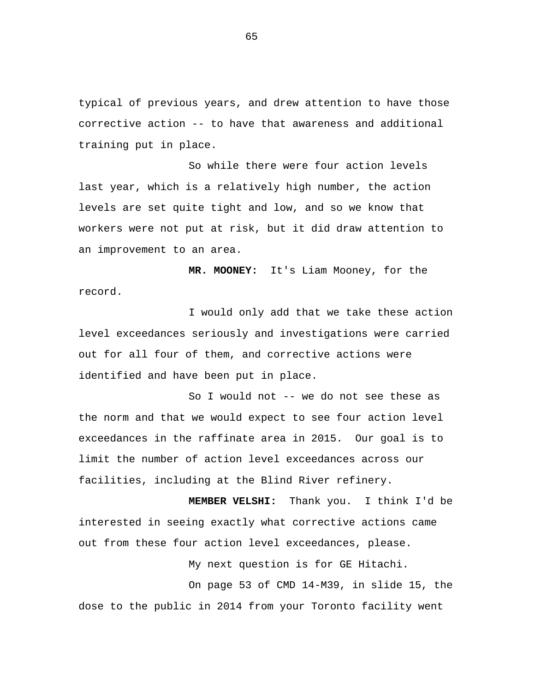typical of previous years, and drew attention to have those corrective action -- to have that awareness and additional training put in place.

So while there were four action levels last year, which is a relatively high number, the action levels are set quite tight and low, and so we know that workers were not put at risk, but it did draw attention to an improvement to an area.

**MR. MOONEY:** It's Liam Mooney, for the record.

I would only add that we take these action level exceedances seriously and investigations were carried out for all four of them, and corrective actions were identified and have been put in place.

So I would not -- we do not see these as the norm and that we would expect to see four action level exceedances in the raffinate area in 2015. Our goal is to limit the number of action level exceedances across our facilities, including at the Blind River refinery.

**MEMBER VELSHI:** Thank you. I think I'd be interested in seeing exactly what corrective actions came out from these four action level exceedances, please.

My next question is for GE Hitachi.

On page 53 of CMD 14-M39, in slide 15, the dose to the public in 2014 from your Toronto facility went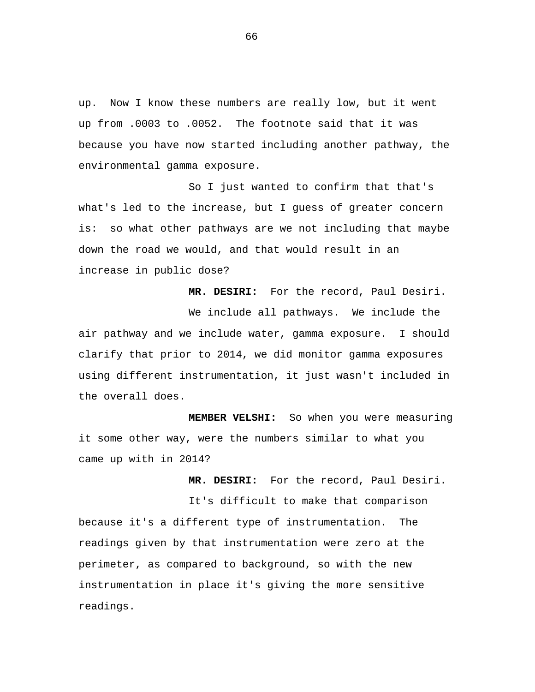up. Now I know these numbers are really low, but it went up from .0003 to .0052. The footnote said that it was because you have now started including another pathway, the environmental gamma exposure.

So I just wanted to confirm that that's what's led to the increase, but I guess of greater concern is: so what other pathways are we not including that maybe down the road we would, and that would result in an increase in public dose?

**MR. DESIRI:** For the record, Paul Desiri.

We include all pathways. We include the air pathway and we include water, gamma exposure. I should clarify that prior to 2014, we did monitor gamma exposures using different instrumentation, it just wasn't included in the overall does.

**MEMBER VELSHI:** So when you were measuring it some other way, were the numbers similar to what you came up with in 2014?

**MR. DESIRI:** For the record, Paul Desiri.

It's difficult to make that comparison because it's a different type of instrumentation. The readings given by that instrumentation were zero at the perimeter, as compared to background, so with the new instrumentation in place it's giving the more sensitive readings.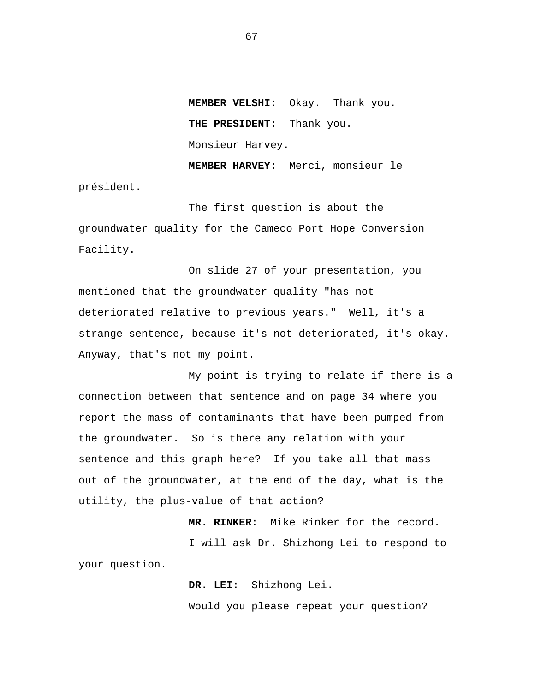**MEMBER VELSHI:** Okay. Thank you. **THE PRESIDENT:** Thank you. Monsieur Harvey. **MEMBER HARVEY:** Merci, monsieur le

président.

The first question is about the groundwater quality for the Cameco Port Hope Conversion Facility.

On slide 27 of your presentation, you mentioned that the groundwater quality "has not deteriorated relative to previous years." Well, it's a strange sentence, because it's not deteriorated, it's okay. Anyway, that's not my point.

My point is trying to relate if there is a connection between that sentence and on page 34 where you report the mass of contaminants that have been pumped from the groundwater. So is there any relation with your sentence and this graph here? If you take all that mass out of the groundwater, at the end of the day, what is the utility, the plus-value of that action?

 **MR. RINKER:** Mike Rinker for the record. I will ask Dr. Shizhong Lei to respond to your question.

> **DR. LEI:** Shizhong Lei. Would you please repeat your question?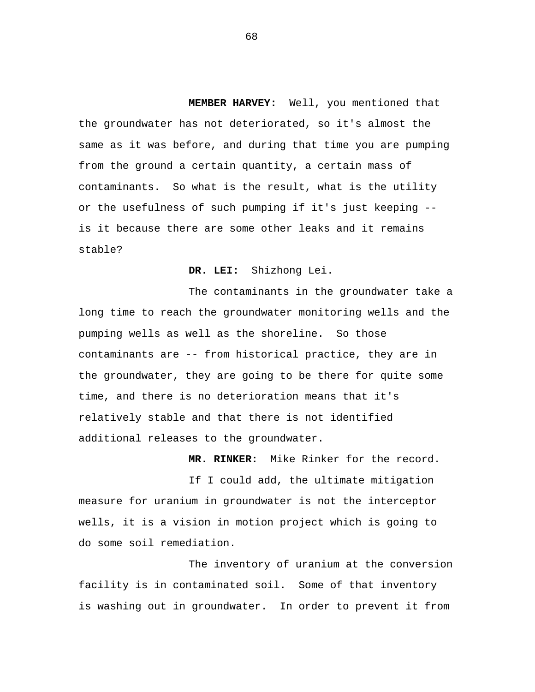**MEMBER HARVEY:** Well, you mentioned that the groundwater has not deteriorated, so it's almost the same as it was before, and during that time you are pumping from the ground a certain quantity, a certain mass of contaminants. So what is the result, what is the utility or the usefulness of such pumping if it's just keeping - is it because there are some other leaks and it remains stable?

 **DR. LEI:** Shizhong Lei.

The contaminants in the groundwater take a long time to reach the groundwater monitoring wells and the pumping wells as well as the shoreline. So those contaminants are -- from historical practice, they are in the groundwater, they are going to be there for quite some time, and there is no deterioration means that it's relatively stable and that there is not identified additional releases to the groundwater.

 **MR. RINKER:** Mike Rinker for the record.

If I could add, the ultimate mitigation measure for uranium in groundwater is not the interceptor wells, it is a vision in motion project which is going to do some soil remediation.

The inventory of uranium at the conversion facility is in contaminated soil. Some of that inventory is washing out in groundwater. In order to prevent it from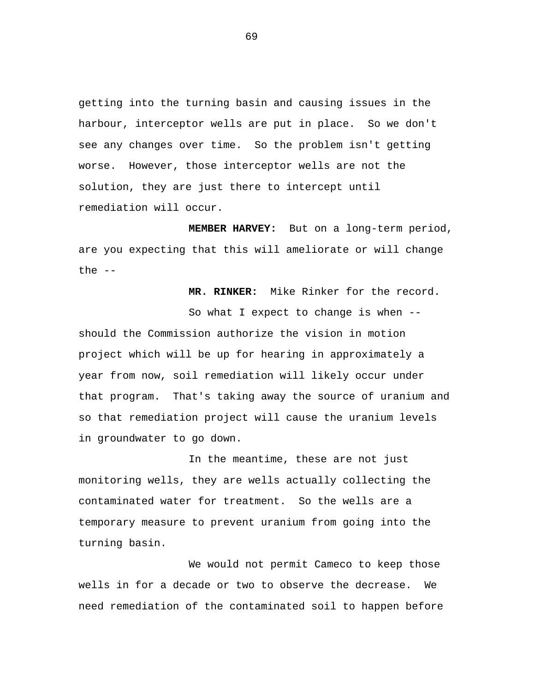getting into the turning basin and causing issues in the harbour, interceptor wells are put in place. So we don't see any changes over time. So the problem isn't getting worse. However, those interceptor wells are not the solution, they are just there to intercept until remediation will occur.

 **MEMBER HARVEY:** But on a long-term period, are you expecting that this will ameliorate or will change the  $--$ 

 **MR. RINKER:** Mike Rinker for the record.

So what I expect to change is when - should the Commission authorize the vision in motion project which will be up for hearing in approximately a year from now, soil remediation will likely occur under that program. That's taking away the source of uranium and so that remediation project will cause the uranium levels in groundwater to go down.

In the meantime, these are not just monitoring wells, they are wells actually collecting the contaminated water for treatment. So the wells are a temporary measure to prevent uranium from going into the turning basin.

We would not permit Cameco to keep those wells in for a decade or two to observe the decrease. We need remediation of the contaminated soil to happen before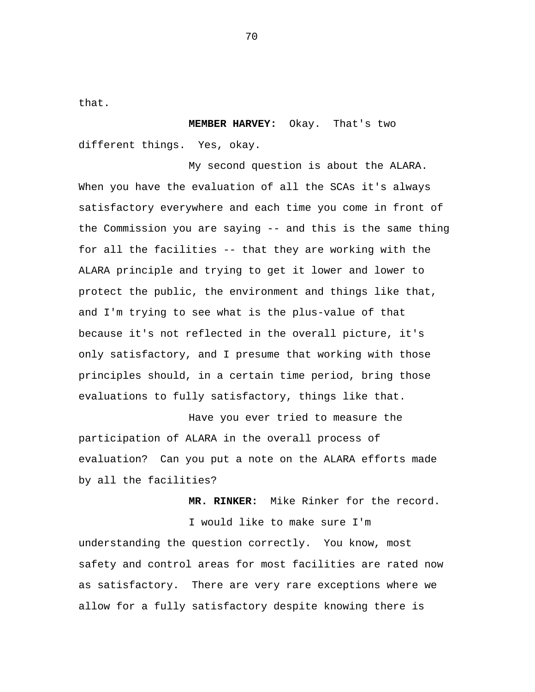that.

 **MEMBER HARVEY:** Okay. That's two different things. Yes, okay.

My second question is about the ALARA. When you have the evaluation of all the SCAs it's always satisfactory everywhere and each time you come in front of the Commission you are saying -- and this is the same thing for all the facilities -- that they are working with the ALARA principle and trying to get it lower and lower to protect the public, the environment and things like that, and I'm trying to see what is the plus-value of that because it's not reflected in the overall picture, it's only satisfactory, and I presume that working with those principles should, in a certain time period, bring those evaluations to fully satisfactory, things like that.

Have you ever tried to measure the participation of ALARA in the overall process of evaluation? Can you put a note on the ALARA efforts made by all the facilities?

 **MR. RINKER:** Mike Rinker for the record.

I would like to make sure I'm understanding the question correctly. You know, most safety and control areas for most facilities are rated now as satisfactory. There are very rare exceptions where we allow for a fully satisfactory despite knowing there is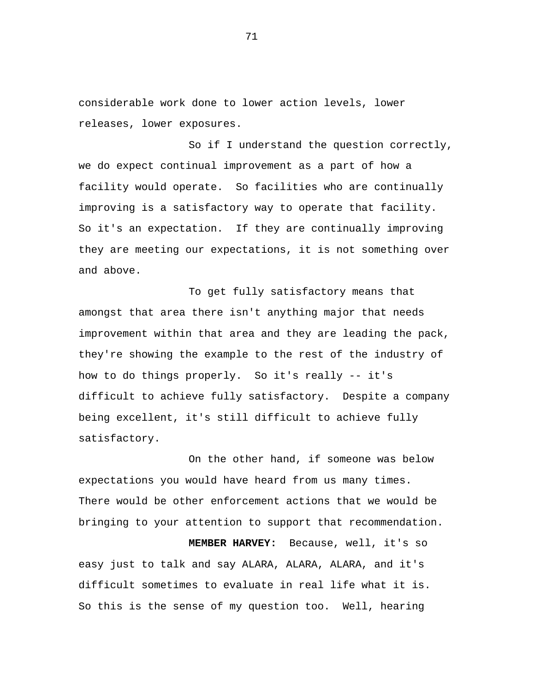considerable work done to lower action levels, lower releases, lower exposures.

So if I understand the question correctly, we do expect continual improvement as a part of how a facility would operate. So facilities who are continually improving is a satisfactory way to operate that facility. So it's an expectation. If they are continually improving they are meeting our expectations, it is not something over and above.

To get fully satisfactory means that amongst that area there isn't anything major that needs improvement within that area and they are leading the pack, they're showing the example to the rest of the industry of how to do things properly. So it's really -- it's difficult to achieve fully satisfactory. Despite a company being excellent, it's still difficult to achieve fully satisfactory.

On the other hand, if someone was below expectations you would have heard from us many times. There would be other enforcement actions that we would be bringing to your attention to support that recommendation.

 **MEMBER HARVEY:** Because, well, it's so easy just to talk and say ALARA, ALARA, ALARA, and it's difficult sometimes to evaluate in real life what it is. So this is the sense of my question too. Well, hearing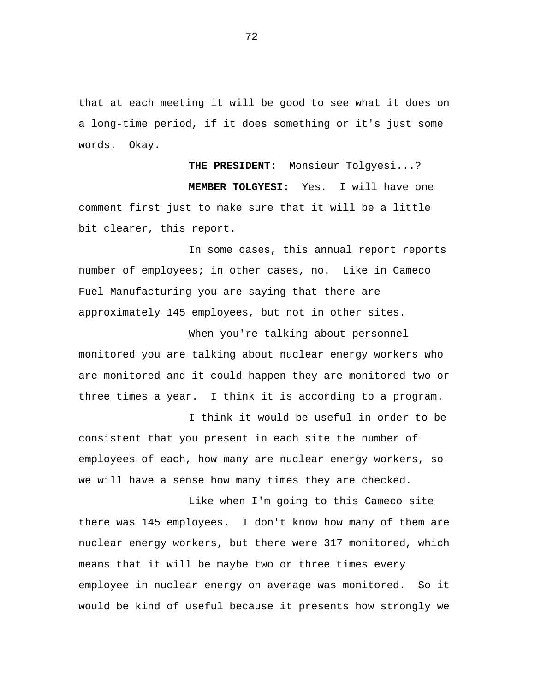that at each meeting it will be good to see what it does on a long-time period, if it does something or it's just some words. Okay.

 **THE PRESIDENT:** Monsieur Tolgyesi...?  **MEMBER TOLGYESI:** Yes. I will have one comment first just to make sure that it will be a little bit clearer, this report.

In some cases, this annual report reports number of employees; in other cases, no. Like in Cameco Fuel Manufacturing you are saying that there are approximately 145 employees, but not in other sites.

When you're talking about personnel monitored you are talking about nuclear energy workers who are monitored and it could happen they are monitored two or three times a year. I think it is according to a program.

I think it would be useful in order to be consistent that you present in each site the number of employees of each, how many are nuclear energy workers, so we will have a sense how many times they are checked.

Like when I'm going to this Cameco site there was 145 employees. I don't know how many of them are nuclear energy workers, but there were 317 monitored, which means that it will be maybe two or three times every employee in nuclear energy on average was monitored. So it would be kind of useful because it presents how strongly we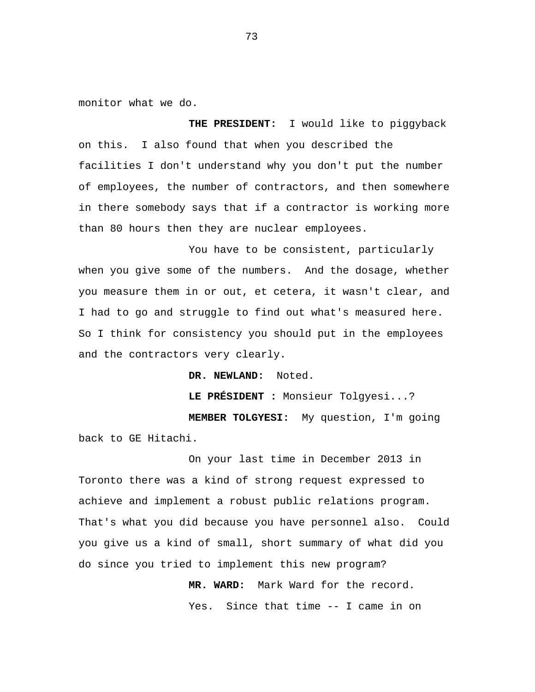monitor what we do.

 **THE PRESIDENT:** I would like to piggyback on this. I also found that when you described the facilities I don't understand why you don't put the number of employees, the number of contractors, and then somewhere in there somebody says that if a contractor is working more than 80 hours then they are nuclear employees.

You have to be consistent, particularly when you give some of the numbers. And the dosage, whether you measure them in or out, et cetera, it wasn't clear, and I had to go and struggle to find out what's measured here. So I think for consistency you should put in the employees and the contractors very clearly.

**DR. NEWLAND:** Noted.

**LE PRÉSIDENT :** Monsieur Tolgyesi...?

 **MEMBER TOLGYESI:** My question, I'm going back to GE Hitachi.

On your last time in December 2013 in Toronto there was a kind of strong request expressed to achieve and implement a robust public relations program. That's what you did because you have personnel also. Could you give us a kind of small, short summary of what did you do since you tried to implement this new program?

> **MR. WARD:** Mark Ward for the record. Yes. Since that time -- I came in on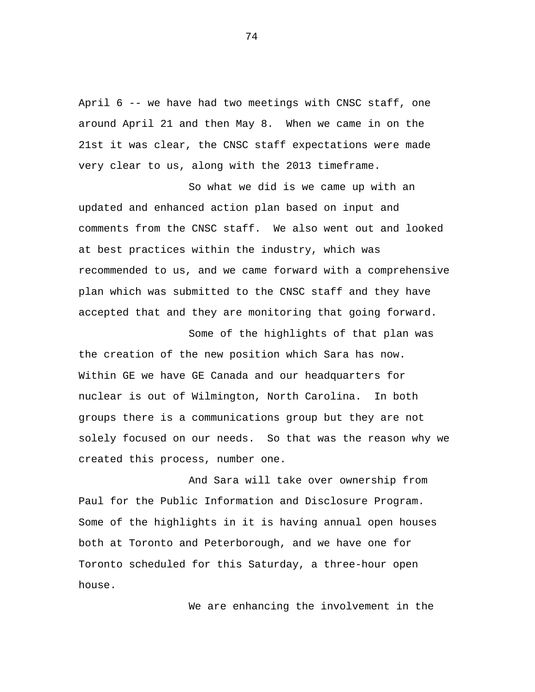April 6 -- we have had two meetings with CNSC staff, one around April 21 and then May 8. When we came in on the 21st it was clear, the CNSC staff expectations were made very clear to us, along with the 2013 timeframe.

So what we did is we came up with an updated and enhanced action plan based on input and comments from the CNSC staff. We also went out and looked at best practices within the industry, which was recommended to us, and we came forward with a comprehensive plan which was submitted to the CNSC staff and they have accepted that and they are monitoring that going forward.

Some of the highlights of that plan was the creation of the new position which Sara has now. Within GE we have GE Canada and our headquarters for nuclear is out of Wilmington, North Carolina. In both groups there is a communications group but they are not solely focused on our needs. So that was the reason why we created this process, number one.

And Sara will take over ownership from Paul for the Public Information and Disclosure Program. Some of the highlights in it is having annual open houses both at Toronto and Peterborough, and we have one for Toronto scheduled for this Saturday, a three-hour open house.

We are enhancing the involvement in the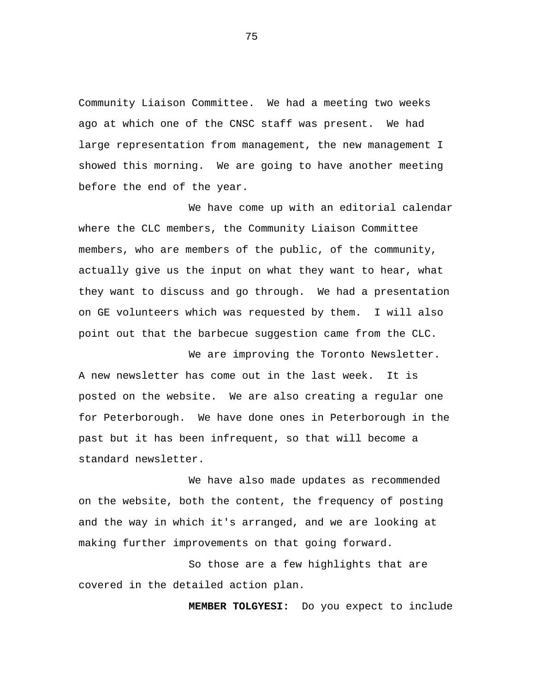Community Liaison Committee. We had a meeting two weeks ago at which one of the CNSC staff was present. We had large representation from management, the new management I showed this morning. We are going to have another meeting before the end of the year.

We have come up with an editorial calendar where the CLC members, the Community Liaison Committee members, who are members of the public, of the community, actually give us the input on what they want to hear, what they want to discuss and go through. We had a presentation on GE volunteers which was requested by them. I will also point out that the barbecue suggestion came from the CLC.

We are improving the Toronto Newsletter. A new newsletter has come out in the last week. It is posted on the website. We are also creating a regular one for Peterborough. We have done ones in Peterborough in the past but it has been infrequent, so that will become a standard newsletter.

We have also made updates as recommended on the website, both the content, the frequency of posting and the way in which it's arranged, and we are looking at making further improvements on that going forward.

So those are a few highlights that are covered in the detailed action plan.

 **MEMBER TOLGYESI:** Do you expect to include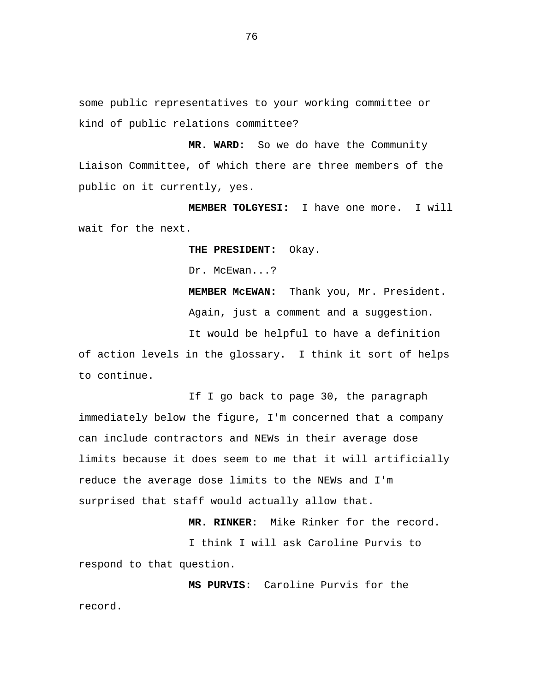some public representatives to your working committee or kind of public relations committee?

**MR. WARD:** So we do have the Community Liaison Committee, of which there are three members of the public on it currently, yes.

 **MEMBER TOLGYESI:** I have one more. I will wait for the next.

**THE PRESIDENT:** Okay.

Dr. McEwan...?

 **MEMBER McEWAN:** Thank you, Mr. President. Again, just a comment and a suggestion. It would be helpful to have a definition of action levels in the glossary. I think it sort of helps to continue.

If I go back to page 30, the paragraph immediately below the figure, I'm concerned that a company can include contractors and NEWs in their average dose limits because it does seem to me that it will artificially reduce the average dose limits to the NEWs and I'm surprised that staff would actually allow that.

 **MR. RINKER:** Mike Rinker for the record. I think I will ask Caroline Purvis to respond to that question.

 **MS PURVIS:** Caroline Purvis for the record.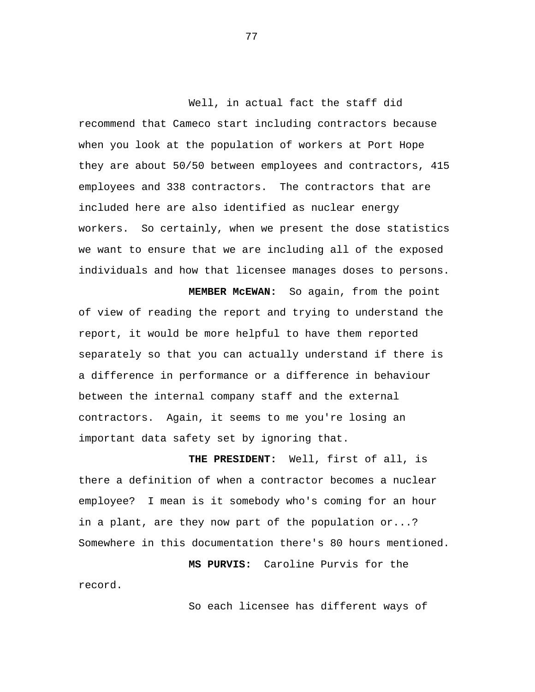Well, in actual fact the staff did recommend that Cameco start including contractors because when you look at the population of workers at Port Hope they are about 50/50 between employees and contractors, 415 employees and 338 contractors. The contractors that are included here are also identified as nuclear energy workers. So certainly, when we present the dose statistics we want to ensure that we are including all of the exposed individuals and how that licensee manages doses to persons.

 **MEMBER McEWAN:** So again, from the point of view of reading the report and trying to understand the report, it would be more helpful to have them reported separately so that you can actually understand if there is a difference in performance or a difference in behaviour between the internal company staff and the external contractors. Again, it seems to me you're losing an important data safety set by ignoring that.

 **THE PRESIDENT:** Well, first of all, is there a definition of when a contractor becomes a nuclear employee? I mean is it somebody who's coming for an hour in a plant, are they now part of the population or...? Somewhere in this documentation there's 80 hours mentioned.

 **MS PURVIS:** Caroline Purvis for the record.

So each licensee has different ways of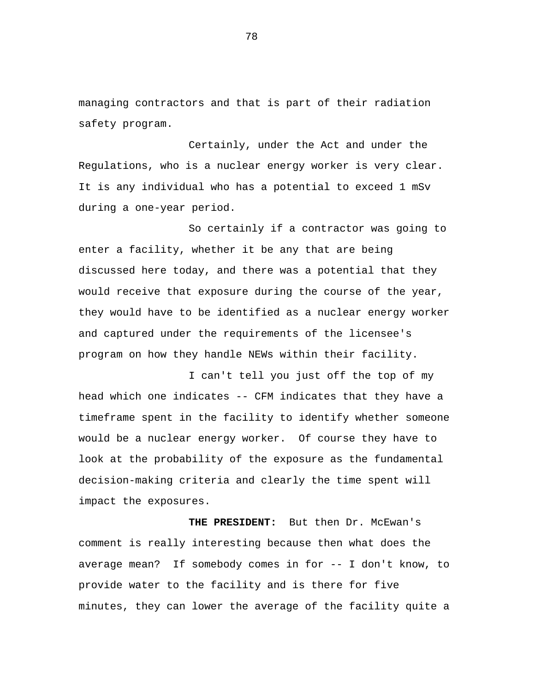managing contractors and that is part of their radiation safety program.

Certainly, under the Act and under the Regulations, who is a nuclear energy worker is very clear. It is any individual who has a potential to exceed 1 mSv during a one-year period.

So certainly if a contractor was going to enter a facility, whether it be any that are being discussed here today, and there was a potential that they would receive that exposure during the course of the year, they would have to be identified as a nuclear energy worker and captured under the requirements of the licensee's program on how they handle NEWs within their facility.

I can't tell you just off the top of my head which one indicates -- CFM indicates that they have a timeframe spent in the facility to identify whether someone would be a nuclear energy worker. Of course they have to look at the probability of the exposure as the fundamental decision-making criteria and clearly the time spent will impact the exposures.

 **THE PRESIDENT:** But then Dr. McEwan's comment is really interesting because then what does the average mean? If somebody comes in for -- I don't know, to provide water to the facility and is there for five minutes, they can lower the average of the facility quite a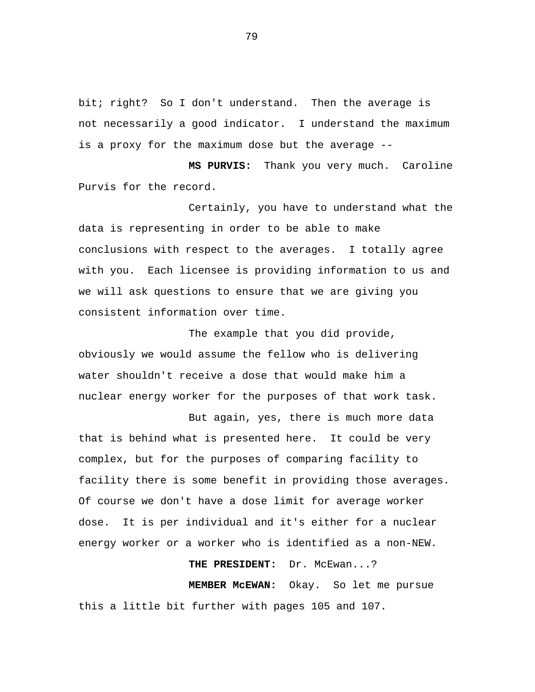bit; right? So I don't understand. Then the average is not necessarily a good indicator. I understand the maximum is a proxy for the maximum dose but the average -

 **MS PURVIS:** Thank you very much. Caroline Purvis for the record.

Certainly, you have to understand what the data is representing in order to be able to make conclusions with respect to the averages. I totally agree with you. Each licensee is providing information to us and we will ask questions to ensure that we are giving you consistent information over time.

The example that you did provide, obviously we would assume the fellow who is delivering water shouldn't receive a dose that would make him a nuclear energy worker for the purposes of that work task.

But again, yes, there is much more data that is behind what is presented here. It could be very complex, but for the purposes of comparing facility to facility there is some benefit in providing those averages. Of course we don't have a dose limit for average worker dose. It is per individual and it's either for a nuclear energy worker or a worker who is identified as a non-NEW.

# **THE PRESIDENT:** Dr. McEwan...?

 **MEMBER McEWAN:** Okay. So let me pursue this a little bit further with pages 105 and 107.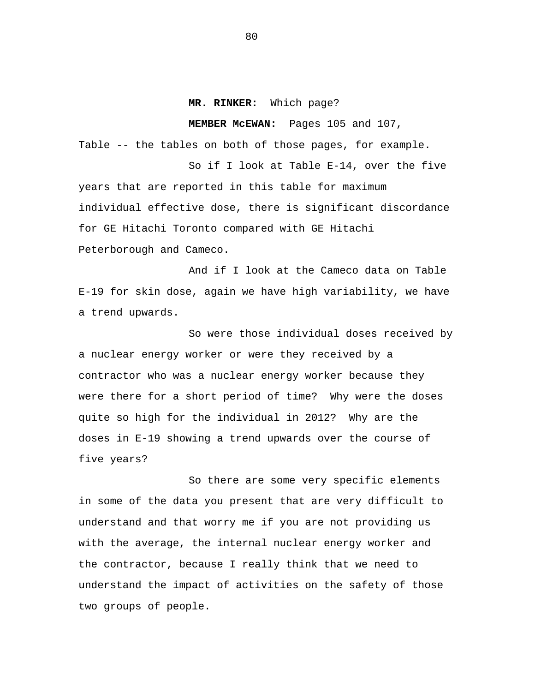### **MR. RINKER:** Which page?

**MEMBER McEWAN:** Pages 105 and 107,

Table -- the tables on both of those pages, for example.

So if I look at Table E-14, over the five years that are reported in this table for maximum individual effective dose, there is significant discordance for GE Hitachi Toronto compared with GE Hitachi Peterborough and Cameco.

And if I look at the Cameco data on Table E-19 for skin dose, again we have high variability, we have a trend upwards.

So were those individual doses received by a nuclear energy worker or were they received by a contractor who was a nuclear energy worker because they were there for a short period of time? Why were the doses quite so high for the individual in 2012? Why are the doses in E-19 showing a trend upwards over the course of five years?

So there are some very specific elements in some of the data you present that are very difficult to understand and that worry me if you are not providing us with the average, the internal nuclear energy worker and the contractor, because I really think that we need to understand the impact of activities on the safety of those two groups of people.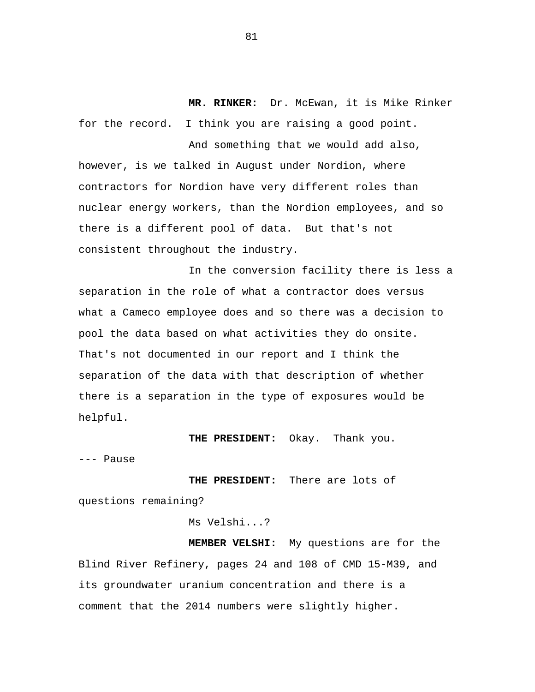**MR. RINKER:** Dr. McEwan, it is Mike Rinker for the record. I think you are raising a good point.

And something that we would add also, however, is we talked in August under Nordion, where contractors for Nordion have very different roles than nuclear energy workers, than the Nordion employees, and so there is a different pool of data. But that's not consistent throughout the industry.

In the conversion facility there is less a separation in the role of what a contractor does versus what a Cameco employee does and so there was a decision to pool the data based on what activities they do onsite. That's not documented in our report and I think the separation of the data with that description of whether there is a separation in the type of exposures would be helpful.

 **THE PRESIDENT:** Okay. Thank you.

--- Pause

**THE PRESIDENT:** There are lots of questions remaining?

Ms Velshi...?

 **MEMBER VELSHI:** My questions are for the Blind River Refinery, pages 24 and 108 of CMD 15-M39, and its groundwater uranium concentration and there is a comment that the 2014 numbers were slightly higher.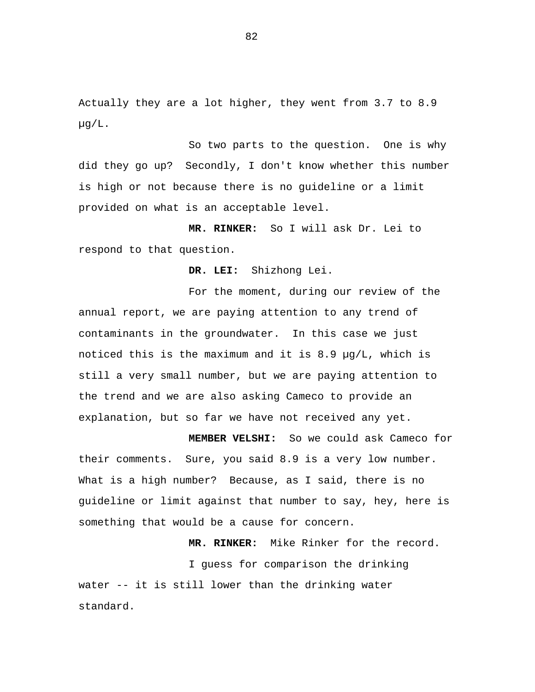Actually they are a lot higher, they went from 3.7 to 8.9 µg/L.

So two parts to the question. One is why did they go up? Secondly, I don't know whether this number is high or not because there is no guideline or a limit provided on what is an acceptable level.

 **MR. RINKER:** So I will ask Dr. Lei to respond to that question.

 **DR. LEI:** Shizhong Lei.

For the moment, during our review of the annual report, we are paying attention to any trend of contaminants in the groundwater. In this case we just noticed this is the maximum and it is 8.9 µg/L, which is still a very small number, but we are paying attention to the trend and we are also asking Cameco to provide an explanation, but so far we have not received any yet.

 **MEMBER VELSHI:** So we could ask Cameco for their comments. Sure, you said 8.9 is a very low number. What is a high number? Because, as I said, there is no guideline or limit against that number to say, hey, here is something that would be a cause for concern.

 **MR. RINKER:** Mike Rinker for the record.

I guess for comparison the drinking water -- it is still lower than the drinking water standard.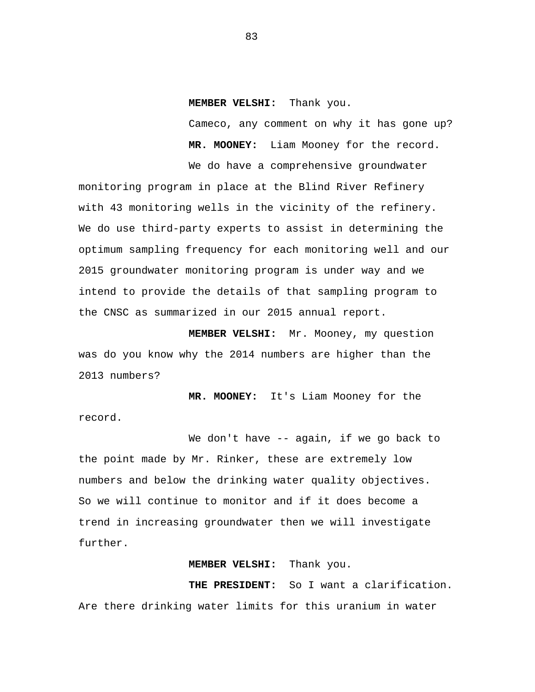### **MEMBER VELSHI:** Thank you.

Cameco, any comment on why it has gone up?  **MR. MOONEY:** Liam Mooney for the record.

We do have a comprehensive groundwater monitoring program in place at the Blind River Refinery with 43 monitoring wells in the vicinity of the refinery. We do use third-party experts to assist in determining the optimum sampling frequency for each monitoring well and our 2015 groundwater monitoring program is under way and we intend to provide the details of that sampling program to the CNSC as summarized in our 2015 annual report.

 **MEMBER VELSHI:** Mr. Mooney, my question was do you know why the 2014 numbers are higher than the 2013 numbers?

 **MR. MOONEY:** It's Liam Mooney for the record.

We don't have -- again, if we go back to the point made by Mr. Rinker, these are extremely low numbers and below the drinking water quality objectives. So we will continue to monitor and if it does become a trend in increasing groundwater then we will investigate further.

### **MEMBER VELSHI:** Thank you.

 **THE PRESIDENT:** So I want a clarification. Are there drinking water limits for this uranium in water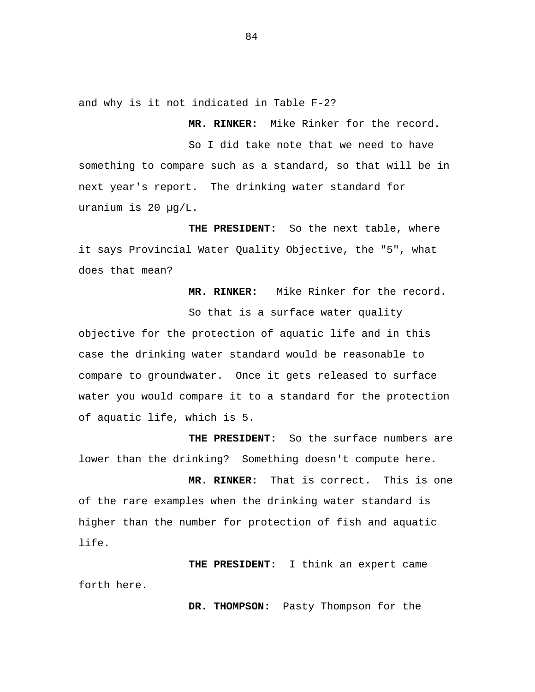and why is it not indicated in Table F-2?

 **MR. RINKER:** Mike Rinker for the record.

So I did take note that we need to have something to compare such as a standard, so that will be in next year's report. The drinking water standard for uranium is 20 µg/L.

 **THE PRESIDENT:** So the next table, where it says Provincial Water Quality Objective, the "5", what does that mean?

 **MR. RINKER:** Mike Rinker for the record.

So that is a surface water quality objective for the protection of aquatic life and in this case the drinking water standard would be reasonable to compare to groundwater. Once it gets released to surface water you would compare it to a standard for the protection of aquatic life, which is 5.

 **THE PRESIDENT:** So the surface numbers are lower than the drinking? Something doesn't compute here.

 **MR. RINKER:** That is correct. This is one of the rare examples when the drinking water standard is higher than the number for protection of fish and aquatic life.

 **THE PRESIDENT:** I think an expert came forth here.

 **DR. THOMPSON:** Pasty Thompson for the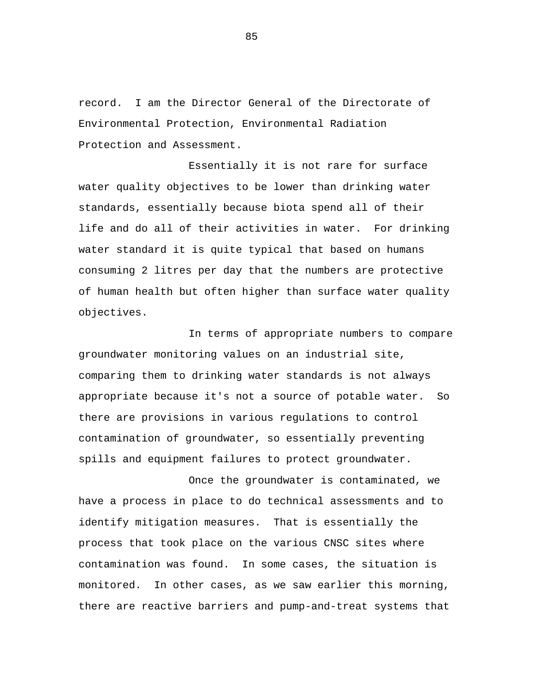record. I am the Director General of the Directorate of Environmental Protection, Environmental Radiation Protection and Assessment.

Essentially it is not rare for surface water quality objectives to be lower than drinking water standards, essentially because biota spend all of their life and do all of their activities in water. For drinking water standard it is quite typical that based on humans consuming 2 litres per day that the numbers are protective of human health but often higher than surface water quality objectives.

In terms of appropriate numbers to compare groundwater monitoring values on an industrial site, comparing them to drinking water standards is not always appropriate because it's not a source of potable water. So there are provisions in various regulations to control contamination of groundwater, so essentially preventing spills and equipment failures to protect groundwater.

Once the groundwater is contaminated, we have a process in place to do technical assessments and to identify mitigation measures. That is essentially the process that took place on the various CNSC sites where contamination was found. In some cases, the situation is monitored. In other cases, as we saw earlier this morning, there are reactive barriers and pump-and-treat systems that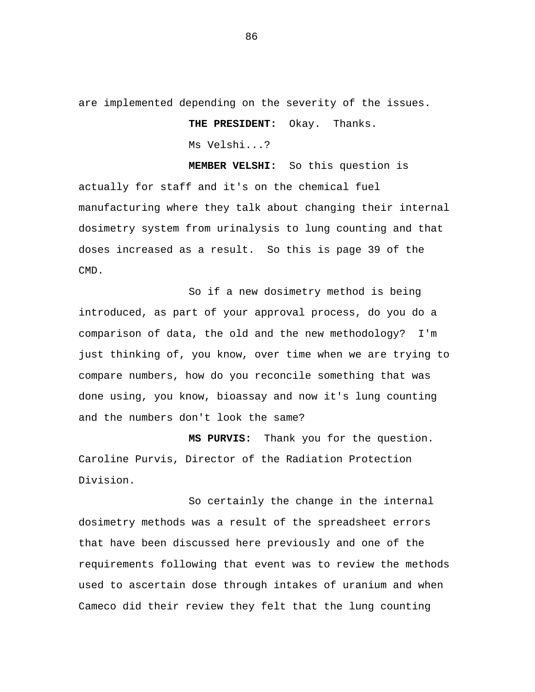are implemented depending on the severity of the issues.

 **THE PRESIDENT:** Okay. Thanks.

Ms Velshi...?

 **MEMBER VELSHI:** So this question is actually for staff and it's on the chemical fuel manufacturing where they talk about changing their internal dosimetry system from urinalysis to lung counting and that doses increased as a result. So this is page 39 of the CMD.

So if a new dosimetry method is being introduced, as part of your approval process, do you do a comparison of data, the old and the new methodology? I'm just thinking of, you know, over time when we are trying to compare numbers, how do you reconcile something that was done using, you know, bioassay and now it's lung counting and the numbers don't look the same?

 **MS PURVIS:** Thank you for the question. Caroline Purvis, Director of the Radiation Protection Division.

So certainly the change in the internal dosimetry methods was a result of the spreadsheet errors that have been discussed here previously and one of the requirements following that event was to review the methods used to ascertain dose through intakes of uranium and when Cameco did their review they felt that the lung counting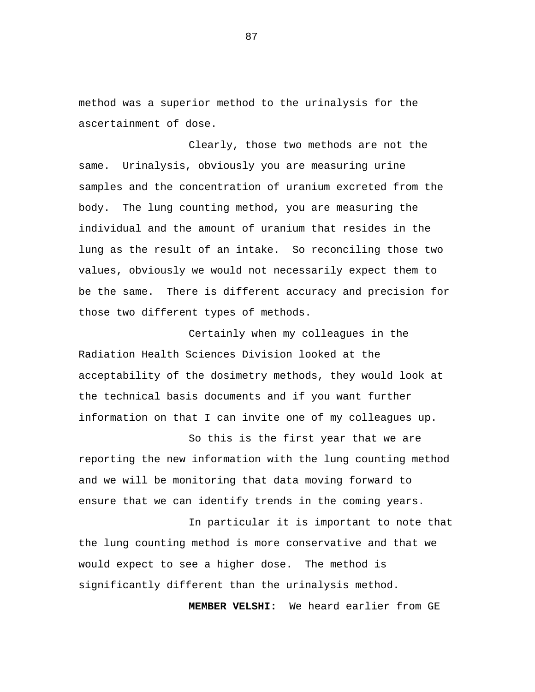method was a superior method to the urinalysis for the ascertainment of dose.

Clearly, those two methods are not the same. Urinalysis, obviously you are measuring urine samples and the concentration of uranium excreted from the body. The lung counting method, you are measuring the individual and the amount of uranium that resides in the lung as the result of an intake. So reconciling those two values, obviously we would not necessarily expect them to be the same. There is different accuracy and precision for those two different types of methods.

Certainly when my colleagues in the Radiation Health Sciences Division looked at the acceptability of the dosimetry methods, they would look at the technical basis documents and if you want further information on that I can invite one of my colleagues up.

So this is the first year that we are reporting the new information with the lung counting method and we will be monitoring that data moving forward to ensure that we can identify trends in the coming years.

In particular it is important to note that the lung counting method is more conservative and that we would expect to see a higher dose. The method is significantly different than the urinalysis method.

 **MEMBER VELSHI:** We heard earlier from GE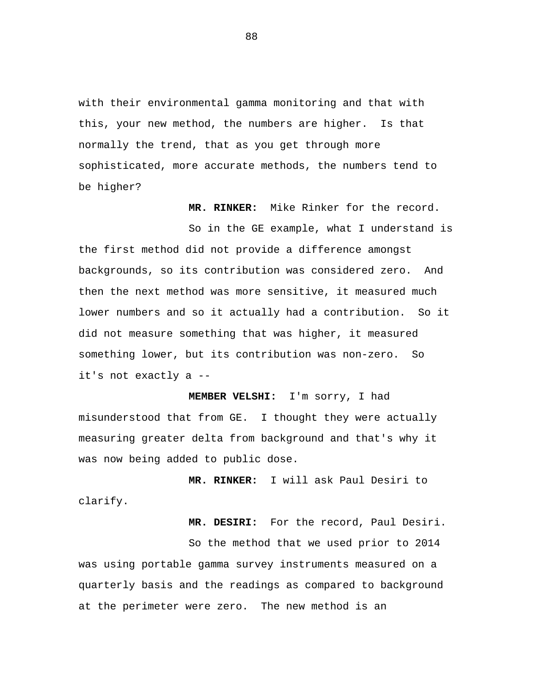with their environmental gamma monitoring and that with this, your new method, the numbers are higher. Is that normally the trend, that as you get through more sophisticated, more accurate methods, the numbers tend to be higher?

 **MR. RINKER:** Mike Rinker for the record.

So in the GE example, what I understand is the first method did not provide a difference amongst backgrounds, so its contribution was considered zero. And then the next method was more sensitive, it measured much lower numbers and so it actually had a contribution. So it did not measure something that was higher, it measured something lower, but its contribution was non-zero. So it's not exactly a --

 **MEMBER VELSHI:** I'm sorry, I had misunderstood that from GE. I thought they were actually measuring greater delta from background and that's why it was now being added to public dose.

**MR. RINKER:** I will ask Paul Desiri to clarify.

 **MR. DESIRI:** For the record, Paul Desiri.

So the method that we used prior to 2014 was using portable gamma survey instruments measured on a quarterly basis and the readings as compared to background at the perimeter were zero. The new method is an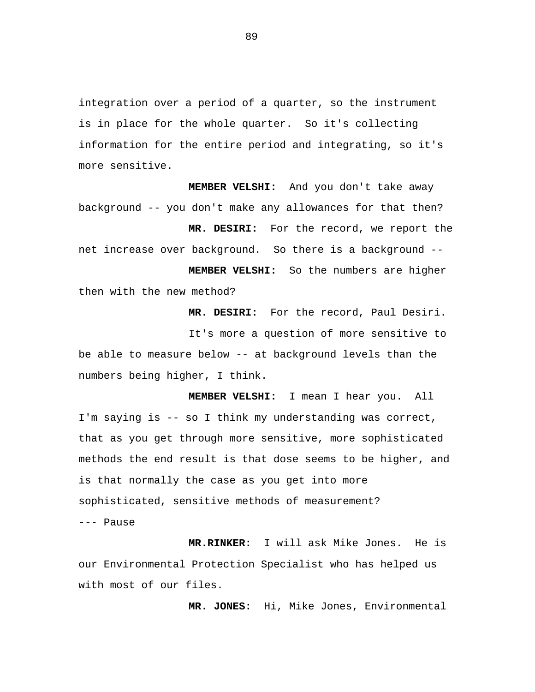integration over a period of a quarter, so the instrument is in place for the whole quarter. So it's collecting information for the entire period and integrating, so it's more sensitive.

 **MEMBER VELSHI:** And you don't take away background -- you don't make any allowances for that then?

 **MR. DESIRI:** For the record, we report the net increase over background. So there is a background -  **MEMBER VELSHI:** So the numbers are higher then with the new method?

 **MR. DESIRI:** For the record, Paul Desiri.

It's more a question of more sensitive to be able to measure below -- at background levels than the numbers being higher, I think.

**MEMBER VELSHI:** I mean I hear you. All I'm saying is -- so I think my understanding was correct, that as you get through more sensitive, more sophisticated methods the end result is that dose seems to be higher, and is that normally the case as you get into more sophisticated, sensitive methods of measurement? --- Pause

**MR.RINKER:** I will ask Mike Jones. He is our Environmental Protection Specialist who has helped us with most of our files.

 **MR. JONES:** Hi, Mike Jones, Environmental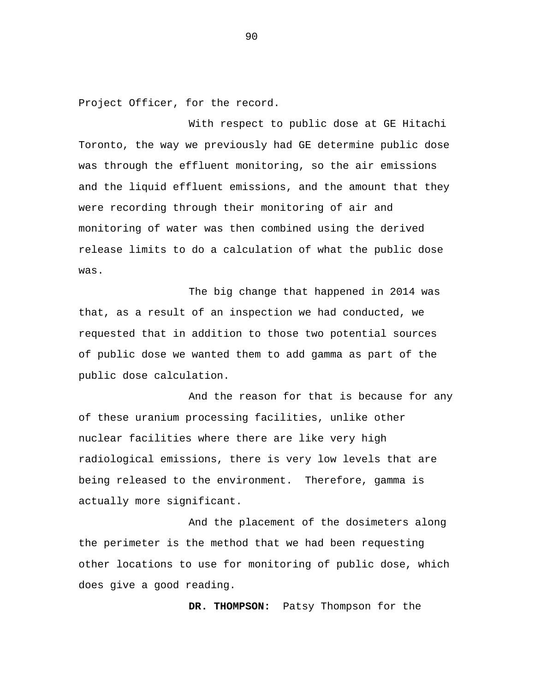Project Officer, for the record.

With respect to public dose at GE Hitachi Toronto, the way we previously had GE determine public dose was through the effluent monitoring, so the air emissions and the liquid effluent emissions, and the amount that they were recording through their monitoring of air and monitoring of water was then combined using the derived release limits to do a calculation of what the public dose was.

The big change that happened in 2014 was that, as a result of an inspection we had conducted, we requested that in addition to those two potential sources of public dose we wanted them to add gamma as part of the public dose calculation.

And the reason for that is because for any of these uranium processing facilities, unlike other nuclear facilities where there are like very high radiological emissions, there is very low levels that are being released to the environment. Therefore, gamma is actually more significant.

And the placement of the dosimeters along the perimeter is the method that we had been requesting other locations to use for monitoring of public dose, which does give a good reading.

 **DR. THOMPSON:** Patsy Thompson for the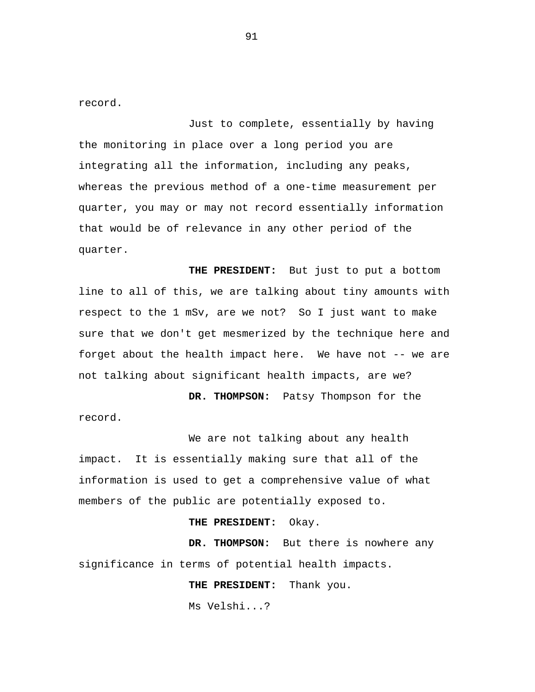record.

Just to complete, essentially by having the monitoring in place over a long period you are integrating all the information, including any peaks, whereas the previous method of a one-time measurement per quarter, you may or may not record essentially information that would be of relevance in any other period of the quarter.

 **THE PRESIDENT:** But just to put a bottom line to all of this, we are talking about tiny amounts with respect to the 1 mSv, are we not? So I just want to make sure that we don't get mesmerized by the technique here and forget about the health impact here. We have not -- we are not talking about significant health impacts, are we?

 **DR. THOMPSON:** Patsy Thompson for the record.

We are not talking about any health impact. It is essentially making sure that all of the information is used to get a comprehensive value of what members of the public are potentially exposed to.

**THE PRESIDENT:** Okay.

**DR. THOMPSON:** But there is nowhere any significance in terms of potential health impacts.

**THE PRESIDENT:** Thank you.

Ms Velshi...?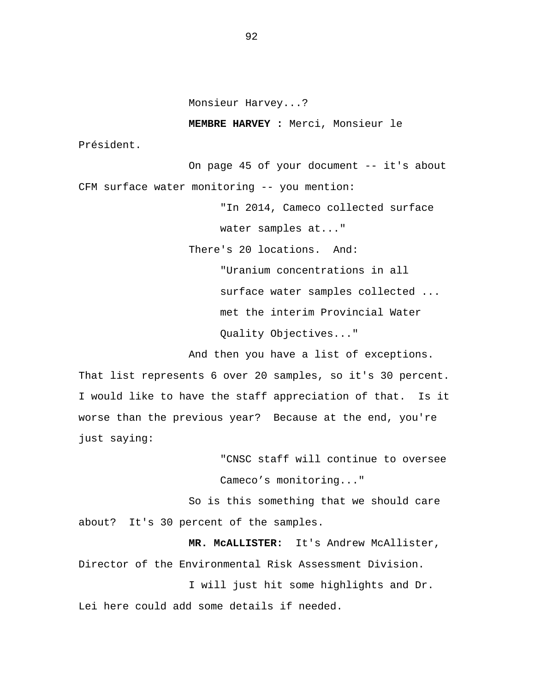Monsieur Harvey...?

**MEMBRE HARVEY :** Merci, Monsieur le

Président.

On page 45 of your document -- it's about CFM surface water monitoring -- you mention:

"In 2014, Cameco collected surface

water samples at..."

There's 20 locations. And:

"Uranium concentrations in all surface water samples collected ... met the interim Provincial Water Quality Objectives..."

And then you have a list of exceptions. That list represents 6 over 20 samples, so it's 30 percent. I would like to have the staff appreciation of that. Is it worse than the previous year? Because at the end, you're just saying:

> "CNSC staff will continue to oversee Cameco's monitoring..."

So is this something that we should care about? It's 30 percent of the samples.

**MR. McALLISTER:** It's Andrew McAllister, Director of the Environmental Risk Assessment Division.

I will just hit some highlights and Dr. Lei here could add some details if needed.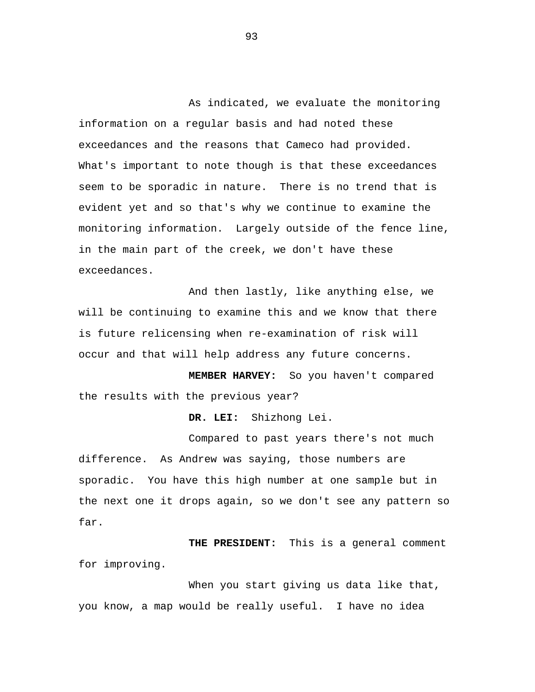As indicated, we evaluate the monitoring information on a regular basis and had noted these exceedances and the reasons that Cameco had provided. What's important to note though is that these exceedances seem to be sporadic in nature. There is no trend that is evident yet and so that's why we continue to examine the monitoring information. Largely outside of the fence line, in the main part of the creek, we don't have these exceedances.

And then lastly, like anything else, we will be continuing to examine this and we know that there is future relicensing when re-examination of risk will occur and that will help address any future concerns.

 **MEMBER HARVEY:** So you haven't compared the results with the previous year?

 **DR. LEI:** Shizhong Lei.

Compared to past years there's not much difference. As Andrew was saying, those numbers are sporadic. You have this high number at one sample but in the next one it drops again, so we don't see any pattern so far.

 **THE PRESIDENT:** This is a general comment for improving.

When you start giving us data like that, you know, a map would be really useful. I have no idea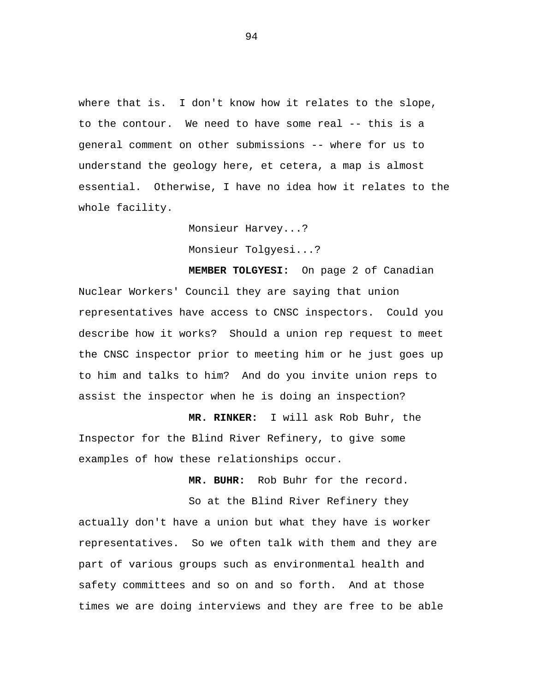where that is. I don't know how it relates to the slope, to the contour. We need to have some real -- this is a general comment on other submissions -- where for us to understand the geology here, et cetera, a map is almost essential. Otherwise, I have no idea how it relates to the whole facility.

> Monsieur Harvey...? Monsieur Tolgyesi...?

 **MEMBER TOLGYESI:** On page 2 of Canadian Nuclear Workers' Council they are saying that union representatives have access to CNSC inspectors. Could you describe how it works? Should a union rep request to meet the CNSC inspector prior to meeting him or he just goes up to him and talks to him? And do you invite union reps to assist the inspector when he is doing an inspection?

 **MR. RINKER:** I will ask Rob Buhr, the Inspector for the Blind River Refinery, to give some examples of how these relationships occur.

 **MR. BUHR:** Rob Buhr for the record.

So at the Blind River Refinery they actually don't have a union but what they have is worker representatives. So we often talk with them and they are part of various groups such as environmental health and safety committees and so on and so forth. And at those times we are doing interviews and they are free to be able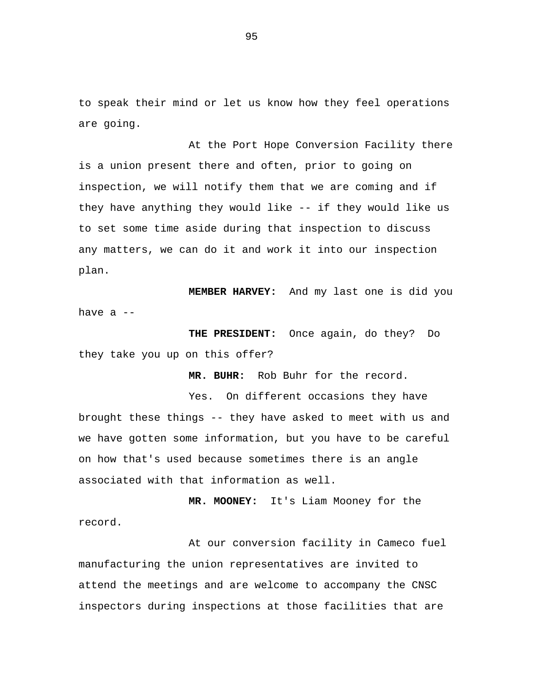to speak their mind or let us know how they feel operations are going.

At the Port Hope Conversion Facility there is a union present there and often, prior to going on inspection, we will notify them that we are coming and if they have anything they would like -- if they would like us to set some time aside during that inspection to discuss any matters, we can do it and work it into our inspection plan.

**MEMBER HARVEY:** And my last one is did you have a --

 **THE PRESIDENT:** Once again, do they? Do they take you up on this offer?

 **MR. BUHR:** Rob Buhr for the record.

Yes. On different occasions they have brought these things -- they have asked to meet with us and we have gotten some information, but you have to be careful on how that's used because sometimes there is an angle associated with that information as well.

 **MR. MOONEY:** It's Liam Mooney for the record.

At our conversion facility in Cameco fuel manufacturing the union representatives are invited to attend the meetings and are welcome to accompany the CNSC inspectors during inspections at those facilities that are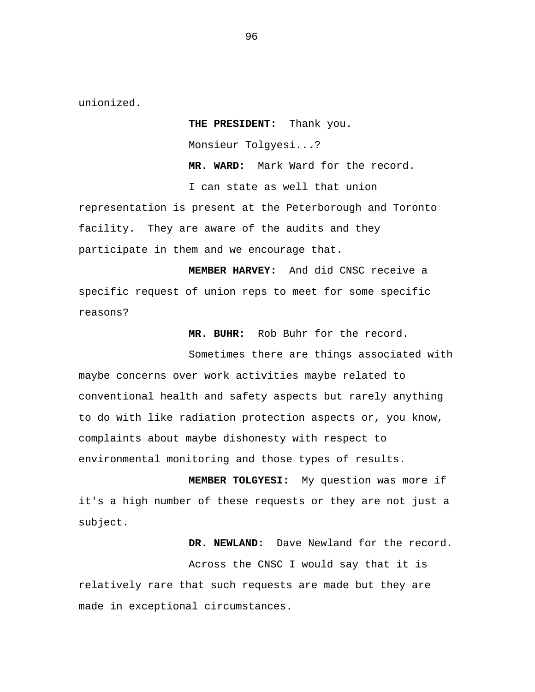unionized.

 **THE PRESIDENT:** Thank you. Monsieur Tolgyesi...? **MR. WARD:** Mark Ward for the record. I can state as well that union

representation is present at the Peterborough and Toronto facility. They are aware of the audits and they participate in them and we encourage that.

 **MEMBER HARVEY:** And did CNSC receive a specific request of union reps to meet for some specific reasons?

 **MR. BUHR:** Rob Buhr for the record.

Sometimes there are things associated with maybe concerns over work activities maybe related to conventional health and safety aspects but rarely anything to do with like radiation protection aspects or, you know, complaints about maybe dishonesty with respect to environmental monitoring and those types of results.

**MEMBER TOLGYESI:** My question was more if it's a high number of these requests or they are not just a subject.

 **DR. NEWLAND:** Dave Newland for the record.

Across the CNSC I would say that it is relatively rare that such requests are made but they are made in exceptional circumstances.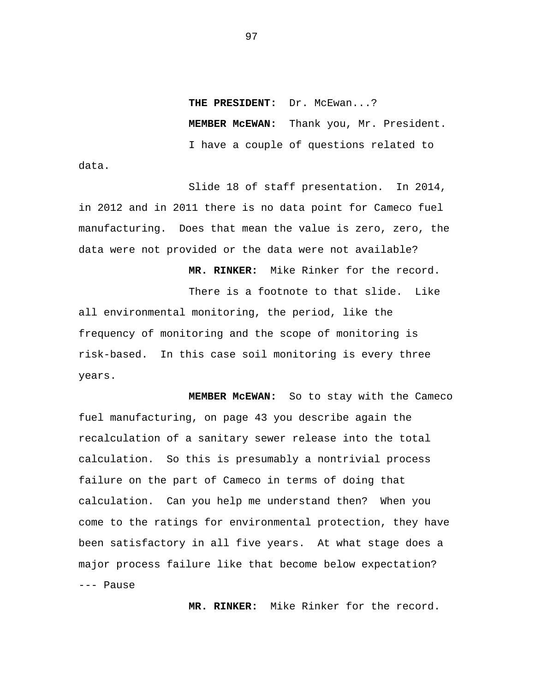**THE PRESIDENT:** Dr. McEwan...?  **MEMBER McEWAN:** Thank you, Mr. President. I have a couple of questions related to

Slide 18 of staff presentation. In 2014, in 2012 and in 2011 there is no data point for Cameco fuel manufacturing. Does that mean the value is zero, zero, the data were not provided or the data were not available?

data.

 **MR. RINKER:** Mike Rinker for the record.

There is a footnote to that slide. Like all environmental monitoring, the period, like the frequency of monitoring and the scope of monitoring is risk-based. In this case soil monitoring is every three years.

 **MEMBER McEWAN:** So to stay with the Cameco fuel manufacturing, on page 43 you describe again the recalculation of a sanitary sewer release into the total calculation. So this is presumably a nontrivial process failure on the part of Cameco in terms of doing that calculation. Can you help me understand then? When you come to the ratings for environmental protection, they have been satisfactory in all five years. At what stage does a major process failure like that become below expectation? --- Pause

 **MR. RINKER:** Mike Rinker for the record.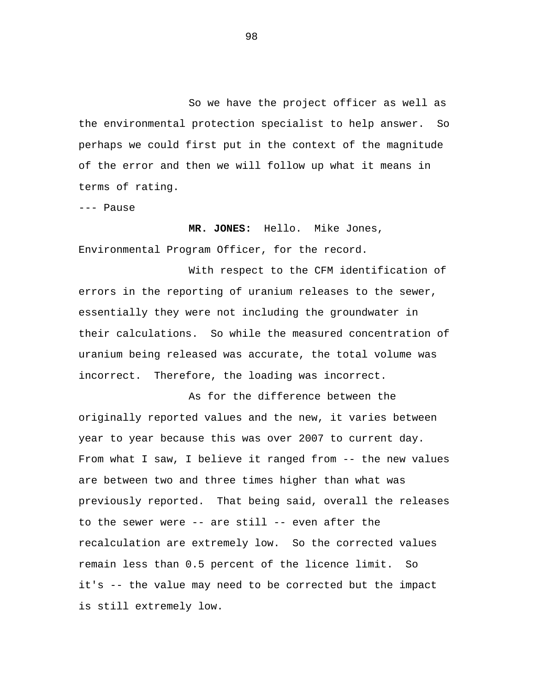So we have the project officer as well as the environmental protection specialist to help answer. So perhaps we could first put in the context of the magnitude of the error and then we will follow up what it means in terms of rating.

--- Pause

### **MR. JONES:** Hello. Mike Jones,

Environmental Program Officer, for the record.

With respect to the CFM identification of errors in the reporting of uranium releases to the sewer, essentially they were not including the groundwater in their calculations. So while the measured concentration of uranium being released was accurate, the total volume was incorrect. Therefore, the loading was incorrect.

As for the difference between the originally reported values and the new, it varies between year to year because this was over 2007 to current day. From what I saw, I believe it ranged from -- the new values are between two and three times higher than what was previously reported. That being said, overall the releases to the sewer were -- are still -- even after the recalculation are extremely low. So the corrected values remain less than 0.5 percent of the licence limit. So it's -- the value may need to be corrected but the impact is still extremely low.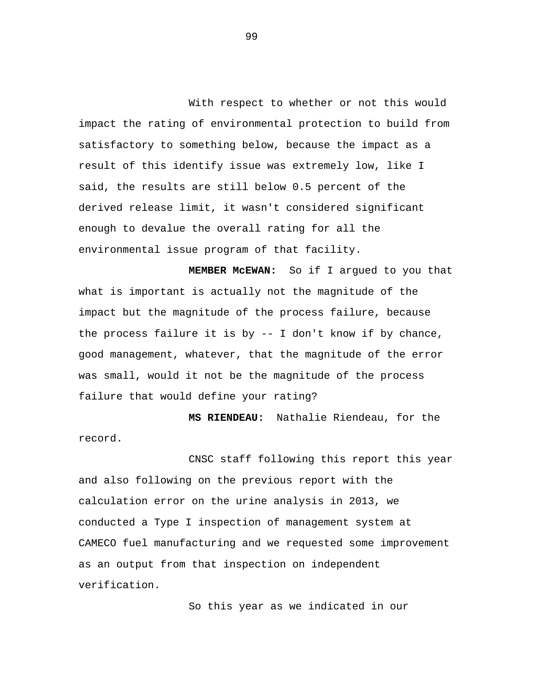With respect to whether or not this would impact the rating of environmental protection to build from satisfactory to something below, because the impact as a result of this identify issue was extremely low, like I said, the results are still below 0.5 percent of the derived release limit, it wasn't considered significant enough to devalue the overall rating for all the environmental issue program of that facility.

**MEMBER McEWAN:** So if I argued to you that what is important is actually not the magnitude of the impact but the magnitude of the process failure, because the process failure it is by -- I don't know if by chance, good management, whatever, that the magnitude of the error was small, would it not be the magnitude of the process failure that would define your rating?

 **MS RIENDEAU:** Nathalie Riendeau, for the record.

CNSC staff following this report this year and also following on the previous report with the calculation error on the urine analysis in 2013, we conducted a Type I inspection of management system at CAMECO fuel manufacturing and we requested some improvement as an output from that inspection on independent verification.

So this year as we indicated in our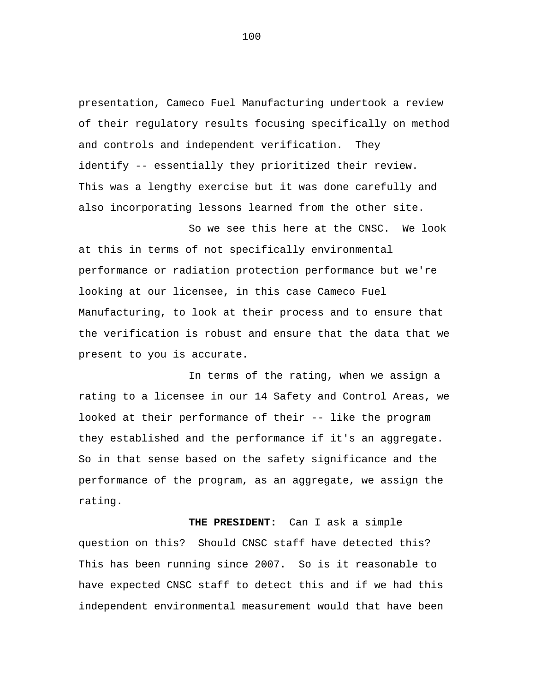presentation, Cameco Fuel Manufacturing undertook a review of their regulatory results focusing specifically on method and controls and independent verification. They identify -- essentially they prioritized their review. This was a lengthy exercise but it was done carefully and also incorporating lessons learned from the other site.

So we see this here at the CNSC. We look at this in terms of not specifically environmental performance or radiation protection performance but we're looking at our licensee, in this case Cameco Fuel Manufacturing, to look at their process and to ensure that the verification is robust and ensure that the data that we present to you is accurate.

In terms of the rating, when we assign a rating to a licensee in our 14 Safety and Control Areas, we looked at their performance of their -- like the program they established and the performance if it's an aggregate. So in that sense based on the safety significance and the performance of the program, as an aggregate, we assign the rating.

**THE PRESIDENT:** Can I ask a simple question on this? Should CNSC staff have detected this? This has been running since 2007. So is it reasonable to have expected CNSC staff to detect this and if we had this independent environmental measurement would that have been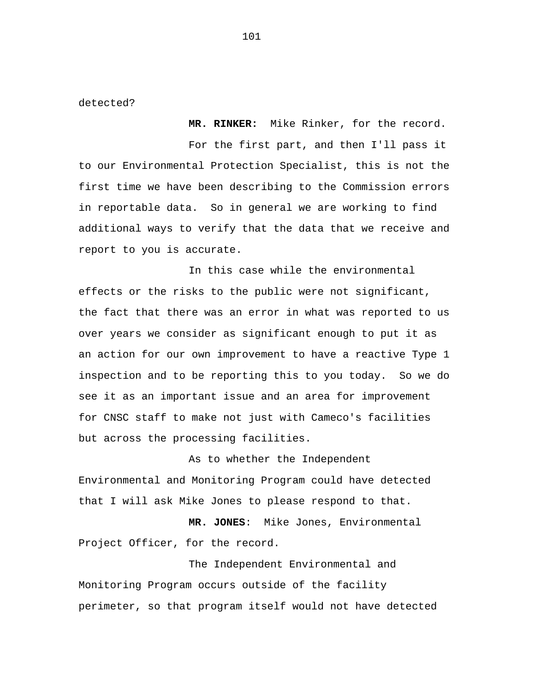detected?

For the first part, and then I'll pass it to our Environmental Protection Specialist, this is not the first time we have been describing to the Commission errors in reportable data. So in general we are working to find additional ways to verify that the data that we receive and report to you is accurate.

**MR. RINKER:** Mike Rinker, for the record.

In this case while the environmental effects or the risks to the public were not significant, the fact that there was an error in what was reported to us over years we consider as significant enough to put it as an action for our own improvement to have a reactive Type 1 inspection and to be reporting this to you today. So we do see it as an important issue and an area for improvement for CNSC staff to make not just with Cameco's facilities but across the processing facilities.

As to whether the Independent Environmental and Monitoring Program could have detected that I will ask Mike Jones to please respond to that.

 **MR. JONES**: Mike Jones, Environmental Project Officer, for the record.

The Independent Environmental and Monitoring Program occurs outside of the facility perimeter, so that program itself would not have detected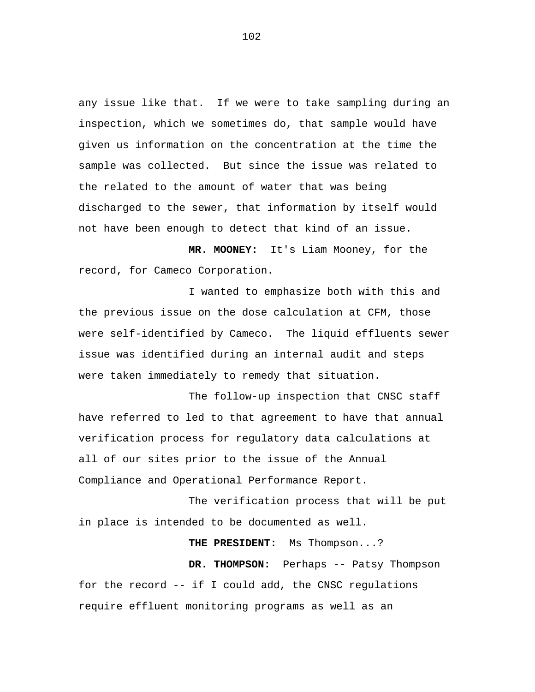any issue like that. If we were to take sampling during an inspection, which we sometimes do, that sample would have given us information on the concentration at the time the sample was collected. But since the issue was related to the related to the amount of water that was being discharged to the sewer, that information by itself would not have been enough to detect that kind of an issue.

**MR. MOONEY:** It's Liam Mooney, for the record, for Cameco Corporation.

I wanted to emphasize both with this and the previous issue on the dose calculation at CFM, those were self-identified by Cameco. The liquid effluents sewer issue was identified during an internal audit and steps were taken immediately to remedy that situation.

The follow-up inspection that CNSC staff have referred to led to that agreement to have that annual verification process for regulatory data calculations at all of our sites prior to the issue of the Annual Compliance and Operational Performance Report.

The verification process that will be put in place is intended to be documented as well.

**THE PRESIDENT:** Ms Thompson...?

**DR. THOMPSON:** Perhaps -- Patsy Thompson for the record -- if I could add, the CNSC regulations require effluent monitoring programs as well as an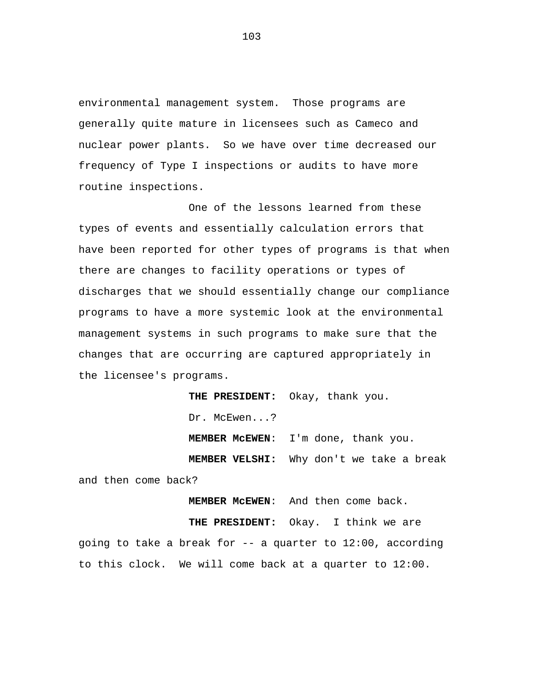environmental management system. Those programs are generally quite mature in licensees such as Cameco and nuclear power plants. So we have over time decreased our frequency of Type I inspections or audits to have more routine inspections.

One of the lessons learned from these types of events and essentially calculation errors that have been reported for other types of programs is that when there are changes to facility operations or types of discharges that we should essentially change our compliance programs to have a more systemic look at the environmental management systems in such programs to make sure that the changes that are occurring are captured appropriately in the licensee's programs.

> **THE PRESIDENT:** Okay, thank you. Dr. McEwen...? **MEMBER McEWEN**: I'm done, thank you. **MEMBER VELSHI:** Why don't we take a break

and then come back?

**MEMBER McEWEN**: And then come back.

**THE PRESIDENT:** Okay. I think we are going to take a break for -- a quarter to 12:00, according to this clock. We will come back at a quarter to 12:00.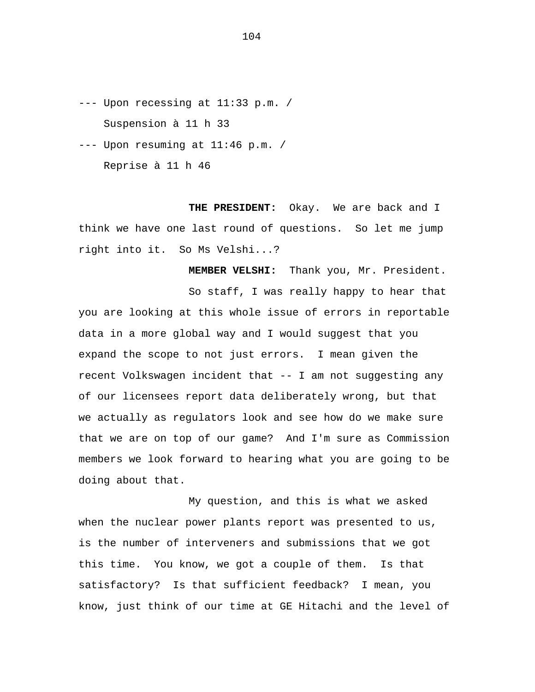--- Upon recessing at 11:33 p.m. / Suspension à 11 h 33

 $---$  Upon resuming at  $11:46$  p.m. / Reprise à 11 h 46

**THE PRESIDENT:** Okay. We are back and I think we have one last round of questions. So let me jump right into it. So Ms Velshi...?

**MEMBER VELSHI:** Thank you, Mr. President. So staff, I was really happy to hear that you are looking at this whole issue of errors in reportable data in a more global way and I would suggest that you

expand the scope to not just errors. I mean given the recent Volkswagen incident that -- I am not suggesting any of our licensees report data deliberately wrong, but that we actually as regulators look and see how do we make sure that we are on top of our game? And I'm sure as Commission members we look forward to hearing what you are going to be doing about that.

My question, and this is what we asked when the nuclear power plants report was presented to us, is the number of interveners and submissions that we got this time. You know, we got a couple of them. Is that satisfactory? Is that sufficient feedback? I mean, you know, just think of our time at GE Hitachi and the level of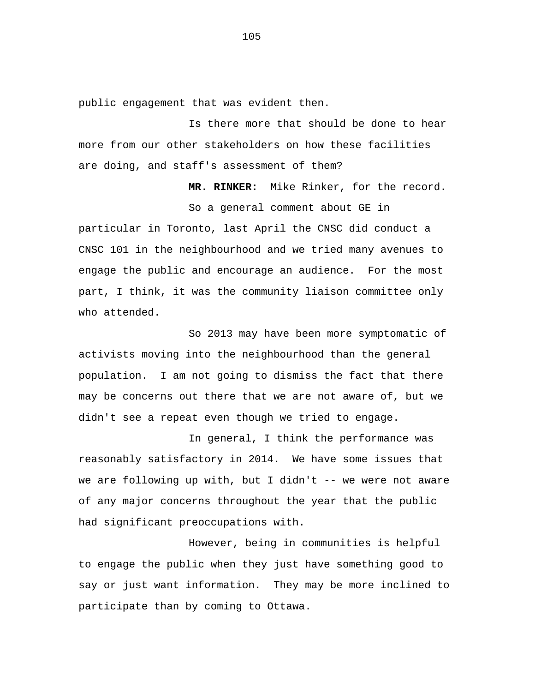public engagement that was evident then.

Is there more that should be done to hear more from our other stakeholders on how these facilities are doing, and staff's assessment of them?

> **MR. RINKER:** Mike Rinker, for the record. So a general comment about GE in

particular in Toronto, last April the CNSC did conduct a CNSC 101 in the neighbourhood and we tried many avenues to engage the public and encourage an audience. For the most part, I think, it was the community liaison committee only who attended.

So 2013 may have been more symptomatic of activists moving into the neighbourhood than the general population. I am not going to dismiss the fact that there may be concerns out there that we are not aware of, but we didn't see a repeat even though we tried to engage.

In general, I think the performance was reasonably satisfactory in 2014. We have some issues that we are following up with, but I didn't -- we were not aware of any major concerns throughout the year that the public had significant preoccupations with.

However, being in communities is helpful to engage the public when they just have something good to say or just want information. They may be more inclined to participate than by coming to Ottawa.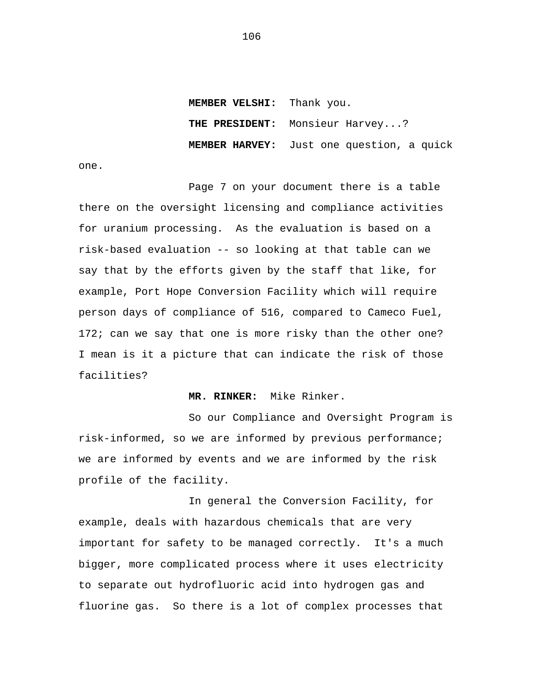**MEMBER VELSHI:** Thank you.  **THE PRESIDENT:** Monsieur Harvey...? **MEMBER HARVEY:** Just one question, a quick

one.

Page 7 on your document there is a table there on the oversight licensing and compliance activities for uranium processing. As the evaluation is based on a risk-based evaluation -- so looking at that table can we say that by the efforts given by the staff that like, for example, Port Hope Conversion Facility which will require person days of compliance of 516, compared to Cameco Fuel, 172; can we say that one is more risky than the other one? I mean is it a picture that can indicate the risk of those facilities?

## **MR. RINKER:** Mike Rinker.

So our Compliance and Oversight Program is risk-informed, so we are informed by previous performance; we are informed by events and we are informed by the risk profile of the facility.

In general the Conversion Facility, for example, deals with hazardous chemicals that are very important for safety to be managed correctly. It's a much bigger, more complicated process where it uses electricity to separate out hydrofluoric acid into hydrogen gas and fluorine gas. So there is a lot of complex processes that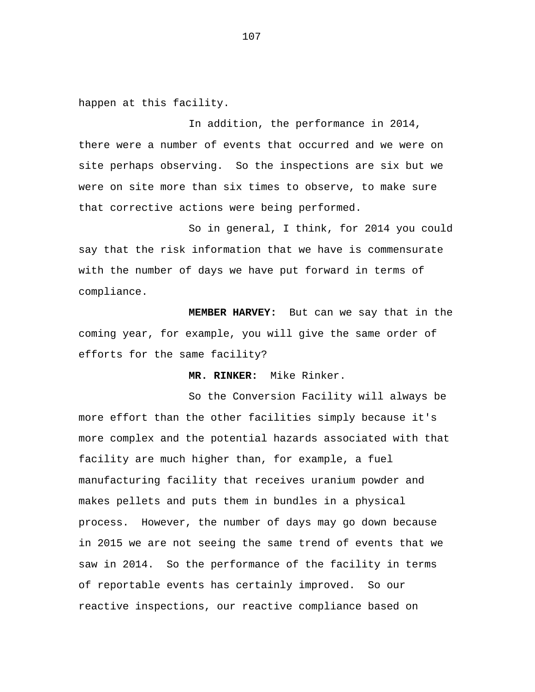happen at this facility.

In addition, the performance in 2014, there were a number of events that occurred and we were on site perhaps observing. So the inspections are six but we were on site more than six times to observe, to make sure that corrective actions were being performed.

So in general, I think, for 2014 you could say that the risk information that we have is commensurate with the number of days we have put forward in terms of compliance.

**MEMBER HARVEY:** But can we say that in the coming year, for example, you will give the same order of efforts for the same facility?

**MR. RINKER:** Mike Rinker.

So the Conversion Facility will always be more effort than the other facilities simply because it's more complex and the potential hazards associated with that facility are much higher than, for example, a fuel manufacturing facility that receives uranium powder and makes pellets and puts them in bundles in a physical process. However, the number of days may go down because in 2015 we are not seeing the same trend of events that we saw in 2014. So the performance of the facility in terms of reportable events has certainly improved. So our reactive inspections, our reactive compliance based on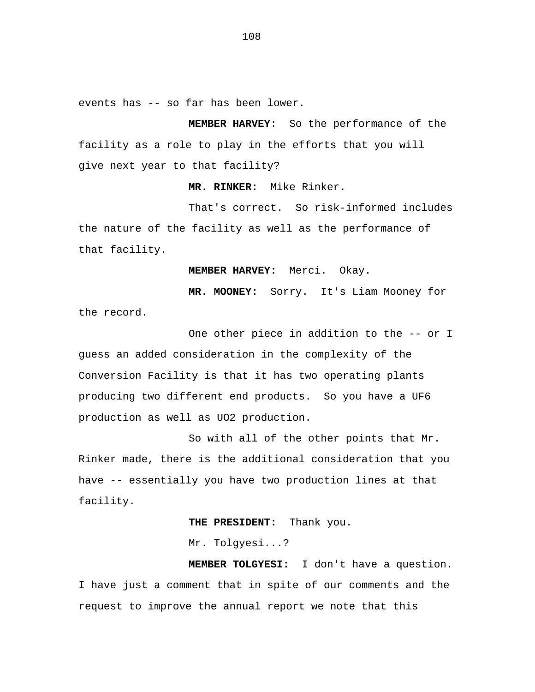events has -- so far has been lower.

**MEMBER HARVEY**: So the performance of the facility as a role to play in the efforts that you will give next year to that facility?

**MR. RINKER:** Mike Rinker.

That's correct. So risk-informed includes the nature of the facility as well as the performance of that facility.

**MEMBER HARVEY:** Merci. Okay.

**MR. MOONEY:** Sorry. It's Liam Mooney for

the record.

One other piece in addition to the -- or I guess an added consideration in the complexity of the Conversion Facility is that it has two operating plants producing two different end products. So you have a UF6 production as well as UO2 production.

So with all of the other points that Mr. Rinker made, there is the additional consideration that you have -- essentially you have two production lines at that facility.

**THE PRESIDENT:** Thank you.

Mr. Tolgyesi...?

**MEMBER TOLGYESI:** I don't have a question. I have just a comment that in spite of our comments and the request to improve the annual report we note that this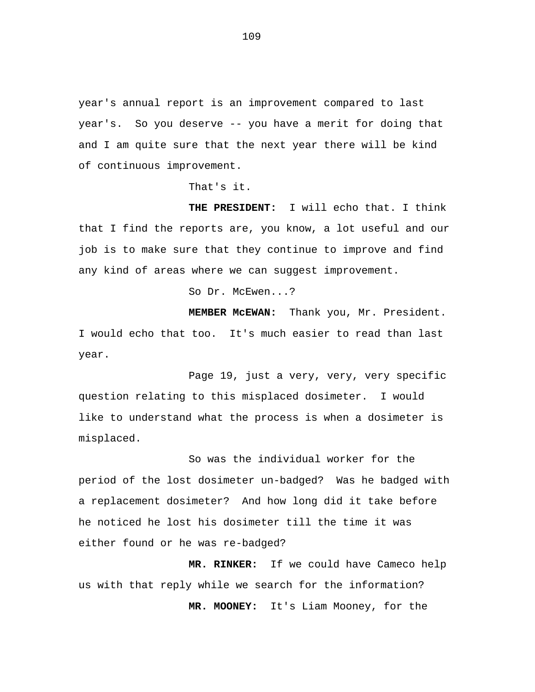year's annual report is an improvement compared to last year's. So you deserve -- you have a merit for doing that and I am quite sure that the next year there will be kind of continuous improvement.

That's it.

**THE PRESIDENT:** I will echo that. I think that I find the reports are, you know, a lot useful and our job is to make sure that they continue to improve and find any kind of areas where we can suggest improvement.

So Dr. McEwen...?

**MEMBER McEWAN:** Thank you, Mr. President. I would echo that too. It's much easier to read than last year.

Page 19, just a very, very, very specific question relating to this misplaced dosimeter. I would like to understand what the process is when a dosimeter is misplaced.

So was the individual worker for the period of the lost dosimeter un-badged? Was he badged with a replacement dosimeter? And how long did it take before he noticed he lost his dosimeter till the time it was either found or he was re-badged?

**MR. RINKER:** If we could have Cameco help us with that reply while we search for the information? **MR. MOONEY:** It's Liam Mooney, for the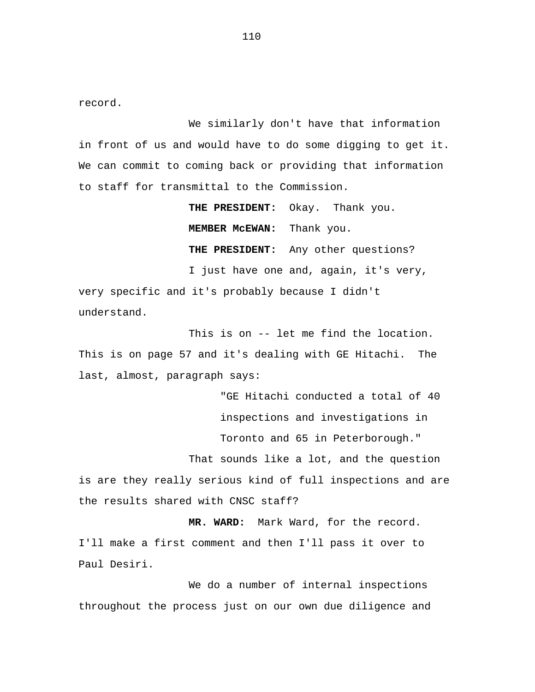record.

We similarly don't have that information in front of us and would have to do some digging to get it. We can commit to coming back or providing that information to staff for transmittal to the Commission.

**THE PRESIDENT:** Okay. Thank you. **MEMBER McEWAN:** Thank you. **THE PRESIDENT:** Any other questions? I just have one and, again, it's very, very specific and it's probably because I didn't understand.

This is on -- let me find the location. This is on page 57 and it's dealing with GE Hitachi. The last, almost, paragraph says:

> "GE Hitachi conducted a total of 40 inspections and investigations in Toronto and 65 in Peterborough."

That sounds like a lot, and the question

is are they really serious kind of full inspections and are the results shared with CNSC staff?

**MR. WARD:** Mark Ward, for the record. I'll make a first comment and then I'll pass it over to Paul Desiri.

We do a number of internal inspections throughout the process just on our own due diligence and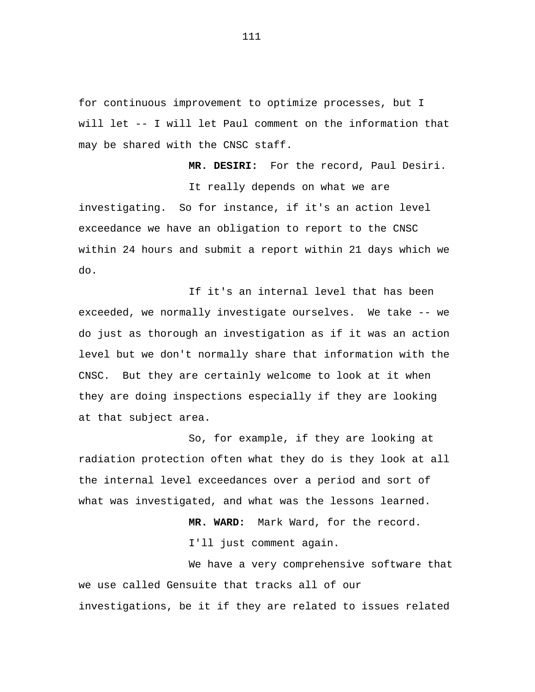for continuous improvement to optimize processes, but I will let -- I will let Paul comment on the information that may be shared with the CNSC staff.

**MR. DESIRI:** For the record, Paul Desiri. It really depends on what we are investigating. So for instance, if it's an action level exceedance we have an obligation to report to the CNSC within 24 hours and submit a report within 21 days which we do.

If it's an internal level that has been exceeded, we normally investigate ourselves. We take -- we do just as thorough an investigation as if it was an action level but we don't normally share that information with the CNSC. But they are certainly welcome to look at it when they are doing inspections especially if they are looking at that subject area.

So, for example, if they are looking at radiation protection often what they do is they look at all the internal level exceedances over a period and sort of what was investigated, and what was the lessons learned.

> **MR. WARD:** Mark Ward, for the record. I'll just comment again.

We have a very comprehensive software that we use called Gensuite that tracks all of our investigations, be it if they are related to issues related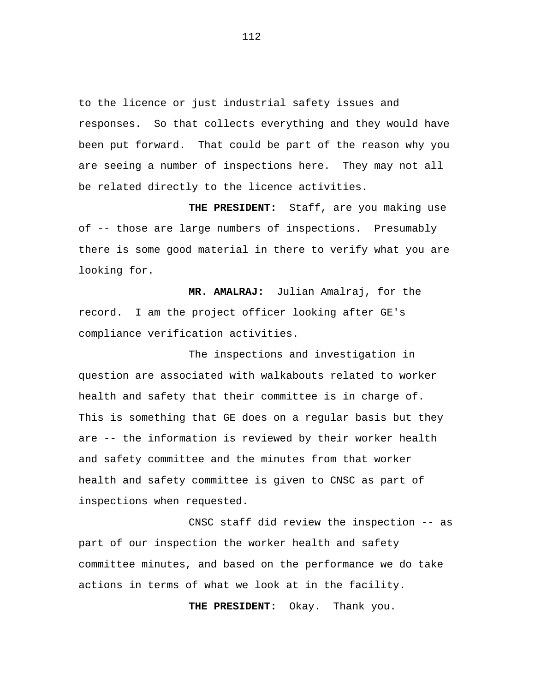to the licence or just industrial safety issues and responses. So that collects everything and they would have been put forward. That could be part of the reason why you are seeing a number of inspections here. They may not all be related directly to the licence activities.

**THE PRESIDENT:** Staff, are you making use of -- those are large numbers of inspections. Presumably there is some good material in there to verify what you are looking for.

**MR. AMALRAJ:** Julian Amalraj, for the record. I am the project officer looking after GE's compliance verification activities.

The inspections and investigation in question are associated with walkabouts related to worker health and safety that their committee is in charge of. This is something that GE does on a regular basis but they are -- the information is reviewed by their worker health and safety committee and the minutes from that worker health and safety committee is given to CNSC as part of inspections when requested.

CNSC staff did review the inspection -- as part of our inspection the worker health and safety committee minutes, and based on the performance we do take actions in terms of what we look at in the facility.

**THE PRESIDENT:** Okay. Thank you.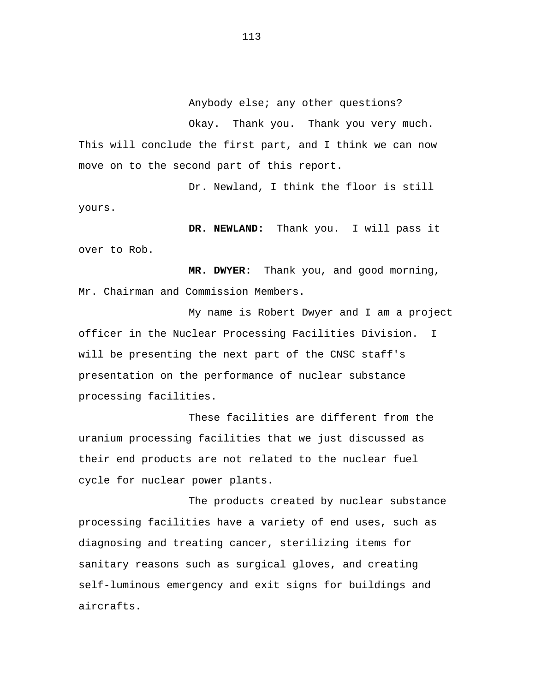Anybody else; any other questions?

Okay. Thank you. Thank you very much. This will conclude the first part, and I think we can now move on to the second part of this report.

Dr. Newland, I think the floor is still yours.

**DR. NEWLAND:** Thank you. I will pass it over to Rob.

**MR. DWYER:** Thank you, and good morning, Mr. Chairman and Commission Members.

My name is Robert Dwyer and I am a project officer in the Nuclear Processing Facilities Division. I will be presenting the next part of the CNSC staff's presentation on the performance of nuclear substance processing facilities.

These facilities are different from the uranium processing facilities that we just discussed as their end products are not related to the nuclear fuel cycle for nuclear power plants.

The products created by nuclear substance processing facilities have a variety of end uses, such as diagnosing and treating cancer, sterilizing items for sanitary reasons such as surgical gloves, and creating self-luminous emergency and exit signs for buildings and aircrafts.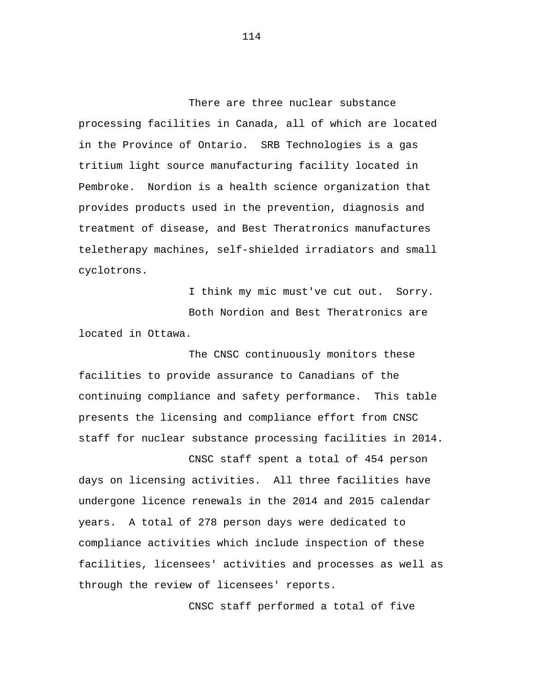There are three nuclear substance processing facilities in Canada, all of which are located in the Province of Ontario. SRB Technologies is a gas tritium light source manufacturing facility located in Pembroke. Nordion is a health science organization that provides products used in the prevention, diagnosis and treatment of disease, and Best Theratronics manufactures teletherapy machines, self-shielded irradiators and small cyclotrons.

I think my mic must've cut out. Sorry. Both Nordion and Best Theratronics are located in Ottawa.

The CNSC continuously monitors these facilities to provide assurance to Canadians of the continuing compliance and safety performance. This table presents the licensing and compliance effort from CNSC staff for nuclear substance processing facilities in 2014.

CNSC staff spent a total of 454 person days on licensing activities. All three facilities have undergone licence renewals in the 2014 and 2015 calendar years. A total of 278 person days were dedicated to compliance activities which include inspection of these facilities, licensees' activities and processes as well as through the review of licensees' reports.

CNSC staff performed a total of five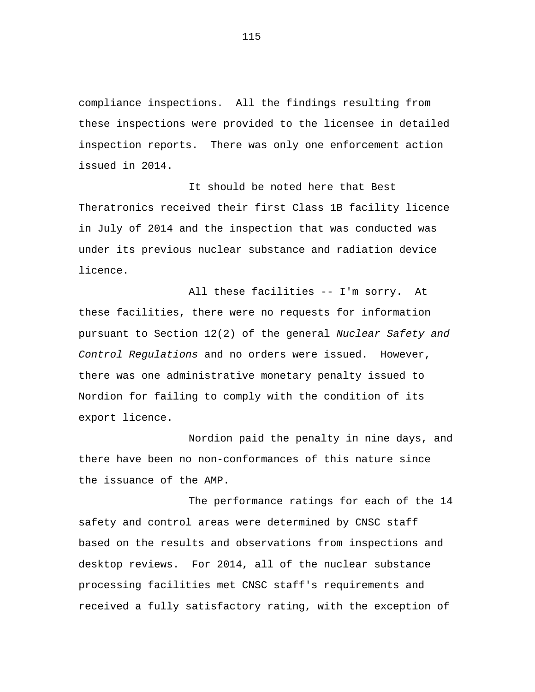compliance inspections. All the findings resulting from these inspections were provided to the licensee in detailed inspection reports. There was only one enforcement action issued in 2014.

It should be noted here that Best Theratronics received their first Class 1B facility licence in July of 2014 and the inspection that was conducted was under its previous nuclear substance and radiation device licence.

All these facilities -- I'm sorry. At these facilities, there were no requests for information pursuant to Section 12(2) of the general *Nuclear Safety and Control Regulations* and no orders were issued. However, there was one administrative monetary penalty issued to Nordion for failing to comply with the condition of its export licence.

Nordion paid the penalty in nine days, and there have been no non-conformances of this nature since the issuance of the AMP.

The performance ratings for each of the 14 safety and control areas were determined by CNSC staff based on the results and observations from inspections and desktop reviews. For 2014, all of the nuclear substance processing facilities met CNSC staff's requirements and received a fully satisfactory rating, with the exception of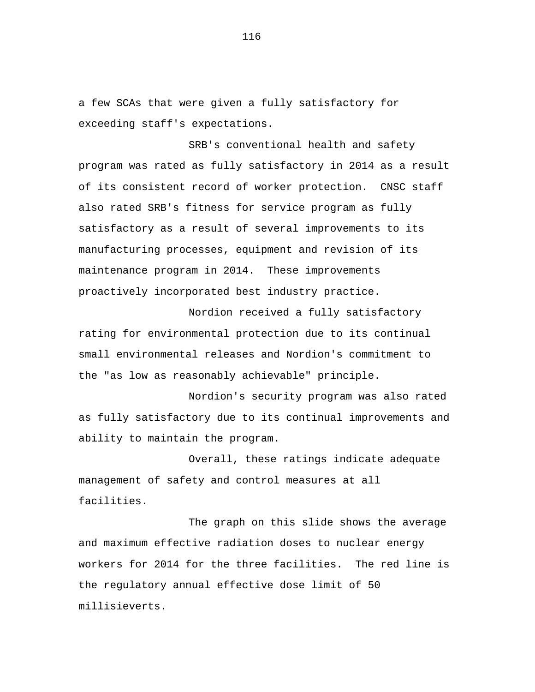a few SCAs that were given a fully satisfactory for exceeding staff's expectations.

SRB's conventional health and safety program was rated as fully satisfactory in 2014 as a result of its consistent record of worker protection. CNSC staff also rated SRB's fitness for service program as fully satisfactory as a result of several improvements to its manufacturing processes, equipment and revision of its maintenance program in 2014. These improvements proactively incorporated best industry practice.

Nordion received a fully satisfactory rating for environmental protection due to its continual small environmental releases and Nordion's commitment to the "as low as reasonably achievable" principle.

Nordion's security program was also rated as fully satisfactory due to its continual improvements and ability to maintain the program.

Overall, these ratings indicate adequate management of safety and control measures at all facilities.

The graph on this slide shows the average and maximum effective radiation doses to nuclear energy workers for 2014 for the three facilities. The red line is the regulatory annual effective dose limit of 50 millisieverts.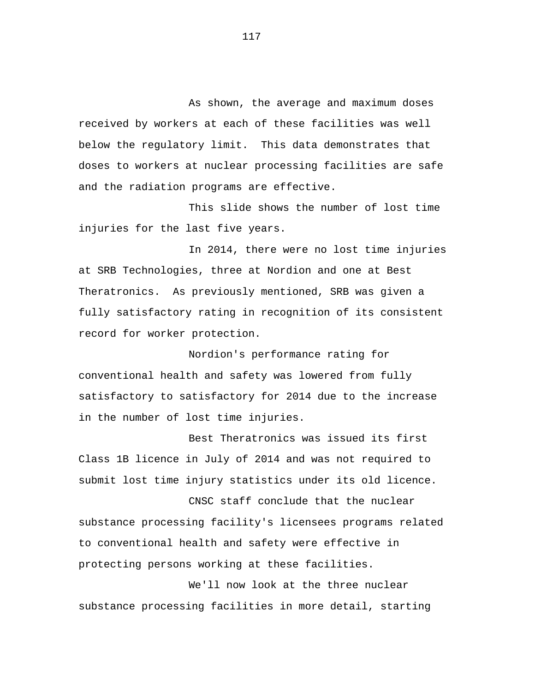As shown, the average and maximum doses received by workers at each of these facilities was well below the regulatory limit. This data demonstrates that doses to workers at nuclear processing facilities are safe and the radiation programs are effective.

This slide shows the number of lost time injuries for the last five years.

In 2014, there were no lost time injuries at SRB Technologies, three at Nordion and one at Best Theratronics. As previously mentioned, SRB was given a fully satisfactory rating in recognition of its consistent record for worker protection.

Nordion's performance rating for conventional health and safety was lowered from fully satisfactory to satisfactory for 2014 due to the increase in the number of lost time injuries.

Best Theratronics was issued its first Class 1B licence in July of 2014 and was not required to submit lost time injury statistics under its old licence.

CNSC staff conclude that the nuclear substance processing facility's licensees programs related to conventional health and safety were effective in protecting persons working at these facilities.

We'll now look at the three nuclear substance processing facilities in more detail, starting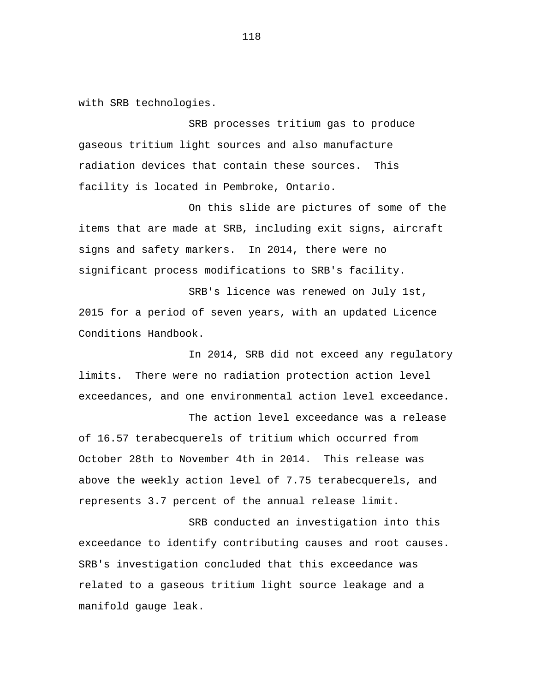with SRB technologies.

SRB processes tritium gas to produce gaseous tritium light sources and also manufacture radiation devices that contain these sources. This facility is located in Pembroke, Ontario.

On this slide are pictures of some of the items that are made at SRB, including exit signs, aircraft signs and safety markers. In 2014, there were no significant process modifications to SRB's facility.

SRB's licence was renewed on July 1st, 2015 for a period of seven years, with an updated Licence Conditions Handbook.

In 2014, SRB did not exceed any regulatory limits. There were no radiation protection action level exceedances, and one environmental action level exceedance.

The action level exceedance was a release of 16.57 terabecquerels of tritium which occurred from October 28th to November 4th in 2014. This release was above the weekly action level of 7.75 terabecquerels, and represents 3.7 percent of the annual release limit.

SRB conducted an investigation into this exceedance to identify contributing causes and root causes. SRB's investigation concluded that this exceedance was related to a gaseous tritium light source leakage and a manifold gauge leak.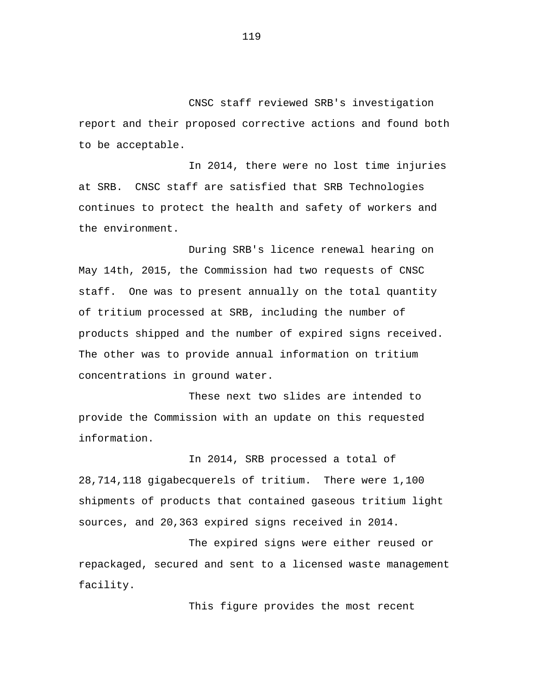CNSC staff reviewed SRB's investigation report and their proposed corrective actions and found both to be acceptable.

In 2014, there were no lost time injuries at SRB. CNSC staff are satisfied that SRB Technologies continues to protect the health and safety of workers and the environment.

During SRB's licence renewal hearing on May 14th, 2015, the Commission had two requests of CNSC staff. One was to present annually on the total quantity of tritium processed at SRB, including the number of products shipped and the number of expired signs received. The other was to provide annual information on tritium concentrations in ground water.

These next two slides are intended to provide the Commission with an update on this requested information.

In 2014, SRB processed a total of 28,714,118 gigabecquerels of tritium. There were 1,100 shipments of products that contained gaseous tritium light sources, and 20,363 expired signs received in 2014.

The expired signs were either reused or repackaged, secured and sent to a licensed waste management facility.

This figure provides the most recent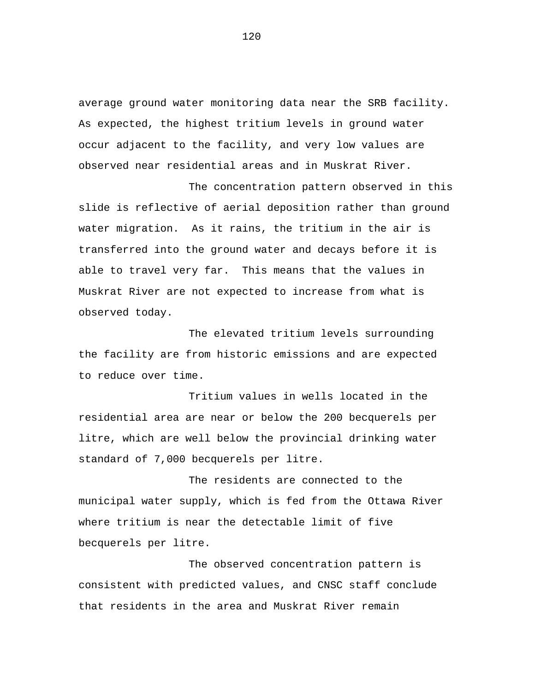average ground water monitoring data near the SRB facility. As expected, the highest tritium levels in ground water occur adjacent to the facility, and very low values are observed near residential areas and in Muskrat River.

The concentration pattern observed in this slide is reflective of aerial deposition rather than ground water migration. As it rains, the tritium in the air is transferred into the ground water and decays before it is able to travel very far. This means that the values in Muskrat River are not expected to increase from what is observed today.

The elevated tritium levels surrounding the facility are from historic emissions and are expected to reduce over time.

Tritium values in wells located in the residential area are near or below the 200 becquerels per litre, which are well below the provincial drinking water standard of 7,000 becquerels per litre.

The residents are connected to the municipal water supply, which is fed from the Ottawa River where tritium is near the detectable limit of five becquerels per litre.

The observed concentration pattern is consistent with predicted values, and CNSC staff conclude that residents in the area and Muskrat River remain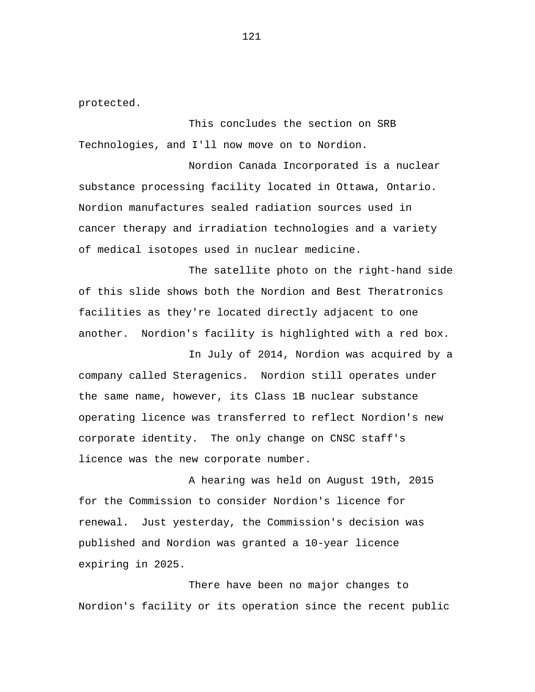protected.

This concludes the section on SRB Technologies, and I'll now move on to Nordion.

Nordion Canada Incorporated is a nuclear substance processing facility located in Ottawa, Ontario. Nordion manufactures sealed radiation sources used in cancer therapy and irradiation technologies and a variety of medical isotopes used in nuclear medicine.

The satellite photo on the right-hand side of this slide shows both the Nordion and Best Theratronics facilities as they're located directly adjacent to one another. Nordion's facility is highlighted with a red box.

In July of 2014, Nordion was acquired by a company called Steragenics. Nordion still operates under the same name, however, its Class 1B nuclear substance operating licence was transferred to reflect Nordion's new corporate identity. The only change on CNSC staff's licence was the new corporate number.

A hearing was held on August 19th, 2015 for the Commission to consider Nordion's licence for renewal. Just yesterday, the Commission's decision was published and Nordion was granted a 10-year licence expiring in 2025.

There have been no major changes to Nordion's facility or its operation since the recent public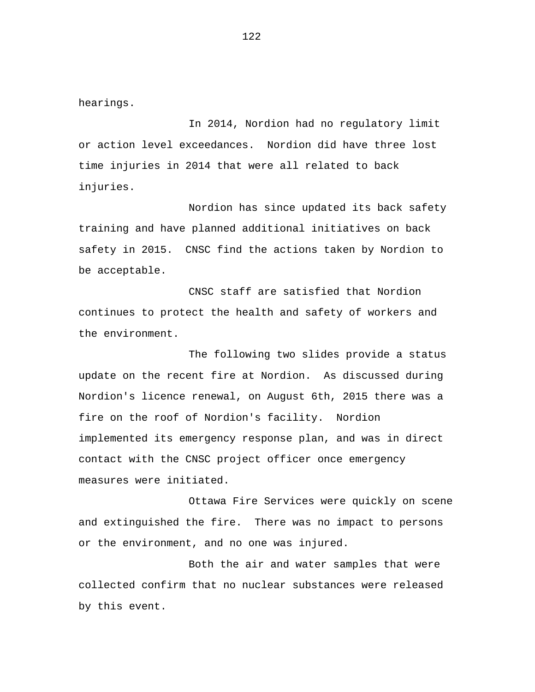hearings.

In 2014, Nordion had no regulatory limit or action level exceedances. Nordion did have three lost time injuries in 2014 that were all related to back injuries.

Nordion has since updated its back safety training and have planned additional initiatives on back safety in 2015. CNSC find the actions taken by Nordion to be acceptable.

CNSC staff are satisfied that Nordion continues to protect the health and safety of workers and the environment.

The following two slides provide a status update on the recent fire at Nordion. As discussed during Nordion's licence renewal, on August 6th, 2015 there was a fire on the roof of Nordion's facility. Nordion implemented its emergency response plan, and was in direct contact with the CNSC project officer once emergency measures were initiated.

Ottawa Fire Services were quickly on scene and extinguished the fire. There was no impact to persons or the environment, and no one was injured.

Both the air and water samples that were collected confirm that no nuclear substances were released by this event.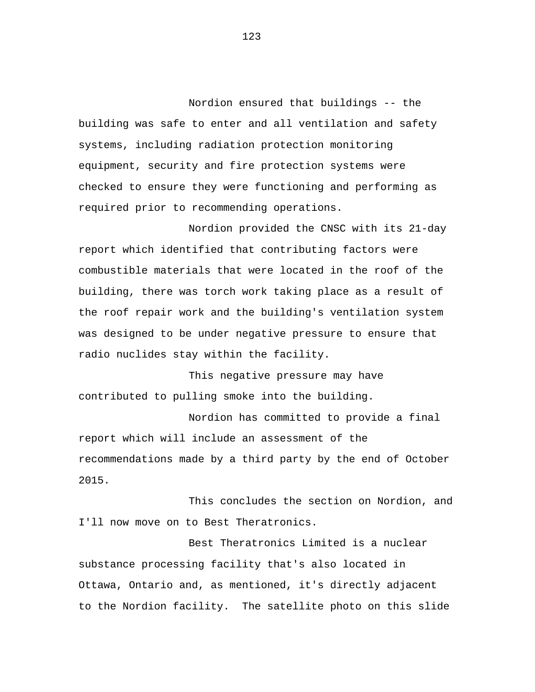Nordion ensured that buildings -- the building was safe to enter and all ventilation and safety systems, including radiation protection monitoring equipment, security and fire protection systems were checked to ensure they were functioning and performing as required prior to recommending operations.

Nordion provided the CNSC with its 21-day report which identified that contributing factors were combustible materials that were located in the roof of the building, there was torch work taking place as a result of the roof repair work and the building's ventilation system was designed to be under negative pressure to ensure that radio nuclides stay within the facility.

This negative pressure may have contributed to pulling smoke into the building.

Nordion has committed to provide a final report which will include an assessment of the recommendations made by a third party by the end of October 2015.

This concludes the section on Nordion, and I'll now move on to Best Theratronics.

Best Theratronics Limited is a nuclear substance processing facility that's also located in Ottawa, Ontario and, as mentioned, it's directly adjacent to the Nordion facility. The satellite photo on this slide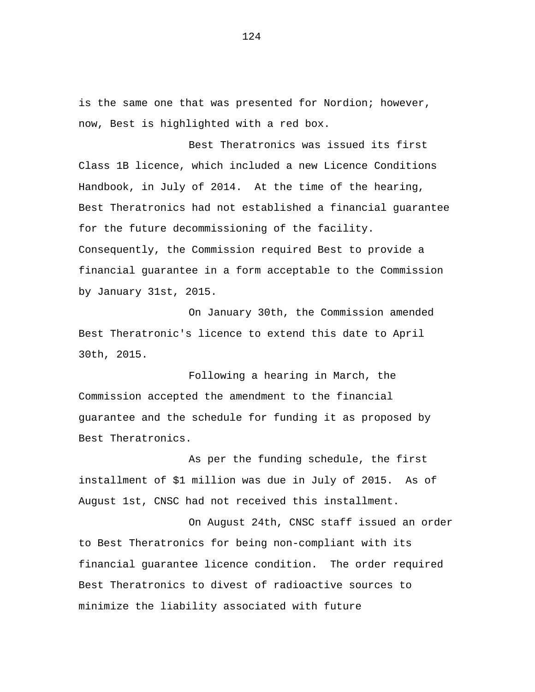is the same one that was presented for Nordion; however, now, Best is highlighted with a red box.

Best Theratronics was issued its first Class 1B licence, which included a new Licence Conditions Handbook, in July of 2014. At the time of the hearing, Best Theratronics had not established a financial guarantee for the future decommissioning of the facility. Consequently, the Commission required Best to provide a financial guarantee in a form acceptable to the Commission by January 31st, 2015.

On January 30th, the Commission amended Best Theratronic's licence to extend this date to April 30th, 2015.

Following a hearing in March, the Commission accepted the amendment to the financial guarantee and the schedule for funding it as proposed by Best Theratronics.

As per the funding schedule, the first installment of \$1 million was due in July of 2015. As of August 1st, CNSC had not received this installment.

On August 24th, CNSC staff issued an order to Best Theratronics for being non-compliant with its financial guarantee licence condition. The order required Best Theratronics to divest of radioactive sources to minimize the liability associated with future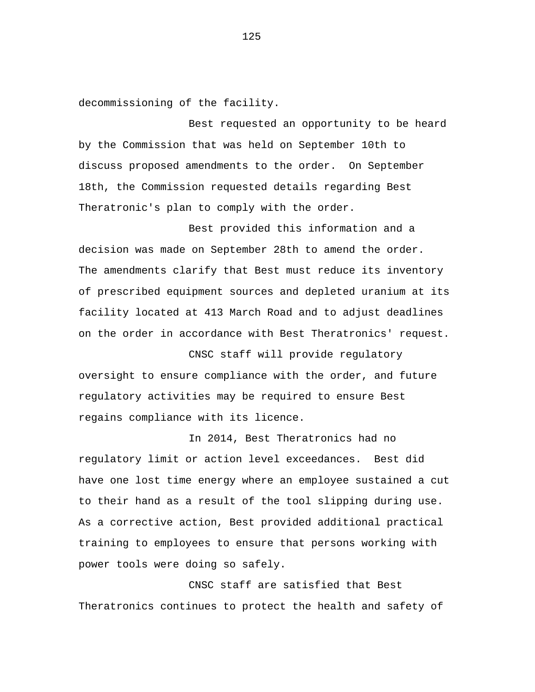decommissioning of the facility.

Best requested an opportunity to be heard by the Commission that was held on September 10th to discuss proposed amendments to the order. On September 18th, the Commission requested details regarding Best Theratronic's plan to comply with the order.

Best provided this information and a decision was made on September 28th to amend the order. The amendments clarify that Best must reduce its inventory of prescribed equipment sources and depleted uranium at its facility located at 413 March Road and to adjust deadlines on the order in accordance with Best Theratronics' request.

CNSC staff will provide regulatory oversight to ensure compliance with the order, and future regulatory activities may be required to ensure Best regains compliance with its licence.

In 2014, Best Theratronics had no regulatory limit or action level exceedances. Best did have one lost time energy where an employee sustained a cut to their hand as a result of the tool slipping during use. As a corrective action, Best provided additional practical training to employees to ensure that persons working with power tools were doing so safely.

CNSC staff are satisfied that Best Theratronics continues to protect the health and safety of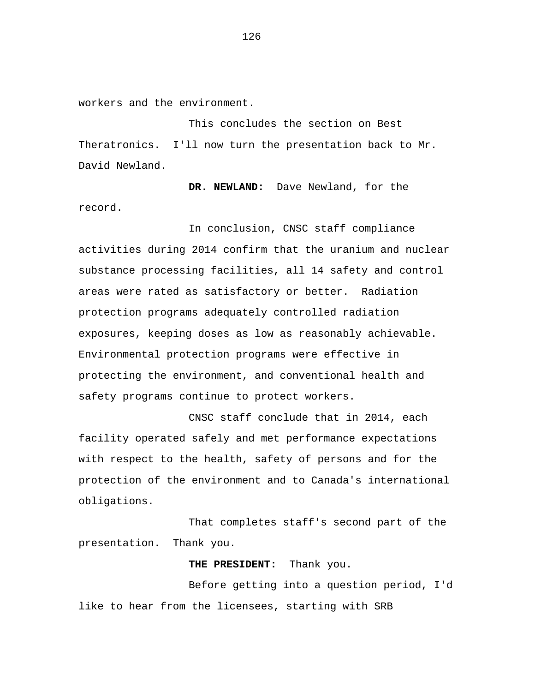workers and the environment.

This concludes the section on Best Theratronics. I'll now turn the presentation back to Mr. David Newland.

**DR. NEWLAND:** Dave Newland, for the record.

In conclusion, CNSC staff compliance activities during 2014 confirm that the uranium and nuclear substance processing facilities, all 14 safety and control areas were rated as satisfactory or better. Radiation protection programs adequately controlled radiation exposures, keeping doses as low as reasonably achievable. Environmental protection programs were effective in protecting the environment, and conventional health and safety programs continue to protect workers.

CNSC staff conclude that in 2014, each facility operated safely and met performance expectations with respect to the health, safety of persons and for the protection of the environment and to Canada's international obligations.

That completes staff's second part of the presentation. Thank you.

**THE PRESIDENT:** Thank you.

Before getting into a question period, I'd like to hear from the licensees, starting with SRB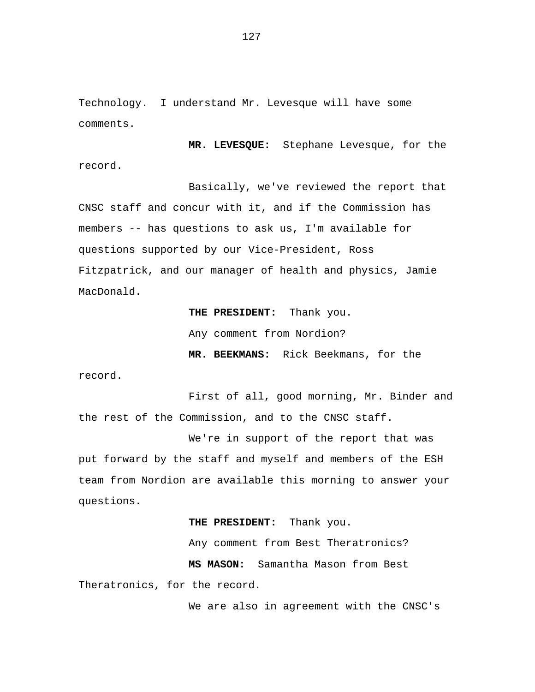Technology. I understand Mr. Levesque will have some comments.

**MR. LEVESQUE:** Stephane Levesque, for the record.

Basically, we've reviewed the report that CNSC staff and concur with it, and if the Commission has members -- has questions to ask us, I'm available for questions supported by our Vice-President, Ross Fitzpatrick, and our manager of health and physics, Jamie MacDonald.

> **THE PRESIDENT:** Thank you. Any comment from Nordion? **MR. BEEKMANS:** Rick Beekmans, for the

record.

First of all, good morning, Mr. Binder and the rest of the Commission, and to the CNSC staff.

We're in support of the report that was put forward by the staff and myself and members of the ESH team from Nordion are available this morning to answer your questions.

## **THE PRESIDENT:** Thank you.

Any comment from Best Theratronics? **MS MASON:** Samantha Mason from Best Theratronics, for the record.

We are also in agreement with the CNSC's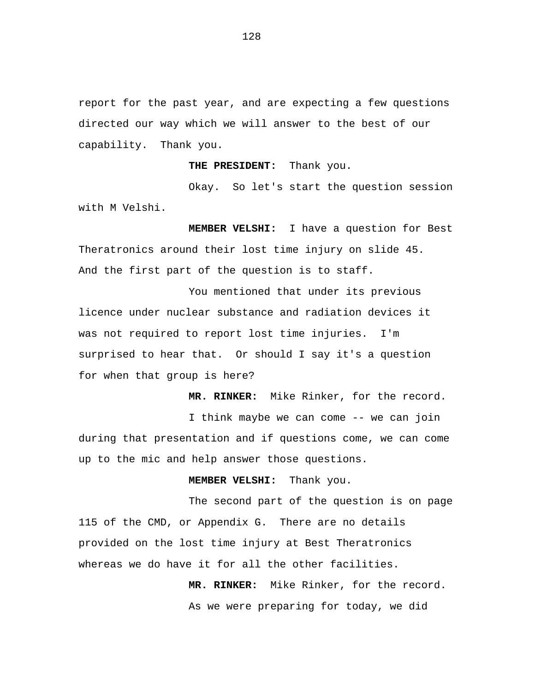report for the past year, and are expecting a few questions directed our way which we will answer to the best of our capability. Thank you.

**THE PRESIDENT:** Thank you.

Okay. So let's start the question session with M Velshi.

**MEMBER VELSHI:** I have a question for Best Theratronics around their lost time injury on slide 45. And the first part of the question is to staff.

You mentioned that under its previous licence under nuclear substance and radiation devices it was not required to report lost time injuries. I'm surprised to hear that. Or should I say it's a question for when that group is here?

**MR. RINKER:** Mike Rinker, for the record.

I think maybe we can come -- we can join during that presentation and if questions come, we can come up to the mic and help answer those questions.

**MEMBER VELSHI:** Thank you.

The second part of the question is on page 115 of the CMD, or Appendix G. There are no details provided on the lost time injury at Best Theratronics whereas we do have it for all the other facilities.

> **MR. RINKER:** Mike Rinker, for the record. As we were preparing for today, we did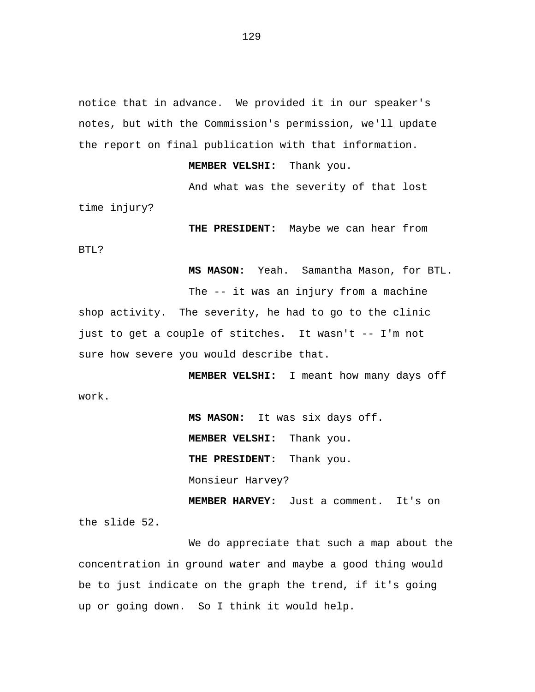notice that in advance. We provided it in our speaker's notes, but with the Commission's permission, we'll update the report on final publication with that information.

**MEMBER VELSHI:** Thank you.

And what was the severity of that lost time injury?

**THE PRESIDENT:** Maybe we can hear from

**MS MASON:** Yeah. Samantha Mason, for BTL.

The -- it was an injury from a machine shop activity. The severity, he had to go to the clinic just to get a couple of stitches. It wasn't -- I'm not sure how severe you would describe that.

**MEMBER VELSHI:** I meant how many days off

**MS MASON:** It was six days off. **MEMBER VELSHI:** Thank you. **THE PRESIDENT:** Thank you. Monsieur Harvey? **MEMBER HARVEY:** Just a comment. It's on

the slide 52.

BTL?

work.

We do appreciate that such a map about the concentration in ground water and maybe a good thing would be to just indicate on the graph the trend, if it's going up or going down. So I think it would help.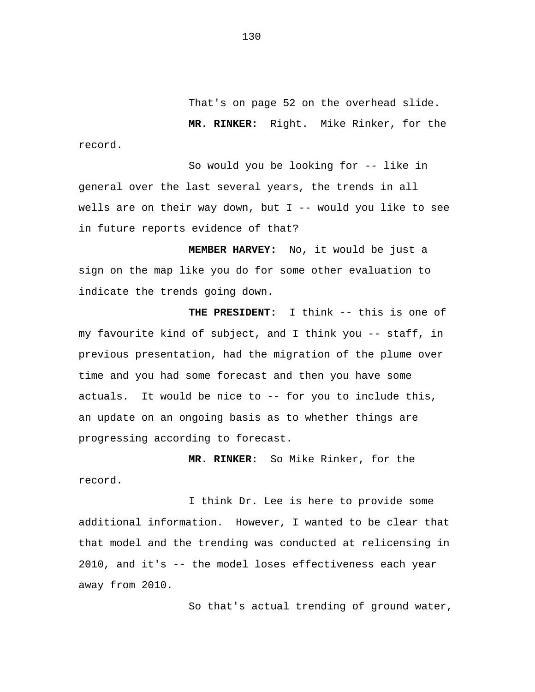That's on page 52 on the overhead slide.

**MR. RINKER:** Right. Mike Rinker, for the record.

So would you be looking for -- like in general over the last several years, the trends in all wells are on their way down, but I -- would you like to see in future reports evidence of that?

**MEMBER HARVEY:** No, it would be just a sign on the map like you do for some other evaluation to indicate the trends going down.

**THE PRESIDENT:** I think -- this is one of my favourite kind of subject, and I think you -- staff, in previous presentation, had the migration of the plume over time and you had some forecast and then you have some actuals. It would be nice to -- for you to include this, an update on an ongoing basis as to whether things are progressing according to forecast.

**MR. RINKER:** So Mike Rinker, for the record.

I think Dr. Lee is here to provide some additional information. However, I wanted to be clear that that model and the trending was conducted at relicensing in 2010, and it's -- the model loses effectiveness each year away from 2010.

So that's actual trending of ground water,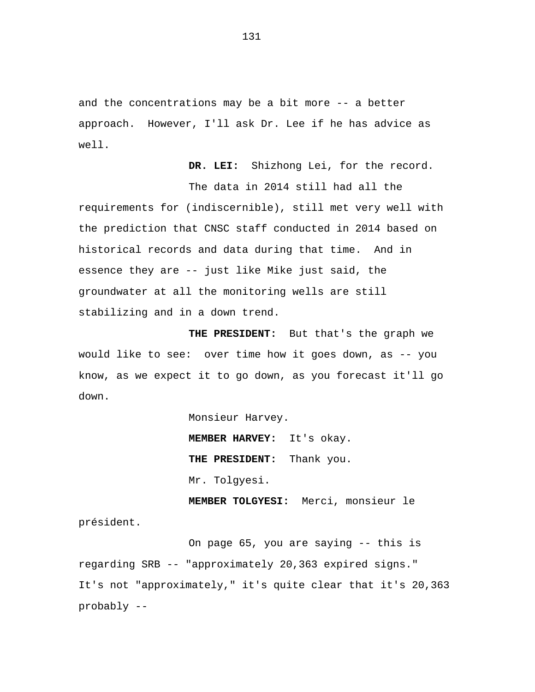and the concentrations may be a bit more -- a better approach. However, I'll ask Dr. Lee if he has advice as well.

**DR. LEI:** Shizhong Lei, for the record.

The data in 2014 still had all the requirements for (indiscernible), still met very well with the prediction that CNSC staff conducted in 2014 based on historical records and data during that time. And in essence they are -- just like Mike just said, the groundwater at all the monitoring wells are still stabilizing and in a down trend.

**THE PRESIDENT:** But that's the graph we would like to see: over time how it goes down, as -- you know, as we expect it to go down, as you forecast it'll go down.

> Monsieur Harvey. **MEMBER HARVEY:** It's okay. **THE PRESIDENT:** Thank you. Mr. Tolgyesi.

**MEMBER TOLGYESI:** Merci, monsieur le président.

On page 65, you are saying -- this is regarding SRB -- "approximately 20,363 expired signs." It's not "approximately," it's quite clear that it's 20,363 probably --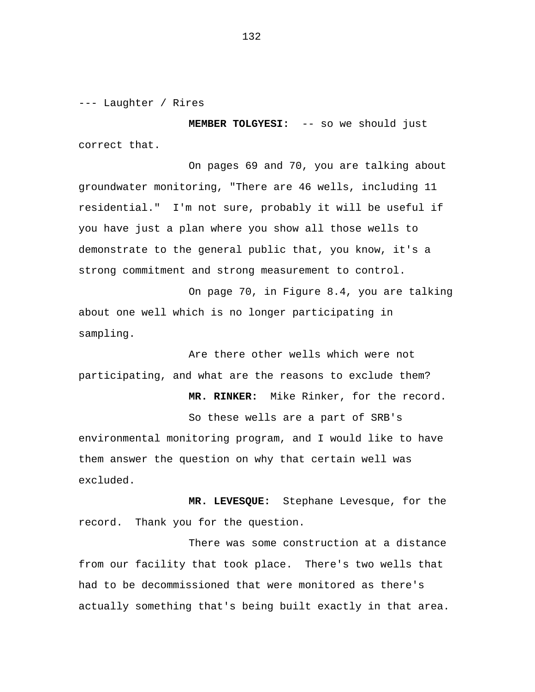--- Laughter / Rires

**MEMBER TOLGYESI:** -- so we should just correct that.

On pages 69 and 70, you are talking about groundwater monitoring, "There are 46 wells, including 11 residential." I'm not sure, probably it will be useful if you have just a plan where you show all those wells to demonstrate to the general public that, you know, it's a strong commitment and strong measurement to control.

On page 70, in Figure 8.4, you are talking about one well which is no longer participating in sampling.

Are there other wells which were not participating, and what are the reasons to exclude them?

So these wells are a part of SRB's environmental monitoring program, and I would like to have them answer the question on why that certain well was excluded.

**MR. RINKER:** Mike Rinker, for the record.

**MR. LEVESQUE:** Stephane Levesque, for the record. Thank you for the question.

There was some construction at a distance from our facility that took place. There's two wells that had to be decommissioned that were monitored as there's actually something that's being built exactly in that area.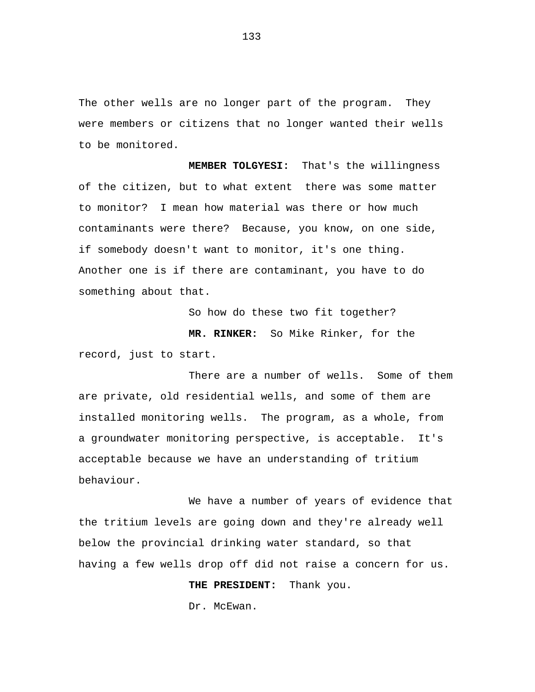The other wells are no longer part of the program. They were members or citizens that no longer wanted their wells to be monitored.

**MEMBER TOLGYESI:** That's the willingness of the citizen, but to what extent there was some matter to monitor? I mean how material was there or how much contaminants were there? Because, you know, on one side, if somebody doesn't want to monitor, it's one thing. Another one is if there are contaminant, you have to do something about that.

So how do these two fit together?

**MR. RINKER:** So Mike Rinker, for the record, just to start.

There are a number of wells. Some of them are private, old residential wells, and some of them are installed monitoring wells. The program, as a whole, from a groundwater monitoring perspective, is acceptable. It's acceptable because we have an understanding of tritium behaviour.

We have a number of years of evidence that the tritium levels are going down and they're already well below the provincial drinking water standard, so that having a few wells drop off did not raise a concern for us.

**THE PRESIDENT:** Thank you.

Dr. McEwan.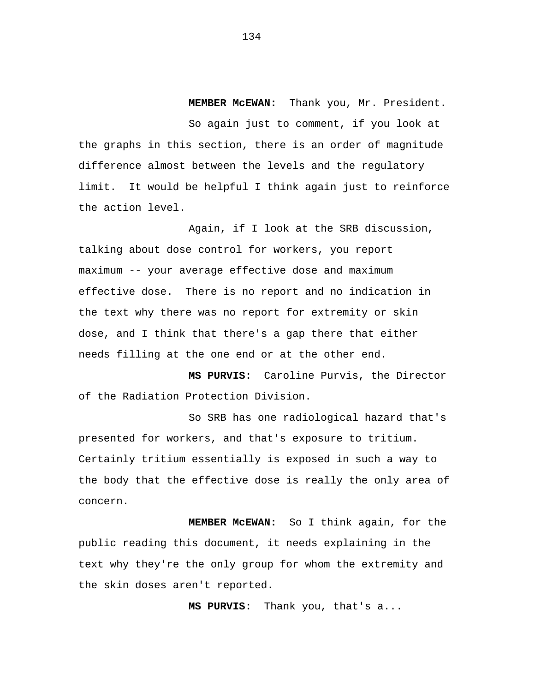**MEMBER McEWAN:** Thank you, Mr. President.

So again just to comment, if you look at the graphs in this section, there is an order of magnitude difference almost between the levels and the regulatory limit. It would be helpful I think again just to reinforce the action level.

Again, if I look at the SRB discussion, talking about dose control for workers, you report maximum -- your average effective dose and maximum effective dose. There is no report and no indication in the text why there was no report for extremity or skin dose, and I think that there's a gap there that either needs filling at the one end or at the other end.

**MS PURVIS:** Caroline Purvis, the Director of the Radiation Protection Division.

So SRB has one radiological hazard that's presented for workers, and that's exposure to tritium. Certainly tritium essentially is exposed in such a way to the body that the effective dose is really the only area of concern.

**MEMBER McEWAN:** So I think again, for the public reading this document, it needs explaining in the text why they're the only group for whom the extremity and the skin doses aren't reported.

**MS PURVIS:** Thank you, that's a...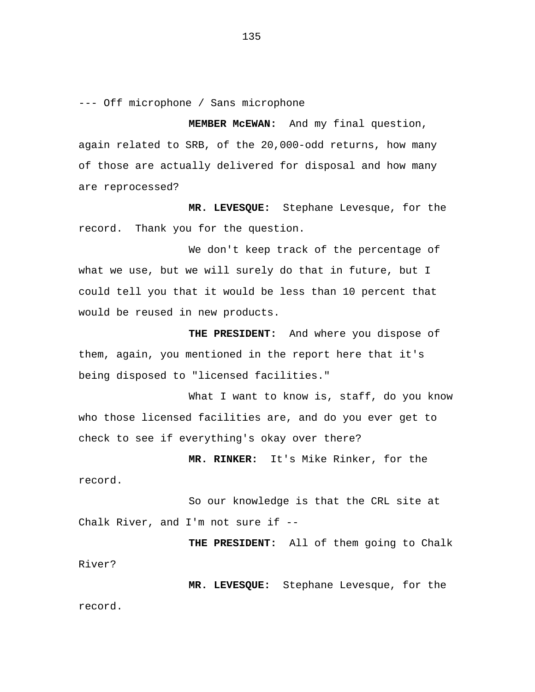--- Off microphone / Sans microphone

**MEMBER McEWAN:** And my final question, again related to SRB, of the 20,000-odd returns, how many of those are actually delivered for disposal and how many are reprocessed?

**MR. LEVESQUE:** Stephane Levesque, for the record. Thank you for the question.

We don't keep track of the percentage of what we use, but we will surely do that in future, but I could tell you that it would be less than 10 percent that would be reused in new products.

**THE PRESIDENT:** And where you dispose of them, again, you mentioned in the report here that it's being disposed to "licensed facilities."

What I want to know is, staff, do you know who those licensed facilities are, and do you ever get to check to see if everything's okay over there?

**MR. RINKER:** It's Mike Rinker, for the record.

So our knowledge is that the CRL site at Chalk River, and I'm not sure if --

**THE PRESIDENT:** All of them going to Chalk River?

**MR. LEVESQUE:** Stephane Levesque, for the record.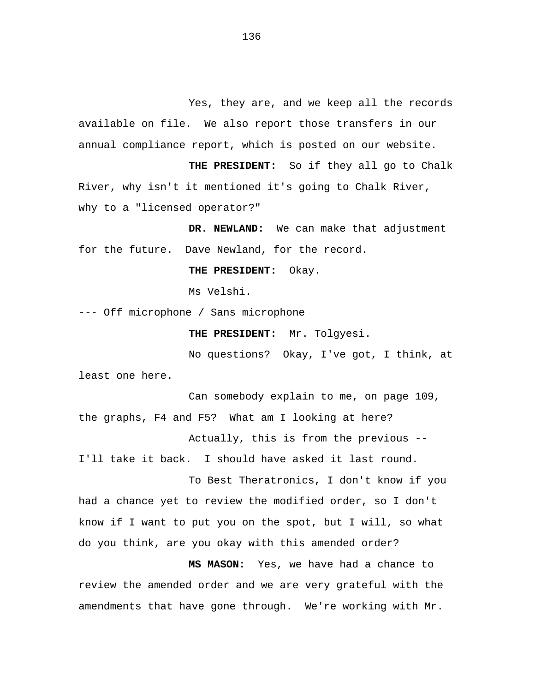Yes, they are, and we keep all the records available on file. We also report those transfers in our annual compliance report, which is posted on our website.

**THE PRESIDENT:** So if they all go to Chalk River, why isn't it mentioned it's going to Chalk River, why to a "licensed operator?"

**DR. NEWLAND:** We can make that adjustment for the future. Dave Newland, for the record.

**THE PRESIDENT:** Okay.

Ms Velshi.

--- Off microphone / Sans microphone

**THE PRESIDENT:** Mr. Tolgyesi.

No questions? Okay, I've got, I think, at least one here.

Can somebody explain to me, on page 109, the graphs, F4 and F5? What am I looking at here? Actually, this is from the previous -- I'll take it back. I should have asked it last round.

To Best Theratronics, I don't know if you had a chance yet to review the modified order, so I don't know if I want to put you on the spot, but I will, so what do you think, are you okay with this amended order?

**MS MASON:** Yes, we have had a chance to review the amended order and we are very grateful with the amendments that have gone through. We're working with Mr.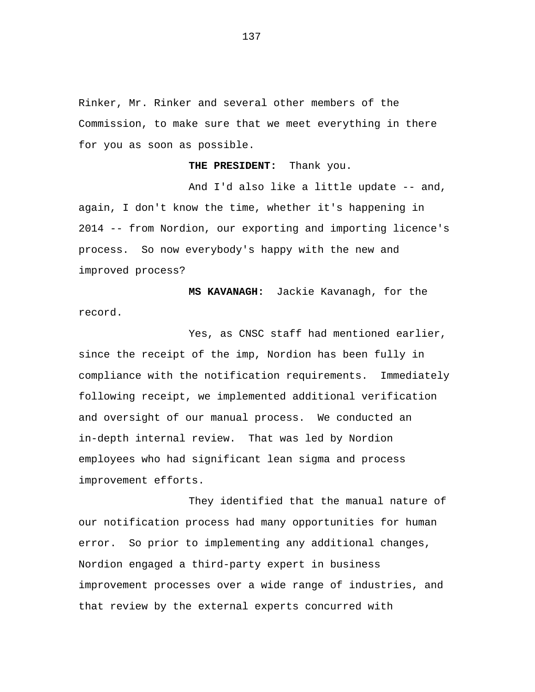Rinker, Mr. Rinker and several other members of the Commission, to make sure that we meet everything in there for you as soon as possible.

**THE PRESIDENT:** Thank you.

And I'd also like a little update -- and, again, I don't know the time, whether it's happening in 2014 -- from Nordion, our exporting and importing licence's process. So now everybody's happy with the new and improved process?

**MS KAVANAGH:** Jackie Kavanagh, for the record.

Yes, as CNSC staff had mentioned earlier, since the receipt of the imp, Nordion has been fully in compliance with the notification requirements. Immediately following receipt, we implemented additional verification and oversight of our manual process. We conducted an in-depth internal review. That was led by Nordion employees who had significant lean sigma and process improvement efforts.

They identified that the manual nature of our notification process had many opportunities for human error. So prior to implementing any additional changes, Nordion engaged a third-party expert in business improvement processes over a wide range of industries, and that review by the external experts concurred with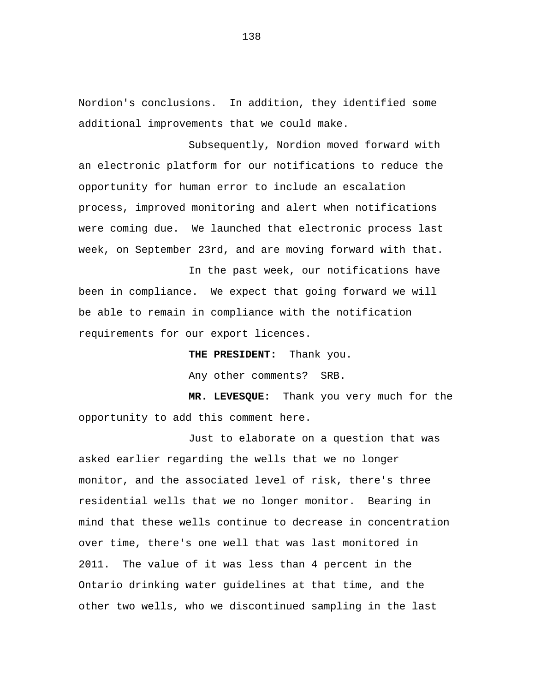Nordion's conclusions. In addition, they identified some additional improvements that we could make.

Subsequently, Nordion moved forward with an electronic platform for our notifications to reduce the opportunity for human error to include an escalation process, improved monitoring and alert when notifications were coming due. We launched that electronic process last week, on September 23rd, and are moving forward with that.

In the past week, our notifications have been in compliance. We expect that going forward we will be able to remain in compliance with the notification requirements for our export licences.

> **THE PRESIDENT:** Thank you. Any other comments? SRB.

**MR. LEVESQUE:** Thank you very much for the opportunity to add this comment here.

Just to elaborate on a question that was asked earlier regarding the wells that we no longer monitor, and the associated level of risk, there's three residential wells that we no longer monitor. Bearing in mind that these wells continue to decrease in concentration over time, there's one well that was last monitored in 2011. The value of it was less than 4 percent in the Ontario drinking water guidelines at that time, and the other two wells, who we discontinued sampling in the last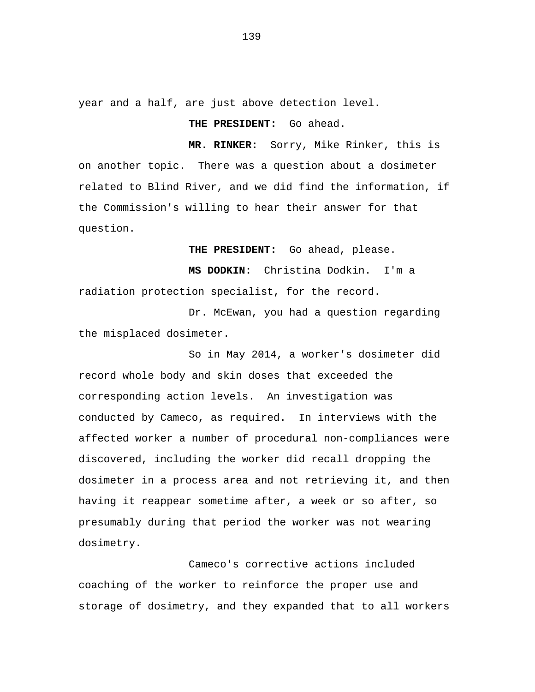year and a half, are just above detection level.

## **THE PRESIDENT:** Go ahead.

**MR. RINKER:** Sorry, Mike Rinker, this is on another topic. There was a question about a dosimeter related to Blind River, and we did find the information, if the Commission's willing to hear their answer for that question.

**THE PRESIDENT:** Go ahead, please.

**MS DODKIN:** Christina Dodkin. I'm a radiation protection specialist, for the record.

Dr. McEwan, you had a question regarding the misplaced dosimeter.

So in May 2014, a worker's dosimeter did record whole body and skin doses that exceeded the corresponding action levels. An investigation was conducted by Cameco, as required. In interviews with the affected worker a number of procedural non-compliances were discovered, including the worker did recall dropping the dosimeter in a process area and not retrieving it, and then having it reappear sometime after, a week or so after, so presumably during that period the worker was not wearing dosimetry.

Cameco's corrective actions included coaching of the worker to reinforce the proper use and storage of dosimetry, and they expanded that to all workers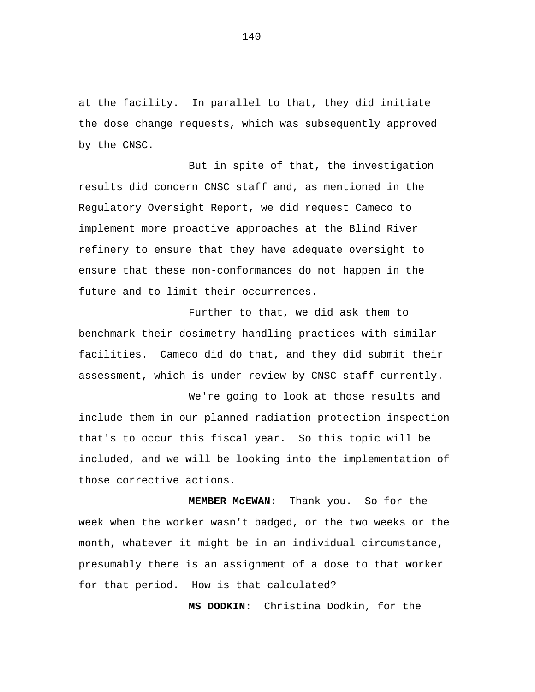at the facility. In parallel to that, they did initiate the dose change requests, which was subsequently approved by the CNSC.

But in spite of that, the investigation results did concern CNSC staff and, as mentioned in the Regulatory Oversight Report, we did request Cameco to implement more proactive approaches at the Blind River refinery to ensure that they have adequate oversight to ensure that these non-conformances do not happen in the future and to limit their occurrences.

Further to that, we did ask them to benchmark their dosimetry handling practices with similar facilities. Cameco did do that, and they did submit their assessment, which is under review by CNSC staff currently.

We're going to look at those results and include them in our planned radiation protection inspection that's to occur this fiscal year. So this topic will be included, and we will be looking into the implementation of those corrective actions.

**MEMBER McEWAN:** Thank you. So for the week when the worker wasn't badged, or the two weeks or the month, whatever it might be in an individual circumstance, presumably there is an assignment of a dose to that worker for that period. How is that calculated?

**MS DODKIN:** Christina Dodkin, for the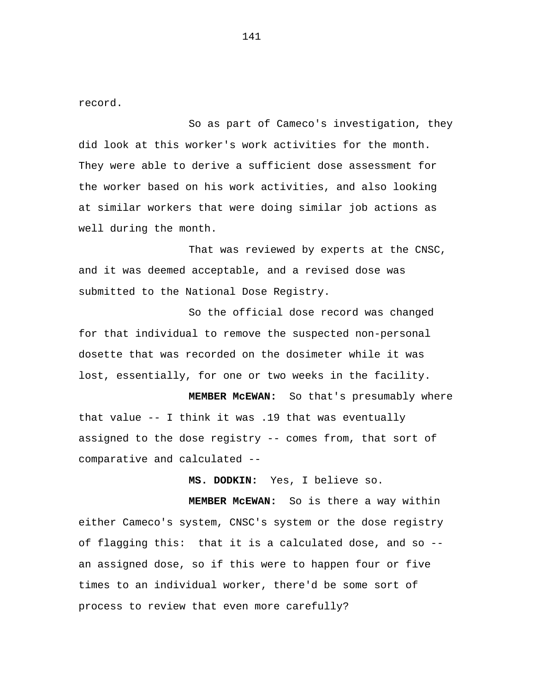record.

So as part of Cameco's investigation, they did look at this worker's work activities for the month. They were able to derive a sufficient dose assessment for the worker based on his work activities, and also looking at similar workers that were doing similar job actions as well during the month.

That was reviewed by experts at the CNSC, and it was deemed acceptable, and a revised dose was submitted to the National Dose Registry.

So the official dose record was changed for that individual to remove the suspected non-personal dosette that was recorded on the dosimeter while it was lost, essentially, for one or two weeks in the facility.

**MEMBER McEWAN:** So that's presumably where that value -- I think it was .19 that was eventually assigned to the dose registry -- comes from, that sort of comparative and calculated --

**MS. DODKIN:** Yes, I believe so.

**MEMBER McEWAN:** So is there a way within either Cameco's system, CNSC's system or the dose registry of flagging this: that it is a calculated dose, and so - an assigned dose, so if this were to happen four or five times to an individual worker, there'd be some sort of process to review that even more carefully?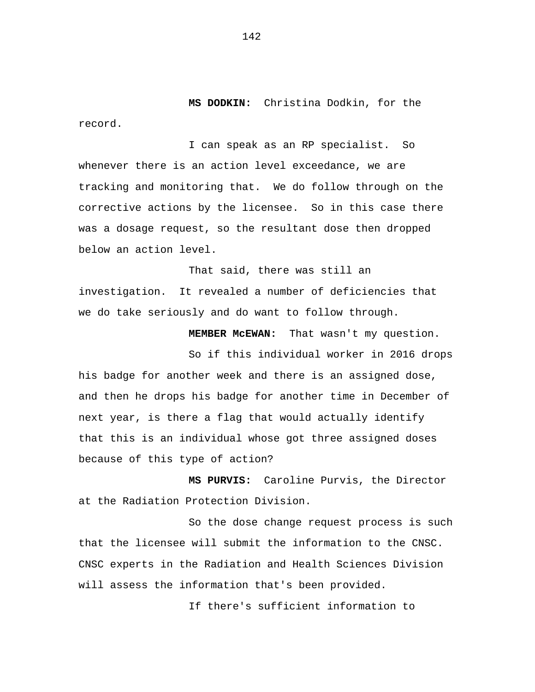**MS DODKIN:** Christina Dodkin, for the record.

I can speak as an RP specialist. So whenever there is an action level exceedance, we are tracking and monitoring that. We do follow through on the corrective actions by the licensee. So in this case there was a dosage request, so the resultant dose then dropped below an action level.

That said, there was still an investigation. It revealed a number of deficiencies that we do take seriously and do want to follow through.

**MEMBER McEWAN:** That wasn't my question.

So if this individual worker in 2016 drops his badge for another week and there is an assigned dose, and then he drops his badge for another time in December of next year, is there a flag that would actually identify that this is an individual whose got three assigned doses because of this type of action?

**MS PURVIS:** Caroline Purvis, the Director at the Radiation Protection Division.

So the dose change request process is such that the licensee will submit the information to the CNSC. CNSC experts in the Radiation and Health Sciences Division will assess the information that's been provided.

If there's sufficient information to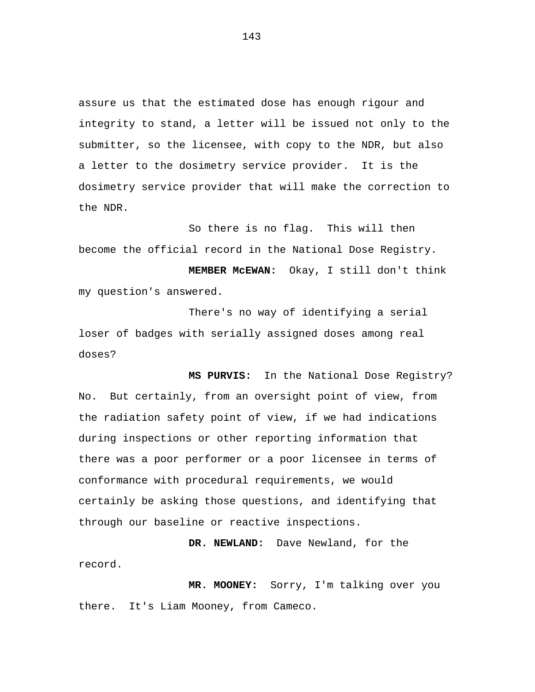assure us that the estimated dose has enough rigour and integrity to stand, a letter will be issued not only to the submitter, so the licensee, with copy to the NDR, but also a letter to the dosimetry service provider. It is the dosimetry service provider that will make the correction to the NDR.

So there is no flag. This will then become the official record in the National Dose Registry. **MEMBER McEWAN:** Okay, I still don't think my question's answered.

There's no way of identifying a serial loser of badges with serially assigned doses among real doses?

**MS PURVIS:** In the National Dose Registry? No. But certainly, from an oversight point of view, from the radiation safety point of view, if we had indications during inspections or other reporting information that there was a poor performer or a poor licensee in terms of conformance with procedural requirements, we would certainly be asking those questions, and identifying that through our baseline or reactive inspections.

**DR. NEWLAND:** Dave Newland, for the record.

**MR. MOONEY:** Sorry, I'm talking over you there. It's Liam Mooney, from Cameco.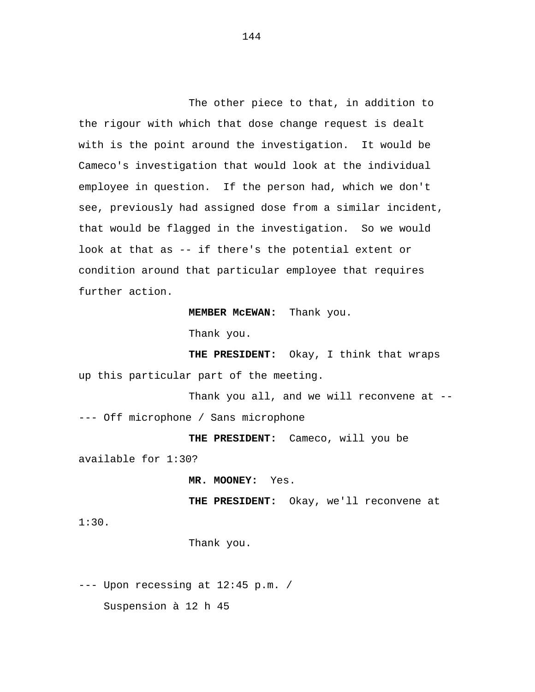The other piece to that, in addition to the rigour with which that dose change request is dealt with is the point around the investigation. It would be Cameco's investigation that would look at the individual employee in question. If the person had, which we don't see, previously had assigned dose from a similar incident, that would be flagged in the investigation. So we would look at that as -- if there's the potential extent or condition around that particular employee that requires further action.

**MEMBER McEWAN:** Thank you.

Thank you.

**THE PRESIDENT:** Okay, I think that wraps up this particular part of the meeting.

Thank you all, and we will reconvene at ----- Off microphone / Sans microphone

**THE PRESIDENT:** Cameco, will you be available for 1:30?

**MR. MOONEY:** Yes.

**THE PRESIDENT:** Okay, we'll reconvene at

1:30.

Thank you.

--- Upon recessing at 12:45 p.m. /

Suspension à 12 h 45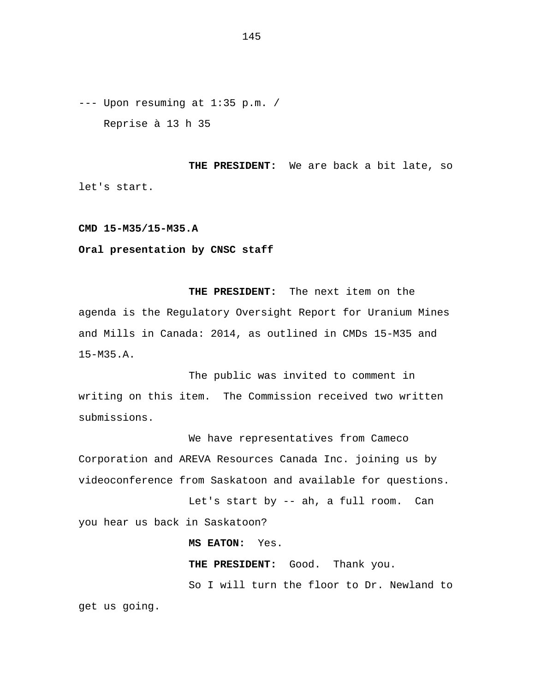--- Upon resuming at 1:35 p.m. / Reprise à 13 h 35

**THE PRESIDENT:** We are back a bit late, so let's start.

**CMD 15-M35/15-M35.A** 

**Oral presentation by CNSC staff** 

**THE PRESIDENT:** The next item on the agenda is the Regulatory Oversight Report for Uranium Mines and Mills in Canada: 2014, as outlined in CMDs 15-M35 and 15-M35.A.

The public was invited to comment in writing on this item. The Commission received two written submissions.

We have representatives from Cameco Corporation and AREVA Resources Canada Inc. joining us by videoconference from Saskatoon and available for questions.

Let's start by -- ah, a full room. Can you hear us back in Saskatoon?

**MS EATON:** Yes.

**THE PRESIDENT:** Good. Thank you. So I will turn the floor to Dr. Newland to

get us going.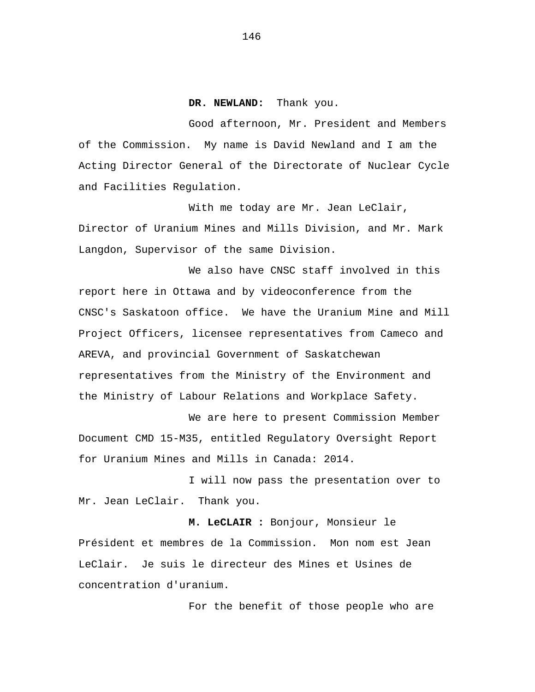**DR. NEWLAND:** Thank you.

Good afternoon, Mr. President and Members of the Commission. My name is David Newland and I am the Acting Director General of the Directorate of Nuclear Cycle and Facilities Regulation.

With me today are Mr. Jean LeClair, Director of Uranium Mines and Mills Division, and Mr. Mark Langdon, Supervisor of the same Division.

We also have CNSC staff involved in this report here in Ottawa and by videoconference from the CNSC's Saskatoon office. We have the Uranium Mine and Mill Project Officers, licensee representatives from Cameco and AREVA, and provincial Government of Saskatchewan representatives from the Ministry of the Environment and the Ministry of Labour Relations and Workplace Safety.

We are here to present Commission Member Document CMD 15-M35, entitled Regulatory Oversight Report for Uranium Mines and Mills in Canada: 2014.

I will now pass the presentation over to Mr. Jean LeClair. Thank you.

**M. LeCLAIR :** Bonjour, Monsieur le Président et membres de la Commission. Mon nom est Jean LeClair. Je suis le directeur des Mines et Usines de concentration d'uranium.

For the benefit of those people who are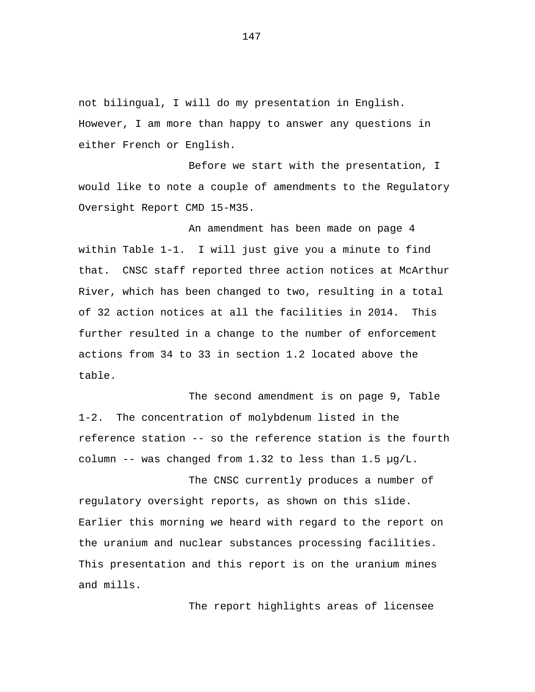not bilingual, I will do my presentation in English. However, I am more than happy to answer any questions in either French or English.

Before we start with the presentation, I would like to note a couple of amendments to the Regulatory Oversight Report CMD 15-M35.

An amendment has been made on page 4 within Table 1-1. I will just give you a minute to find that. CNSC staff reported three action notices at McArthur River, which has been changed to two, resulting in a total of 32 action notices at all the facilities in 2014. This further resulted in a change to the number of enforcement actions from 34 to 33 in section 1.2 located above the table.

The second amendment is on page 9, Table 1-2. The concentration of molybdenum listed in the reference station -- so the reference station is the fourth column -- was changed from 1.32 to less than 1.5  $\mu$ g/L.

The CNSC currently produces a number of regulatory oversight reports, as shown on this slide. Earlier this morning we heard with regard to the report on the uranium and nuclear substances processing facilities. This presentation and this report is on the uranium mines and mills.

The report highlights areas of licensee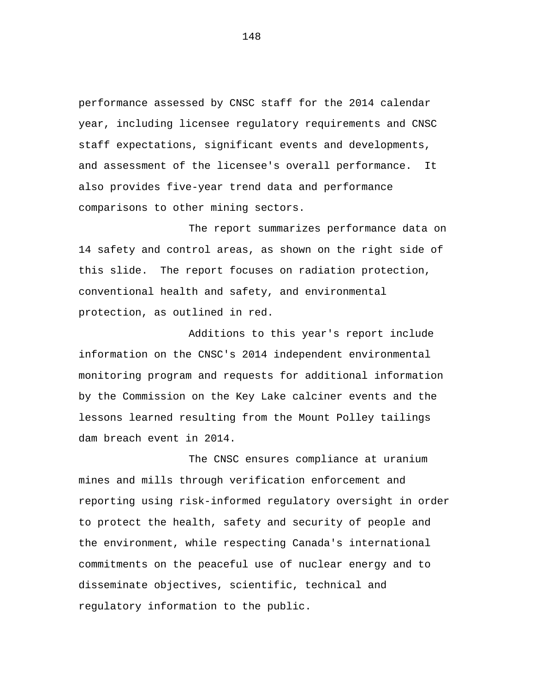performance assessed by CNSC staff for the 2014 calendar year, including licensee regulatory requirements and CNSC staff expectations, significant events and developments, and assessment of the licensee's overall performance. It also provides five-year trend data and performance comparisons to other mining sectors.

The report summarizes performance data on 14 safety and control areas, as shown on the right side of this slide. The report focuses on radiation protection, conventional health and safety, and environmental protection, as outlined in red.

Additions to this year's report include information on the CNSC's 2014 independent environmental monitoring program and requests for additional information by the Commission on the Key Lake calciner events and the lessons learned resulting from the Mount Polley tailings dam breach event in 2014.

The CNSC ensures compliance at uranium mines and mills through verification enforcement and reporting using risk-informed regulatory oversight in order to protect the health, safety and security of people and the environment, while respecting Canada's international commitments on the peaceful use of nuclear energy and to disseminate objectives, scientific, technical and regulatory information to the public.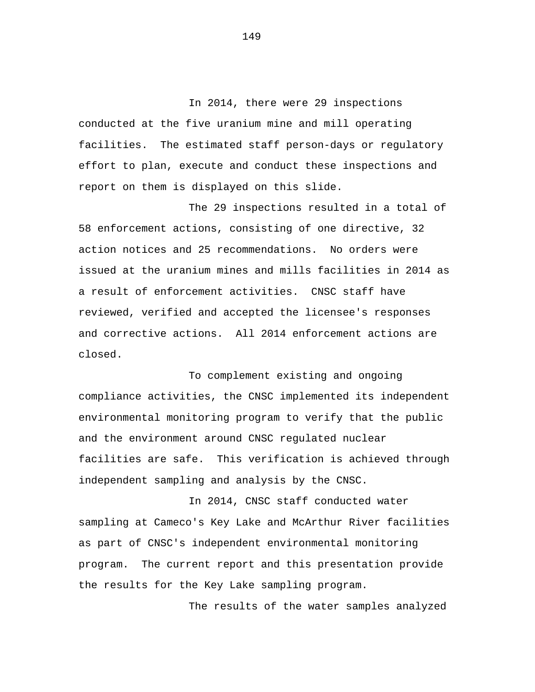In 2014, there were 29 inspections conducted at the five uranium mine and mill operating facilities. The estimated staff person-days or regulatory effort to plan, execute and conduct these inspections and report on them is displayed on this slide.

The 29 inspections resulted in a total of 58 enforcement actions, consisting of one directive, 32 action notices and 25 recommendations. No orders were issued at the uranium mines and mills facilities in 2014 as a result of enforcement activities. CNSC staff have reviewed, verified and accepted the licensee's responses and corrective actions. All 2014 enforcement actions are closed.

To complement existing and ongoing compliance activities, the CNSC implemented its independent environmental monitoring program to verify that the public and the environment around CNSC regulated nuclear facilities are safe. This verification is achieved through independent sampling and analysis by the CNSC.

In 2014, CNSC staff conducted water sampling at Cameco's Key Lake and McArthur River facilities as part of CNSC's independent environmental monitoring program. The current report and this presentation provide the results for the Key Lake sampling program.

The results of the water samples analyzed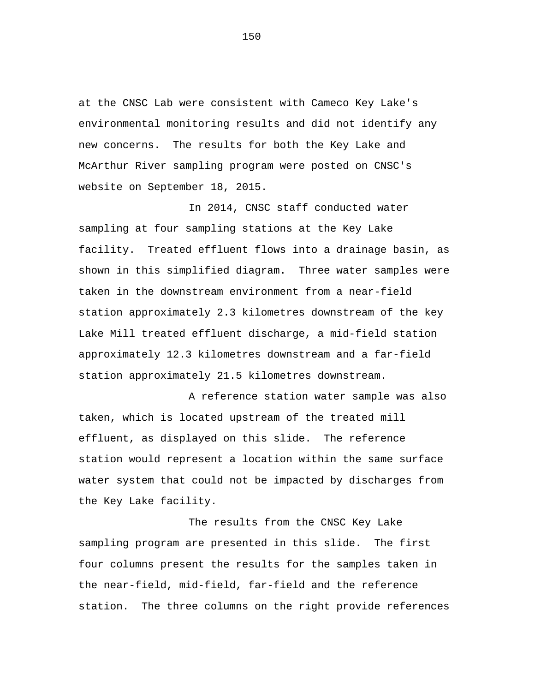at the CNSC Lab were consistent with Cameco Key Lake's environmental monitoring results and did not identify any new concerns. The results for both the Key Lake and McArthur River sampling program were posted on CNSC's website on September 18, 2015.

In 2014, CNSC staff conducted water sampling at four sampling stations at the Key Lake facility. Treated effluent flows into a drainage basin, as shown in this simplified diagram. Three water samples were taken in the downstream environment from a near-field station approximately 2.3 kilometres downstream of the key Lake Mill treated effluent discharge, a mid-field station approximately 12.3 kilometres downstream and a far-field station approximately 21.5 kilometres downstream.

A reference station water sample was also taken, which is located upstream of the treated mill effluent, as displayed on this slide. The reference station would represent a location within the same surface water system that could not be impacted by discharges from the Key Lake facility.

The results from the CNSC Key Lake sampling program are presented in this slide. The first four columns present the results for the samples taken in the near-field, mid-field, far-field and the reference station. The three columns on the right provide references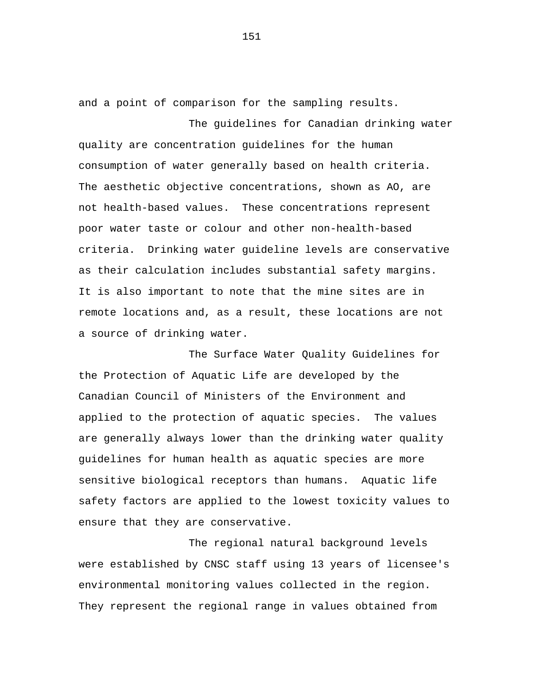and a point of comparison for the sampling results.

The guidelines for Canadian drinking water quality are concentration guidelines for the human consumption of water generally based on health criteria. The aesthetic objective concentrations, shown as AO, are not health-based values. These concentrations represent poor water taste or colour and other non-health-based criteria. Drinking water guideline levels are conservative as their calculation includes substantial safety margins. It is also important to note that the mine sites are in remote locations and, as a result, these locations are not a source of drinking water.

The Surface Water Quality Guidelines for the Protection of Aquatic Life are developed by the Canadian Council of Ministers of the Environment and applied to the protection of aquatic species. The values are generally always lower than the drinking water quality guidelines for human health as aquatic species are more sensitive biological receptors than humans. Aquatic life safety factors are applied to the lowest toxicity values to ensure that they are conservative.

The regional natural background levels were established by CNSC staff using 13 years of licensee's environmental monitoring values collected in the region. They represent the regional range in values obtained from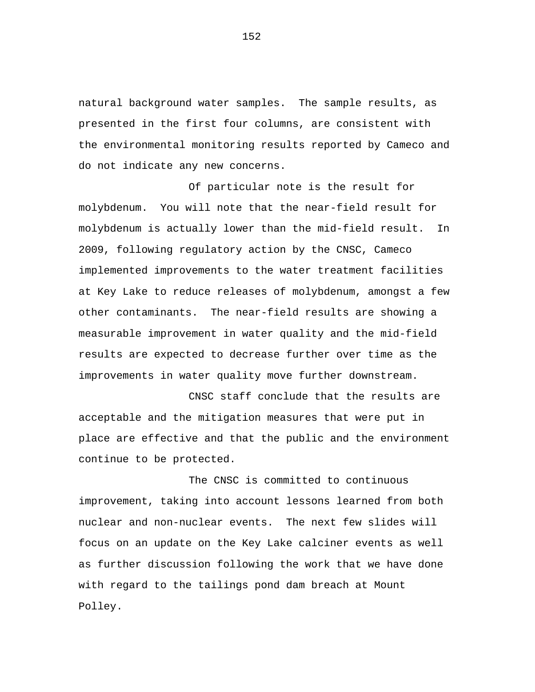natural background water samples. The sample results, as presented in the first four columns, are consistent with the environmental monitoring results reported by Cameco and do not indicate any new concerns.

Of particular note is the result for molybdenum. You will note that the near-field result for molybdenum is actually lower than the mid-field result. In 2009, following regulatory action by the CNSC, Cameco implemented improvements to the water treatment facilities at Key Lake to reduce releases of molybdenum, amongst a few other contaminants. The near-field results are showing a measurable improvement in water quality and the mid-field results are expected to decrease further over time as the improvements in water quality move further downstream.

CNSC staff conclude that the results are acceptable and the mitigation measures that were put in place are effective and that the public and the environment continue to be protected.

The CNSC is committed to continuous improvement, taking into account lessons learned from both nuclear and non-nuclear events. The next few slides will focus on an update on the Key Lake calciner events as well as further discussion following the work that we have done with regard to the tailings pond dam breach at Mount Polley.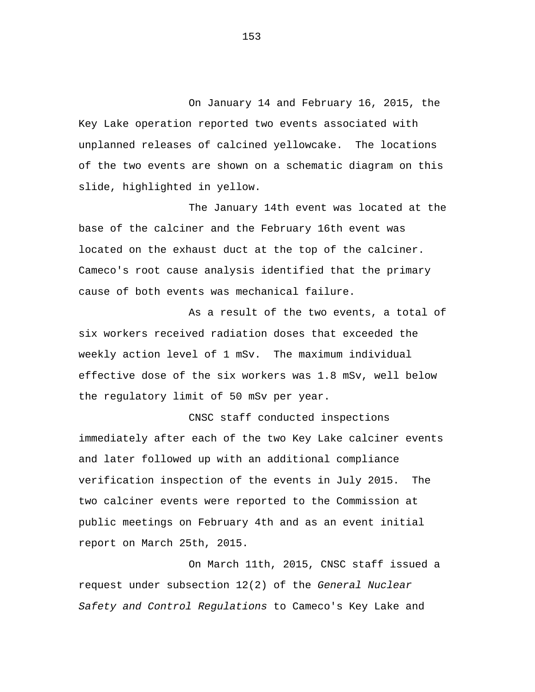On January 14 and February 16, 2015, the Key Lake operation reported two events associated with unplanned releases of calcined yellowcake. The locations of the two events are shown on a schematic diagram on this slide, highlighted in yellow.

The January 14th event was located at the base of the calciner and the February 16th event was located on the exhaust duct at the top of the calciner. Cameco's root cause analysis identified that the primary cause of both events was mechanical failure.

As a result of the two events, a total of six workers received radiation doses that exceeded the weekly action level of 1 mSv. The maximum individual effective dose of the six workers was 1.8 mSv, well below the regulatory limit of 50 mSv per year.

CNSC staff conducted inspections immediately after each of the two Key Lake calciner events and later followed up with an additional compliance verification inspection of the events in July 2015. The two calciner events were reported to the Commission at public meetings on February 4th and as an event initial report on March 25th, 2015.

On March 11th, 2015, CNSC staff issued a request under subsection 12(2) of the *General Nuclear Safety and Control Regulations* to Cameco's Key Lake and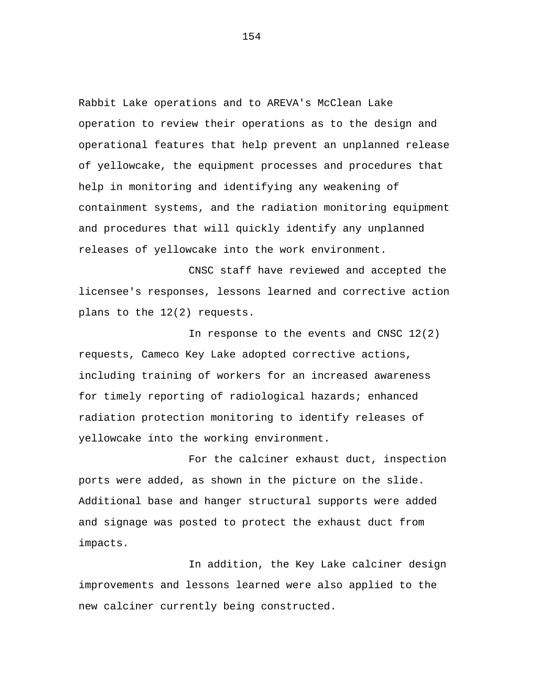Rabbit Lake operations and to AREVA's McClean Lake operation to review their operations as to the design and operational features that help prevent an unplanned release of yellowcake, the equipment processes and procedures that help in monitoring and identifying any weakening of containment systems, and the radiation monitoring equipment and procedures that will quickly identify any unplanned releases of yellowcake into the work environment.

CNSC staff have reviewed and accepted the licensee's responses, lessons learned and corrective action plans to the 12(2) requests.

In response to the events and CNSC 12(2) requests, Cameco Key Lake adopted corrective actions, including training of workers for an increased awareness for timely reporting of radiological hazards; enhanced radiation protection monitoring to identify releases of yellowcake into the working environment.

For the calciner exhaust duct, inspection ports were added, as shown in the picture on the slide. Additional base and hanger structural supports were added and signage was posted to protect the exhaust duct from impacts.

In addition, the Key Lake calciner design improvements and lessons learned were also applied to the new calciner currently being constructed.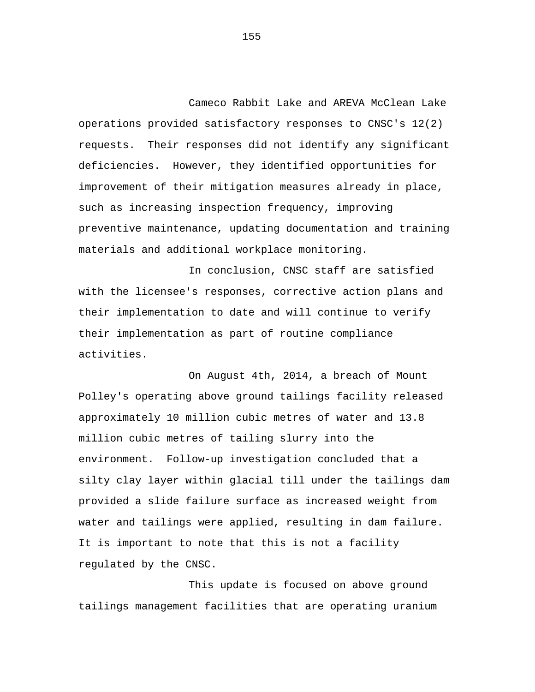Cameco Rabbit Lake and AREVA McClean Lake operations provided satisfactory responses to CNSC's 12(2) requests. Their responses did not identify any significant deficiencies. However, they identified opportunities for improvement of their mitigation measures already in place, such as increasing inspection frequency, improving preventive maintenance, updating documentation and training materials and additional workplace monitoring.

In conclusion, CNSC staff are satisfied with the licensee's responses, corrective action plans and their implementation to date and will continue to verify their implementation as part of routine compliance activities.

On August 4th, 2014, a breach of Mount Polley's operating above ground tailings facility released approximately 10 million cubic metres of water and 13.8 million cubic metres of tailing slurry into the environment. Follow-up investigation concluded that a silty clay layer within glacial till under the tailings dam provided a slide failure surface as increased weight from water and tailings were applied, resulting in dam failure. It is important to note that this is not a facility regulated by the CNSC.

This update is focused on above ground tailings management facilities that are operating uranium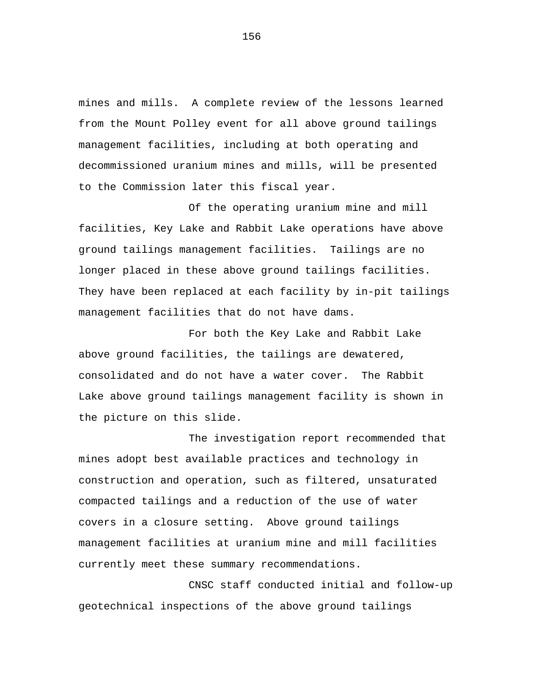mines and mills. A complete review of the lessons learned from the Mount Polley event for all above ground tailings management facilities, including at both operating and decommissioned uranium mines and mills, will be presented to the Commission later this fiscal year.

Of the operating uranium mine and mill facilities, Key Lake and Rabbit Lake operations have above ground tailings management facilities. Tailings are no longer placed in these above ground tailings facilities. They have been replaced at each facility by in-pit tailings management facilities that do not have dams.

For both the Key Lake and Rabbit Lake above ground facilities, the tailings are dewatered, consolidated and do not have a water cover. The Rabbit Lake above ground tailings management facility is shown in the picture on this slide.

The investigation report recommended that mines adopt best available practices and technology in construction and operation, such as filtered, unsaturated compacted tailings and a reduction of the use of water covers in a closure setting. Above ground tailings management facilities at uranium mine and mill facilities currently meet these summary recommendations.

CNSC staff conducted initial and follow-up geotechnical inspections of the above ground tailings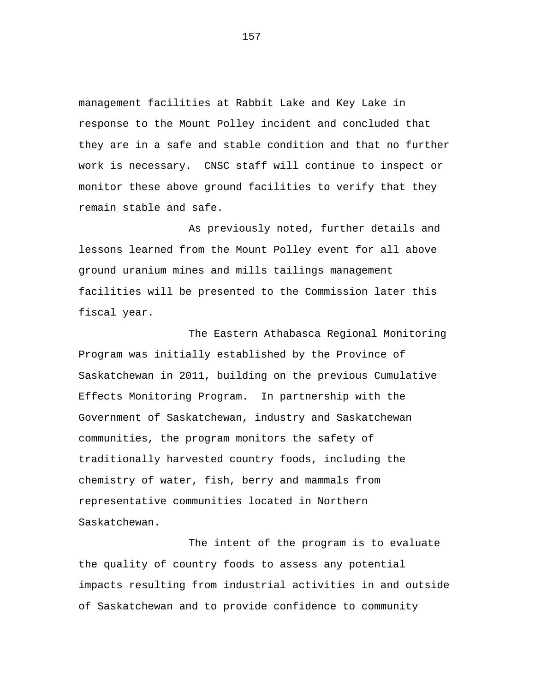management facilities at Rabbit Lake and Key Lake in response to the Mount Polley incident and concluded that they are in a safe and stable condition and that no further work is necessary. CNSC staff will continue to inspect or monitor these above ground facilities to verify that they remain stable and safe.

As previously noted, further details and lessons learned from the Mount Polley event for all above ground uranium mines and mills tailings management facilities will be presented to the Commission later this fiscal year.

The Eastern Athabasca Regional Monitoring Program was initially established by the Province of Saskatchewan in 2011, building on the previous Cumulative Effects Monitoring Program. In partnership with the Government of Saskatchewan, industry and Saskatchewan communities, the program monitors the safety of traditionally harvested country foods, including the chemistry of water, fish, berry and mammals from representative communities located in Northern Saskatchewan.

The intent of the program is to evaluate the quality of country foods to assess any potential impacts resulting from industrial activities in and outside of Saskatchewan and to provide confidence to community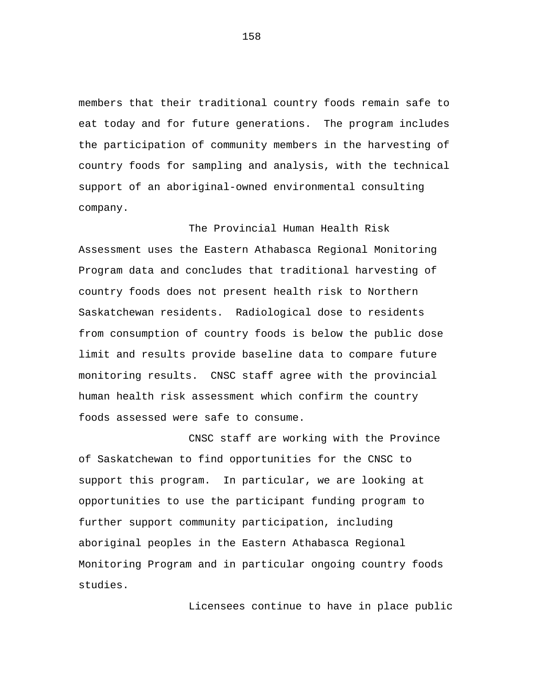members that their traditional country foods remain safe to eat today and for future generations. The program includes the participation of community members in the harvesting of country foods for sampling and analysis, with the technical support of an aboriginal-owned environmental consulting company.

The Provincial Human Health Risk Assessment uses the Eastern Athabasca Regional Monitoring Program data and concludes that traditional harvesting of country foods does not present health risk to Northern Saskatchewan residents. Radiological dose to residents from consumption of country foods is below the public dose limit and results provide baseline data to compare future monitoring results. CNSC staff agree with the provincial human health risk assessment which confirm the country foods assessed were safe to consume.

CNSC staff are working with the Province of Saskatchewan to find opportunities for the CNSC to support this program. In particular, we are looking at opportunities to use the participant funding program to further support community participation, including aboriginal peoples in the Eastern Athabasca Regional Monitoring Program and in particular ongoing country foods studies.

Licensees continue to have in place public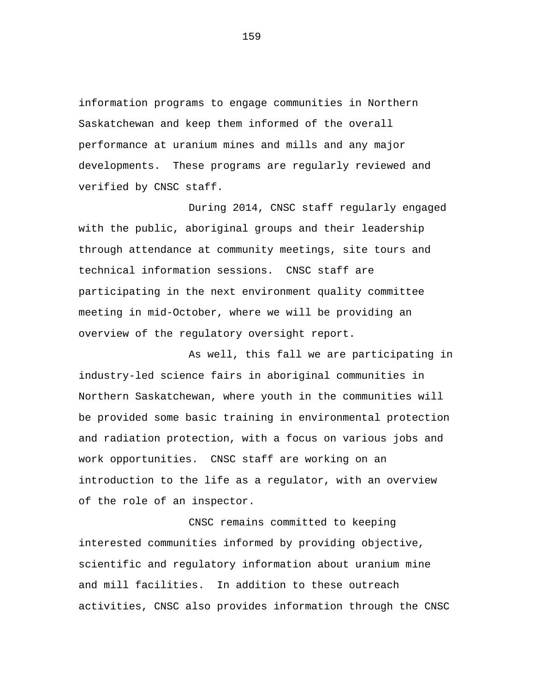information programs to engage communities in Northern Saskatchewan and keep them informed of the overall performance at uranium mines and mills and any major developments. These programs are regularly reviewed and verified by CNSC staff.

During 2014, CNSC staff regularly engaged with the public, aboriginal groups and their leadership through attendance at community meetings, site tours and technical information sessions. CNSC staff are participating in the next environment quality committee meeting in mid-October, where we will be providing an overview of the regulatory oversight report.

As well, this fall we are participating in industry-led science fairs in aboriginal communities in Northern Saskatchewan, where youth in the communities will be provided some basic training in environmental protection and radiation protection, with a focus on various jobs and work opportunities. CNSC staff are working on an introduction to the life as a regulator, with an overview of the role of an inspector.

CNSC remains committed to keeping interested communities informed by providing objective, scientific and regulatory information about uranium mine and mill facilities. In addition to these outreach activities, CNSC also provides information through the CNSC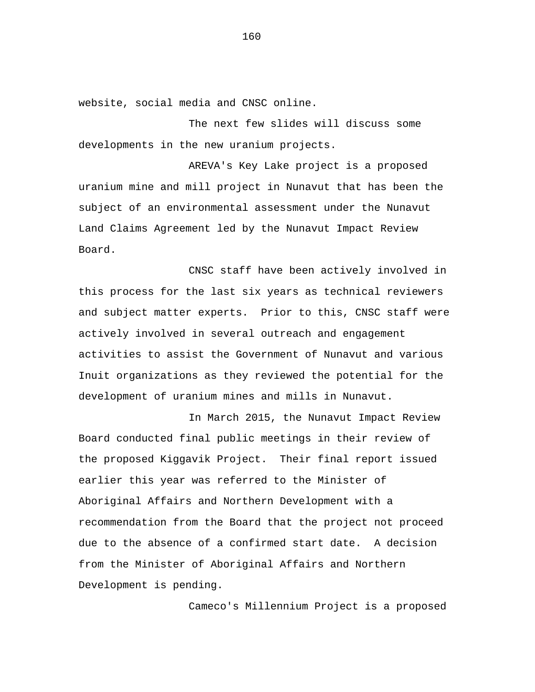website, social media and CNSC online.

The next few slides will discuss some developments in the new uranium projects.

AREVA's Key Lake project is a proposed uranium mine and mill project in Nunavut that has been the subject of an environmental assessment under the Nunavut Land Claims Agreement led by the Nunavut Impact Review Board.

CNSC staff have been actively involved in this process for the last six years as technical reviewers and subject matter experts. Prior to this, CNSC staff were actively involved in several outreach and engagement activities to assist the Government of Nunavut and various Inuit organizations as they reviewed the potential for the development of uranium mines and mills in Nunavut.

In March 2015, the Nunavut Impact Review Board conducted final public meetings in their review of the proposed Kiggavik Project. Their final report issued earlier this year was referred to the Minister of Aboriginal Affairs and Northern Development with a recommendation from the Board that the project not proceed due to the absence of a confirmed start date. A decision from the Minister of Aboriginal Affairs and Northern Development is pending.

Cameco's Millennium Project is a proposed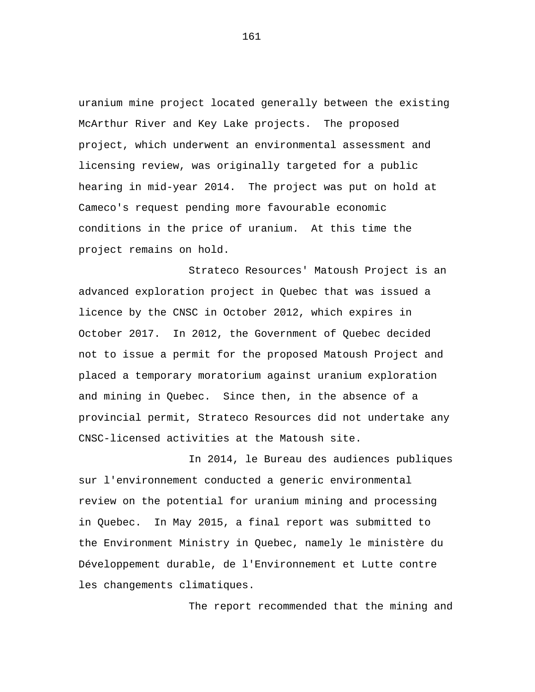uranium mine project located generally between the existing McArthur River and Key Lake projects. The proposed project, which underwent an environmental assessment and licensing review, was originally targeted for a public hearing in mid-year 2014. The project was put on hold at Cameco's request pending more favourable economic conditions in the price of uranium. At this time the project remains on hold.

Strateco Resources' Matoush Project is an advanced exploration project in Quebec that was issued a licence by the CNSC in October 2012, which expires in October 2017. In 2012, the Government of Quebec decided not to issue a permit for the proposed Matoush Project and placed a temporary moratorium against uranium exploration and mining in Quebec. Since then, in the absence of a provincial permit, Strateco Resources did not undertake any CNSC-licensed activities at the Matoush site.

In 2014, le Bureau des audiences publiques sur l'environnement conducted a generic environmental review on the potential for uranium mining and processing in Quebec. In May 2015, a final report was submitted to the Environment Ministry in Quebec, namely le ministère du Développement durable, de l'Environnement et Lutte contre les changements climatiques.

The report recommended that the mining and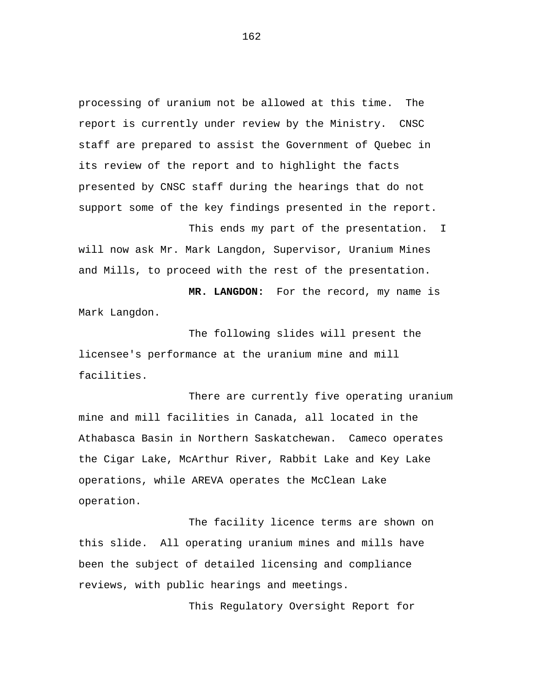processing of uranium not be allowed at this time. The report is currently under review by the Ministry. CNSC staff are prepared to assist the Government of Quebec in its review of the report and to highlight the facts presented by CNSC staff during the hearings that do not support some of the key findings presented in the report.

This ends my part of the presentation. I will now ask Mr. Mark Langdon, Supervisor, Uranium Mines and Mills, to proceed with the rest of the presentation.

**MR. LANGDON:** For the record, my name is Mark Langdon.

The following slides will present the licensee's performance at the uranium mine and mill facilities.

There are currently five operating uranium mine and mill facilities in Canada, all located in the Athabasca Basin in Northern Saskatchewan. Cameco operates the Cigar Lake, McArthur River, Rabbit Lake and Key Lake operations, while AREVA operates the McClean Lake operation.

The facility licence terms are shown on this slide. All operating uranium mines and mills have been the subject of detailed licensing and compliance reviews, with public hearings and meetings.

This Regulatory Oversight Report for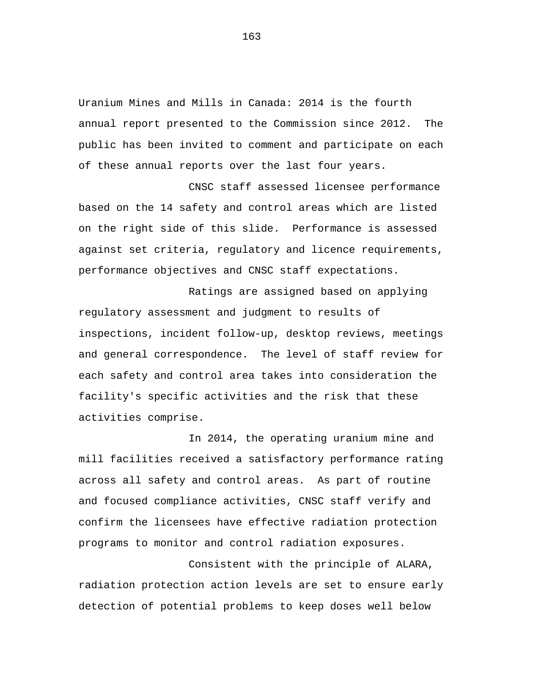Uranium Mines and Mills in Canada: 2014 is the fourth annual report presented to the Commission since 2012. The public has been invited to comment and participate on each of these annual reports over the last four years.

CNSC staff assessed licensee performance based on the 14 safety and control areas which are listed on the right side of this slide. Performance is assessed against set criteria, regulatory and licence requirements, performance objectives and CNSC staff expectations.

Ratings are assigned based on applying regulatory assessment and judgment to results of inspections, incident follow-up, desktop reviews, meetings and general correspondence. The level of staff review for each safety and control area takes into consideration the facility's specific activities and the risk that these activities comprise.

In 2014, the operating uranium mine and mill facilities received a satisfactory performance rating across all safety and control areas. As part of routine and focused compliance activities, CNSC staff verify and confirm the licensees have effective radiation protection programs to monitor and control radiation exposures.

Consistent with the principle of ALARA, radiation protection action levels are set to ensure early detection of potential problems to keep doses well below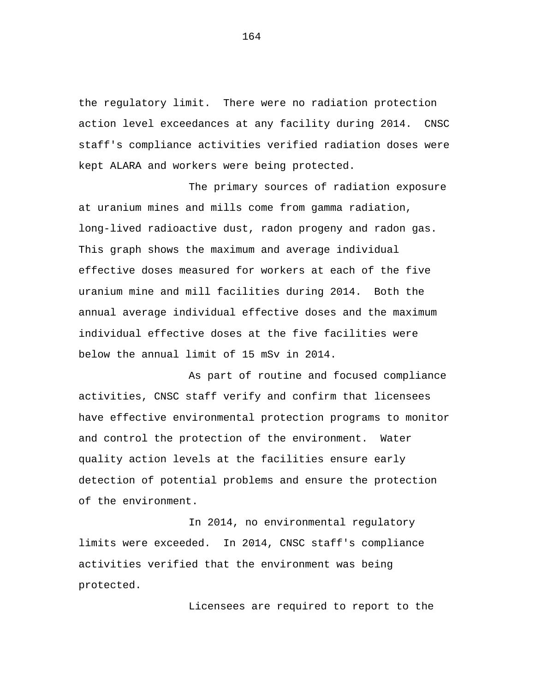the regulatory limit. There were no radiation protection action level exceedances at any facility during 2014. CNSC staff's compliance activities verified radiation doses were kept ALARA and workers were being protected.

The primary sources of radiation exposure at uranium mines and mills come from gamma radiation, long-lived radioactive dust, radon progeny and radon gas. This graph shows the maximum and average individual effective doses measured for workers at each of the five uranium mine and mill facilities during 2014. Both the annual average individual effective doses and the maximum individual effective doses at the five facilities were below the annual limit of 15 mSv in 2014.

As part of routine and focused compliance activities, CNSC staff verify and confirm that licensees have effective environmental protection programs to monitor and control the protection of the environment. Water quality action levels at the facilities ensure early detection of potential problems and ensure the protection of the environment.

In 2014, no environmental regulatory limits were exceeded. In 2014, CNSC staff's compliance activities verified that the environment was being protected.

Licensees are required to report to the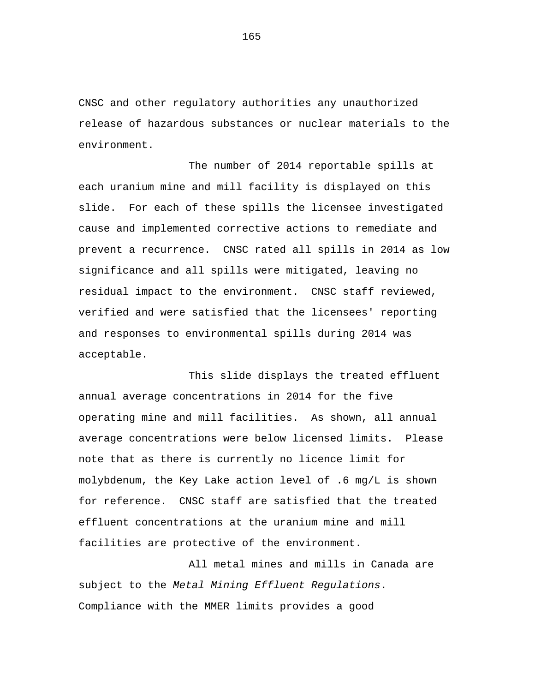CNSC and other regulatory authorities any unauthorized release of hazardous substances or nuclear materials to the environment.

The number of 2014 reportable spills at each uranium mine and mill facility is displayed on this slide. For each of these spills the licensee investigated cause and implemented corrective actions to remediate and prevent a recurrence. CNSC rated all spills in 2014 as low significance and all spills were mitigated, leaving no residual impact to the environment. CNSC staff reviewed, verified and were satisfied that the licensees' reporting and responses to environmental spills during 2014 was acceptable.

This slide displays the treated effluent annual average concentrations in 2014 for the five operating mine and mill facilities. As shown, all annual average concentrations were below licensed limits. Please note that as there is currently no licence limit for molybdenum, the Key Lake action level of .6 mg/L is shown for reference. CNSC staff are satisfied that the treated effluent concentrations at the uranium mine and mill facilities are protective of the environment.

All metal mines and mills in Canada are subject to the *Metal Mining Effluent Regulations*. Compliance with the MMER limits provides a good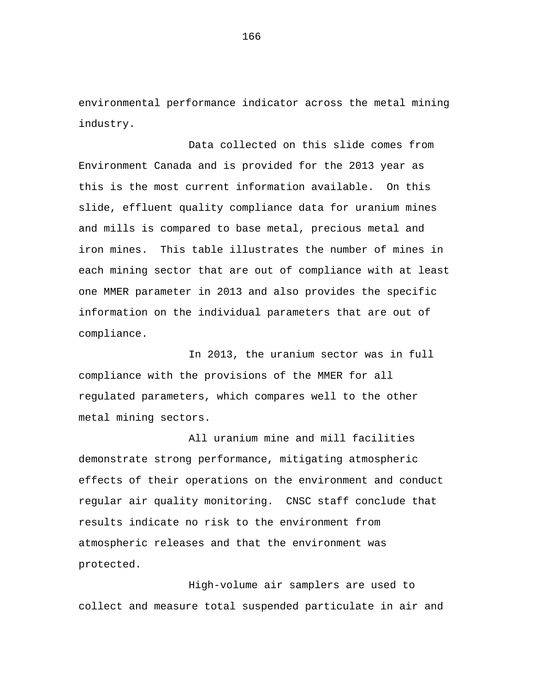environmental performance indicator across the metal mining industry.

Data collected on this slide comes from Environment Canada and is provided for the 2013 year as this is the most current information available. On this slide, effluent quality compliance data for uranium mines and mills is compared to base metal, precious metal and iron mines. This table illustrates the number of mines in each mining sector that are out of compliance with at least one MMER parameter in 2013 and also provides the specific information on the individual parameters that are out of compliance.

In 2013, the uranium sector was in full compliance with the provisions of the MMER for all regulated parameters, which compares well to the other metal mining sectors.

All uranium mine and mill facilities demonstrate strong performance, mitigating atmospheric effects of their operations on the environment and conduct regular air quality monitoring. CNSC staff conclude that results indicate no risk to the environment from atmospheric releases and that the environment was protected.

High-volume air samplers are used to collect and measure total suspended particulate in air and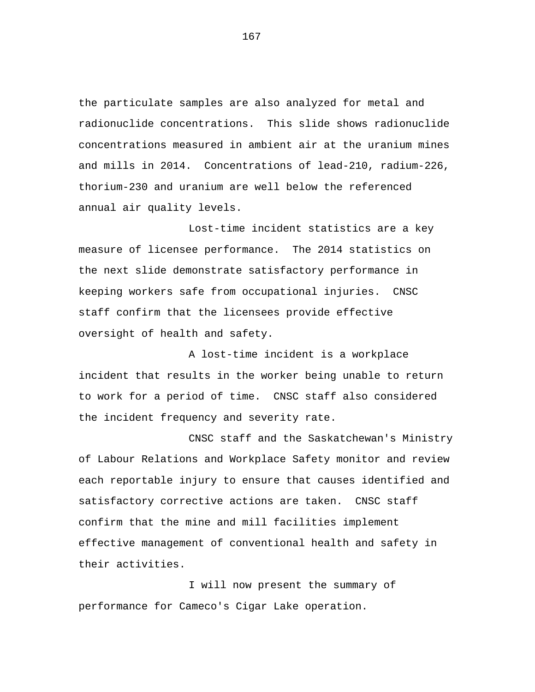the particulate samples are also analyzed for metal and radionuclide concentrations. This slide shows radionuclide concentrations measured in ambient air at the uranium mines and mills in 2014. Concentrations of lead-210, radium-226, thorium-230 and uranium are well below the referenced annual air quality levels.

Lost-time incident statistics are a key measure of licensee performance. The 2014 statistics on the next slide demonstrate satisfactory performance in keeping workers safe from occupational injuries. CNSC staff confirm that the licensees provide effective oversight of health and safety.

A lost-time incident is a workplace incident that results in the worker being unable to return to work for a period of time. CNSC staff also considered the incident frequency and severity rate.

CNSC staff and the Saskatchewan's Ministry of Labour Relations and Workplace Safety monitor and review each reportable injury to ensure that causes identified and satisfactory corrective actions are taken. CNSC staff confirm that the mine and mill facilities implement effective management of conventional health and safety in their activities.

I will now present the summary of performance for Cameco's Cigar Lake operation.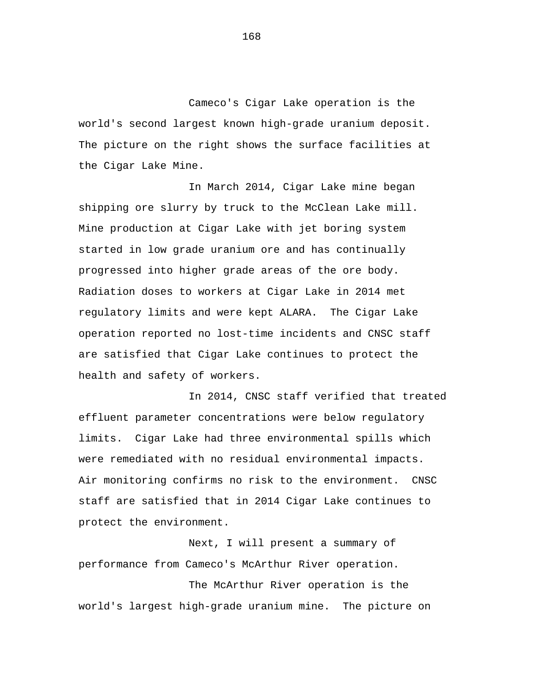Cameco's Cigar Lake operation is the world's second largest known high-grade uranium deposit. The picture on the right shows the surface facilities at the Cigar Lake Mine.

In March 2014, Cigar Lake mine began shipping ore slurry by truck to the McClean Lake mill. Mine production at Cigar Lake with jet boring system started in low grade uranium ore and has continually progressed into higher grade areas of the ore body. Radiation doses to workers at Cigar Lake in 2014 met regulatory limits and were kept ALARA. The Cigar Lake operation reported no lost-time incidents and CNSC staff are satisfied that Cigar Lake continues to protect the health and safety of workers.

In 2014, CNSC staff verified that treated effluent parameter concentrations were below regulatory limits. Cigar Lake had three environmental spills which were remediated with no residual environmental impacts. Air monitoring confirms no risk to the environment. CNSC staff are satisfied that in 2014 Cigar Lake continues to protect the environment.

Next, I will present a summary of performance from Cameco's McArthur River operation.

The McArthur River operation is the world's largest high-grade uranium mine. The picture on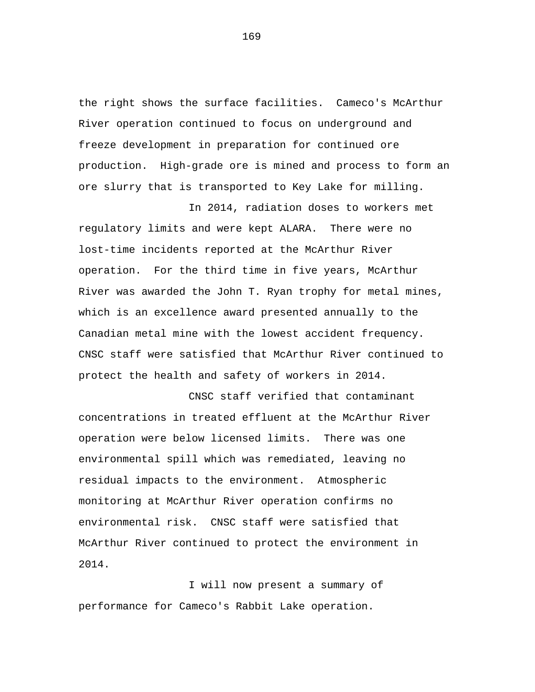the right shows the surface facilities. Cameco's McArthur River operation continued to focus on underground and freeze development in preparation for continued ore production. High-grade ore is mined and process to form an ore slurry that is transported to Key Lake for milling.

In 2014, radiation doses to workers met regulatory limits and were kept ALARA. There were no lost-time incidents reported at the McArthur River operation. For the third time in five years, McArthur River was awarded the John T. Ryan trophy for metal mines, which is an excellence award presented annually to the Canadian metal mine with the lowest accident frequency. CNSC staff were satisfied that McArthur River continued to protect the health and safety of workers in 2014.

CNSC staff verified that contaminant concentrations in treated effluent at the McArthur River operation were below licensed limits. There was one environmental spill which was remediated, leaving no residual impacts to the environment. Atmospheric monitoring at McArthur River operation confirms no environmental risk. CNSC staff were satisfied that McArthur River continued to protect the environment in 2014.

I will now present a summary of performance for Cameco's Rabbit Lake operation.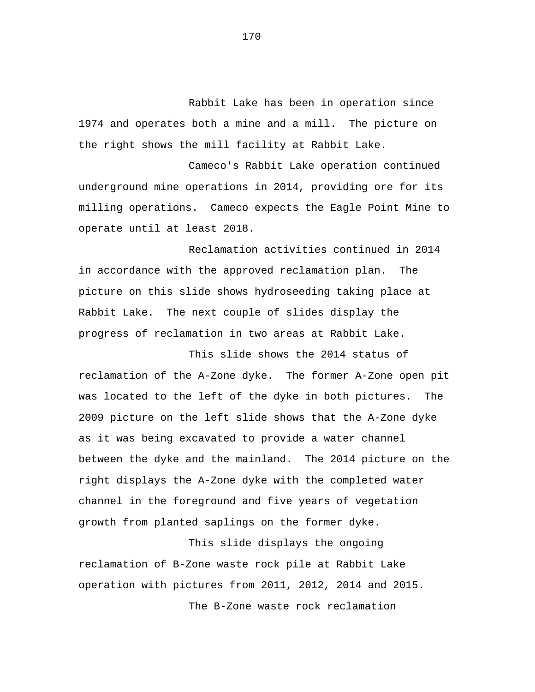Rabbit Lake has been in operation since 1974 and operates both a mine and a mill. The picture on the right shows the mill facility at Rabbit Lake.

Cameco's Rabbit Lake operation continued underground mine operations in 2014, providing ore for its milling operations. Cameco expects the Eagle Point Mine to operate until at least 2018.

Reclamation activities continued in 2014 in accordance with the approved reclamation plan. The picture on this slide shows hydroseeding taking place at Rabbit Lake. The next couple of slides display the progress of reclamation in two areas at Rabbit Lake.

This slide shows the 2014 status of reclamation of the A-Zone dyke. The former A-Zone open pit was located to the left of the dyke in both pictures. The 2009 picture on the left slide shows that the A-Zone dyke as it was being excavated to provide a water channel between the dyke and the mainland. The 2014 picture on the right displays the A-Zone dyke with the completed water channel in the foreground and five years of vegetation growth from planted saplings on the former dyke.

This slide displays the ongoing reclamation of B-Zone waste rock pile at Rabbit Lake operation with pictures from 2011, 2012, 2014 and 2015. The B-Zone waste rock reclamation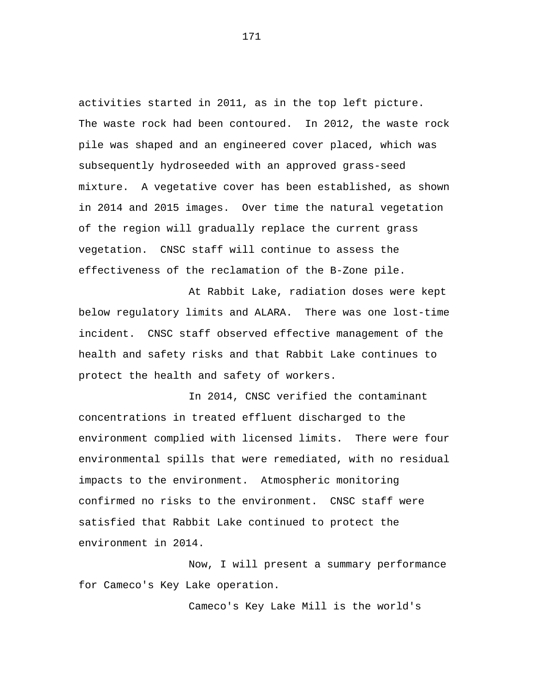activities started in 2011, as in the top left picture. The waste rock had been contoured. In 2012, the waste rock pile was shaped and an engineered cover placed, which was subsequently hydroseeded with an approved grass-seed mixture. A vegetative cover has been established, as shown in 2014 and 2015 images. Over time the natural vegetation of the region will gradually replace the current grass vegetation. CNSC staff will continue to assess the effectiveness of the reclamation of the B-Zone pile.

At Rabbit Lake, radiation doses were kept below regulatory limits and ALARA. There was one lost-time incident. CNSC staff observed effective management of the health and safety risks and that Rabbit Lake continues to protect the health and safety of workers.

In 2014, CNSC verified the contaminant concentrations in treated effluent discharged to the environment complied with licensed limits. There were four environmental spills that were remediated, with no residual impacts to the environment. Atmospheric monitoring confirmed no risks to the environment. CNSC staff were satisfied that Rabbit Lake continued to protect the environment in 2014.

Now, I will present a summary performance for Cameco's Key Lake operation.

Cameco's Key Lake Mill is the world's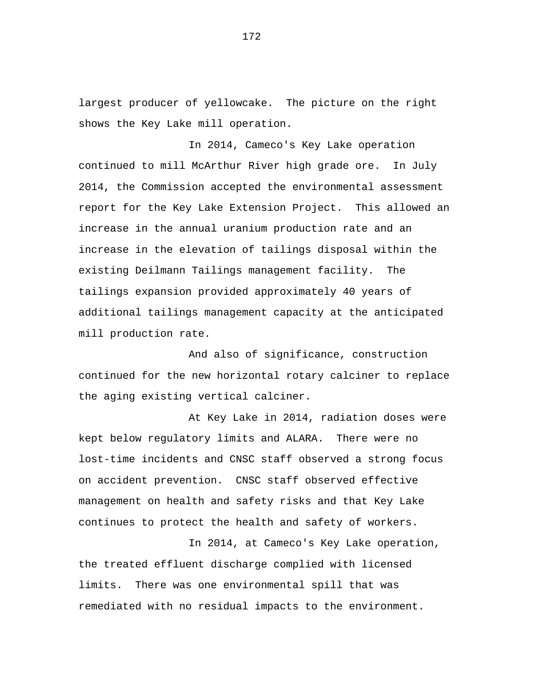largest producer of yellowcake. The picture on the right shows the Key Lake mill operation.

In 2014, Cameco's Key Lake operation continued to mill McArthur River high grade ore. In July 2014, the Commission accepted the environmental assessment report for the Key Lake Extension Project. This allowed an increase in the annual uranium production rate and an increase in the elevation of tailings disposal within the existing Deilmann Tailings management facility. The tailings expansion provided approximately 40 years of additional tailings management capacity at the anticipated mill production rate.

And also of significance, construction continued for the new horizontal rotary calciner to replace the aging existing vertical calciner.

At Key Lake in 2014, radiation doses were kept below regulatory limits and ALARA. There were no lost-time incidents and CNSC staff observed a strong focus on accident prevention. CNSC staff observed effective management on health and safety risks and that Key Lake continues to protect the health and safety of workers.

In 2014, at Cameco's Key Lake operation, the treated effluent discharge complied with licensed limits. There was one environmental spill that was remediated with no residual impacts to the environment.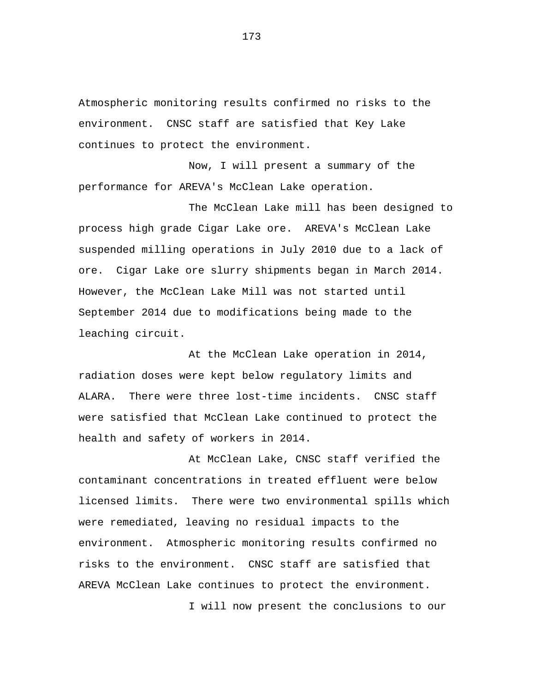Atmospheric monitoring results confirmed no risks to the environment. CNSC staff are satisfied that Key Lake continues to protect the environment.

Now, I will present a summary of the performance for AREVA's McClean Lake operation.

The McClean Lake mill has been designed to process high grade Cigar Lake ore. AREVA's McClean Lake suspended milling operations in July 2010 due to a lack of ore. Cigar Lake ore slurry shipments began in March 2014. However, the McClean Lake Mill was not started until September 2014 due to modifications being made to the leaching circuit.

At the McClean Lake operation in 2014, radiation doses were kept below regulatory limits and ALARA. There were three lost-time incidents. CNSC staff were satisfied that McClean Lake continued to protect the health and safety of workers in 2014.

At McClean Lake, CNSC staff verified the contaminant concentrations in treated effluent were below licensed limits. There were two environmental spills which were remediated, leaving no residual impacts to the environment. Atmospheric monitoring results confirmed no risks to the environment. CNSC staff are satisfied that AREVA McClean Lake continues to protect the environment.

I will now present the conclusions to our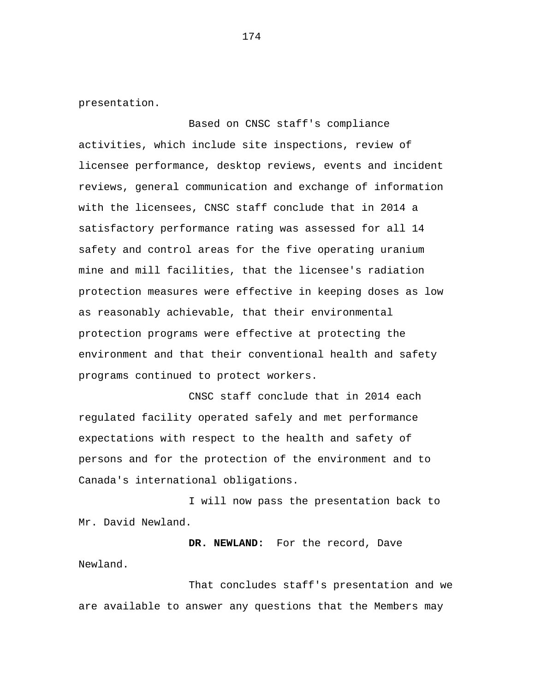presentation.

Based on CNSC staff's compliance activities, which include site inspections, review of licensee performance, desktop reviews, events and incident reviews, general communication and exchange of information with the licensees, CNSC staff conclude that in 2014 a satisfactory performance rating was assessed for all 14 safety and control areas for the five operating uranium mine and mill facilities, that the licensee's radiation protection measures were effective in keeping doses as low as reasonably achievable, that their environmental protection programs were effective at protecting the environment and that their conventional health and safety programs continued to protect workers.

CNSC staff conclude that in 2014 each regulated facility operated safely and met performance expectations with respect to the health and safety of persons and for the protection of the environment and to Canada's international obligations.

I will now pass the presentation back to Mr. David Newland.

**DR. NEWLAND:** For the record, Dave Newland.

That concludes staff's presentation and we are available to answer any questions that the Members may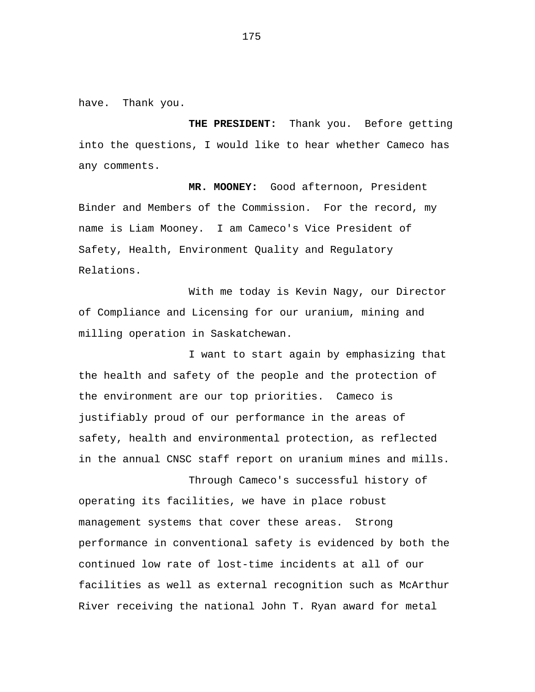have. Thank you.

**THE PRESIDENT:** Thank you. Before getting into the questions, I would like to hear whether Cameco has any comments.

**MR. MOONEY:** Good afternoon, President Binder and Members of the Commission. For the record, my name is Liam Mooney. I am Cameco's Vice President of Safety, Health, Environment Quality and Regulatory Relations.

With me today is Kevin Nagy, our Director of Compliance and Licensing for our uranium, mining and milling operation in Saskatchewan.

I want to start again by emphasizing that the health and safety of the people and the protection of the environment are our top priorities. Cameco is justifiably proud of our performance in the areas of safety, health and environmental protection, as reflected in the annual CNSC staff report on uranium mines and mills.

Through Cameco's successful history of operating its facilities, we have in place robust management systems that cover these areas. Strong performance in conventional safety is evidenced by both the continued low rate of lost-time incidents at all of our facilities as well as external recognition such as McArthur River receiving the national John T. Ryan award for metal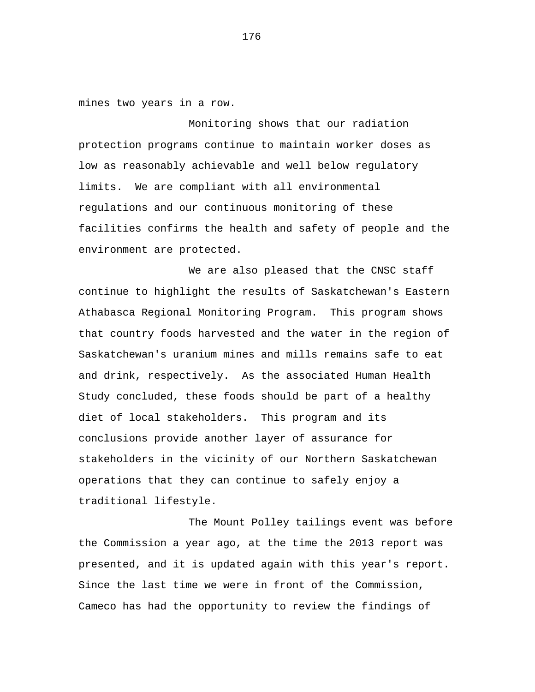mines two years in a row.

Monitoring shows that our radiation protection programs continue to maintain worker doses as low as reasonably achievable and well below regulatory limits. We are compliant with all environmental regulations and our continuous monitoring of these facilities confirms the health and safety of people and the environment are protected.

We are also pleased that the CNSC staff continue to highlight the results of Saskatchewan's Eastern Athabasca Regional Monitoring Program. This program shows that country foods harvested and the water in the region of Saskatchewan's uranium mines and mills remains safe to eat and drink, respectively. As the associated Human Health Study concluded, these foods should be part of a healthy diet of local stakeholders. This program and its conclusions provide another layer of assurance for stakeholders in the vicinity of our Northern Saskatchewan operations that they can continue to safely enjoy a traditional lifestyle.

The Mount Polley tailings event was before the Commission a year ago, at the time the 2013 report was presented, and it is updated again with this year's report. Since the last time we were in front of the Commission, Cameco has had the opportunity to review the findings of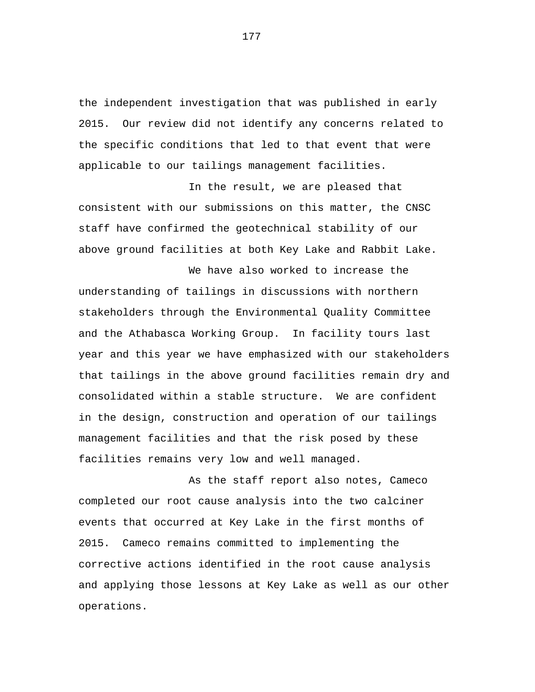the independent investigation that was published in early 2015. Our review did not identify any concerns related to the specific conditions that led to that event that were applicable to our tailings management facilities.

In the result, we are pleased that consistent with our submissions on this matter, the CNSC staff have confirmed the geotechnical stability of our above ground facilities at both Key Lake and Rabbit Lake.

We have also worked to increase the understanding of tailings in discussions with northern stakeholders through the Environmental Quality Committee and the Athabasca Working Group. In facility tours last year and this year we have emphasized with our stakeholders that tailings in the above ground facilities remain dry and consolidated within a stable structure. We are confident in the design, construction and operation of our tailings management facilities and that the risk posed by these facilities remains very low and well managed.

As the staff report also notes, Cameco completed our root cause analysis into the two calciner events that occurred at Key Lake in the first months of 2015. Cameco remains committed to implementing the corrective actions identified in the root cause analysis and applying those lessons at Key Lake as well as our other operations.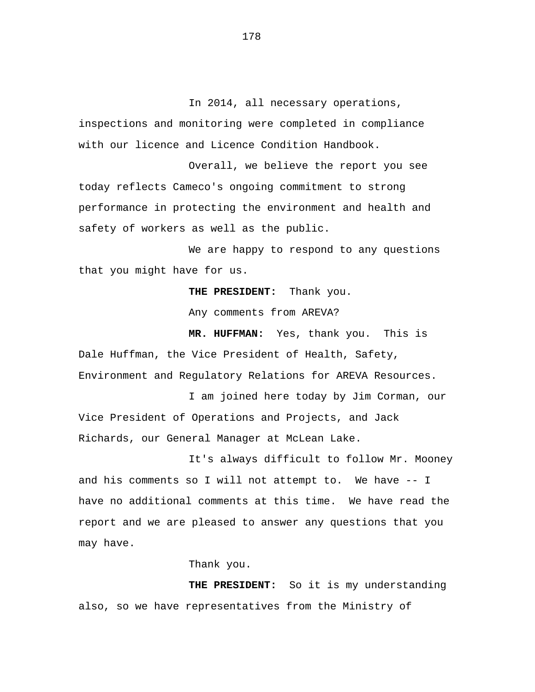In 2014, all necessary operations, inspections and monitoring were completed in compliance with our licence and Licence Condition Handbook.

Overall, we believe the report you see today reflects Cameco's ongoing commitment to strong performance in protecting the environment and health and safety of workers as well as the public.

We are happy to respond to any questions that you might have for us.

**THE PRESIDENT:** Thank you.

Any comments from AREVA?

**MR. HUFFMAN:** Yes, thank you. This is Dale Huffman, the Vice President of Health, Safety, Environment and Regulatory Relations for AREVA Resources.

I am joined here today by Jim Corman, our Vice President of Operations and Projects, and Jack Richards, our General Manager at McLean Lake.

It's always difficult to follow Mr. Mooney and his comments so I will not attempt to. We have -- I have no additional comments at this time. We have read the report and we are pleased to answer any questions that you may have.

Thank you.

**THE PRESIDENT:** So it is my understanding also, so we have representatives from the Ministry of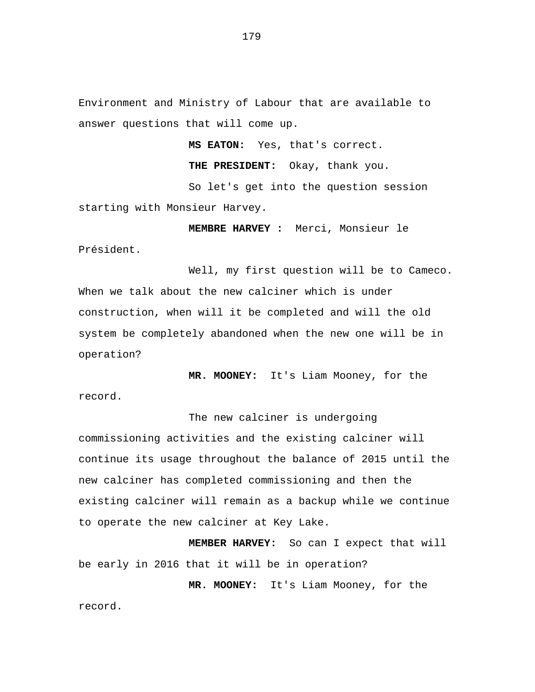Environment and Ministry of Labour that are available to answer questions that will come up.

**MS EATON:** Yes, that's correct.

**THE PRESIDENT:** Okay, thank you.

So let's get into the question session starting with Monsieur Harvey.

Président.

**MEMBRE HARVEY :** Merci, Monsieur le

Well, my first question will be to Cameco. When we talk about the new calciner which is under construction, when will it be completed and will the old system be completely abandoned when the new one will be in operation?

**MR. MOONEY:** It's Liam Mooney, for the record.

The new calciner is undergoing commissioning activities and the existing calciner will continue its usage throughout the balance of 2015 until the new calciner has completed commissioning and then the existing calciner will remain as a backup while we continue to operate the new calciner at Key Lake.

**MEMBER HARVEY:** So can I expect that will be early in 2016 that it will be in operation?

**MR. MOONEY:** It's Liam Mooney, for the record.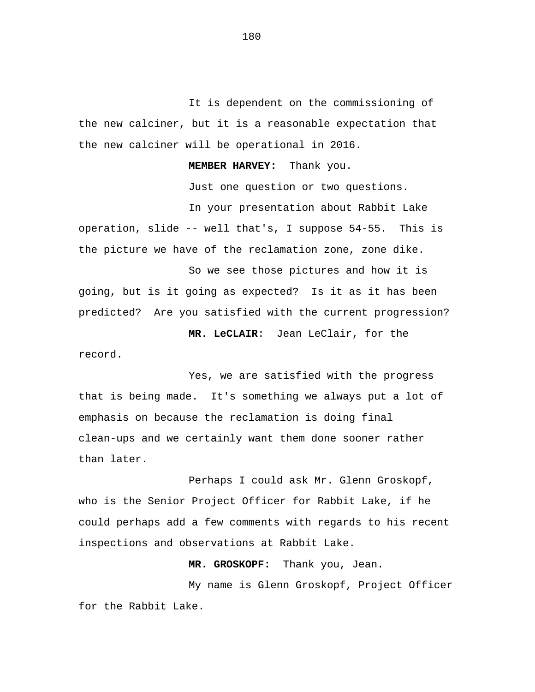It is dependent on the commissioning of the new calciner, but it is a reasonable expectation that the new calciner will be operational in 2016.

**MEMBER HARVEY:** Thank you.

Just one question or two questions.

In your presentation about Rabbit Lake operation, slide -- well that's, I suppose 54-55. This is the picture we have of the reclamation zone, zone dike.

So we see those pictures and how it is going, but is it going as expected? Is it as it has been predicted? Are you satisfied with the current progression?

 **MR. LeCLAIR**: Jean LeClair, for the record.

Yes, we are satisfied with the progress that is being made. It's something we always put a lot of emphasis on because the reclamation is doing final clean-ups and we certainly want them done sooner rather than later.

Perhaps I could ask Mr. Glenn Groskopf, who is the Senior Project Officer for Rabbit Lake, if he could perhaps add a few comments with regards to his recent inspections and observations at Rabbit Lake.

**MR. GROSKOPF:** Thank you, Jean.

My name is Glenn Groskopf, Project Officer for the Rabbit Lake.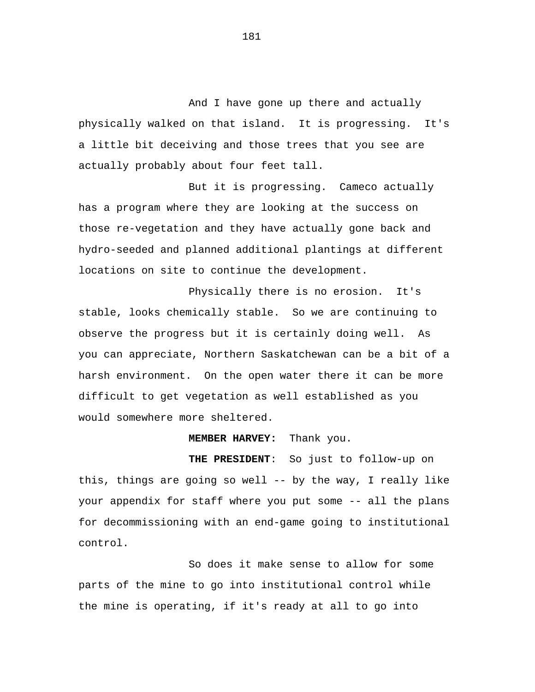And I have gone up there and actually physically walked on that island. It is progressing. It's a little bit deceiving and those trees that you see are actually probably about four feet tall.

But it is progressing. Cameco actually has a program where they are looking at the success on those re-vegetation and they have actually gone back and hydro-seeded and planned additional plantings at different locations on site to continue the development.

Physically there is no erosion. It's stable, looks chemically stable. So we are continuing to observe the progress but it is certainly doing well. As you can appreciate, Northern Saskatchewan can be a bit of a harsh environment. On the open water there it can be more difficult to get vegetation as well established as you would somewhere more sheltered.

#### **MEMBER HARVEY:** Thank you.

 **THE PRESIDENT**: So just to follow-up on this, things are going so well -- by the way, I really like your appendix for staff where you put some -- all the plans for decommissioning with an end-game going to institutional control.

So does it make sense to allow for some parts of the mine to go into institutional control while the mine is operating, if it's ready at all to go into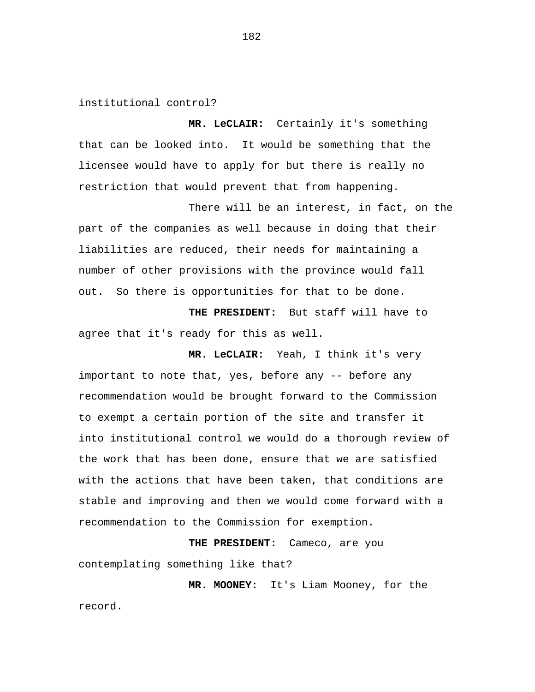institutional control?

**MR. LeCLAIR:** Certainly it's something that can be looked into. It would be something that the licensee would have to apply for but there is really no restriction that would prevent that from happening.

There will be an interest, in fact, on the part of the companies as well because in doing that their liabilities are reduced, their needs for maintaining a number of other provisions with the province would fall out. So there is opportunities for that to be done.

**THE PRESIDENT:** But staff will have to agree that it's ready for this as well.

**MR. LeCLAIR:** Yeah, I think it's very important to note that, yes, before any -- before any recommendation would be brought forward to the Commission to exempt a certain portion of the site and transfer it into institutional control we would do a thorough review of the work that has been done, ensure that we are satisfied with the actions that have been taken, that conditions are stable and improving and then we would come forward with a recommendation to the Commission for exemption.

**THE PRESIDENT:** Cameco, are you contemplating something like that?

**MR. MOONEY:** It's Liam Mooney, for the record.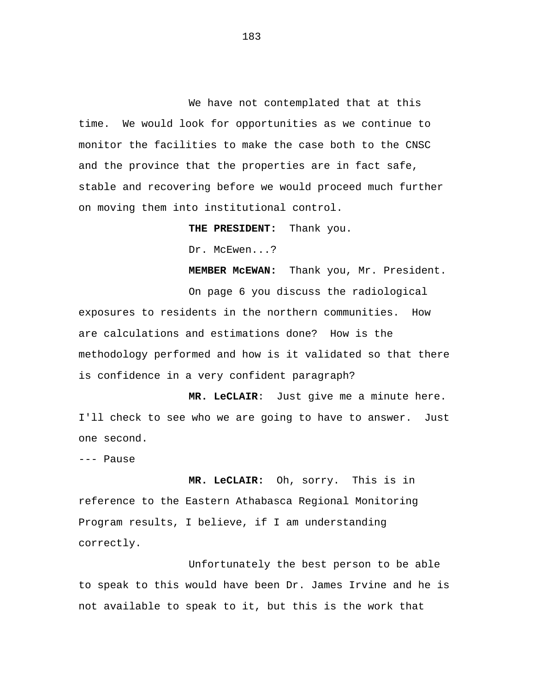We have not contemplated that at this time. We would look for opportunities as we continue to monitor the facilities to make the case both to the CNSC and the province that the properties are in fact safe, stable and recovering before we would proceed much further on moving them into institutional control.

**THE PRESIDENT:** Thank you.

Dr. McEwen...?

**MEMBER McEWAN:** Thank you, Mr. President.

On page 6 you discuss the radiological exposures to residents in the northern communities. How are calculations and estimations done? How is the methodology performed and how is it validated so that there is confidence in a very confident paragraph?

 **MR. LeCLAIR**: Just give me a minute here. I'll check to see who we are going to have to answer. Just one second.

--- Pause

**MR. LeCLAIR:** Oh, sorry. This is in reference to the Eastern Athabasca Regional Monitoring Program results, I believe, if I am understanding correctly.

Unfortunately the best person to be able to speak to this would have been Dr. James Irvine and he is not available to speak to it, but this is the work that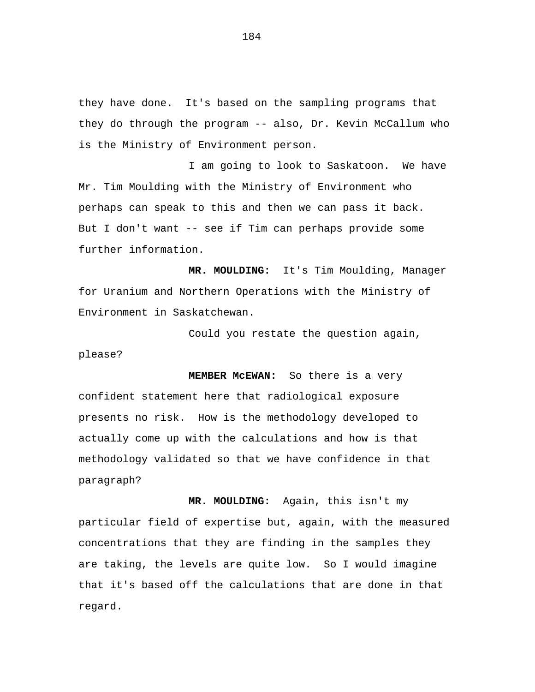they have done. It's based on the sampling programs that they do through the program -- also, Dr. Kevin McCallum who is the Ministry of Environment person.

I am going to look to Saskatoon. We have Mr. Tim Moulding with the Ministry of Environment who perhaps can speak to this and then we can pass it back. But I don't want -- see if Tim can perhaps provide some further information.

**MR. MOULDING:** It's Tim Moulding, Manager for Uranium and Northern Operations with the Ministry of Environment in Saskatchewan.

Could you restate the question again, please?

**MEMBER McEWAN:** So there is a very confident statement here that radiological exposure presents no risk. How is the methodology developed to actually come up with the calculations and how is that methodology validated so that we have confidence in that paragraph?

**MR. MOULDING:** Again, this isn't my particular field of expertise but, again, with the measured concentrations that they are finding in the samples they are taking, the levels are quite low. So I would imagine that it's based off the calculations that are done in that regard.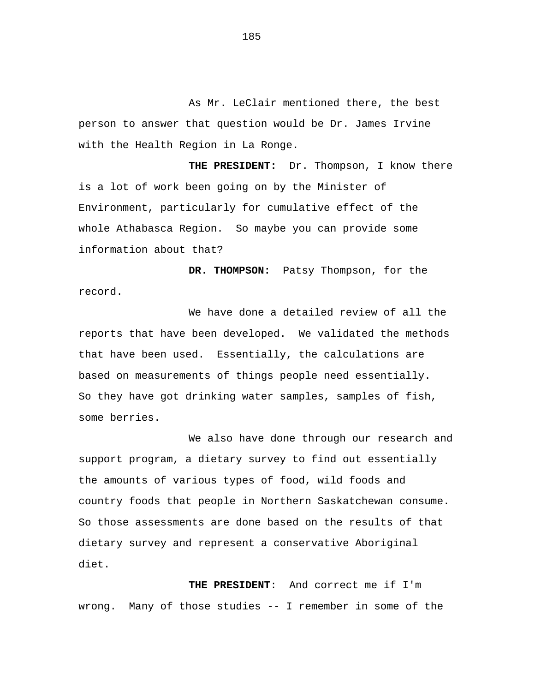As Mr. LeClair mentioned there, the best person to answer that question would be Dr. James Irvine with the Health Region in La Ronge.

**THE PRESIDENT:** Dr. Thompson, I know there is a lot of work been going on by the Minister of Environment, particularly for cumulative effect of the whole Athabasca Region. So maybe you can provide some information about that?

**DR. THOMPSON:** Patsy Thompson, for the record.

We have done a detailed review of all the reports that have been developed. We validated the methods that have been used. Essentially, the calculations are based on measurements of things people need essentially. So they have got drinking water samples, samples of fish, some berries.

We also have done through our research and support program, a dietary survey to find out essentially the amounts of various types of food, wild foods and country foods that people in Northern Saskatchewan consume. So those assessments are done based on the results of that dietary survey and represent a conservative Aboriginal diet.

 **THE PRESIDENT**: And correct me if I'm wrong. Many of those studies -- I remember in some of the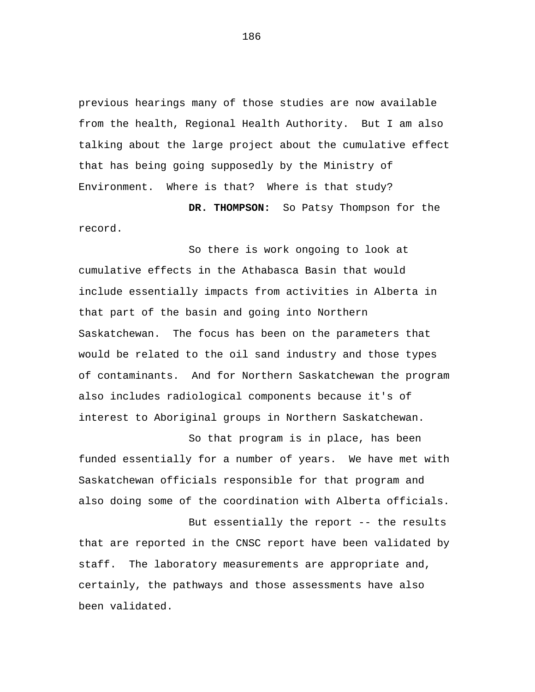previous hearings many of those studies are now available from the health, Regional Health Authority. But I am also talking about the large project about the cumulative effect that has being going supposedly by the Ministry of Environment. Where is that? Where is that study?

**DR. THOMPSON:** So Patsy Thompson for the record.

So there is work ongoing to look at cumulative effects in the Athabasca Basin that would include essentially impacts from activities in Alberta in that part of the basin and going into Northern Saskatchewan. The focus has been on the parameters that would be related to the oil sand industry and those types of contaminants. And for Northern Saskatchewan the program also includes radiological components because it's of interest to Aboriginal groups in Northern Saskatchewan.

So that program is in place, has been funded essentially for a number of years. We have met with Saskatchewan officials responsible for that program and also doing some of the coordination with Alberta officials.

But essentially the report -- the results that are reported in the CNSC report have been validated by staff. The laboratory measurements are appropriate and, certainly, the pathways and those assessments have also been validated.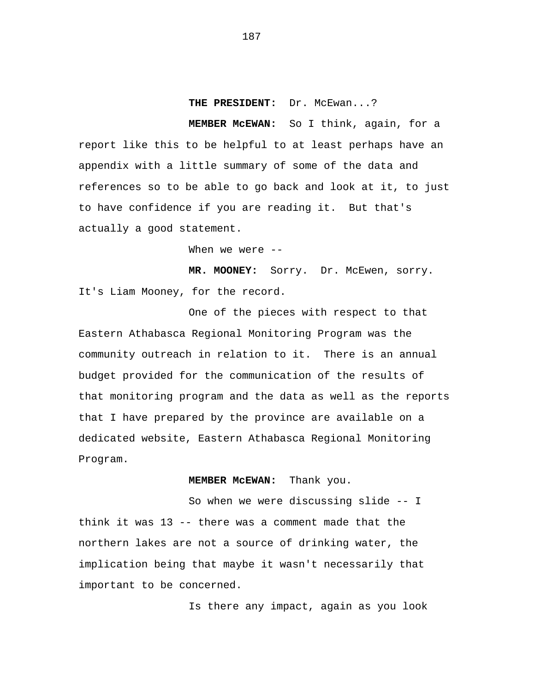## **THE PRESIDENT:** Dr. McEwan...?

**MEMBER McEWAN:** So I think, again, for a report like this to be helpful to at least perhaps have an appendix with a little summary of some of the data and references so to be able to go back and look at it, to just to have confidence if you are reading it. But that's actually a good statement.

When we were --

MR. MOONEY: Sorry. Dr. McEwen, sorry. It's Liam Mooney, for the record.

One of the pieces with respect to that Eastern Athabasca Regional Monitoring Program was the community outreach in relation to it. There is an annual budget provided for the communication of the results of that monitoring program and the data as well as the reports that I have prepared by the province are available on a dedicated website, Eastern Athabasca Regional Monitoring Program.

# **MEMBER McEWAN:** Thank you.

So when we were discussing slide -- I think it was 13 -- there was a comment made that the northern lakes are not a source of drinking water, the implication being that maybe it wasn't necessarily that important to be concerned.

Is there any impact, again as you look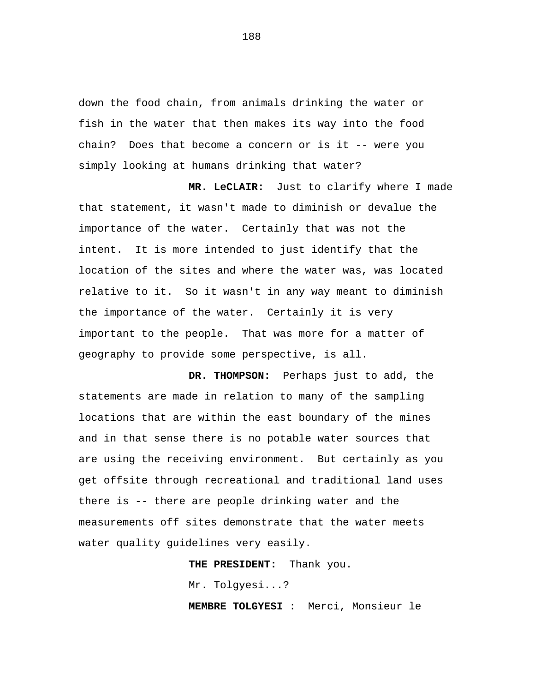down the food chain, from animals drinking the water or fish in the water that then makes its way into the food chain? Does that become a concern or is it -- were you simply looking at humans drinking that water?

**MR. LeCLAIR:** Just to clarify where I made that statement, it wasn't made to diminish or devalue the importance of the water. Certainly that was not the intent. It is more intended to just identify that the location of the sites and where the water was, was located relative to it. So it wasn't in any way meant to diminish the importance of the water. Certainly it is very important to the people. That was more for a matter of geography to provide some perspective, is all.

**DR. THOMPSON:** Perhaps just to add, the statements are made in relation to many of the sampling locations that are within the east boundary of the mines and in that sense there is no potable water sources that are using the receiving environment. But certainly as you get offsite through recreational and traditional land uses there is -- there are people drinking water and the measurements off sites demonstrate that the water meets water quality guidelines very easily.

**THE PRESIDENT:** Thank you.

Mr. Tolgyesi...?

**MEMBRE TOLGYESI** : Merci, Monsieur le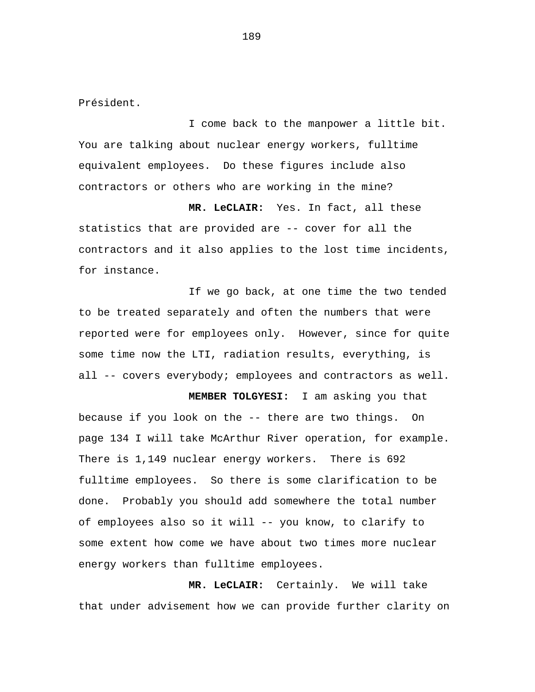Président.

I come back to the manpower a little bit. You are talking about nuclear energy workers, fulltime equivalent employees. Do these figures include also contractors or others who are working in the mine?

**MR. LeCLAIR:** Yes. In fact, all these statistics that are provided are -- cover for all the contractors and it also applies to the lost time incidents, for instance.

If we go back, at one time the two tended to be treated separately and often the numbers that were reported were for employees only. However, since for quite some time now the LTI, radiation results, everything, is all -- covers everybody; employees and contractors as well.

**MEMBER TOLGYESI:** I am asking you that because if you look on the -- there are two things. On page 134 I will take McArthur River operation, for example. There is 1,149 nuclear energy workers. There is 692 fulltime employees. So there is some clarification to be done. Probably you should add somewhere the total number of employees also so it will -- you know, to clarify to some extent how come we have about two times more nuclear energy workers than fulltime employees.

**MR. LeCLAIR:** Certainly. We will take that under advisement how we can provide further clarity on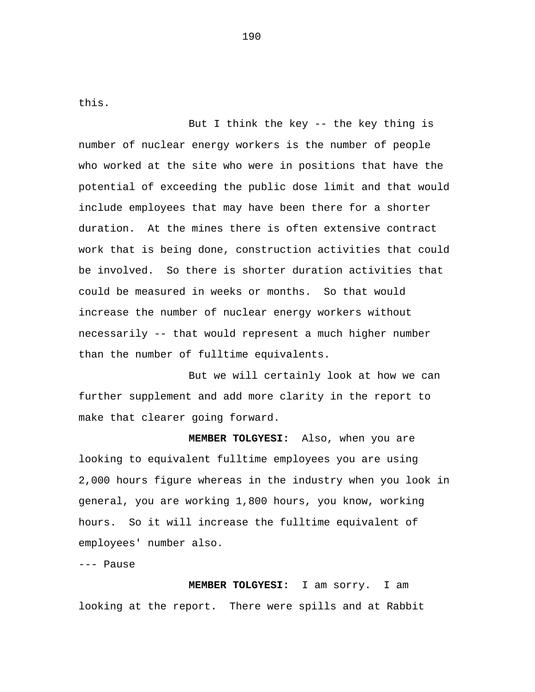this.

But I think the key -- the key thing is number of nuclear energy workers is the number of people who worked at the site who were in positions that have the potential of exceeding the public dose limit and that would include employees that may have been there for a shorter duration. At the mines there is often extensive contract work that is being done, construction activities that could be involved. So there is shorter duration activities that could be measured in weeks or months. So that would increase the number of nuclear energy workers without necessarily -- that would represent a much higher number than the number of fulltime equivalents.

But we will certainly look at how we can further supplement and add more clarity in the report to make that clearer going forward.

**MEMBER TOLGYESI:** Also, when you are looking to equivalent fulltime employees you are using 2,000 hours figure whereas in the industry when you look in general, you are working 1,800 hours, you know, working hours. So it will increase the fulltime equivalent of employees' number also.

--- Pause

**MEMBER TOLGYESI:** I am sorry. I am looking at the report. There were spills and at Rabbit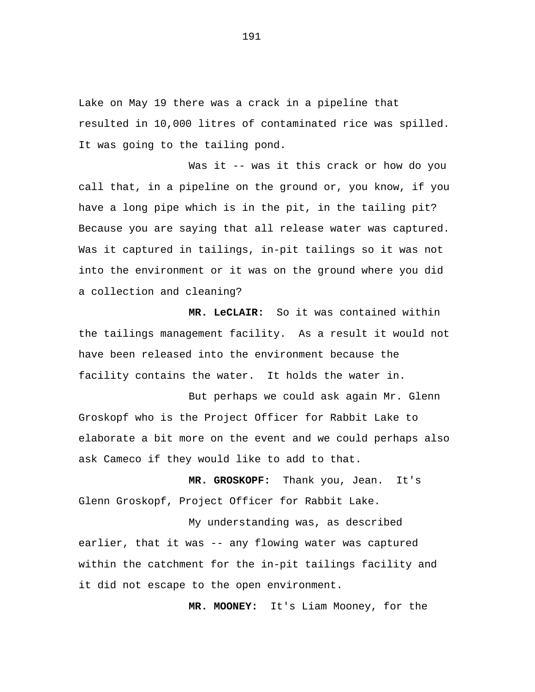Lake on May 19 there was a crack in a pipeline that resulted in 10,000 litres of contaminated rice was spilled. It was going to the tailing pond.

Was it -- was it this crack or how do you call that, in a pipeline on the ground or, you know, if you have a long pipe which is in the pit, in the tailing pit? Because you are saying that all release water was captured. Was it captured in tailings, in-pit tailings so it was not into the environment or it was on the ground where you did a collection and cleaning?

 **MR. LeCLAIR:** So it was contained within the tailings management facility. As a result it would not have been released into the environment because the facility contains the water. It holds the water in.

But perhaps we could ask again Mr. Glenn Groskopf who is the Project Officer for Rabbit Lake to elaborate a bit more on the event and we could perhaps also ask Cameco if they would like to add to that.

**MR. GROSKOPF:** Thank you, Jean. It's Glenn Groskopf, Project Officer for Rabbit Lake.

My understanding was, as described earlier, that it was -- any flowing water was captured within the catchment for the in-pit tailings facility and it did not escape to the open environment.

 **MR. MOONEY:** It's Liam Mooney, for the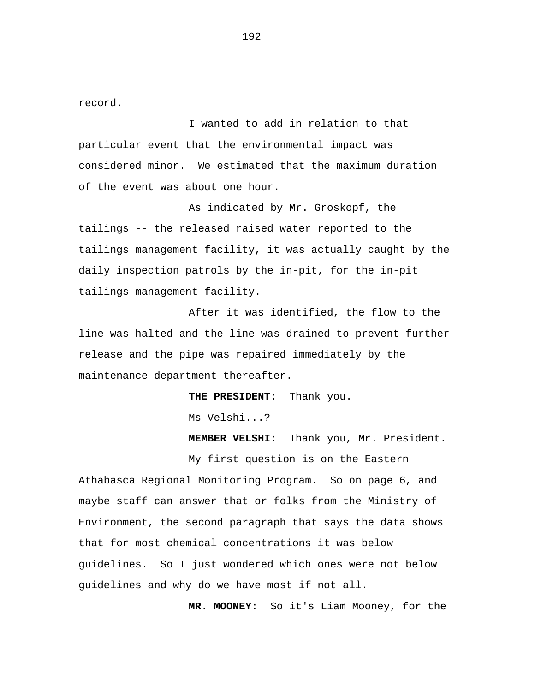record.

I wanted to add in relation to that particular event that the environmental impact was considered minor. We estimated that the maximum duration of the event was about one hour.

As indicated by Mr. Groskopf, the tailings -- the released raised water reported to the tailings management facility, it was actually caught by the daily inspection patrols by the in-pit, for the in-pit tailings management facility.

After it was identified, the flow to the line was halted and the line was drained to prevent further release and the pipe was repaired immediately by the maintenance department thereafter.

**THE PRESIDENT:** Thank you.

Ms Velshi...?

**MEMBER VELSHI:** Thank you, Mr. President.

My first question is on the Eastern Athabasca Regional Monitoring Program. So on page 6, and maybe staff can answer that or folks from the Ministry of Environment, the second paragraph that says the data shows that for most chemical concentrations it was below guidelines. So I just wondered which ones were not below guidelines and why do we have most if not all.

**MR. MOONEY:** So it's Liam Mooney, for the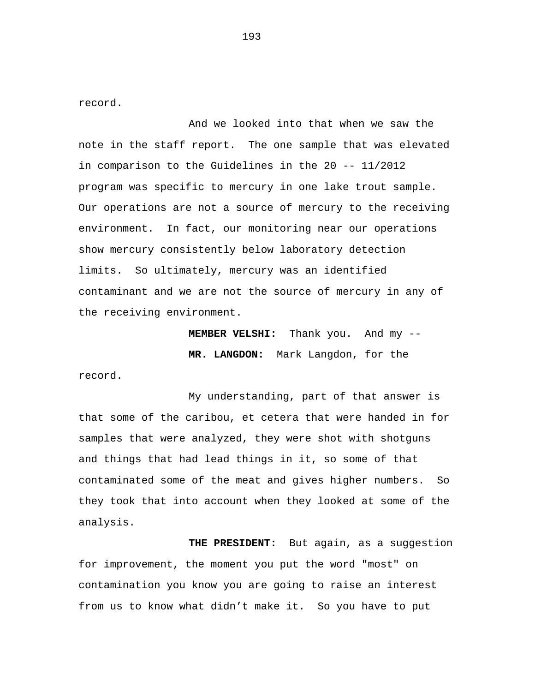record.

And we looked into that when we saw the note in the staff report. The one sample that was elevated in comparison to the Guidelines in the 20 -- 11/2012 program was specific to mercury in one lake trout sample. Our operations are not a source of mercury to the receiving environment. In fact, our monitoring near our operations show mercury consistently below laboratory detection limits. So ultimately, mercury was an identified contaminant and we are not the source of mercury in any of the receiving environment.

> **MEMBER VELSHI:** Thank you. And my -- **MR. LANGDON:** Mark Langdon, for the

record.

My understanding, part of that answer is that some of the caribou, et cetera that were handed in for samples that were analyzed, they were shot with shotguns and things that had lead things in it, so some of that contaminated some of the meat and gives higher numbers. So they took that into account when they looked at some of the analysis.

**THE PRESIDENT:** But again, as a suggestion for improvement, the moment you put the word "most" on contamination you know you are going to raise an interest from us to know what didn't make it. So you have to put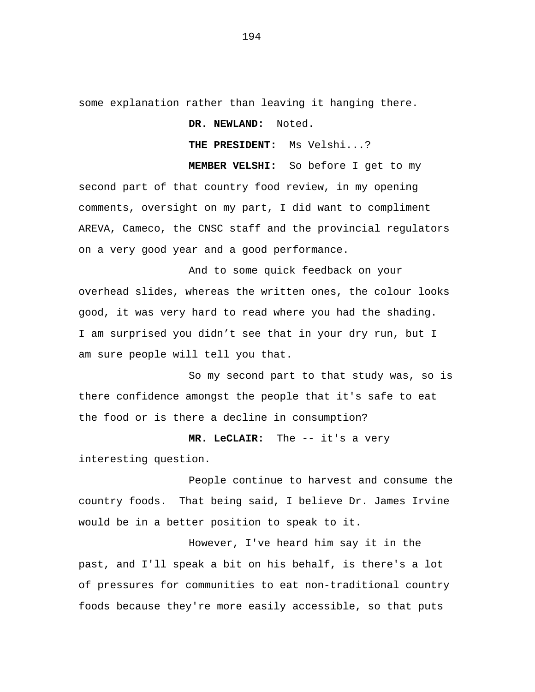some explanation rather than leaving it hanging there.

**DR. NEWLAND:** Noted.

**THE PRESIDENT:** Ms Velshi...?

**MEMBER VELSHI:** So before I get to my second part of that country food review, in my opening comments, oversight on my part, I did want to compliment AREVA, Cameco, the CNSC staff and the provincial regulators on a very good year and a good performance.

And to some quick feedback on your overhead slides, whereas the written ones, the colour looks good, it was very hard to read where you had the shading. I am surprised you didn't see that in your dry run, but I am sure people will tell you that.

So my second part to that study was, so is there confidence amongst the people that it's safe to eat the food or is there a decline in consumption?

**MR. LeCLAIR:** The -- it's a very interesting question.

People continue to harvest and consume the country foods. That being said, I believe Dr. James Irvine would be in a better position to speak to it.

However, I've heard him say it in the past, and I'll speak a bit on his behalf, is there's a lot of pressures for communities to eat non-traditional country foods because they're more easily accessible, so that puts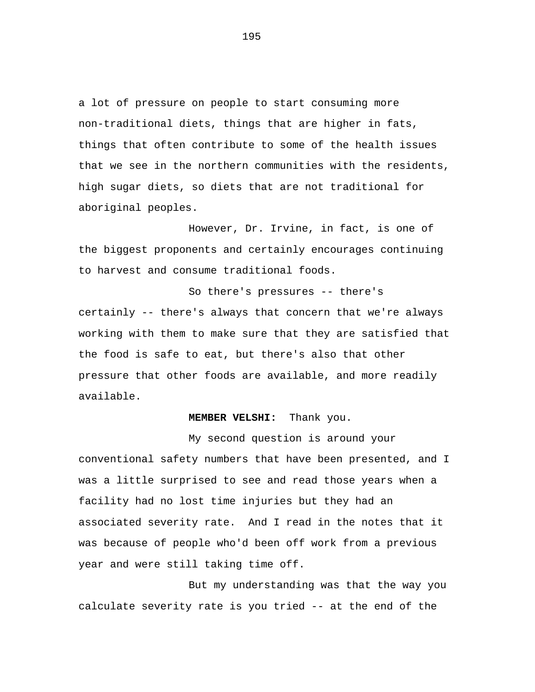a lot of pressure on people to start consuming more non-traditional diets, things that are higher in fats, things that often contribute to some of the health issues that we see in the northern communities with the residents, high sugar diets, so diets that are not traditional for aboriginal peoples.

However, Dr. Irvine, in fact, is one of the biggest proponents and certainly encourages continuing to harvest and consume traditional foods.

So there's pressures -- there's certainly -- there's always that concern that we're always working with them to make sure that they are satisfied that the food is safe to eat, but there's also that other pressure that other foods are available, and more readily available.

### **MEMBER VELSHI:** Thank you.

My second question is around your conventional safety numbers that have been presented, and I was a little surprised to see and read those years when a facility had no lost time injuries but they had an associated severity rate. And I read in the notes that it was because of people who'd been off work from a previous year and were still taking time off.

But my understanding was that the way you calculate severity rate is you tried -- at the end of the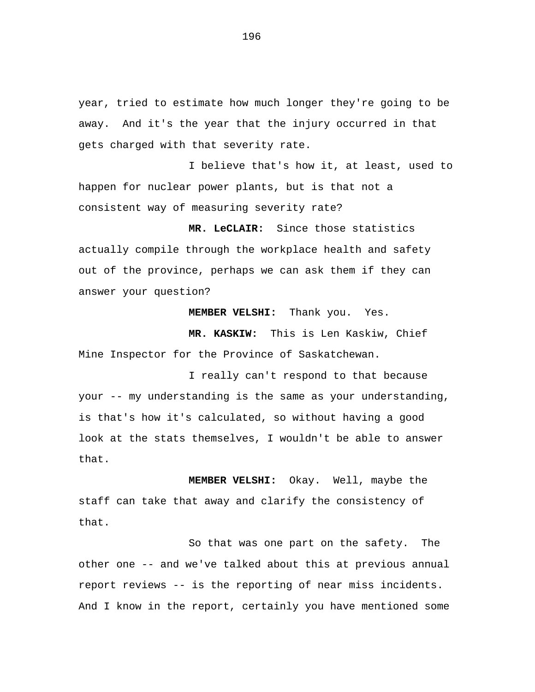year, tried to estimate how much longer they're going to be away. And it's the year that the injury occurred in that gets charged with that severity rate.

I believe that's how it, at least, used to happen for nuclear power plants, but is that not a consistent way of measuring severity rate?

**MR. LeCLAIR:** Since those statistics actually compile through the workplace health and safety out of the province, perhaps we can ask them if they can answer your question?

**MEMBER VELSHI:** Thank you. Yes.

**MR. KASKIW:** This is Len Kaskiw, Chief Mine Inspector for the Province of Saskatchewan.

I really can't respond to that because your -- my understanding is the same as your understanding, is that's how it's calculated, so without having a good look at the stats themselves, I wouldn't be able to answer that.

**MEMBER VELSHI:** Okay. Well, maybe the staff can take that away and clarify the consistency of that.

So that was one part on the safety. The other one -- and we've talked about this at previous annual report reviews -- is the reporting of near miss incidents. And I know in the report, certainly you have mentioned some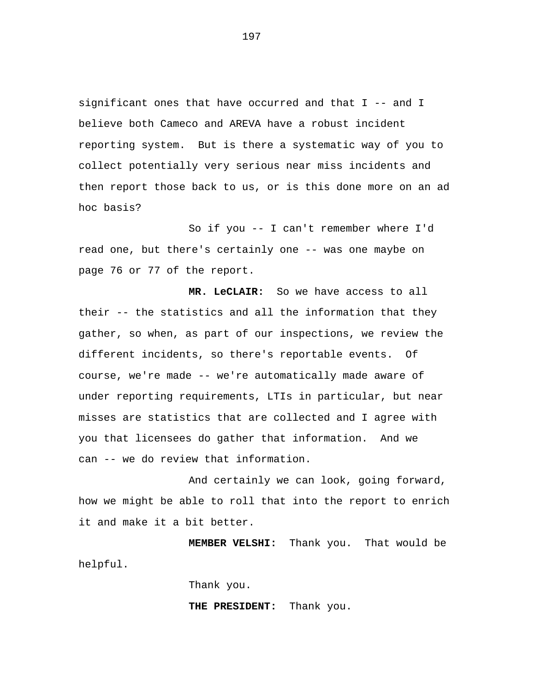significant ones that have occurred and that I -- and I believe both Cameco and AREVA have a robust incident reporting system. But is there a systematic way of you to collect potentially very serious near miss incidents and then report those back to us, or is this done more on an ad hoc basis?

So if you -- I can't remember where I'd read one, but there's certainly one -- was one maybe on page 76 or 77 of the report.

**MR. LeCLAIR:** So we have access to all their -- the statistics and all the information that they gather, so when, as part of our inspections, we review the different incidents, so there's reportable events. Of course, we're made -- we're automatically made aware of under reporting requirements, LTIs in particular, but near misses are statistics that are collected and I agree with you that licensees do gather that information. And we can -- we do review that information.

And certainly we can look, going forward, how we might be able to roll that into the report to enrich it and make it a bit better.

**MEMBER VELSHI:** Thank you. That would be helpful.

Thank you.

**THE PRESIDENT:** Thank you.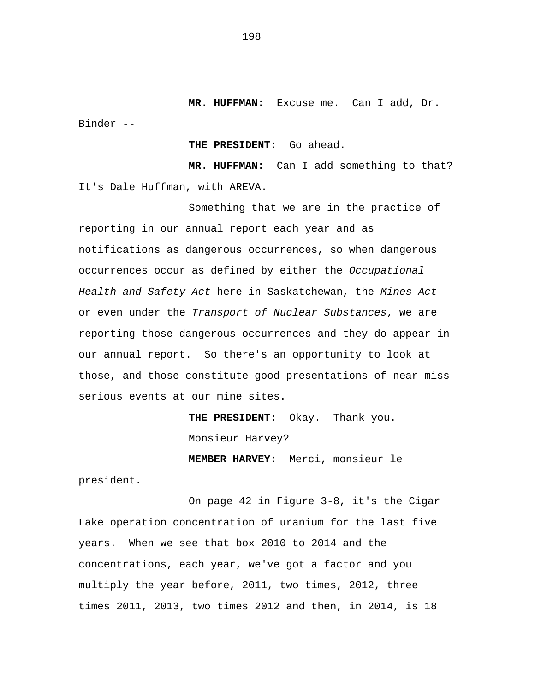**MR. HUFFMAN:** Excuse me. Can I add, Dr. Binder --

**THE PRESIDENT:** Go ahead.

**MR. HUFFMAN:** Can I add something to that? It's Dale Huffman, with AREVA.

Something that we are in the practice of reporting in our annual report each year and as notifications as dangerous occurrences, so when dangerous occurrences occur as defined by either the *Occupational Health and Safety Act* here in Saskatchewan, the *Mines Act*  or even under the *Transport of Nuclear Substances*, we are reporting those dangerous occurrences and they do appear in our annual report. So there's an opportunity to look at those, and those constitute good presentations of near miss serious events at our mine sites.

> **THE PRESIDENT:** Okay. Thank you. Monsieur Harvey?

**MEMBER HARVEY:** Merci, monsieur le

president.

On page 42 in Figure 3-8, it's the Cigar Lake operation concentration of uranium for the last five years. When we see that box 2010 to 2014 and the concentrations, each year, we've got a factor and you multiply the year before, 2011, two times, 2012, three times 2011, 2013, two times 2012 and then, in 2014, is 18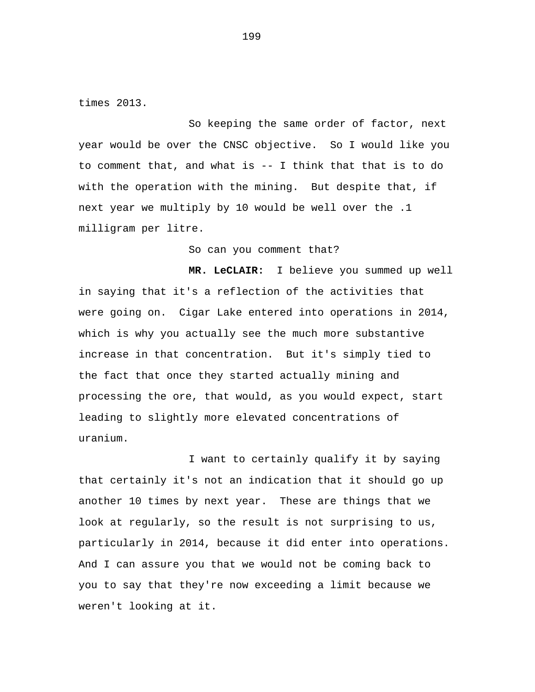times 2013.

So keeping the same order of factor, next year would be over the CNSC objective. So I would like you to comment that, and what is -- I think that that is to do with the operation with the mining. But despite that, if next year we multiply by 10 would be well over the .1 milligram per litre.

So can you comment that?

**MR. LeCLAIR:** I believe you summed up well in saying that it's a reflection of the activities that were going on. Cigar Lake entered into operations in 2014, which is why you actually see the much more substantive increase in that concentration. But it's simply tied to the fact that once they started actually mining and processing the ore, that would, as you would expect, start leading to slightly more elevated concentrations of uranium.

I want to certainly qualify it by saying that certainly it's not an indication that it should go up another 10 times by next year. These are things that we look at regularly, so the result is not surprising to us, particularly in 2014, because it did enter into operations. And I can assure you that we would not be coming back to you to say that they're now exceeding a limit because we weren't looking at it.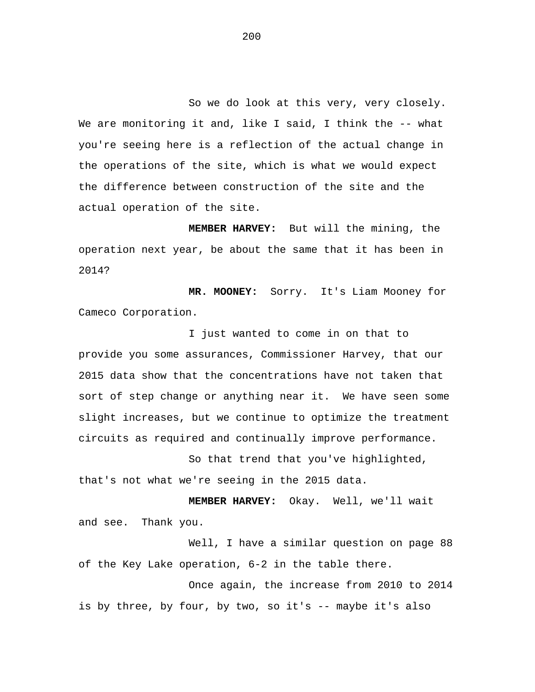So we do look at this very, very closely. We are monitoring it and, like I said, I think the -- what you're seeing here is a reflection of the actual change in the operations of the site, which is what we would expect the difference between construction of the site and the actual operation of the site.

**MEMBER HARVEY:** But will the mining, the operation next year, be about the same that it has been in 2014?

**MR. MOONEY:** Sorry. It's Liam Mooney for Cameco Corporation.

I just wanted to come in on that to provide you some assurances, Commissioner Harvey, that our 2015 data show that the concentrations have not taken that sort of step change or anything near it. We have seen some slight increases, but we continue to optimize the treatment circuits as required and continually improve performance.

So that trend that you've highlighted, that's not what we're seeing in the 2015 data.

**MEMBER HARVEY:** Okay. Well, we'll wait and see. Thank you.

Well, I have a similar question on page 88 of the Key Lake operation, 6-2 in the table there.

Once again, the increase from 2010 to 2014 is by three, by four, by two, so it's -- maybe it's also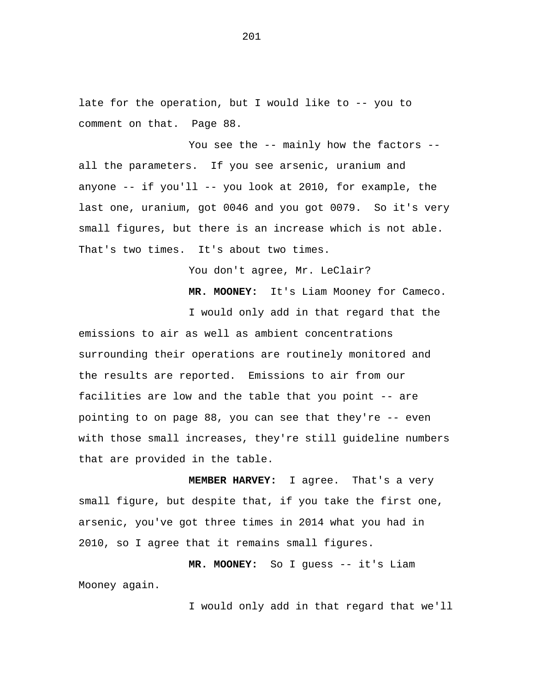late for the operation, but I would like to -- you to comment on that. Page 88.

You see the -- mainly how the factors -all the parameters. If you see arsenic, uranium and anyone -- if you'll -- you look at 2010, for example, the last one, uranium, got 0046 and you got 0079. So it's very small figures, but there is an increase which is not able. That's two times. It's about two times.

You don't agree, Mr. LeClair?

**MR. MOONEY:** It's Liam Mooney for Cameco.

I would only add in that regard that the emissions to air as well as ambient concentrations surrounding their operations are routinely monitored and the results are reported. Emissions to air from our facilities are low and the table that you point -- are pointing to on page 88, you can see that they're -- even with those small increases, they're still guideline numbers that are provided in the table.

**MEMBER HARVEY:** I agree. That's a very small figure, but despite that, if you take the first one, arsenic, you've got three times in 2014 what you had in 2010, so I agree that it remains small figures.

**MR. MOONEY:** So I guess -- it's Liam Mooney again.

I would only add in that regard that we'll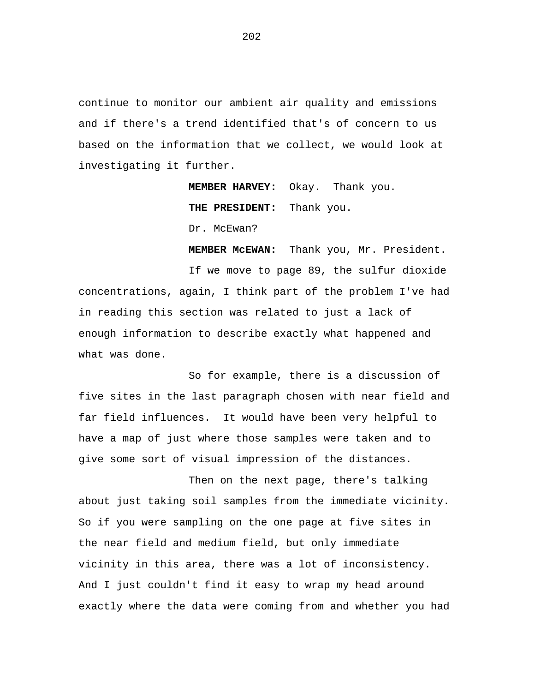continue to monitor our ambient air quality and emissions and if there's a trend identified that's of concern to us based on the information that we collect, we would look at investigating it further.

> **MEMBER HARVEY:** Okay. Thank you. **THE PRESIDENT:** Thank you.

Dr. McEwan?

 **MEMBER McEWAN:** Thank you, Mr. President.

If we move to page 89, the sulfur dioxide concentrations, again, I think part of the problem I've had in reading this section was related to just a lack of enough information to describe exactly what happened and what was done.

So for example, there is a discussion of five sites in the last paragraph chosen with near field and far field influences. It would have been very helpful to have a map of just where those samples were taken and to give some sort of visual impression of the distances.

Then on the next page, there's talking about just taking soil samples from the immediate vicinity. So if you were sampling on the one page at five sites in the near field and medium field, but only immediate vicinity in this area, there was a lot of inconsistency. And I just couldn't find it easy to wrap my head around exactly where the data were coming from and whether you had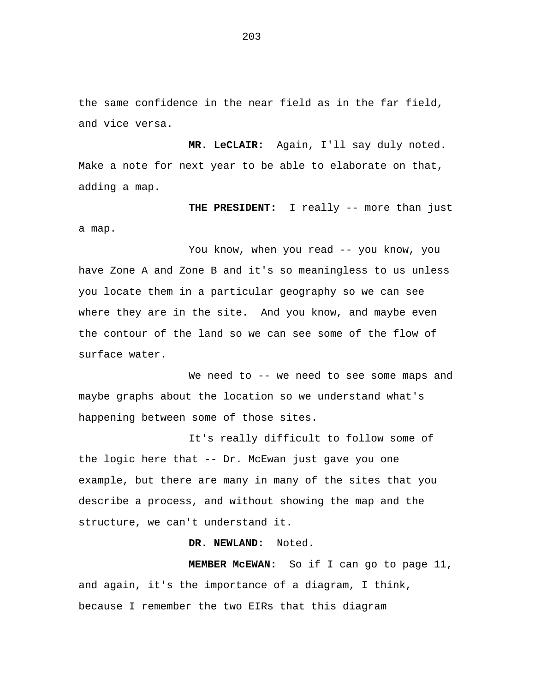the same confidence in the near field as in the far field, and vice versa.

**MR. LeCLAIR:** Again, I'll say duly noted. Make a note for next year to be able to elaborate on that, adding a map.

**THE PRESIDENT:** I really -- more than just a map.

You know, when you read -- you know, you have Zone A and Zone B and it's so meaningless to us unless you locate them in a particular geography so we can see where they are in the site. And you know, and maybe even the contour of the land so we can see some of the flow of surface water.

We need to -- we need to see some maps and maybe graphs about the location so we understand what's happening between some of those sites.

It's really difficult to follow some of the logic here that -- Dr. McEwan just gave you one example, but there are many in many of the sites that you describe a process, and without showing the map and the structure, we can't understand it.

# **DR. NEWLAND:** Noted.

**MEMBER McEWAN:** So if I can go to page 11, and again, it's the importance of a diagram, I think, because I remember the two EIRs that this diagram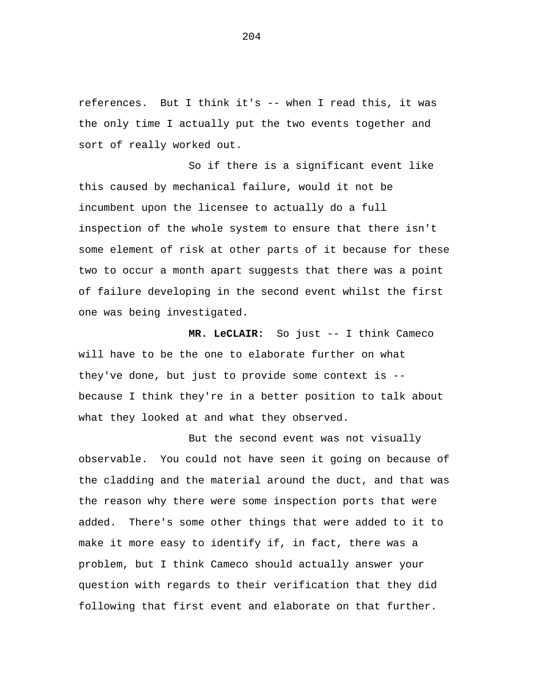references. But I think it's -- when I read this, it was the only time I actually put the two events together and sort of really worked out.

So if there is a significant event like this caused by mechanical failure, would it not be incumbent upon the licensee to actually do a full inspection of the whole system to ensure that there isn't some element of risk at other parts of it because for these two to occur a month apart suggests that there was a point of failure developing in the second event whilst the first one was being investigated.

**MR. LeCLAIR:** So just -- I think Cameco will have to be the one to elaborate further on what they've done, but just to provide some context is - because I think they're in a better position to talk about what they looked at and what they observed.

But the second event was not visually observable. You could not have seen it going on because of the cladding and the material around the duct, and that was the reason why there were some inspection ports that were added. There's some other things that were added to it to make it more easy to identify if, in fact, there was a problem, but I think Cameco should actually answer your question with regards to their verification that they did following that first event and elaborate on that further.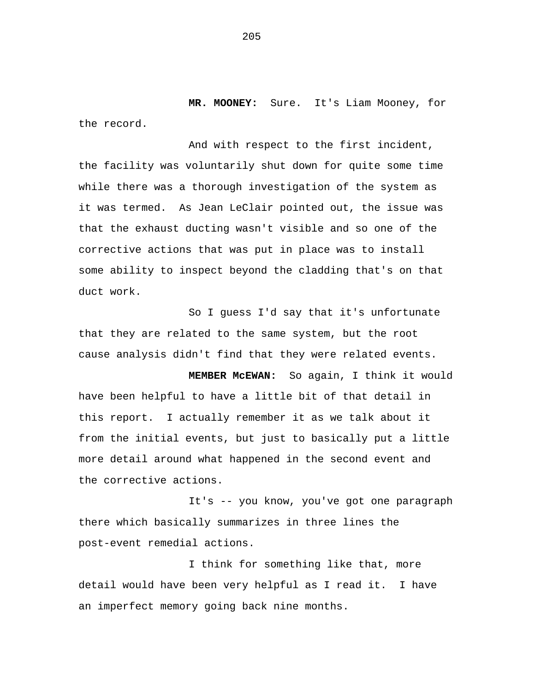**MR. MOONEY:** Sure. It's Liam Mooney, for the record.

And with respect to the first incident, the facility was voluntarily shut down for quite some time while there was a thorough investigation of the system as it was termed. As Jean LeClair pointed out, the issue was that the exhaust ducting wasn't visible and so one of the corrective actions that was put in place was to install some ability to inspect beyond the cladding that's on that duct work.

So I guess I'd say that it's unfortunate that they are related to the same system, but the root cause analysis didn't find that they were related events.

**MEMBER McEWAN:** So again, I think it would have been helpful to have a little bit of that detail in this report. I actually remember it as we talk about it from the initial events, but just to basically put a little more detail around what happened in the second event and the corrective actions.

It's -- you know, you've got one paragraph there which basically summarizes in three lines the post-event remedial actions.

I think for something like that, more detail would have been very helpful as I read it. I have an imperfect memory going back nine months.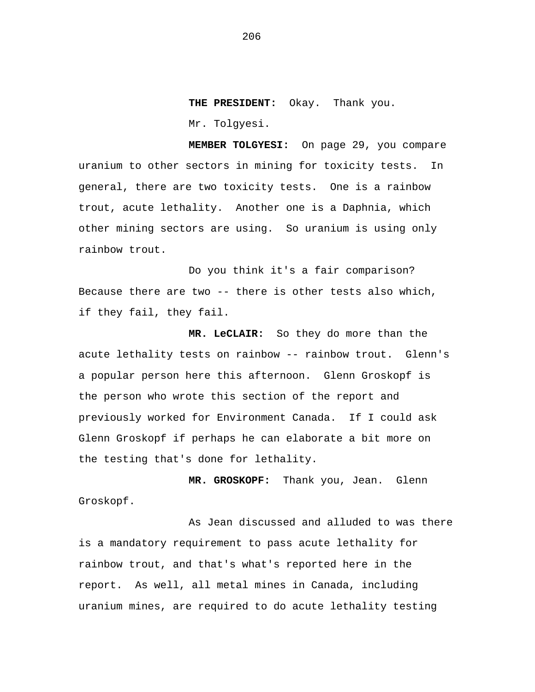**THE PRESIDENT:** Okay. Thank you. Mr. Tolgyesi.

**MEMBER TOLGYESI:** On page 29, you compare uranium to other sectors in mining for toxicity tests. In general, there are two toxicity tests. One is a rainbow trout, acute lethality. Another one is a Daphnia, which other mining sectors are using. So uranium is using only rainbow trout.

Do you think it's a fair comparison? Because there are two -- there is other tests also which, if they fail, they fail.

**MR. LeCLAIR:** So they do more than the acute lethality tests on rainbow -- rainbow trout. Glenn's a popular person here this afternoon. Glenn Groskopf is the person who wrote this section of the report and previously worked for Environment Canada. If I could ask Glenn Groskopf if perhaps he can elaborate a bit more on the testing that's done for lethality.

**MR. GROSKOPF:** Thank you, Jean. Glenn Groskopf.

As Jean discussed and alluded to was there is a mandatory requirement to pass acute lethality for rainbow trout, and that's what's reported here in the report. As well, all metal mines in Canada, including uranium mines, are required to do acute lethality testing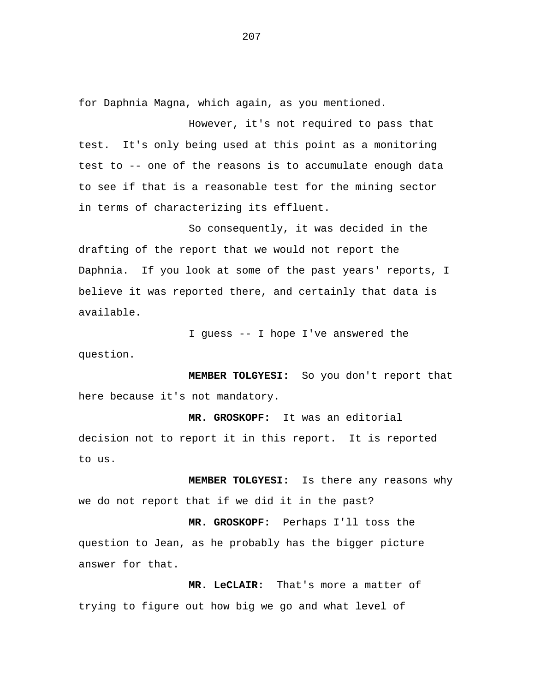for Daphnia Magna, which again, as you mentioned.

However, it's not required to pass that test. It's only being used at this point as a monitoring test to -- one of the reasons is to accumulate enough data to see if that is a reasonable test for the mining sector in terms of characterizing its effluent.

So consequently, it was decided in the drafting of the report that we would not report the Daphnia. If you look at some of the past years' reports, I believe it was reported there, and certainly that data is available.

I guess -- I hope I've answered the question.

**MEMBER TOLGYESI:** So you don't report that here because it's not mandatory.

**MR. GROSKOPF:** It was an editorial decision not to report it in this report. It is reported to us.

**MEMBER TOLGYESI:** Is there any reasons why we do not report that if we did it in the past?

**MR. GROSKOPF:** Perhaps I'll toss the question to Jean, as he probably has the bigger picture answer for that.

**MR. LeCLAIR:** That's more a matter of trying to figure out how big we go and what level of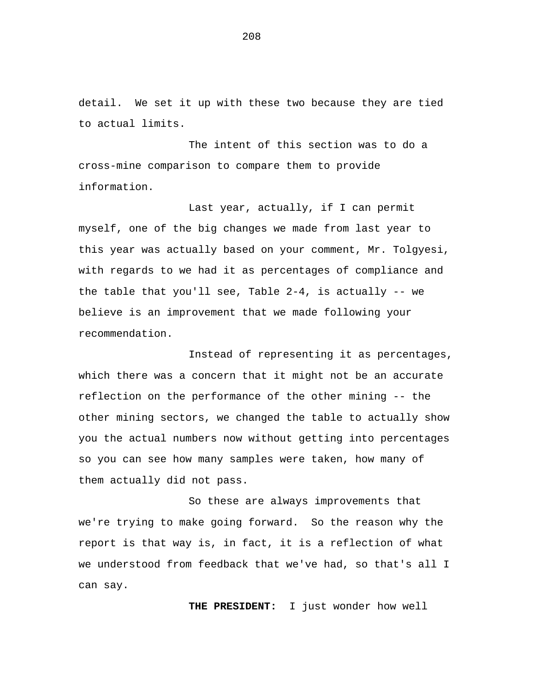detail. We set it up with these two because they are tied to actual limits.

The intent of this section was to do a cross-mine comparison to compare them to provide information.

Last year, actually, if I can permit myself, one of the big changes we made from last year to this year was actually based on your comment, Mr. Tolgyesi, with regards to we had it as percentages of compliance and the table that you'll see, Table  $2-4$ , is actually  $-$  we believe is an improvement that we made following your recommendation.

Instead of representing it as percentages, which there was a concern that it might not be an accurate reflection on the performance of the other mining -- the other mining sectors, we changed the table to actually show you the actual numbers now without getting into percentages so you can see how many samples were taken, how many of them actually did not pass.

So these are always improvements that we're trying to make going forward. So the reason why the report is that way is, in fact, it is a reflection of what we understood from feedback that we've had, so that's all I can say.

**THE PRESIDENT:** I just wonder how well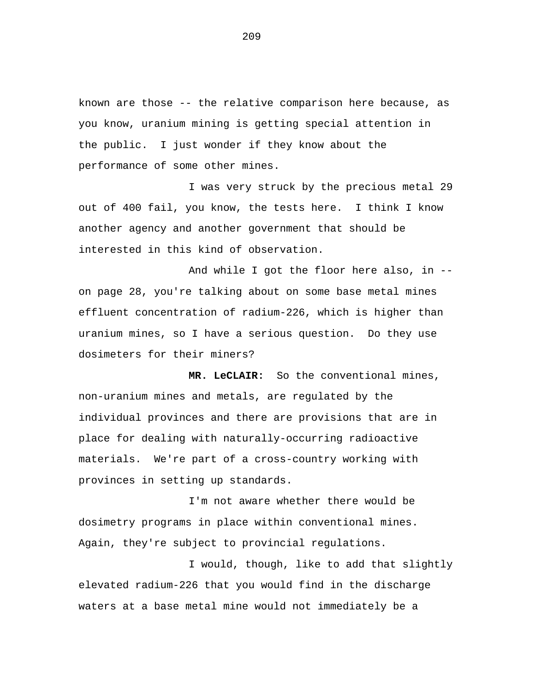known are those -- the relative comparison here because, as you know, uranium mining is getting special attention in the public. I just wonder if they know about the performance of some other mines.

I was very struck by the precious metal 29 out of 400 fail, you know, the tests here. I think I know another agency and another government that should be interested in this kind of observation.

And while I got the floor here also, in - on page 28, you're talking about on some base metal mines effluent concentration of radium-226, which is higher than uranium mines, so I have a serious question. Do they use dosimeters for their miners?

**MR. LeCLAIR:** So the conventional mines, non-uranium mines and metals, are regulated by the individual provinces and there are provisions that are in place for dealing with naturally-occurring radioactive materials. We're part of a cross-country working with provinces in setting up standards.

I'm not aware whether there would be dosimetry programs in place within conventional mines. Again, they're subject to provincial regulations.

I would, though, like to add that slightly elevated radium-226 that you would find in the discharge waters at a base metal mine would not immediately be a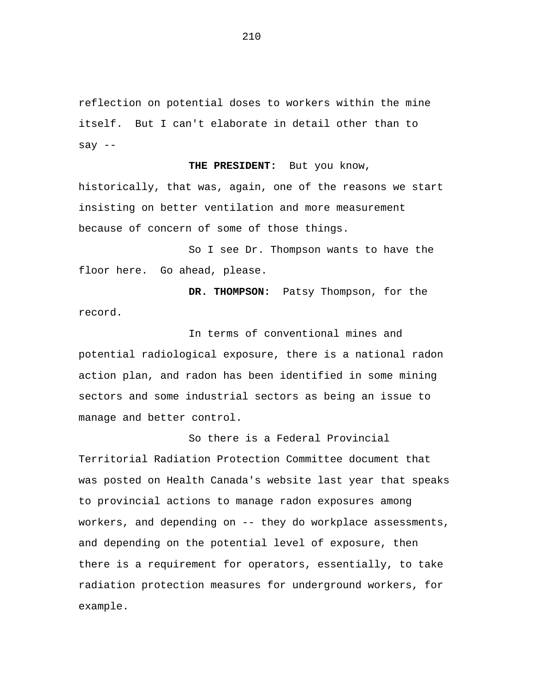reflection on potential doses to workers within the mine itself. But I can't elaborate in detail other than to say --

#### **THE PRESIDENT:** But you know,

historically, that was, again, one of the reasons we start insisting on better ventilation and more measurement because of concern of some of those things.

So I see Dr. Thompson wants to have the floor here. Go ahead, please.

**DR. THOMPSON:** Patsy Thompson, for the record.

In terms of conventional mines and potential radiological exposure, there is a national radon action plan, and radon has been identified in some mining sectors and some industrial sectors as being an issue to manage and better control.

So there is a Federal Provincial Territorial Radiation Protection Committee document that was posted on Health Canada's website last year that speaks to provincial actions to manage radon exposures among workers, and depending on -- they do workplace assessments, and depending on the potential level of exposure, then there is a requirement for operators, essentially, to take radiation protection measures for underground workers, for example.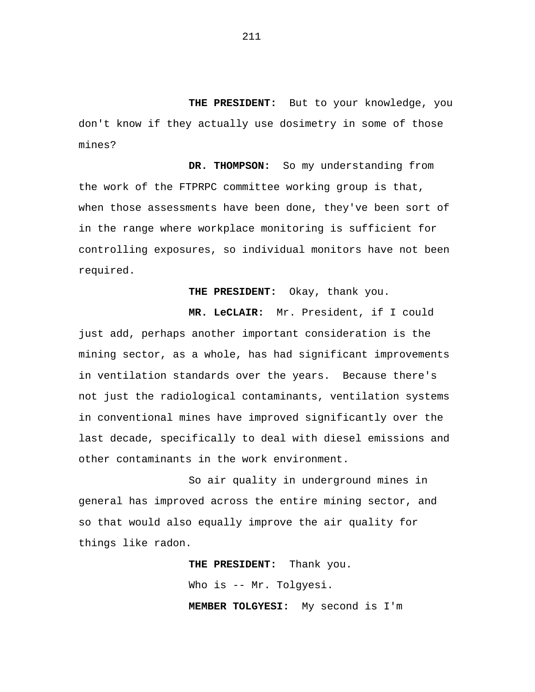**THE PRESIDENT:** But to your knowledge, you don't know if they actually use dosimetry in some of those mines?

**DR. THOMPSON:** So my understanding from the work of the FTPRPC committee working group is that, when those assessments have been done, they've been sort of in the range where workplace monitoring is sufficient for controlling exposures, so individual monitors have not been required.

**THE PRESIDENT:** Okay, thank you.

**MR. LeCLAIR:** Mr. President, if I could just add, perhaps another important consideration is the mining sector, as a whole, has had significant improvements in ventilation standards over the years. Because there's not just the radiological contaminants, ventilation systems in conventional mines have improved significantly over the last decade, specifically to deal with diesel emissions and other contaminants in the work environment.

So air quality in underground mines in general has improved across the entire mining sector, and so that would also equally improve the air quality for things like radon.

> **THE PRESIDENT:** Thank you. Who is -- Mr. Tolgyesi. **MEMBER TOLGYESI:** My second is I'm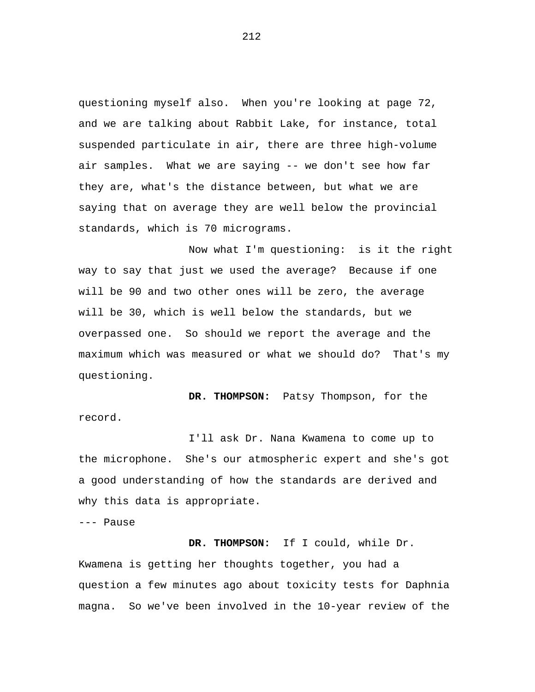questioning myself also. When you're looking at page 72, and we are talking about Rabbit Lake, for instance, total suspended particulate in air, there are three high-volume air samples. What we are saying -- we don't see how far they are, what's the distance between, but what we are saying that on average they are well below the provincial standards, which is 70 micrograms.

Now what I'm questioning: is it the right way to say that just we used the average? Because if one will be 90 and two other ones will be zero, the average will be 30, which is well below the standards, but we overpassed one. So should we report the average and the maximum which was measured or what we should do? That's my questioning.

**DR. THOMPSON:** Patsy Thompson, for the record.

I'll ask Dr. Nana Kwamena to come up to the microphone. She's our atmospheric expert and she's got a good understanding of how the standards are derived and why this data is appropriate.

--- Pause

**DR. THOMPSON:** If I could, while Dr. Kwamena is getting her thoughts together, you had a question a few minutes ago about toxicity tests for Daphnia magna. So we've been involved in the 10-year review of the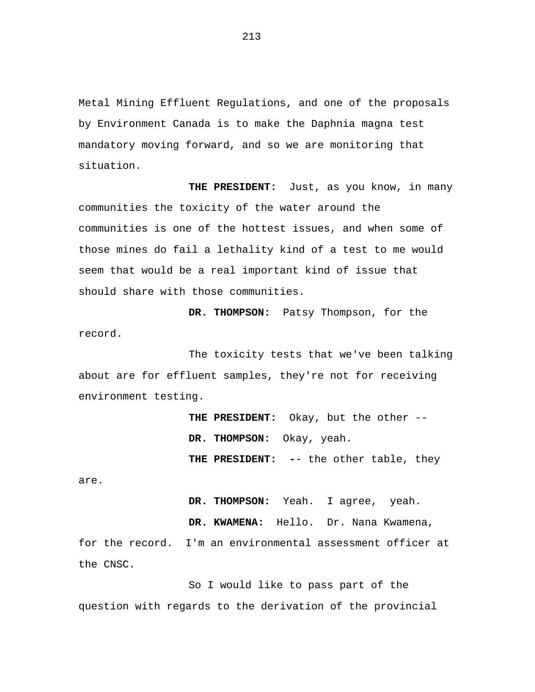Metal Mining Effluent Regulations, and one of the proposals by Environment Canada is to make the Daphnia magna test mandatory moving forward, and so we are monitoring that situation.

**THE PRESIDENT:** Just, as you know, in many communities the toxicity of the water around the communities is one of the hottest issues, and when some of those mines do fail a lethality kind of a test to me would seem that would be a real important kind of issue that should share with those communities.

**DR. THOMPSON:** Patsy Thompson, for the record.

The toxicity tests that we've been talking about are for effluent samples, they're not for receiving environment testing.

> **THE PRESIDENT:** Okay, but the other -- **DR. THOMPSON:** Okay, yeah. **THE PRESIDENT: -**- the other table, they

are.

**DR. THOMPSON:** Yeah. I agree, yeah.

**DR. KWAMENA:** Hello. Dr. Nana Kwamena,

for the record. I'm an environmental assessment officer at the CNSC.

So I would like to pass part of the question with regards to the derivation of the provincial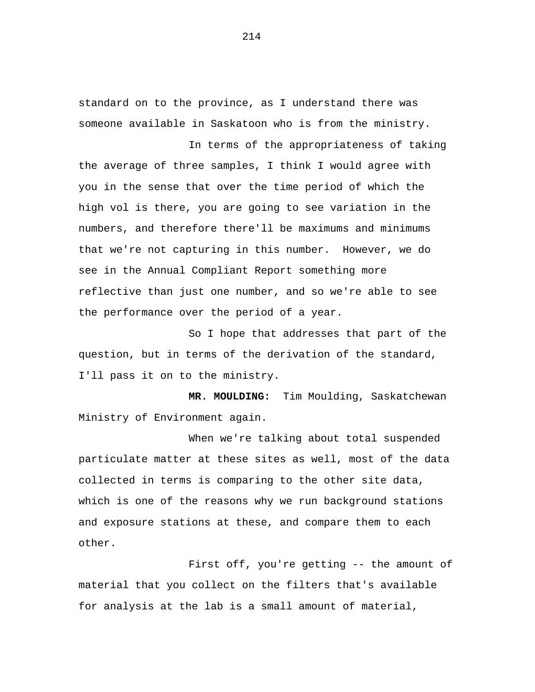standard on to the province, as I understand there was someone available in Saskatoon who is from the ministry.

In terms of the appropriateness of taking the average of three samples, I think I would agree with you in the sense that over the time period of which the high vol is there, you are going to see variation in the numbers, and therefore there'll be maximums and minimums that we're not capturing in this number. However, we do see in the Annual Compliant Report something more reflective than just one number, and so we're able to see the performance over the period of a year.

So I hope that addresses that part of the question, but in terms of the derivation of the standard, I'll pass it on to the ministry.

**MR. MOULDING:** Tim Moulding, Saskatchewan Ministry of Environment again.

When we're talking about total suspended particulate matter at these sites as well, most of the data collected in terms is comparing to the other site data, which is one of the reasons why we run background stations and exposure stations at these, and compare them to each other.

First off, you're getting -- the amount of material that you collect on the filters that's available for analysis at the lab is a small amount of material,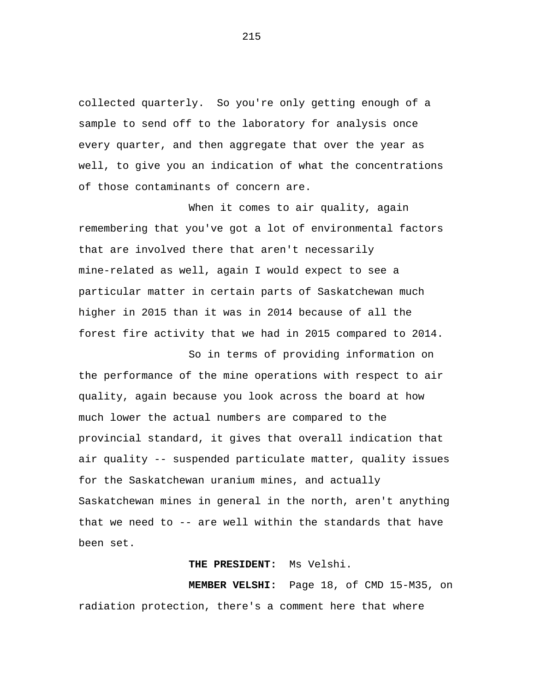collected quarterly. So you're only getting enough of a sample to send off to the laboratory for analysis once every quarter, and then aggregate that over the year as well, to give you an indication of what the concentrations of those contaminants of concern are.

When it comes to air quality, again remembering that you've got a lot of environmental factors that are involved there that aren't necessarily mine-related as well, again I would expect to see a particular matter in certain parts of Saskatchewan much higher in 2015 than it was in 2014 because of all the forest fire activity that we had in 2015 compared to 2014.

So in terms of providing information on the performance of the mine operations with respect to air quality, again because you look across the board at how much lower the actual numbers are compared to the provincial standard, it gives that overall indication that air quality -- suspended particulate matter, quality issues for the Saskatchewan uranium mines, and actually Saskatchewan mines in general in the north, aren't anything that we need to -- are well within the standards that have been set.

## **THE PRESIDENT:** Ms Velshi.

**MEMBER VELSHI:** Page 18, of CMD 15-M35, on radiation protection, there's a comment here that where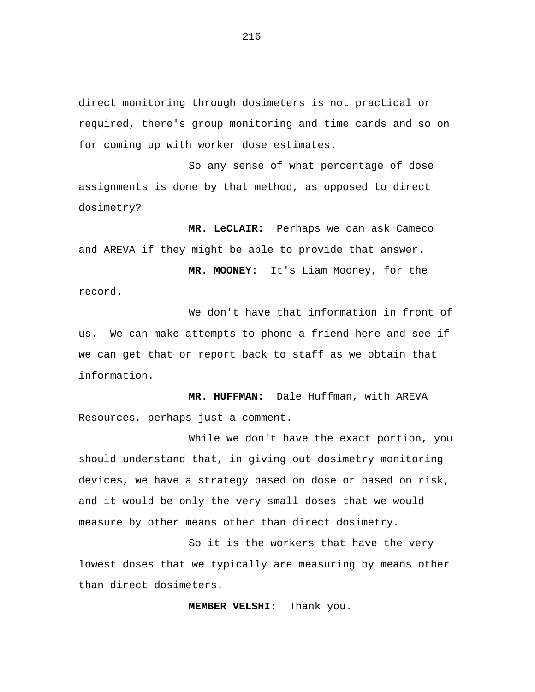direct monitoring through dosimeters is not practical or required, there's group monitoring and time cards and so on for coming up with worker dose estimates.

So any sense of what percentage of dose assignments is done by that method, as opposed to direct dosimetry?

**MR. LeCLAIR:** Perhaps we can ask Cameco and AREVA if they might be able to provide that answer.

**MR. MOONEY:** It's Liam Mooney, for the record.

We don't have that information in front of us. We can make attempts to phone a friend here and see if we can get that or report back to staff as we obtain that information.

**MR. HUFFMAN:** Dale Huffman, with AREVA Resources, perhaps just a comment.

While we don't have the exact portion, you should understand that, in giving out dosimetry monitoring devices, we have a strategy based on dose or based on risk, and it would be only the very small doses that we would measure by other means other than direct dosimetry.

So it is the workers that have the very lowest doses that we typically are measuring by means other than direct dosimeters.

**MEMBER VELSHI:** Thank you.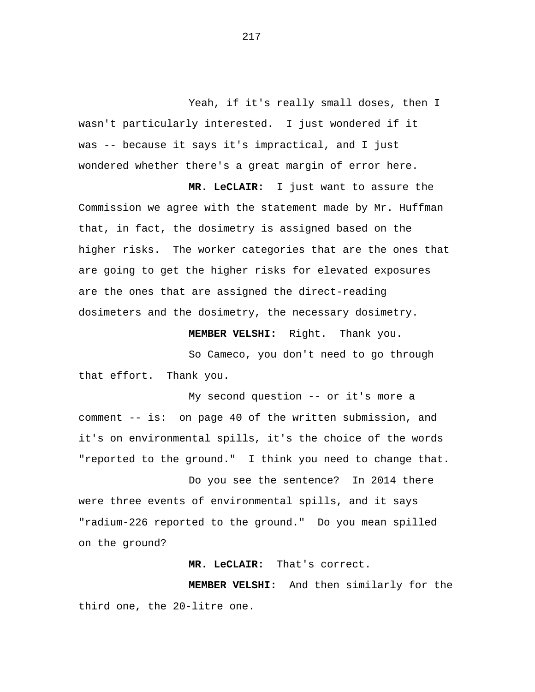Yeah, if it's really small doses, then I wasn't particularly interested. I just wondered if it was -- because it says it's impractical, and I just wondered whether there's a great margin of error here.

**MR. LeCLAIR:** I just want to assure the Commission we agree with the statement made by Mr. Huffman that, in fact, the dosimetry is assigned based on the higher risks. The worker categories that are the ones that are going to get the higher risks for elevated exposures are the ones that are assigned the direct-reading dosimeters and the dosimetry, the necessary dosimetry.

**MEMBER VELSHI:** Right. Thank you.

So Cameco, you don't need to go through that effort. Thank you.

My second question -- or it's more a comment -- is: on page 40 of the written submission, and it's on environmental spills, it's the choice of the words "reported to the ground." I think you need to change that.

Do you see the sentence? In 2014 there were three events of environmental spills, and it says "radium-226 reported to the ground." Do you mean spilled on the ground?

**MR. LeCLAIR:** That's correct.

**MEMBER VELSHI:** And then similarly for the third one, the 20-litre one.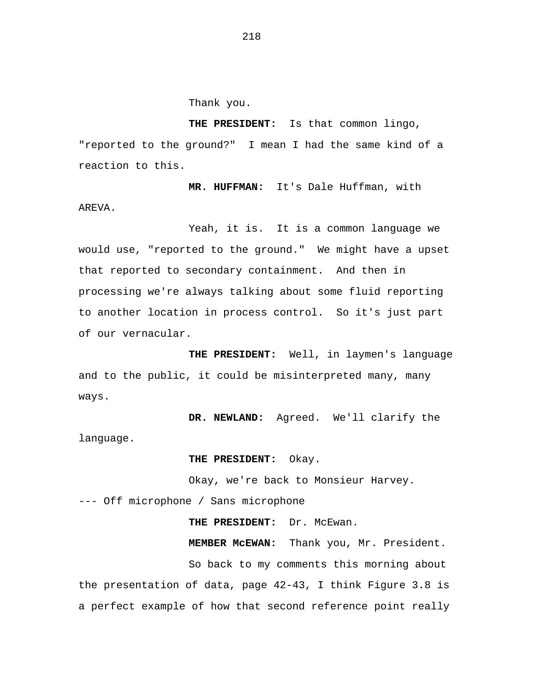Thank you.

**THE PRESIDENT:** Is that common lingo, "reported to the ground?" I mean I had the same kind of a reaction to this.

**MR. HUFFMAN:** It's Dale Huffman, with AREVA.

Yeah, it is. It is a common language we would use, "reported to the ground." We might have a upset that reported to secondary containment. And then in processing we're always talking about some fluid reporting to another location in process control. So it's just part of our vernacular.

**THE PRESIDENT:** Well, in laymen's language and to the public, it could be misinterpreted many, many ways.

**DR. NEWLAND:** Agreed. We'll clarify the language.

**THE PRESIDENT:** Okay.

Okay, we're back to Monsieur Harvey. --- Off microphone / Sans microphone

**THE PRESIDENT:** Dr. McEwan.

**MEMBER McEWAN:** Thank you, Mr. President.

So back to my comments this morning about the presentation of data, page 42-43, I think Figure 3.8 is a perfect example of how that second reference point really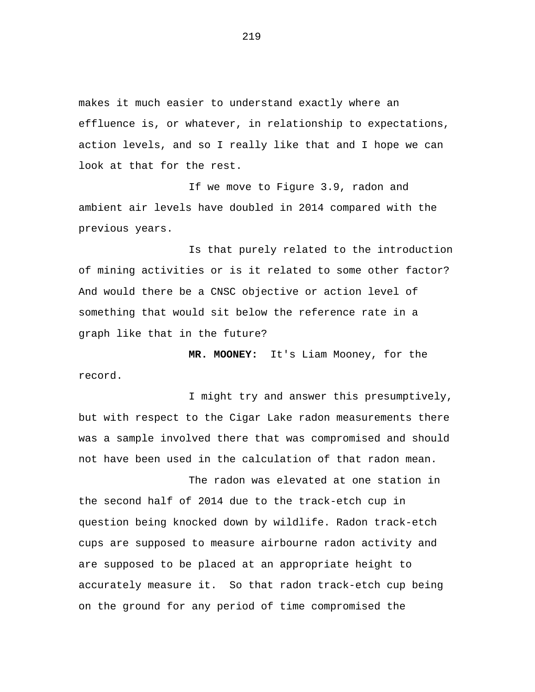makes it much easier to understand exactly where an effluence is, or whatever, in relationship to expectations, action levels, and so I really like that and I hope we can look at that for the rest.

If we move to Figure 3.9, radon and ambient air levels have doubled in 2014 compared with the previous years.

Is that purely related to the introduction of mining activities or is it related to some other factor? And would there be a CNSC objective or action level of something that would sit below the reference rate in a graph like that in the future?

**MR. MOONEY:** It's Liam Mooney, for the record.

I might try and answer this presumptively, but with respect to the Cigar Lake radon measurements there was a sample involved there that was compromised and should not have been used in the calculation of that radon mean.

The radon was elevated at one station in

the second half of 2014 due to the track-etch cup in question being knocked down by wildlife. Radon track-etch cups are supposed to measure airbourne radon activity and are supposed to be placed at an appropriate height to accurately measure it. So that radon track-etch cup being on the ground for any period of time compromised the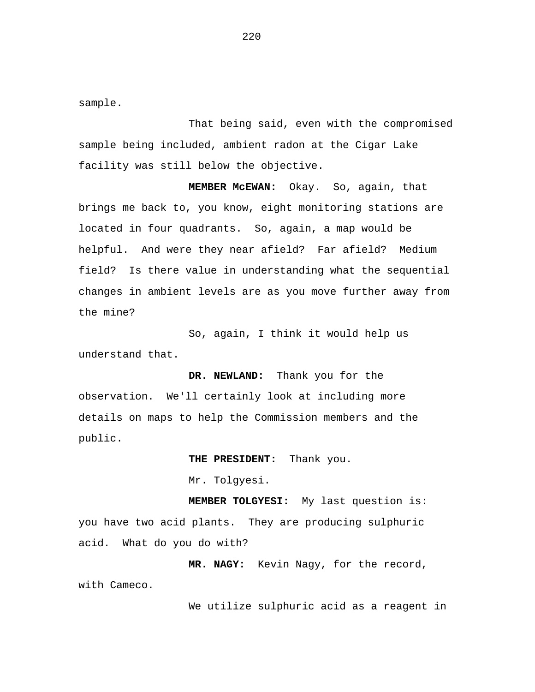sample.

That being said, even with the compromised sample being included, ambient radon at the Cigar Lake facility was still below the objective.

**MEMBER McEWAN:** Okay. So, again, that brings me back to, you know, eight monitoring stations are located in four quadrants. So, again, a map would be helpful. And were they near afield? Far afield? Medium field? Is there value in understanding what the sequential changes in ambient levels are as you move further away from the mine?

So, again, I think it would help us understand that.

**DR. NEWLAND:** Thank you for the observation. We'll certainly look at including more details on maps to help the Commission members and the public.

> **THE PRESIDENT:** Thank you. Mr. Tolgyesi.

**MEMBER TOLGYESI:** My last question is: you have two acid plants. They are producing sulphuric acid. What do you do with?

**MR. NAGY:** Kevin Nagy, for the record, with Cameco.

We utilize sulphuric acid as a reagent in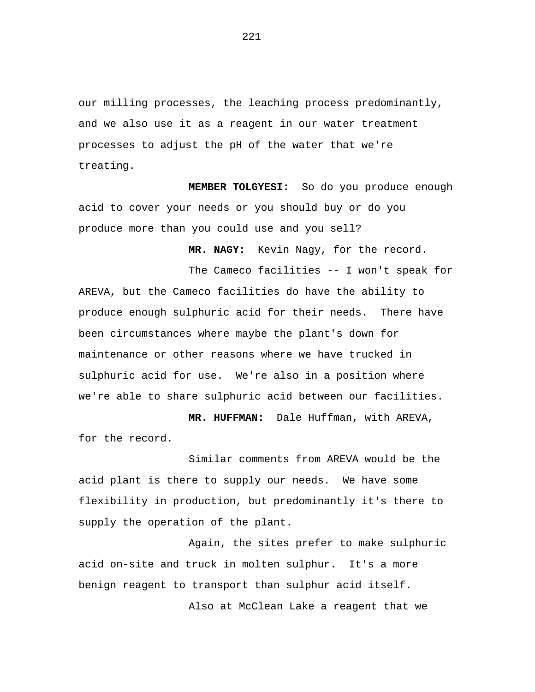our milling processes, the leaching process predominantly, and we also use it as a reagent in our water treatment processes to adjust the pH of the water that we're treating.

**MEMBER TOLGYESI:** So do you produce enough acid to cover your needs or you should buy or do you produce more than you could use and you sell?

**MR. NAGY:** Kevin Nagy, for the record.

The Cameco facilities -- I won't speak for AREVA, but the Cameco facilities do have the ability to produce enough sulphuric acid for their needs. There have been circumstances where maybe the plant's down for maintenance or other reasons where we have trucked in sulphuric acid for use. We're also in a position where we're able to share sulphuric acid between our facilities.

**MR. HUFFMAN:** Dale Huffman, with AREVA, for the record.

Similar comments from AREVA would be the acid plant is there to supply our needs. We have some flexibility in production, but predominantly it's there to supply the operation of the plant.

Again, the sites prefer to make sulphuric acid on-site and truck in molten sulphur. It's a more benign reagent to transport than sulphur acid itself.

Also at McClean Lake a reagent that we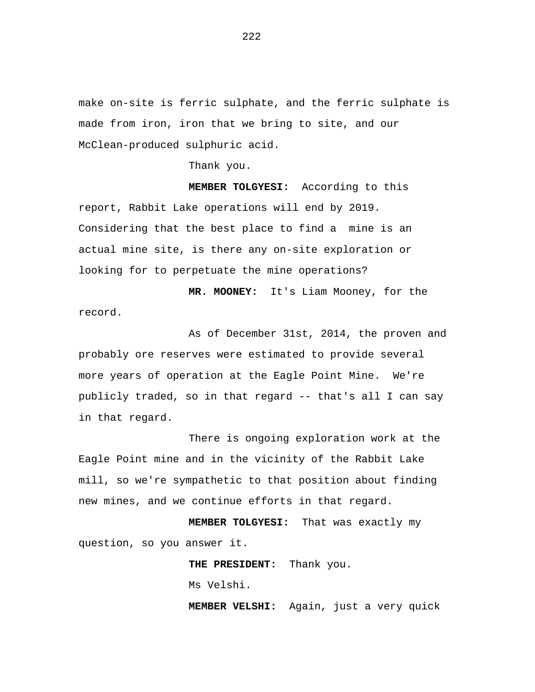make on-site is ferric sulphate, and the ferric sulphate is made from iron, iron that we bring to site, and our McClean-produced sulphuric acid.

Thank you.

**MEMBER TOLGYESI:** According to this report, Rabbit Lake operations will end by 2019. Considering that the best place to find a mine is an actual mine site, is there any on-site exploration or looking for to perpetuate the mine operations?

**MR. MOONEY:** It's Liam Mooney, for the record.

As of December 31st, 2014, the proven and probably ore reserves were estimated to provide several more years of operation at the Eagle Point Mine. We're publicly traded, so in that regard -- that's all I can say in that regard.

There is ongoing exploration work at the Eagle Point mine and in the vicinity of the Rabbit Lake mill, so we're sympathetic to that position about finding new mines, and we continue efforts in that regard.

**MEMBER TOLGYESI:** That was exactly my question, so you answer it.

**THE PRESIDENT:** Thank you.

Ms Velshi.

**MEMBER VELSHI:** Again, just a very quick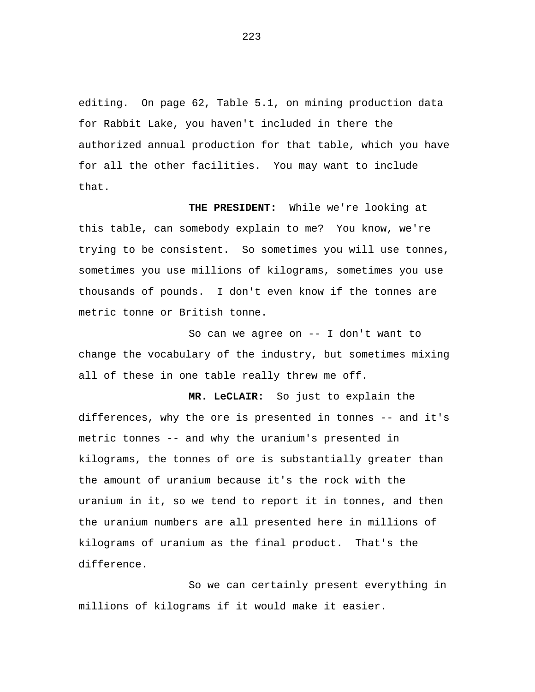editing. On page 62, Table 5.1, on mining production data for Rabbit Lake, you haven't included in there the authorized annual production for that table, which you have for all the other facilities. You may want to include that.

**THE PRESIDENT:** While we're looking at this table, can somebody explain to me? You know, we're trying to be consistent. So sometimes you will use tonnes, sometimes you use millions of kilograms, sometimes you use thousands of pounds. I don't even know if the tonnes are metric tonne or British tonne.

So can we agree on -- I don't want to change the vocabulary of the industry, but sometimes mixing all of these in one table really threw me off.

**MR. LeCLAIR:** So just to explain the differences, why the ore is presented in tonnes -- and it's metric tonnes -- and why the uranium's presented in kilograms, the tonnes of ore is substantially greater than the amount of uranium because it's the rock with the uranium in it, so we tend to report it in tonnes, and then the uranium numbers are all presented here in millions of kilograms of uranium as the final product. That's the difference.

So we can certainly present everything in millions of kilograms if it would make it easier.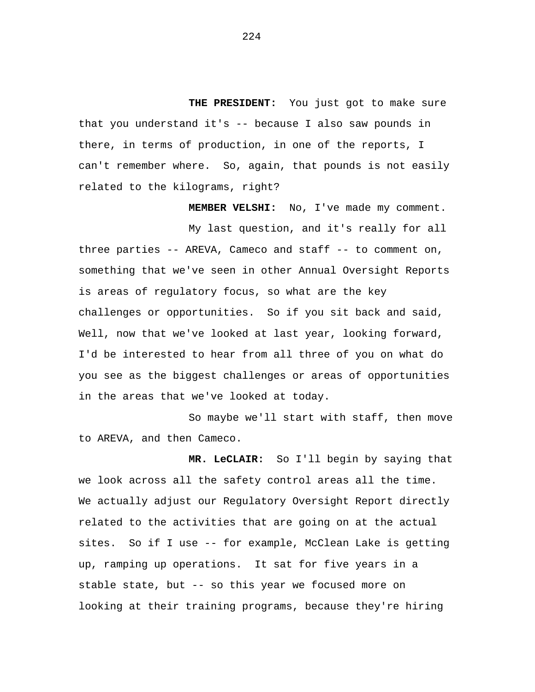**THE PRESIDENT:** You just got to make sure that you understand it's -- because I also saw pounds in there, in terms of production, in one of the reports, I can't remember where. So, again, that pounds is not easily related to the kilograms, right?

**MEMBER VELSHI:** No, I've made my comment.

My last question, and it's really for all three parties -- AREVA, Cameco and staff -- to comment on, something that we've seen in other Annual Oversight Reports is areas of regulatory focus, so what are the key challenges or opportunities. So if you sit back and said, Well, now that we've looked at last year, looking forward, I'd be interested to hear from all three of you on what do you see as the biggest challenges or areas of opportunities in the areas that we've looked at today.

So maybe we'll start with staff, then move to AREVA, and then Cameco.

**MR. LeCLAIR:** So I'll begin by saying that we look across all the safety control areas all the time. We actually adjust our Regulatory Oversight Report directly related to the activities that are going on at the actual sites. So if I use -- for example, McClean Lake is getting up, ramping up operations. It sat for five years in a stable state, but -- so this year we focused more on looking at their training programs, because they're hiring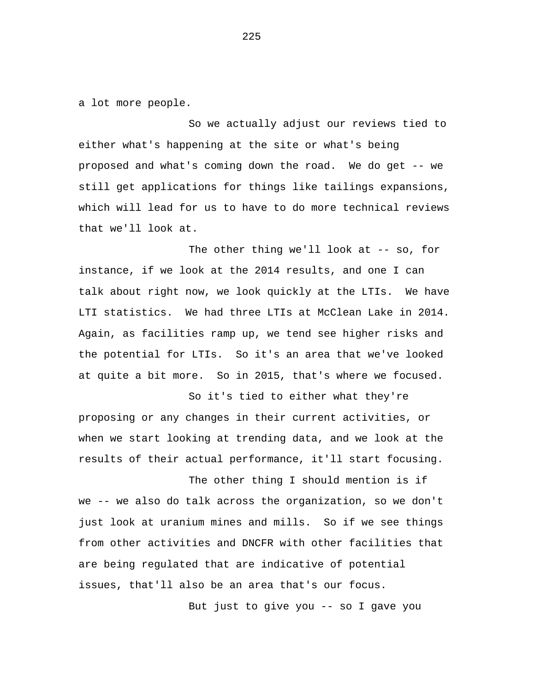a lot more people.

So we actually adjust our reviews tied to either what's happening at the site or what's being proposed and what's coming down the road. We do get -- we still get applications for things like tailings expansions, which will lead for us to have to do more technical reviews that we'll look at.

The other thing we'll look at -- so, for instance, if we look at the 2014 results, and one I can talk about right now, we look quickly at the LTIs. We have LTI statistics. We had three LTIs at McClean Lake in 2014. Again, as facilities ramp up, we tend see higher risks and the potential for LTIs. So it's an area that we've looked at quite a bit more. So in 2015, that's where we focused.

So it's tied to either what they're proposing or any changes in their current activities, or when we start looking at trending data, and we look at the results of their actual performance, it'll start focusing.

The other thing I should mention is if we -- we also do talk across the organization, so we don't just look at uranium mines and mills. So if we see things from other activities and DNCFR with other facilities that are being regulated that are indicative of potential issues, that'll also be an area that's our focus.

But just to give you -- so I gave you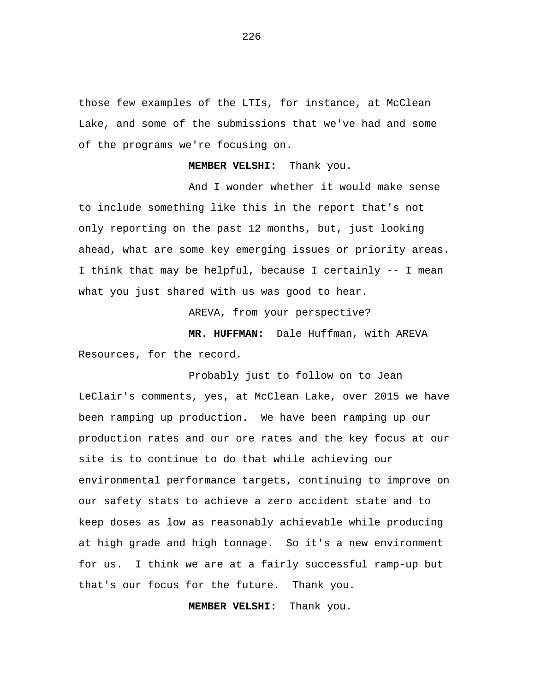those few examples of the LTIs, for instance, at McClean Lake, and some of the submissions that we've had and some of the programs we're focusing on.

**MEMBER VELSHI:** Thank you.

And I wonder whether it would make sense to include something like this in the report that's not only reporting on the past 12 months, but, just looking ahead, what are some key emerging issues or priority areas. I think that may be helpful, because I certainly -- I mean what you just shared with us was good to hear.

AREVA, from your perspective?

**MR. HUFFMAN:** Dale Huffman, with AREVA Resources, for the record.

Probably just to follow on to Jean LeClair's comments, yes, at McClean Lake, over 2015 we have been ramping up production. We have been ramping up our production rates and our ore rates and the key focus at our site is to continue to do that while achieving our environmental performance targets, continuing to improve on our safety stats to achieve a zero accident state and to keep doses as low as reasonably achievable while producing at high grade and high tonnage. So it's a new environment for us. I think we are at a fairly successful ramp-up but that's our focus for the future. Thank you.

 **MEMBER VELSHI:** Thank you.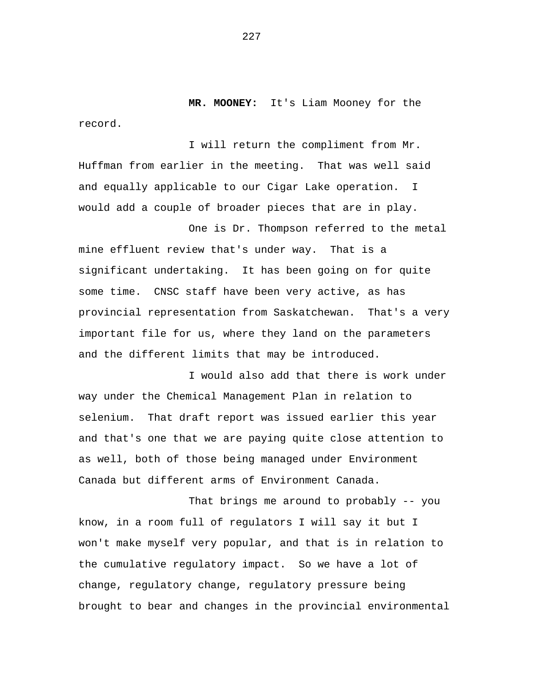**MR. MOONEY:** It's Liam Mooney for the record.

I will return the compliment from Mr. Huffman from earlier in the meeting. That was well said and equally applicable to our Cigar Lake operation. I would add a couple of broader pieces that are in play.

One is Dr. Thompson referred to the metal mine effluent review that's under way. That is a significant undertaking. It has been going on for quite some time. CNSC staff have been very active, as has provincial representation from Saskatchewan. That's a very important file for us, where they land on the parameters and the different limits that may be introduced.

I would also add that there is work under way under the Chemical Management Plan in relation to selenium. That draft report was issued earlier this year and that's one that we are paying quite close attention to as well, both of those being managed under Environment Canada but different arms of Environment Canada.

That brings me around to probably -- you know, in a room full of regulators I will say it but I won't make myself very popular, and that is in relation to the cumulative regulatory impact. So we have a lot of change, regulatory change, regulatory pressure being brought to bear and changes in the provincial environmental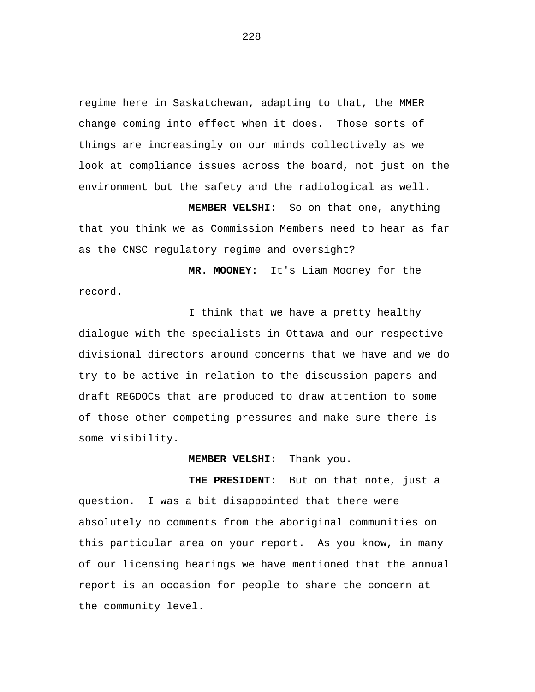regime here in Saskatchewan, adapting to that, the MMER change coming into effect when it does. Those sorts of things are increasingly on our minds collectively as we look at compliance issues across the board, not just on the environment but the safety and the radiological as well.

 **MEMBER VELSHI:** So on that one, anything that you think we as Commission Members need to hear as far as the CNSC regulatory regime and oversight?

 **MR. MOONEY:** It's Liam Mooney for the record.

I think that we have a pretty healthy dialogue with the specialists in Ottawa and our respective divisional directors around concerns that we have and we do try to be active in relation to the discussion papers and draft REGDOCs that are produced to draw attention to some of those other competing pressures and make sure there is some visibility.

 **MEMBER VELSHI:** Thank you.

 **THE PRESIDENT:** But on that note, just a question. I was a bit disappointed that there were absolutely no comments from the aboriginal communities on this particular area on your report. As you know, in many of our licensing hearings we have mentioned that the annual report is an occasion for people to share the concern at the community level.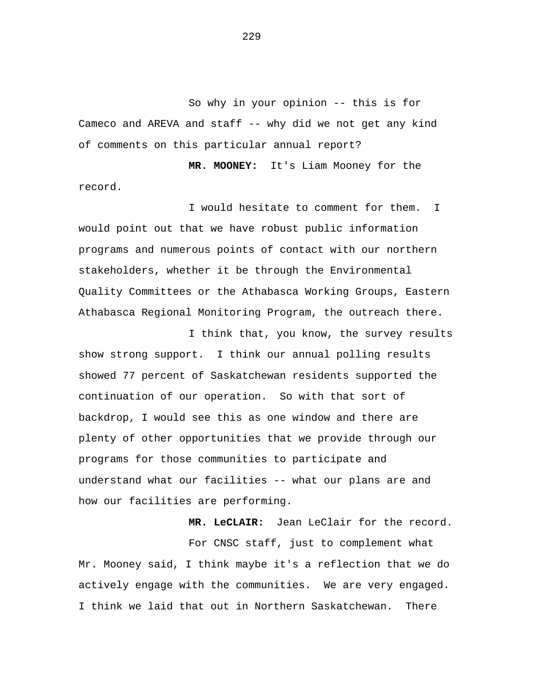So why in your opinion -- this is for Cameco and AREVA and staff -- why did we not get any kind of comments on this particular annual report?

 **MR. MOONEY:** It's Liam Mooney for the record.

I would hesitate to comment for them. I would point out that we have robust public information programs and numerous points of contact with our northern stakeholders, whether it be through the Environmental Quality Committees or the Athabasca Working Groups, Eastern Athabasca Regional Monitoring Program, the outreach there.

I think that, you know, the survey results show strong support. I think our annual polling results showed 77 percent of Saskatchewan residents supported the continuation of our operation. So with that sort of backdrop, I would see this as one window and there are plenty of other opportunities that we provide through our programs for those communities to participate and understand what our facilities -- what our plans are and how our facilities are performing.

 **MR. LeCLAIR:** Jean LeClair for the record.

For CNSC staff, just to complement what Mr. Mooney said, I think maybe it's a reflection that we do actively engage with the communities. We are very engaged. I think we laid that out in Northern Saskatchewan. There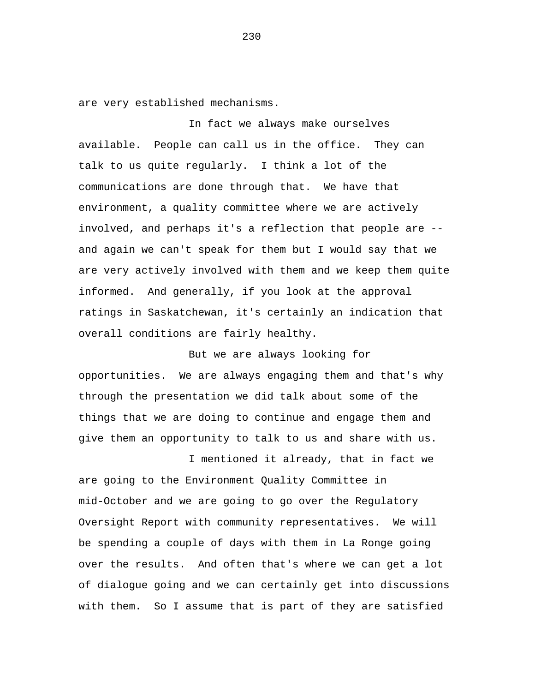are very established mechanisms.

In fact we always make ourselves available. People can call us in the office. They can talk to us quite regularly. I think a lot of the communications are done through that. We have that environment, a quality committee where we are actively involved, and perhaps it's a reflection that people are - and again we can't speak for them but I would say that we are very actively involved with them and we keep them quite informed. And generally, if you look at the approval ratings in Saskatchewan, it's certainly an indication that overall conditions are fairly healthy.

But we are always looking for opportunities. We are always engaging them and that's why through the presentation we did talk about some of the things that we are doing to continue and engage them and give them an opportunity to talk to us and share with us.

I mentioned it already, that in fact we are going to the Environment Quality Committee in mid-October and we are going to go over the Regulatory Oversight Report with community representatives. We will be spending a couple of days with them in La Ronge going over the results. And often that's where we can get a lot of dialogue going and we can certainly get into discussions with them. So I assume that is part of they are satisfied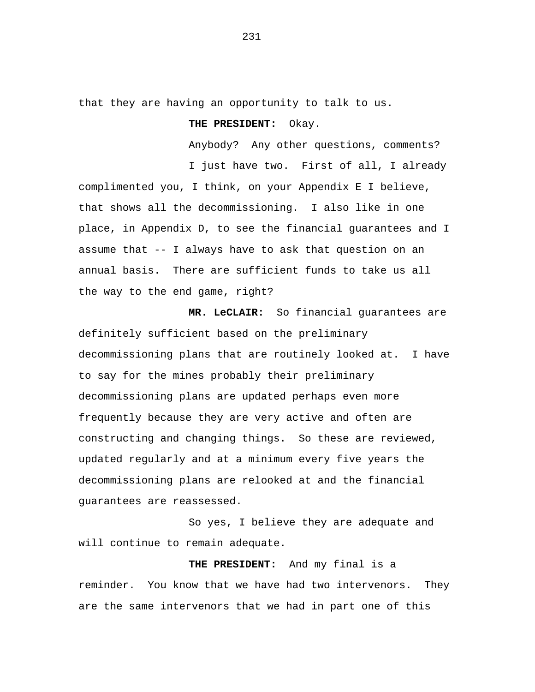that they are having an opportunity to talk to us.

## **THE PRESIDENT:** Okay.

Anybody? Any other questions, comments? I just have two. First of all, I already complimented you, I think, on your Appendix E I believe, that shows all the decommissioning. I also like in one place, in Appendix D, to see the financial guarantees and I assume that -- I always have to ask that question on an annual basis. There are sufficient funds to take us all the way to the end game, right?

 **MR. LeCLAIR:** So financial guarantees are definitely sufficient based on the preliminary decommissioning plans that are routinely looked at. I have to say for the mines probably their preliminary decommissioning plans are updated perhaps even more frequently because they are very active and often are constructing and changing things. So these are reviewed, updated regularly and at a minimum every five years the decommissioning plans are relooked at and the financial guarantees are reassessed.

So yes, I believe they are adequate and will continue to remain adequate.

 **THE PRESIDENT:** And my final is a reminder. You know that we have had two intervenors. They are the same intervenors that we had in part one of this